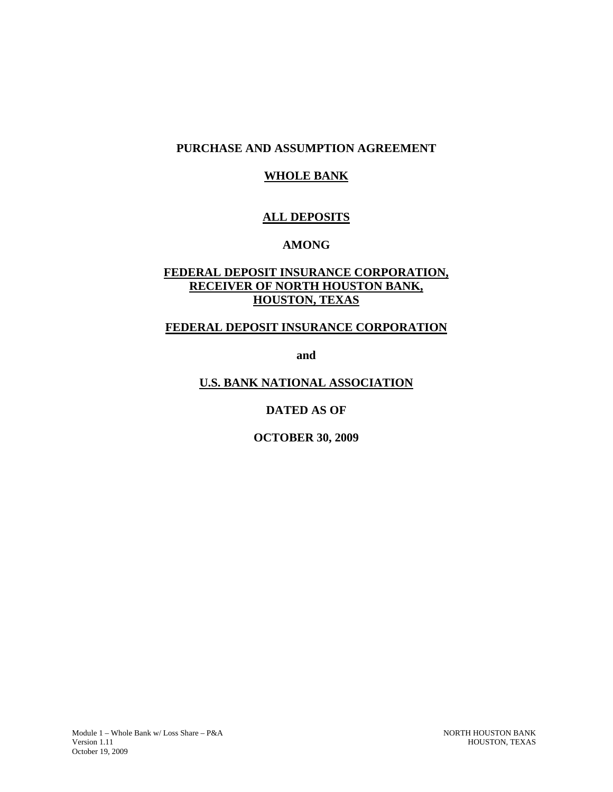### **PURCHASE AND ASSUMPTION AGREEMENT**

# **WHOLE BANK**

# **ALL DEPOSITS**

# **AMONG**

# **FEDERAL DEPOSIT INSURANCE CORPORATION, RECEIVER OF NORTH HOUSTON BANK, HOUSTON, TEXAS**

#### **FEDERAL DEPOSIT INSURANCE CORPORATION**

**and and and** 

# **U.S. BANK NATIONAL ASSOCIATION**

**DATED AS OF**

**OCTOBER 30, 2009**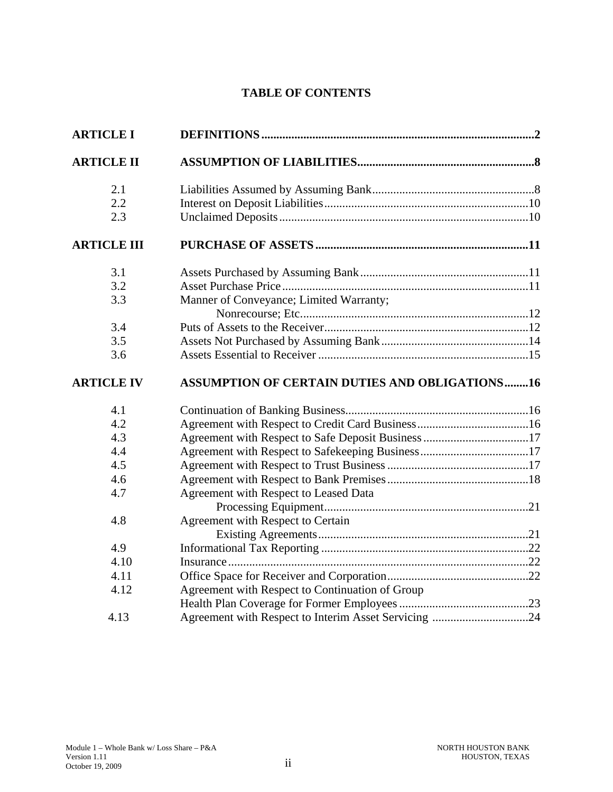# **TABLE OF CONTENTS**

| <b>ARTICLE I</b>   |                                                       |  |
|--------------------|-------------------------------------------------------|--|
| <b>ARTICLE II</b>  |                                                       |  |
| 2.1                |                                                       |  |
| 2.2                |                                                       |  |
| 2.3                |                                                       |  |
| <b>ARTICLE III</b> |                                                       |  |
| 3.1                |                                                       |  |
| 3.2                |                                                       |  |
| 3.3                | Manner of Conveyance; Limited Warranty;               |  |
|                    |                                                       |  |
| 3.4                |                                                       |  |
| 3.5                |                                                       |  |
| 3.6                |                                                       |  |
| <b>ARTICLE IV</b>  | <b>ASSUMPTION OF CERTAIN DUTIES AND OBLIGATIONS16</b> |  |
| 4.1                |                                                       |  |
| 4.2                |                                                       |  |
| 4.3                |                                                       |  |
| 4.4                |                                                       |  |
| 4.5                |                                                       |  |
| 4.6                |                                                       |  |
| 4.7                | Agreement with Respect to Leased Data                 |  |
|                    |                                                       |  |
| 4.8                | Agreement with Respect to Certain                     |  |
|                    |                                                       |  |
| 4.9                |                                                       |  |
| 4.10               |                                                       |  |
| 4.11               |                                                       |  |
| 4.12               | Agreement with Respect to Continuation of Group       |  |
|                    |                                                       |  |
| 4.13               | Agreement with Respect to Interim Asset Servicing 24  |  |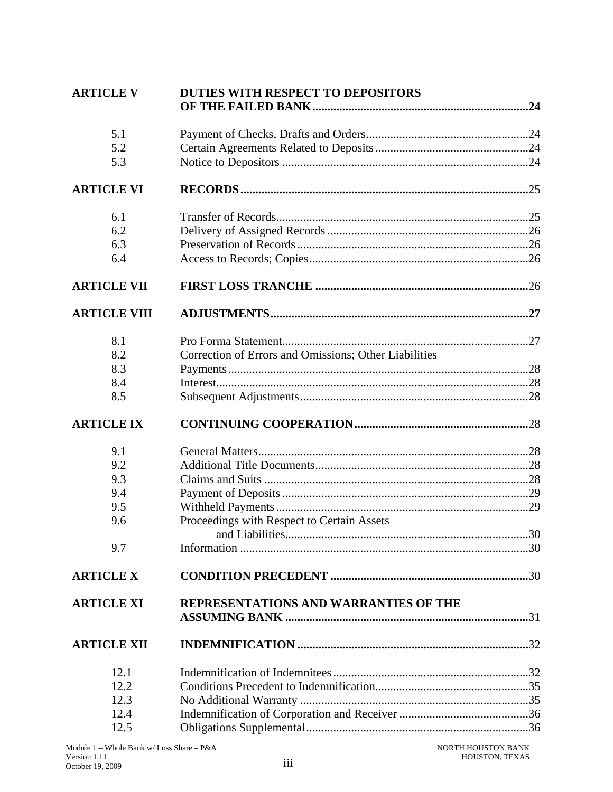| <b>ARTICLE V</b>    | DUTIES WITH RESPECT TO DEPOSITORS                     |  |
|---------------------|-------------------------------------------------------|--|
|                     |                                                       |  |
| 5.1                 |                                                       |  |
| 5.2                 |                                                       |  |
| 5.3                 |                                                       |  |
| <b>ARTICLE VI</b>   |                                                       |  |
| 6.1                 |                                                       |  |
| 6.2                 |                                                       |  |
| 6.3                 |                                                       |  |
| 6.4                 |                                                       |  |
| <b>ARTICLE VII</b>  |                                                       |  |
| <b>ARTICLE VIII</b> |                                                       |  |
| 8.1                 |                                                       |  |
| 8.2                 | Correction of Errors and Omissions; Other Liabilities |  |
| 8.3                 |                                                       |  |
| 8.4                 |                                                       |  |
| 8.5                 |                                                       |  |
| <b>ARTICLE IX</b>   |                                                       |  |
| 9.1                 |                                                       |  |
| 9.2                 |                                                       |  |
| 9.3                 |                                                       |  |
| 9.4                 |                                                       |  |
| 9.5                 |                                                       |  |
| 9.6                 | Proceedings with Respect to Certain Assets            |  |
|                     |                                                       |  |
| 9.7                 |                                                       |  |
| <b>ARTICLE X</b>    |                                                       |  |
| <b>ARTICLE XI</b>   | <b>REPRESENTATIONS AND WARRANTIES OF THE</b>          |  |
| <b>ARTICLE XII</b>  |                                                       |  |
| 12.1                |                                                       |  |
| 12.2                |                                                       |  |
| 12.3                |                                                       |  |
| 12.4                |                                                       |  |
| 12.5                |                                                       |  |
|                     |                                                       |  |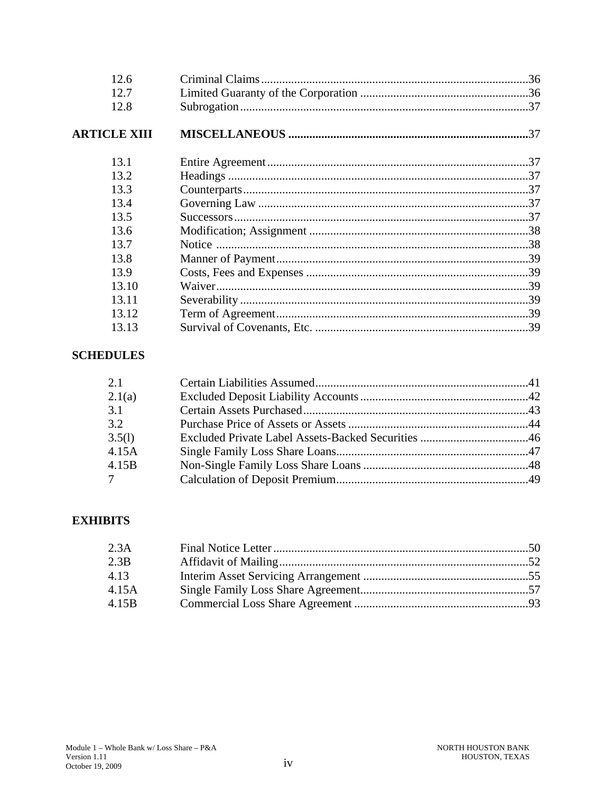| 12.6                |  |
|---------------------|--|
| 12.7                |  |
| 12.8                |  |
| <b>ARTICLE XIII</b> |  |
| 13.1                |  |
| 13.2                |  |
| 13.3                |  |
| 13.4                |  |
| 13.5                |  |
| 13.6                |  |
| 13.7                |  |
| 13.8                |  |
| 13.9                |  |
| 13.10               |  |
| 13.11               |  |
| 13.12               |  |
| 13.13               |  |

# **SCHEDULES**

| 2.1    |  |
|--------|--|
| 2.1(a) |  |
| 3.1    |  |
| 3.2    |  |
| 3.5(l) |  |
| 4.15A  |  |
| 4.15B  |  |
| 7      |  |

# **EXHIBITS**

| 2.3A  |  |
|-------|--|
| 2.3B  |  |
| 4.13  |  |
| 4.15A |  |
| 4.15B |  |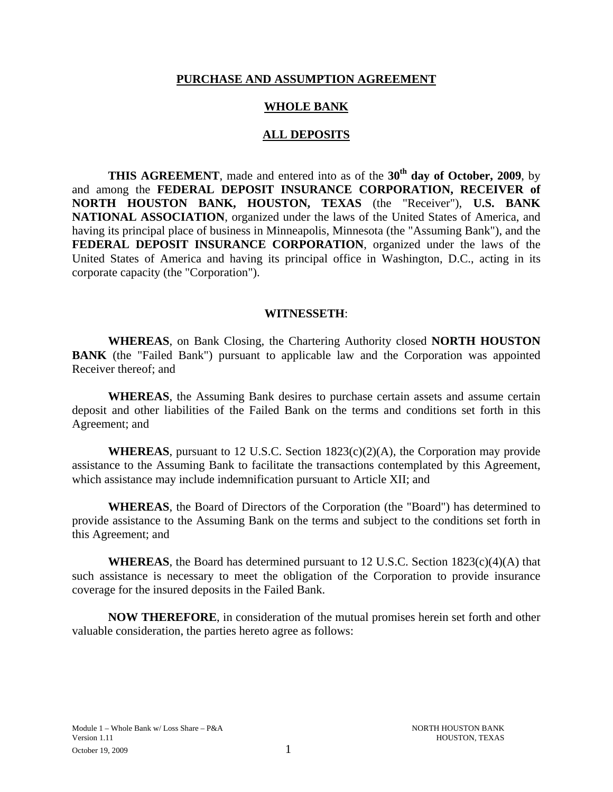#### **PURCHASE AND ASSUMPTION AGREEMENT**

### **WHOLE BANK**

#### **ALL DEPOSITS**

**THIS AGREEMENT**, made and entered into as of the 30<sup>th</sup> day of October, 2009, by and among the **FEDERAL DEPOSIT INSURANCE CORPORATION, RECEIVER of NORTH HOUSTON BANK, HOUSTON, TEXAS** (the "Receiver"), **U.S. BANK NATIONAL ASSOCIATION**, organized under the laws of the United States of America, and having its principal place of business in Minneapolis, Minnesota (the "Assuming Bank"), and the **FEDERAL DEPOSIT INSURANCE CORPORATION**, organized under the laws of the United States of America and having its principal office in Washington, D.C., acting in its corporate capacity (the "Corporation").

#### **WITNESSETH**:

**WHEREAS**, on Bank Closing, the Chartering Authority closed **NORTH HOUSTON BANK** (the "Failed Bank") pursuant to applicable law and the Corporation was appointed Receiver thereof; and

**WHEREAS**, the Assuming Bank desires to purchase certain assets and assume certain deposit and other liabilities of the Failed Bank on the terms and conditions set forth in this Agreement; and

**WHEREAS**, pursuant to 12 U.S.C. Section 1823(c)(2)(A), the Corporation may provide assistance to the Assuming Bank to facilitate the transactions contemplated by this Agreement, which assistance may include indemnification pursuant to Article XII; and

**WHEREAS**, the Board of Directors of the Corporation (the "Board") has determined to provide assistance to the Assuming Bank on the terms and subject to the conditions set forth in this Agreement; and

**WHEREAS**, the Board has determined pursuant to 12 U.S.C. Section 1823(c)(4)(A) that such assistance is necessary to meet the obligation of the Corporation to provide insurance coverage for the insured deposits in the Failed Bank.

 **NOW THEREFORE**, in consideration of the mutual promises herein set forth and other valuable consideration, the parties hereto agree as follows: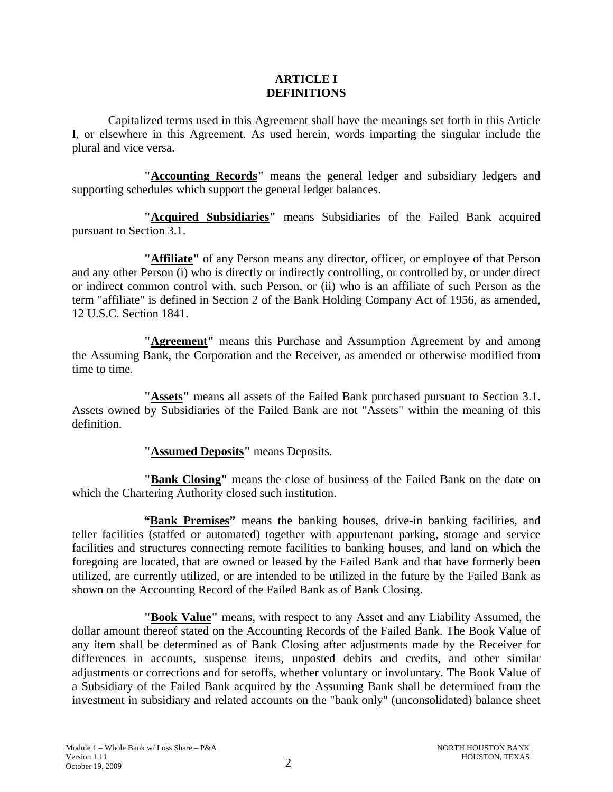#### **ARTICLE I DEFINITIONS**

<span id="page-5-1"></span><span id="page-5-0"></span>Capitalized terms used in this Agreement shall have the meanings set forth in this Article I, or elsewhere in this Agreement. As used herein, words imparting the singular include the plural and vice versa.

**"Accounting Records"** means the general ledger and subsidiary ledgers and supporting schedules which support the general ledger balances.

**"Acquired Subsidiaries"** means Subsidiaries of the Failed Bank acquired pursuant to Section 3.1.

**"Affiliate"** of any Person means any director, officer, or employee of that Person and any other Person (i) who is directly or indirectly controlling, or controlled by, or under direct or indirect common control with, such Person, or (ii) who is an affiliate of such Person as the term "affiliate" is defined in Section 2 of the Bank Holding Company Act of 1956, as amended, 12 U.S.C. Section 1841.

**"Agreement"** means this Purchase and Assumption Agreement by and among the Assuming Bank, the Corporation and the Receiver, as amended or otherwise modified from time to time.

**"Assets"** means all assets of the Failed Bank purchased pursuant to Section 3.1. Assets owned by Subsidiaries of the Failed Bank are not "Assets" within the meaning of this definition.

**"Assumed Deposits"** means Deposits.

**"Bank Closing"** means the close of business of the Failed Bank on the date on which the Chartering Authority closed such institution.

**"Bank Premises"** means the banking houses, drive-in banking facilities, and teller facilities (staffed or automated) together with appurtenant parking, storage and service facilities and structures connecting remote facilities to banking houses, and land on which the foregoing are located, that are owned or leased by the Failed Bank and that have formerly been utilized, are currently utilized, or are intended to be utilized in the future by the Failed Bank as shown on the Accounting Record of the Failed Bank as of Bank Closing.

**"Book Value"** means, with respect to any Asset and any Liability Assumed, the dollar amount thereof stated on the Accounting Records of the Failed Bank. The Book Value of any item shall be determined as of Bank Closing after adjustments made by the Receiver for differences in accounts, suspense items, unposted debits and credits, and other similar adjustments or corrections and for setoffs, whether voluntary or involuntary. The Book Value of a Subsidiary of the Failed Bank acquired by the Assuming Bank shall be determined from the investment in subsidiary and related accounts on the "bank only" (unconsolidated) balance sheet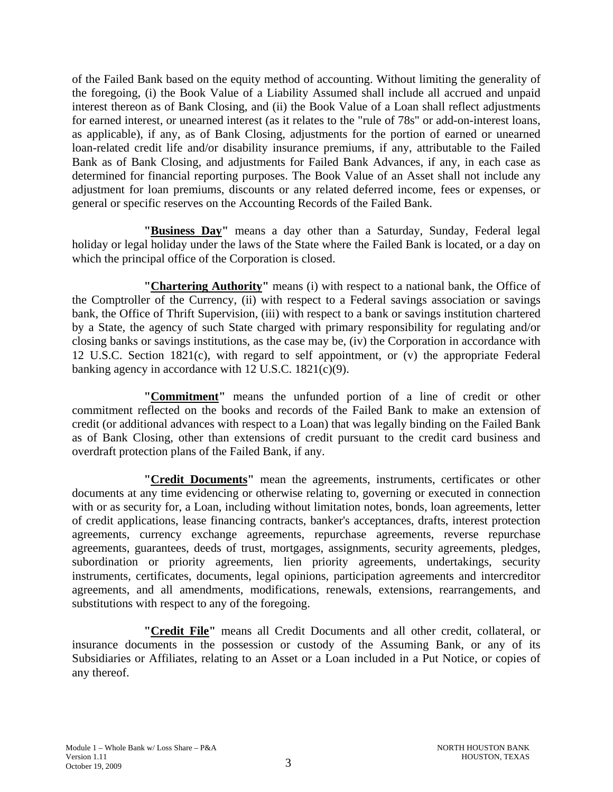<span id="page-6-0"></span>of the Failed Bank based on the equity method of accounting. Without limiting the generality of the foregoing, (i) the Book Value of a Liability Assumed shall include all accrued and unpaid interest thereon as of Bank Closing, and (ii) the Book Value of a Loan shall reflect adjustments for earned interest, or unearned interest (as it relates to the "rule of 78s" or add-on-interest loans, as applicable), if any, as of Bank Closing, adjustments for the portion of earned or unearned loan-related credit life and/or disability insurance premiums, if any, attributable to the Failed Bank as of Bank Closing, and adjustments for Failed Bank Advances, if any, in each case as determined for financial reporting purposes. The Book Value of an Asset shall not include any adjustment for loan premiums, discounts or any related deferred income, fees or expenses, or general or specific reserves on the Accounting Records of the Failed Bank.

**"Business Day"** means a day other than a Saturday, Sunday, Federal legal holiday or legal holiday under the laws of the State where the Failed Bank is located, or a day on which the principal office of the Corporation is closed.

**"Chartering Authority"** means (i) with respect to a national bank, the Office of the Comptroller of the Currency, (ii) with respect to a Federal savings association or savings bank, the Office of Thrift Supervision, (iii) with respect to a bank or savings institution chartered by a State, the agency of such State charged with primary responsibility for regulating and/or closing banks or savings institutions, as the case may be, (iv) the Corporation in accordance with 12 U.S.C. Section 1821(c), with regard to self appointment, or (v) the appropriate Federal banking agency in accordance with 12 U.S.C. 1821(c)(9).

**"Commitment"** means the unfunded portion of a line of credit or other commitment reflected on the books and records of the Failed Bank to make an extension of credit (or additional advances with respect to a Loan) that was legally binding on the Failed Bank as of Bank Closing, other than extensions of credit pursuant to the credit card business and overdraft protection plans of the Failed Bank, if any.

**"Credit Documents"** mean the agreements, instruments, certificates or other documents at any time evidencing or otherwise relating to, governing or executed in connection with or as security for, a Loan, including without limitation notes, bonds, loan agreements, letter of credit applications, lease financing contracts, banker's acceptances, drafts, interest protection agreements, currency exchange agreements, repurchase agreements, reverse repurchase agreements, guarantees, deeds of trust, mortgages, assignments, security agreements, pledges, subordination or priority agreements, lien priority agreements, undertakings, security instruments, certificates, documents, legal opinions, participation agreements and intercreditor agreements, and all amendments, modifications, renewals, extensions, rearrangements, and substitutions with respect to any of the foregoing.

**"Credit File"** means all Credit Documents and all other credit, collateral, or insurance documents in the possession or custody of the Assuming Bank, or any of its Subsidiaries or Affiliates, relating to an Asset or a Loan included in a Put Notice, or copies of any thereof.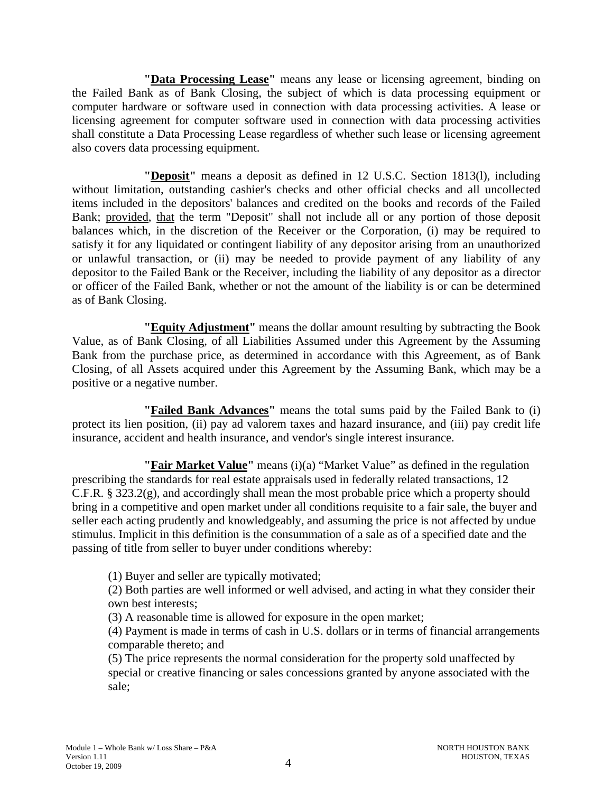**"Data Processing Lease"** means any lease or licensing agreement, binding on the Failed Bank as of Bank Closing, the subject of which is data processing equipment or computer hardware or software used in connection with data processing activities. A lease or licensing agreement for computer software used in connection with data processing activities shall constitute a Data Processing Lease regardless of whether such lease or licensing agreement also covers data processing equipment.

**"Deposit"** means a deposit as defined in 12 U.S.C. Section 1813(l), including without limitation, outstanding cashier's checks and other official checks and all uncollected items included in the depositors' balances and credited on the books and records of the Failed Bank; provided, that the term "Deposit" shall not include all or any portion of those deposit balances which, in the discretion of the Receiver or the Corporation, (i) may be required to satisfy it for any liquidated or contingent liability of any depositor arising from an unauthorized or unlawful transaction, or (ii) may be needed to provide payment of any liability of any depositor to the Failed Bank or the Receiver, including the liability of any depositor as a director or officer of the Failed Bank, whether or not the amount of the liability is or can be determined as of Bank Closing.

**"Equity Adjustment"** means the dollar amount resulting by subtracting the Book Value, as of Bank Closing, of all Liabilities Assumed under this Agreement by the Assuming Bank from the purchase price, as determined in accordance with this Agreement, as of Bank Closing, of all Assets acquired under this Agreement by the Assuming Bank, which may be a positive or a negative number.

**"Failed Bank Advances"** means the total sums paid by the Failed Bank to (i) protect its lien position, (ii) pay ad valorem taxes and hazard insurance, and (iii) pay credit life insurance, accident and health insurance, and vendor's single interest insurance.

**"Fair Market Value"** means (i)(a) "Market Value" as defined in the regulation prescribing the standards for real estate appraisals used in federally related transactions, 12 C.F.R. § 323.2(g), and accordingly shall mean the most probable price which a property should bring in a competitive and open market under all conditions requisite to a fair sale, the buyer and seller each acting prudently and knowledgeably, and assuming the price is not affected by undue stimulus. Implicit in this definition is the consummation of a sale as of a specified date and the passing of title from seller to buyer under conditions whereby:

(1) Buyer and seller are typically motivated;

(2) Both parties are well informed or well advised, and acting in what they consider their own best interests;

(3) A reasonable time is allowed for exposure in the open market;

(4) Payment is made in terms of cash in U.S. dollars or in terms of financial arrangements comparable thereto; and

(5) The price represents the normal consideration for the property sold unaffected by special or creative financing or sales concessions granted by anyone associated with the sale;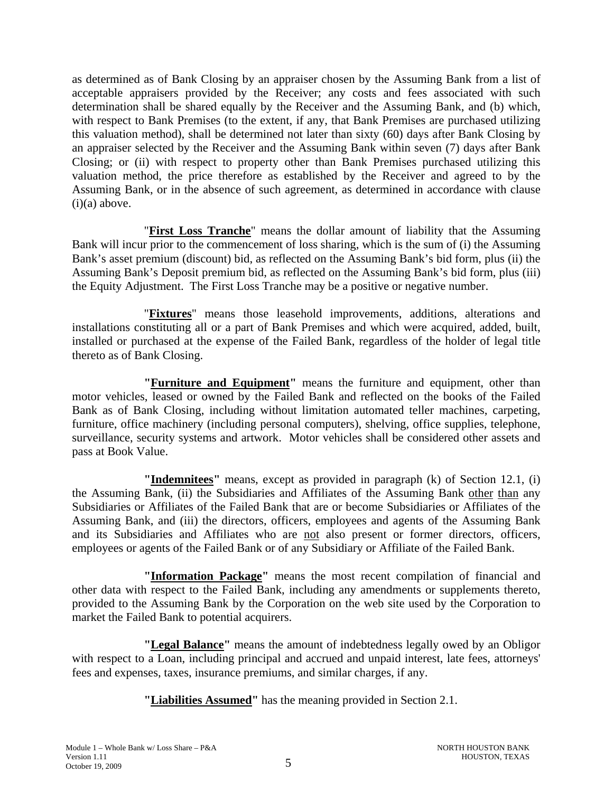as determined as of Bank Closing by an appraiser chosen by the Assuming Bank from a list of acceptable appraisers provided by the Receiver; any costs and fees associated with such determination shall be shared equally by the Receiver and the Assuming Bank, and (b) which, with respect to Bank Premises (to the extent, if any, that Bank Premises are purchased utilizing this valuation method), shall be determined not later than sixty (60) days after Bank Closing by an appraiser selected by the Receiver and the Assuming Bank within seven (7) days after Bank Closing; or (ii) with respect to property other than Bank Premises purchased utilizing this valuation method, the price therefore as established by the Receiver and agreed to by the Assuming Bank, or in the absence of such agreement, as determined in accordance with clause  $(i)(a)$  above.

"**First Loss Tranche**" means the dollar amount of liability that the Assuming Bank will incur prior to the commencement of loss sharing, which is the sum of (i) the Assuming Bank's asset premium (discount) bid, as reflected on the Assuming Bank's bid form, plus (ii) the Assuming Bank's Deposit premium bid, as reflected on the Assuming Bank's bid form, plus (iii) the Equity Adjustment. The First Loss Tranche may be a positive or negative number.

"**Fixtures**" means those leasehold improvements, additions, alterations and installations constituting all or a part of Bank Premises and which were acquired, added, built, installed or purchased at the expense of the Failed Bank, regardless of the holder of legal title thereto as of Bank Closing.

**"Furniture and Equipment"** means the furniture and equipment, other than motor vehicles, leased or owned by the Failed Bank and reflected on the books of the Failed Bank as of Bank Closing, including without limitation automated teller machines, carpeting, furniture, office machinery (including personal computers), shelving, office supplies, telephone, surveillance, security systems and artwork. Motor vehicles shall be considered other assets and pass at Book Value.

**"Indemnitees"** means, except as provided in paragraph (k) of Section 12.1, (i) the Assuming Bank, (ii) the Subsidiaries and Affiliates of the Assuming Bank other than any Subsidiaries or Affiliates of the Failed Bank that are or become Subsidiaries or Affiliates of the Assuming Bank, and (iii) the directors, officers, employees and agents of the Assuming Bank and its Subsidiaries and Affiliates who are not also present or former directors, officers, employees or agents of the Failed Bank or of any Subsidiary or Affiliate of the Failed Bank.

**"Information Package"** means the most recent compilation of financial and other data with respect to the Failed Bank, including any amendments or supplements thereto, provided to the Assuming Bank by the Corporation on the web site used by the Corporation to market the Failed Bank to potential acquirers.

**"Legal Balance"** means the amount of indebtedness legally owed by an Obligor with respect to a Loan, including principal and accrued and unpaid interest, late fees, attorneys' fees and expenses, taxes, insurance premiums, and similar charges, if any.

**"Liabilities Assumed"** has the meaning provided in Section 2.1.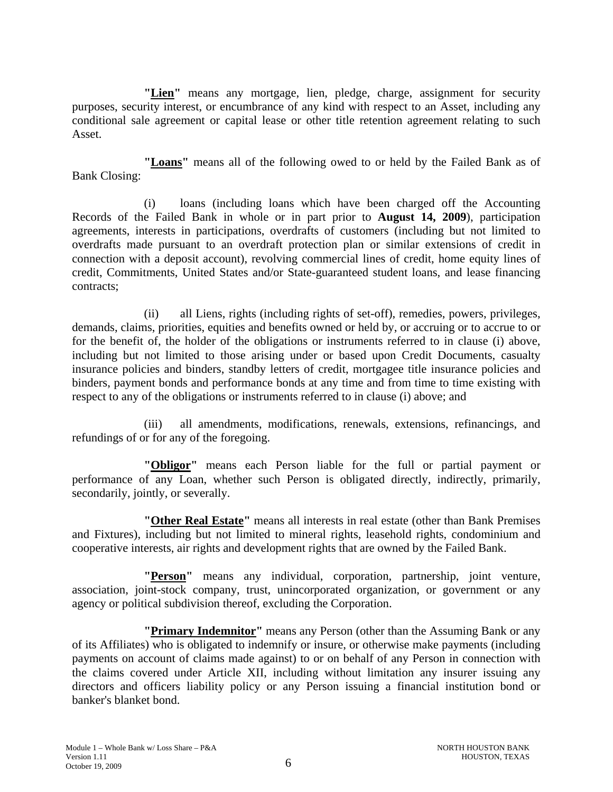"**Lien**" means any mortgage, lien, pledge, charge, assignment for security purposes, security interest, or encumbrance of any kind with respect to an Asset, including any conditional sale agreement or capital lease or other title retention agreement relating to such Asset.

**"Loans"** means all of the following owed to or held by the Failed Bank as of Bank Closing:

(i) loans (including loans which have been charged off the Accounting Records of the Failed Bank in whole or in part prior to **August 14, 2009**), participation agreements, interests in participations, overdrafts of customers (including but not limited to overdrafts made pursuant to an overdraft protection plan or similar extensions of credit in connection with a deposit account), revolving commercial lines of credit, home equity lines of credit, Commitments, United States and/or State-guaranteed student loans, and lease financing contracts;

(ii) all Liens, rights (including rights of set-off), remedies, powers, privileges, demands, claims, priorities, equities and benefits owned or held by, or accruing or to accrue to or for the benefit of, the holder of the obligations or instruments referred to in clause (i) above, including but not limited to those arising under or based upon Credit Documents, casualty insurance policies and binders, standby letters of credit, mortgagee title insurance policies and binders, payment bonds and performance bonds at any time and from time to time existing with respect to any of the obligations or instruments referred to in clause (i) above; and

(iii) all amendments, modifications, renewals, extensions, refinancings, and refundings of or for any of the foregoing.

**"Obligor"** means each Person liable for the full or partial payment or performance of any Loan, whether such Person is obligated directly, indirectly, primarily, secondarily, jointly, or severally.

**"Other Real Estate"** means all interests in real estate (other than Bank Premises and Fixtures), including but not limited to mineral rights, leasehold rights, condominium and cooperative interests, air rights and development rights that are owned by the Failed Bank.

**"Person"** means any individual, corporation, partnership, joint venture, association, joint-stock company, trust, unincorporated organization, or government or any agency or political subdivision thereof, excluding the Corporation.

**"Primary Indemnitor"** means any Person (other than the Assuming Bank or any of its Affiliates) who is obligated to indemnify or insure, or otherwise make payments (including payments on account of claims made against) to or on behalf of any Person in connection with the claims covered under Article XII, including without limitation any insurer issuing any directors and officers liability policy or any Person issuing a financial institution bond or banker's blanket bond.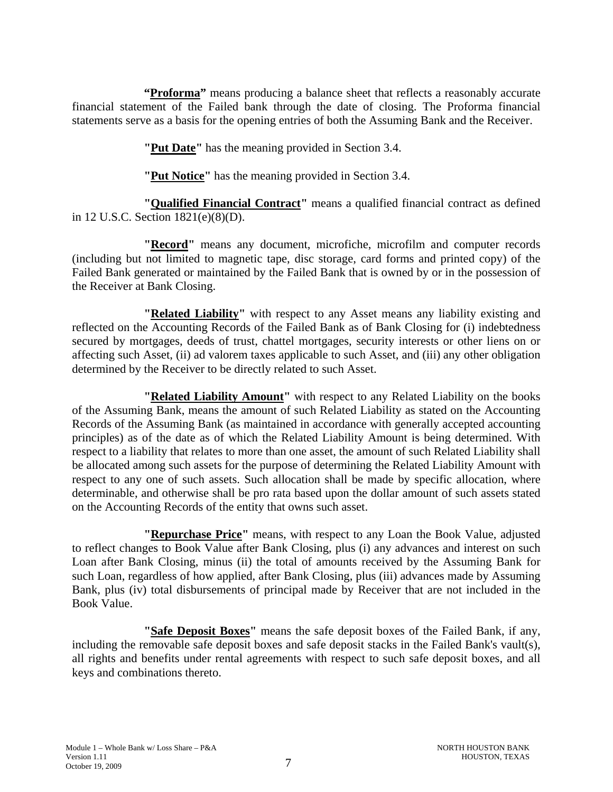**"Proforma"** means producing a balance sheet that reflects a reasonably accurate financial statement of the Failed bank through the date of closing. The Proforma financial statements serve as a basis for the opening entries of both the Assuming Bank and the Receiver.

**"Put Date"** has the meaning provided in Section 3.4.

**"Put Notice"** has the meaning provided in Section 3.4.

**"Qualified Financial Contract"** means a qualified financial contract as defined in 12 U.S.C. Section 1821(e)(8)(D).

**"Record"** means any document, microfiche, microfilm and computer records (including but not limited to magnetic tape, disc storage, card forms and printed copy) of the Failed Bank generated or maintained by the Failed Bank that is owned by or in the possession of the Receiver at Bank Closing.

**"Related Liability"** with respect to any Asset means any liability existing and reflected on the Accounting Records of the Failed Bank as of Bank Closing for (i) indebtedness secured by mortgages, deeds of trust, chattel mortgages, security interests or other liens on or affecting such Asset, (ii) ad valorem taxes applicable to such Asset, and (iii) any other obligation determined by the Receiver to be directly related to such Asset.

**"Related Liability Amount"** with respect to any Related Liability on the books of the Assuming Bank, means the amount of such Related Liability as stated on the Accounting Records of the Assuming Bank (as maintained in accordance with generally accepted accounting principles) as of the date as of which the Related Liability Amount is being determined. With respect to a liability that relates to more than one asset, the amount of such Related Liability shall be allocated among such assets for the purpose of determining the Related Liability Amount with respect to any one of such assets. Such allocation shall be made by specific allocation, where determinable, and otherwise shall be pro rata based upon the dollar amount of such assets stated on the Accounting Records of the entity that owns such asset.

 **"Repurchase Price"** means, with respect to any Loan the Book Value, adjusted to reflect changes to Book Value after Bank Closing, plus (i) any advances and interest on such Loan after Bank Closing, minus (ii) the total of amounts received by the Assuming Bank for such Loan, regardless of how applied, after Bank Closing, plus (iii) advances made by Assuming Bank, plus (iv) total disbursements of principal made by Receiver that are not included in the Book Value.

**"Safe Deposit Boxes"** means the safe deposit boxes of the Failed Bank, if any, including the removable safe deposit boxes and safe deposit stacks in the Failed Bank's vault(s), all rights and benefits under rental agreements with respect to such safe deposit boxes, and all keys and combinations thereto.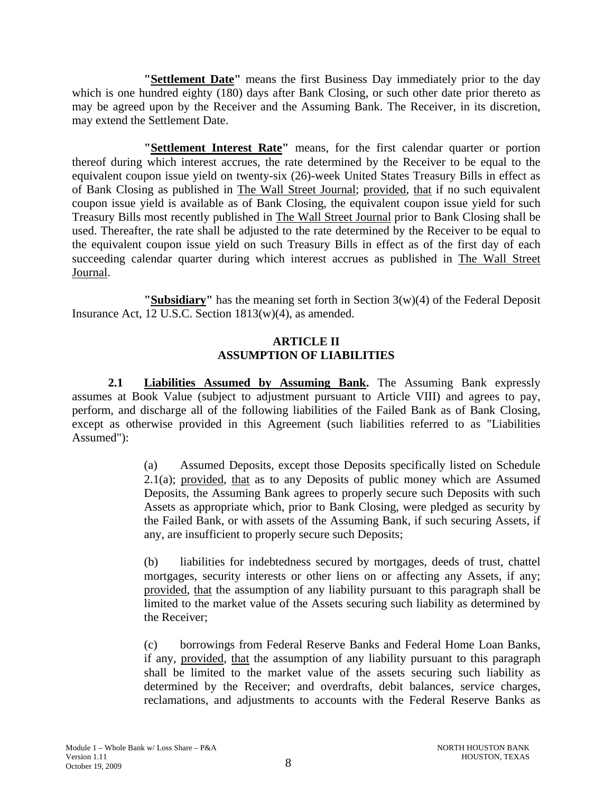**"Settlement Date"** means the first Business Day immediately prior to the day which is one hundred eighty (180) days after Bank Closing, or such other date prior thereto as may be agreed upon by the Receiver and the Assuming Bank. The Receiver, in its discretion, may extend the Settlement Date.

**"Settlement Interest Rate"** means, for the first calendar quarter or portion thereof during which interest accrues, the rate determined by the Receiver to be equal to the equivalent coupon issue yield on twenty-six (26)-week United States Treasury Bills in effect as of Bank Closing as published in The Wall Street Journal; provided, that if no such equivalent coupon issue yield is available as of Bank Closing, the equivalent coupon issue yield for such Treasury Bills most recently published in The Wall Street Journal prior to Bank Closing shall be used. Thereafter, the rate shall be adjusted to the rate determined by the Receiver to be equal to the equivalent coupon issue yield on such Treasury Bills in effect as of the first day of each succeeding calendar quarter during which interest accrues as published in The Wall Street Journal.

**"Subsidiary"** has the meaning set forth in Section 3(w)(4) of the Federal Deposit Insurance Act, 12 U.S.C. Section 1813(w)(4), as amended.

# **ARTICLE II ASSUMPTION OF LIABILITIES**

<span id="page-11-1"></span><span id="page-11-0"></span> **2.1 Liabilities Assumed by Assuming Bank.** The Assuming Bank expressly assumes at Book Value (subject to adjustment pursuant to Article VIII) and agrees to pay, perform, and discharge all of the following liabilities of the Failed Bank as of Bank Closing, except as otherwise provided in this Agreement (such liabilities referred to as "Liabilities Assumed"):

> (a) Assumed Deposits, except those Deposits specifically listed on Schedule 2.1(a); provided, that as to any Deposits of public money which are Assumed Deposits, the Assuming Bank agrees to properly secure such Deposits with such Assets as appropriate which, prior to Bank Closing, were pledged as security by the Failed Bank, or with assets of the Assuming Bank, if such securing Assets, if any, are insufficient to properly secure such Deposits;

> (b) liabilities for indebtedness secured by mortgages, deeds of trust, chattel mortgages, security interests or other liens on or affecting any Assets, if any; provided, that the assumption of any liability pursuant to this paragraph shall be limited to the market value of the Assets securing such liability as determined by the Receiver;

> (c) borrowings from Federal Reserve Banks and Federal Home Loan Banks, if any, provided, that the assumption of any liability pursuant to this paragraph shall be limited to the market value of the assets securing such liability as determined by the Receiver; and overdrafts, debit balances, service charges, reclamations, and adjustments to accounts with the Federal Reserve Banks as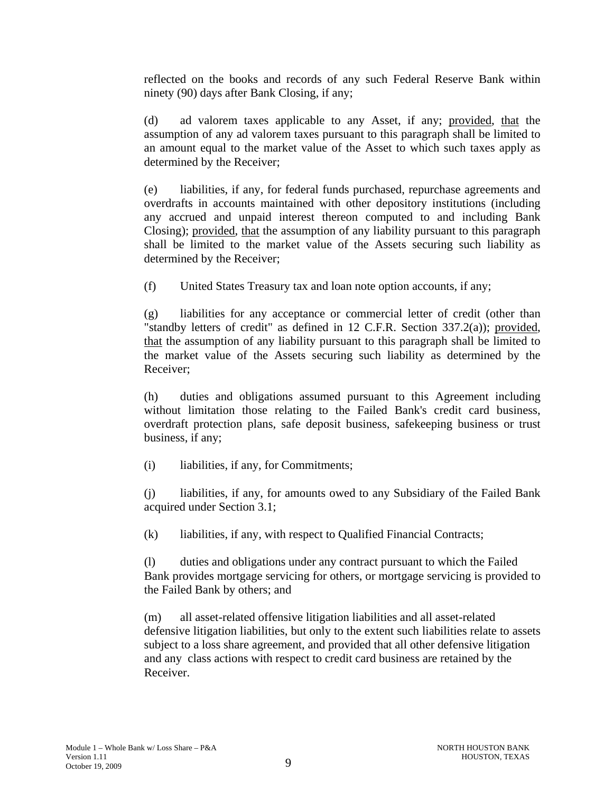reflected on the books and records of any such Federal Reserve Bank within ninety (90) days after Bank Closing, if any;

(d) ad valorem taxes applicable to any Asset, if any; provided, that the assumption of any ad valorem taxes pursuant to this paragraph shall be limited to an amount equal to the market value of the Asset to which such taxes apply as determined by the Receiver;

(e) liabilities, if any, for federal funds purchased, repurchase agreements and overdrafts in accounts maintained with other depository institutions (including any accrued and unpaid interest thereon computed to and including Bank Closing); provided, that the assumption of any liability pursuant to this paragraph shall be limited to the market value of the Assets securing such liability as determined by the Receiver;

(f) United States Treasury tax and loan note option accounts, if any;

(g) liabilities for any acceptance or commercial letter of credit (other than "standby letters of credit" as defined in 12 C.F.R. Section 337.2(a)); provided, that the assumption of any liability pursuant to this paragraph shall be limited to the market value of the Assets securing such liability as determined by the Receiver;

(h) duties and obligations assumed pursuant to this Agreement including without limitation those relating to the Failed Bank's credit card business, overdraft protection plans, safe deposit business, safekeeping business or trust business, if any;

(i) liabilities, if any, for Commitments;

(j) liabilities, if any, for amounts owed to any Subsidiary of the Failed Bank acquired under Section 3.1;

(k) liabilities, if any, with respect to Qualified Financial Contracts;

(l) duties and obligations under any contract pursuant to which the Failed Bank provides mortgage servicing for others, or mortgage servicing is provided to the Failed Bank by others; and

(m) all asset-related offensive litigation liabilities and all asset-related defensive litigation liabilities, but only to the extent such liabilities relate to assets subject to a loss share agreement, and provided that all other defensive litigation and any class actions with respect to credit card business are retained by the Receiver.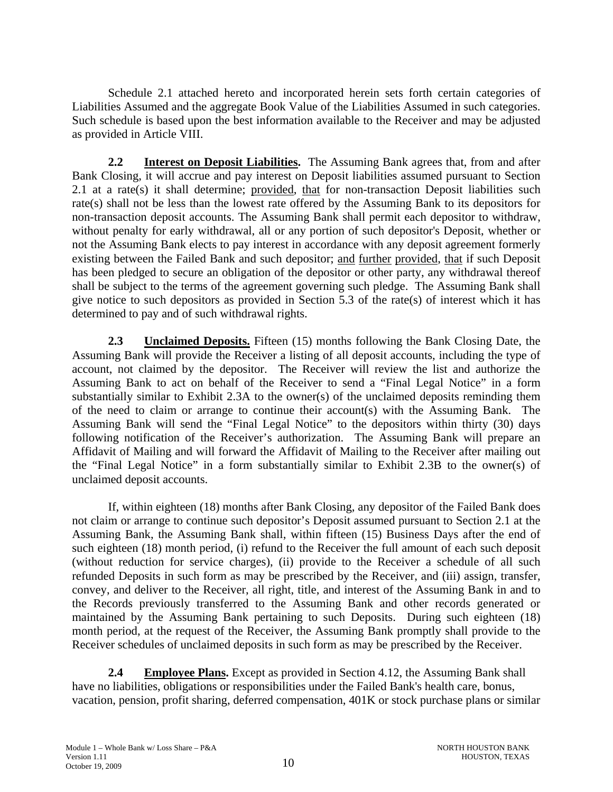Schedule 2.1 attached hereto and incorporated herein sets forth certain categories of Liabilities Assumed and the aggregate Book Value of the Liabilities Assumed in such categories. Such schedule is based upon the best information available to the Receiver and may be adjusted as provided in Article VIII.

<span id="page-13-0"></span>**2.2 Interest on Deposit Liabilities.** The Assuming Bank agrees that, from and after Bank Closing, it will accrue and pay interest on Deposit liabilities assumed pursuant to Section 2.1 at a rate(s) it shall determine; provided, that for non-transaction Deposit liabilities such rate(s) shall not be less than the lowest rate offered by the Assuming Bank to its depositors for non-transaction deposit accounts. The Assuming Bank shall permit each depositor to withdraw, without penalty for early withdrawal, all or any portion of such depositor's Deposit, whether or not the Assuming Bank elects to pay interest in accordance with any deposit agreement formerly existing between the Failed Bank and such depositor; and further provided, that if such Deposit has been pledged to secure an obligation of the depositor or other party, any withdrawal thereof shall be subject to the terms of the agreement governing such pledge. The Assuming Bank shall give notice to such depositors as provided in Section 5.3 of the rate(s) of interest which it has determined to pay and of such withdrawal rights.

<span id="page-13-1"></span>**2.3 Unclaimed Deposits.** Fifteen (15) months following the Bank Closing Date, the Assuming Bank will provide the Receiver a listing of all deposit accounts, including the type of account, not claimed by the depositor. The Receiver will review the list and authorize the Assuming Bank to act on behalf of the Receiver to send a "Final Legal Notice" in a form substantially similar to Exhibit 2.3A to the owner(s) of the unclaimed deposits reminding them of the need to claim or arrange to continue their account(s) with the Assuming Bank. The Assuming Bank will send the "Final Legal Notice" to the depositors within thirty (30) days following notification of the Receiver's authorization. The Assuming Bank will prepare an Affidavit of Mailing and will forward the Affidavit of Mailing to the Receiver after mailing out the "Final Legal Notice" in a form substantially similar to Exhibit 2.3B to the owner(s) of unclaimed deposit accounts.

If, within eighteen (18) months after Bank Closing, any depositor of the Failed Bank does not claim or arrange to continue such depositor's Deposit assumed pursuant to Section 2.1 at the Assuming Bank, the Assuming Bank shall, within fifteen (15) Business Days after the end of such eighteen (18) month period, (i) refund to the Receiver the full amount of each such deposit (without reduction for service charges), (ii) provide to the Receiver a schedule of all such refunded Deposits in such form as may be prescribed by the Receiver, and (iii) assign, transfer, convey, and deliver to the Receiver, all right, title, and interest of the Assuming Bank in and to the Records previously transferred to the Assuming Bank and other records generated or maintained by the Assuming Bank pertaining to such Deposits. During such eighteen (18) month period, at the request of the Receiver, the Assuming Bank promptly shall provide to the Receiver schedules of unclaimed deposits in such form as may be prescribed by the Receiver.

**2.4 Employee Plans.** Except as provided in Section 4.12, the Assuming Bank shall have no liabilities, obligations or responsibilities under the Failed Bank's health care, bonus, vacation, pension, profit sharing, deferred compensation, 401K or stock purchase plans or similar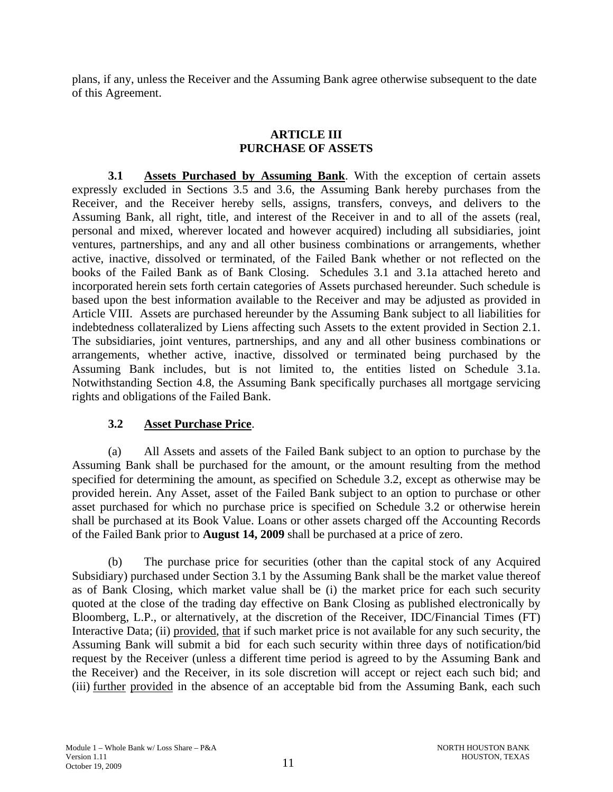plans, if any, unless the Receiver and the Assuming Bank agree otherwise subsequent to the date of this Agreement.

# **ARTICLE III PURCHASE OF ASSETS**

<span id="page-14-1"></span><span id="page-14-0"></span>Assuming Bank includes, but is not limited to, the entities listed on Schedule 3.1a.  **3.1 Assets Purchased by Assuming Bank**. With the exception of certain assets expressly excluded in Sections 3.5 and 3.6, the Assuming Bank hereby purchases from the Receiver, and the Receiver hereby sells, assigns, transfers, conveys, and delivers to the Assuming Bank, all right, title, and interest of the Receiver in and to all of the assets (real, personal and mixed, wherever located and however acquired) including all subsidiaries, joint ventures, partnerships, and any and all other business combinations or arrangements, whether active, inactive, dissolved or terminated, of the Failed Bank whether or not reflected on the books of the Failed Bank as of Bank Closing. Schedules 3.1 and 3.1a attached hereto and incorporated herein sets forth certain categories of Assets purchased hereunder. Such schedule is based upon the best information available to the Receiver and may be adjusted as provided in Article VIII. Assets are purchased hereunder by the Assuming Bank subject to all liabilities for indebtedness collateralized by Liens affecting such Assets to the extent provided in Section 2.1. The subsidiaries, joint ventures, partnerships, and any and all other business combinations or arrangements, whether active, inactive, dissolved or terminated being purchased by the Notwithstanding Section 4.8, the Assuming Bank specifically purchases all mortgage servicing rights and obligations of the Failed Bank.

# **3.2 Asset Purchase Price**.

<span id="page-14-2"></span>(a) All Assets and assets of the Failed Bank subject to an option to purchase by the Assuming Bank shall be purchased for the amount, or the amount resulting from the method specified for determining the amount, as specified on Schedule 3.2, except as otherwise may be provided herein. Any Asset, asset of the Failed Bank subject to an option to purchase or other asset purchased for which no purchase price is specified on Schedule 3.2 or otherwise herein shall be purchased at its Book Value. Loans or other assets charged off the Accounting Records of the Failed Bank prior to **August 14, 2009** shall be purchased at a price of zero.

(b) The purchase price for securities (other than the capital stock of any Acquired Subsidiary) purchased under Section 3.1 by the Assuming Bank shall be the market value thereof as of Bank Closing, which market value shall be (i) the market price for each such security quoted at the close of the trading day effective on Bank Closing as published electronically by Bloomberg, L.P., or alternatively, at the discretion of the Receiver, IDC/Financial Times (FT) Interactive Data; (ii) provided, that if such market price is not available for any such security, the Assuming Bank will submit a bid for each such security within three days of notification/bid request by the Receiver (unless a different time period is agreed to by the Assuming Bank and the Receiver) and the Receiver, in its sole discretion will accept or reject each such bid; and (iii) further provided in the absence of an acceptable bid from the Assuming Bank, each such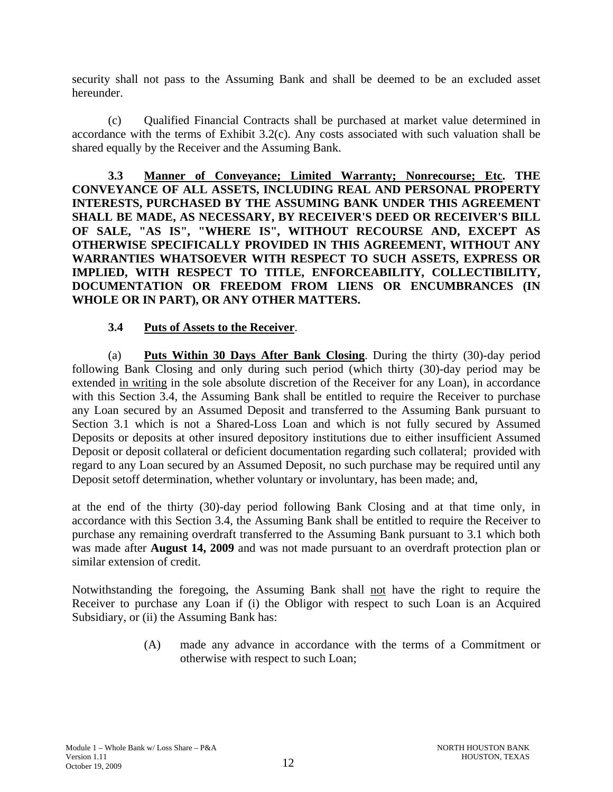security shall not pass to the Assuming Bank and shall be deemed to be an excluded asset hereunder.

(c) Qualified Financial Contracts shall be purchased at market value determined in accordance with the terms of Exhibit 3.2(c). Any costs associated with such valuation shall be shared equally by the Receiver and the Assuming Bank.

<span id="page-15-0"></span>**3.3 Manner of Conveyance; Limited Warranty; Nonrecourse; Etc. THE CONVEYANCE OF ALL ASSETS, INCLUDING REAL AND PERSONAL PROPERTY INTERESTS, PURCHASED BY THE ASSUMING BANK UNDER THIS AGREEMENT SHALL BE MADE, AS NECESSARY, BY RECEIVER'S DEED OR RECEIVER'S BILL OF SALE, "AS IS", "WHERE IS", WITHOUT RECOURSE AND, EXCEPT AS OTHERWISE SPECIFICALLY PROVIDED IN THIS AGREEMENT, WITHOUT ANY WARRANTIES WHATSOEVER WITH RESPECT TO SUCH ASSETS, EXPRESS OR IMPLIED, WITH RESPECT TO TITLE, ENFORCEABILITY, COLLECTIBILITY, DOCUMENTATION OR FREEDOM FROM LIENS OR ENCUMBRANCES (IN WHOLE OR IN PART), OR ANY OTHER MATTERS.** 

# **3.4 Puts of Assets to the Receiver**.

<span id="page-15-1"></span>(a) **Puts Within 30 Days After Bank Closing**. During the thirty (30)-day period following Bank Closing and only during such period (which thirty (30)-day period may be extended in writing in the sole absolute discretion of the Receiver for any Loan), in accordance with this Section 3.4, the Assuming Bank shall be entitled to require the Receiver to purchase any Loan secured by an Assumed Deposit and transferred to the Assuming Bank pursuant to Section 3.1 which is not a Shared-Loss Loan and which is not fully secured by Assumed Deposits or deposits at other insured depository institutions due to either insufficient Assumed Deposit or deposit collateral or deficient documentation regarding such collateral; provided with regard to any Loan secured by an Assumed Deposit, no such purchase may be required until any Deposit setoff determination, whether voluntary or involuntary, has been made; and,

at the end of the thirty (30)-day period following Bank Closing and at that time only, in accordance with this Section 3.4, the Assuming Bank shall be entitled to require the Receiver to purchase any remaining overdraft transferred to the Assuming Bank pursuant to 3.1 which both was made after **August 14, 2009** and was not made pursuant to an overdraft protection plan or similar extension of credit.

Notwithstanding the foregoing, the Assuming Bank shall not have the right to require the Receiver to purchase any Loan if (i) the Obligor with respect to such Loan is an Acquired Subsidiary, or (ii) the Assuming Bank has:

> (A) made any advance in accordance with the terms of a Commitment or otherwise with respect to such Loan;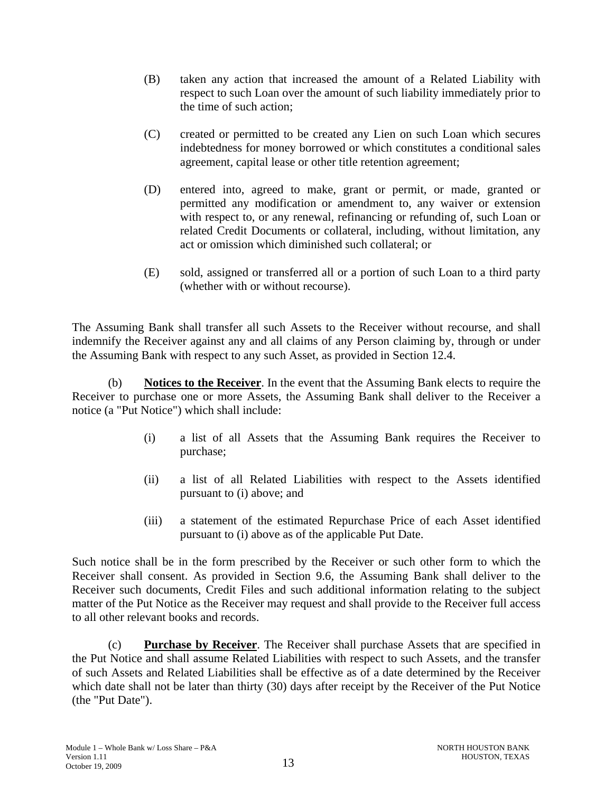- (B) taken any action that increased the amount of a Related Liability with respect to such Loan over the amount of such liability immediately prior to the time of such action;
- (C) created or permitted to be created any Lien on such Loan which secures indebtedness for money borrowed or which constitutes a conditional sales agreement, capital lease or other title retention agreement;
- (D) entered into, agreed to make, grant or permit, or made, granted or permitted any modification or amendment to, any waiver or extension with respect to, or any renewal, refinancing or refunding of, such Loan or related Credit Documents or collateral, including, without limitation, any act or omission which diminished such collateral; or
- (E) sold, assigned or transferred all or a portion of such Loan to a third party (whether with or without recourse).

The Assuming Bank shall transfer all such Assets to the Receiver without recourse, and shall indemnify the Receiver against any and all claims of any Person claiming by, through or under the Assuming Bank with respect to any such Asset, as provided in Section 12.4.

(b) **Notices to the Receiver**. In the event that the Assuming Bank elects to require the Receiver to purchase one or more Assets, the Assuming Bank shall deliver to the Receiver a notice (a "Put Notice") which shall include:

- (i) a list of all Assets that the Assuming Bank requires the Receiver to purchase;
- (ii) a list of all Related Liabilities with respect to the Assets identified pursuant to (i) above; and
- (iii) a statement of the estimated Repurchase Price of each Asset identified pursuant to (i) above as of the applicable Put Date.

Such notice shall be in the form prescribed by the Receiver or such other form to which the Receiver shall consent. As provided in Section 9.6, the Assuming Bank shall deliver to the Receiver such documents, Credit Files and such additional information relating to the subject matter of the Put Notice as the Receiver may request and shall provide to the Receiver full access to all other relevant books and records.

(c) **Purchase by Receiver**. The Receiver shall purchase Assets that are specified in the Put Notice and shall assume Related Liabilities with respect to such Assets, and the transfer of such Assets and Related Liabilities shall be effective as of a date determined by the Receiver which date shall not be later than thirty (30) days after receipt by the Receiver of the Put Notice (the "Put Date").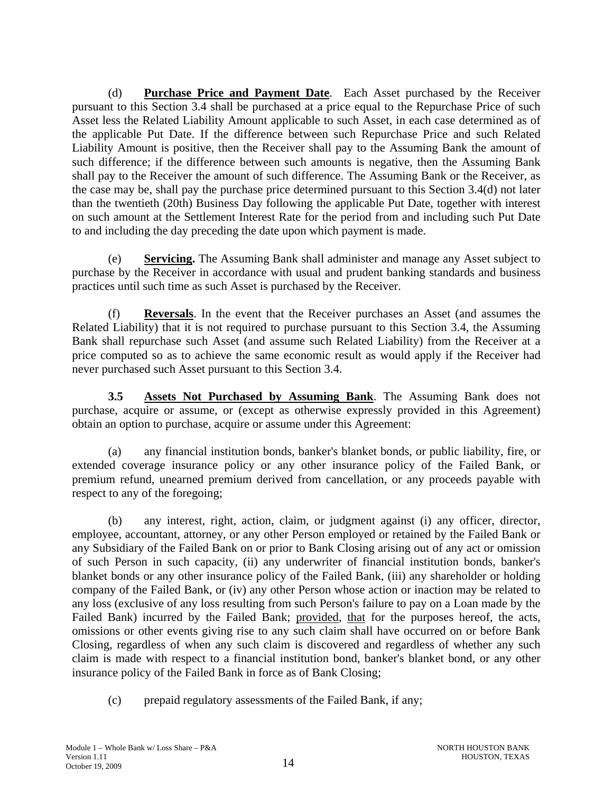(d) **Purchase Price and Payment Date**. Each Asset purchased by the Receiver pursuant to this Section 3.4 shall be purchased at a price equal to the Repurchase Price of such Asset less the Related Liability Amount applicable to such Asset, in each case determined as of the applicable Put Date. If the difference between such Repurchase Price and such Related Liability Amount is positive, then the Receiver shall pay to the Assuming Bank the amount of such difference; if the difference between such amounts is negative, then the Assuming Bank shall pay to the Receiver the amount of such difference. The Assuming Bank or the Receiver, as the case may be, shall pay the purchase price determined pursuant to this Section 3.4(d) not later than the twentieth (20th) Business Day following the applicable Put Date, together with interest on such amount at the Settlement Interest Rate for the period from and including such Put Date to and including the day preceding the date upon which payment is made.

(e) **Servicing.** The Assuming Bank shall administer and manage any Asset subject to purchase by the Receiver in accordance with usual and prudent banking standards and business practices until such time as such Asset is purchased by the Receiver.

(f) **Reversals**. In the event that the Receiver purchases an Asset (and assumes the Related Liability) that it is not required to purchase pursuant to this Section 3.4, the Assuming Bank shall repurchase such Asset (and assume such Related Liability) from the Receiver at a price computed so as to achieve the same economic result as would apply if the Receiver had never purchased such Asset pursuant to this Section 3.4.

<span id="page-17-0"></span>**3.5 Assets Not Purchased by Assuming Bank**. The Assuming Bank does not purchase, acquire or assume, or (except as otherwise expressly provided in this Agreement) obtain an option to purchase, acquire or assume under this Agreement:

(a) any financial institution bonds, banker's blanket bonds, or public liability, fire, or extended coverage insurance policy or any other insurance policy of the Failed Bank, or premium refund, unearned premium derived from cancellation, or any proceeds payable with respect to any of the foregoing;

(b) any interest, right, action, claim, or judgment against (i) any officer, director, employee, accountant, attorney, or any other Person employed or retained by the Failed Bank or any Subsidiary of the Failed Bank on or prior to Bank Closing arising out of any act or omission of such Person in such capacity, (ii) any underwriter of financial institution bonds, banker's blanket bonds or any other insurance policy of the Failed Bank, (iii) any shareholder or holding company of the Failed Bank, or (iv) any other Person whose action or inaction may be related to any loss (exclusive of any loss resulting from such Person's failure to pay on a Loan made by the Failed Bank) incurred by the Failed Bank; provided, that for the purposes hereof, the acts, omissions or other events giving rise to any such claim shall have occurred on or before Bank Closing, regardless of when any such claim is discovered and regardless of whether any such claim is made with respect to a financial institution bond, banker's blanket bond, or any other insurance policy of the Failed Bank in force as of Bank Closing;

(c) prepaid regulatory assessments of the Failed Bank, if any;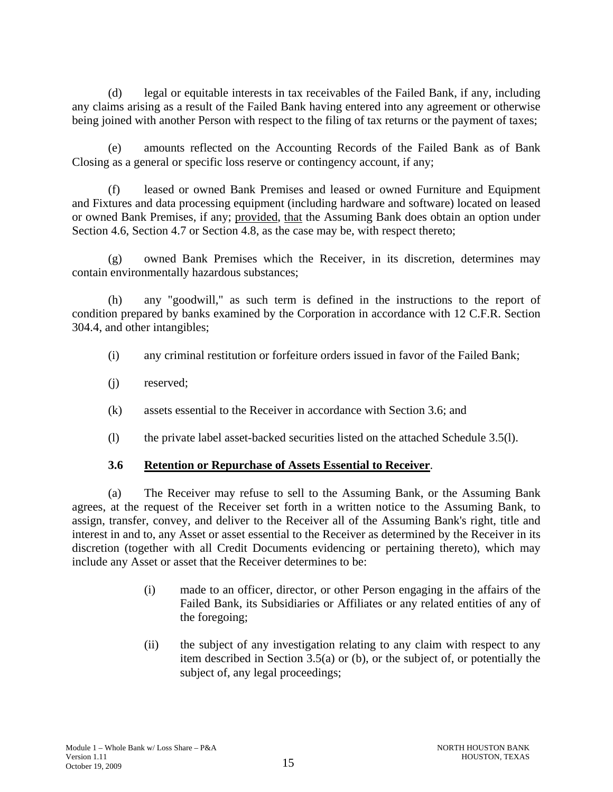(d) legal or equitable interests in tax receivables of the Failed Bank, if any, including any claims arising as a result of the Failed Bank having entered into any agreement or otherwise being joined with another Person with respect to the filing of tax returns or the payment of taxes;

(e) amounts reflected on the Accounting Records of the Failed Bank as of Bank Closing as a general or specific loss reserve or contingency account, if any;

(f) leased or owned Bank Premises and leased or owned Furniture and Equipment and Fixtures and data processing equipment (including hardware and software) located on leased or owned Bank Premises, if any; provided, that the Assuming Bank does obtain an option under Section 4.6, Section 4.7 or Section 4.8, as the case may be, with respect thereto;

(g) owned Bank Premises which the Receiver, in its discretion, determines may contain environmentally hazardous substances;

(h) any "goodwill," as such term is defined in the instructions to the report of condition prepared by banks examined by the Corporation in accordance with 12 C.F.R. Section 304.4, and other intangibles;

- (i) any criminal restitution or forfeiture orders issued in favor of the Failed Bank;
- (j) reserved;
- (k) assets essential to the Receiver in accordance with Section 3.6; and
- (l) the private label asset-backed securities listed on the attached Schedule 3.5(l).

# **3.6 Retention or Repurchase of Assets Essential to Receiver**.

<span id="page-18-0"></span>(a) The Receiver may refuse to sell to the Assuming Bank, or the Assuming Bank agrees, at the request of the Receiver set forth in a written notice to the Assuming Bank, to assign, transfer, convey, and deliver to the Receiver all of the Assuming Bank's right, title and interest in and to, any Asset or asset essential to the Receiver as determined by the Receiver in its discretion (together with all Credit Documents evidencing or pertaining thereto), which may include any Asset or asset that the Receiver determines to be:

- (i) made to an officer, director, or other Person engaging in the affairs of the Failed Bank, its Subsidiaries or Affiliates or any related entities of any of the foregoing;
- (ii) the subject of any investigation relating to any claim with respect to any item described in Section 3.5(a) or (b), or the subject of, or potentially the subject of, any legal proceedings;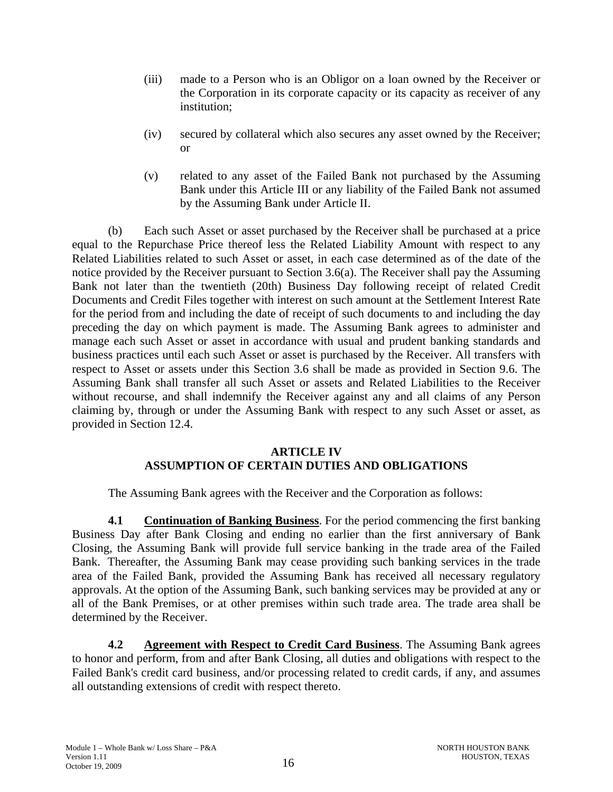- (iii) made to a Person who is an Obligor on a loan owned by the Receiver or the Corporation in its corporate capacity or its capacity as receiver of any institution;
- (iv) secured by collateral which also secures any asset owned by the Receiver; or
- (v) related to any asset of the Failed Bank not purchased by the Assuming Bank under this Article III or any liability of the Failed Bank not assumed by the Assuming Bank under Article II.

(b) Each such Asset or asset purchased by the Receiver shall be purchased at a price equal to the Repurchase Price thereof less the Related Liability Amount with respect to any Related Liabilities related to such Asset or asset, in each case determined as of the date of the notice provided by the Receiver pursuant to Section 3.6(a). The Receiver shall pay the Assuming Bank not later than the twentieth (20th) Business Day following receipt of related Credit Documents and Credit Files together with interest on such amount at the Settlement Interest Rate for the period from and including the date of receipt of such documents to and including the day preceding the day on which payment is made. The Assuming Bank agrees to administer and manage each such Asset or asset in accordance with usual and prudent banking standards and business practices until each such Asset or asset is purchased by the Receiver. All transfers with respect to Asset or assets under this Section 3.6 shall be made as provided in Section 9.6. The Assuming Bank shall transfer all such Asset or assets and Related Liabilities to the Receiver without recourse, and shall indemnify the Receiver against any and all claims of any Person claiming by, through or under the Assuming Bank with respect to any such Asset or asset, as provided in Section 12.4.

# **ARTICLE IV ASSUMPTION OF CERTAIN DUTIES AND OBLIGATIONS**

The Assuming Bank agrees with the Receiver and the Corporation as follows:

<span id="page-19-1"></span><span id="page-19-0"></span>**4.1 Continuation of Banking Business**. For the period commencing the first banking Business Day after Bank Closing and ending no earlier than the first anniversary of Bank Closing, the Assuming Bank will provide full service banking in the trade area of the Failed Bank. Thereafter, the Assuming Bank may cease providing such banking services in the trade area of the Failed Bank, provided the Assuming Bank has received all necessary regulatory approvals. At the option of the Assuming Bank, such banking services may be provided at any or all of the Bank Premises, or at other premises within such trade area. The trade area shall be determined by the Receiver.

**4.2 Agreement with Respect to Credit Card Business**. The Assuming Bank agrees to honor and perform, from and after Bank Closing, all duties and obligations with respect to the Failed Bank's credit card business, and/or processing related to credit cards, if any, and assumes all outstanding extensions of credit with respect thereto.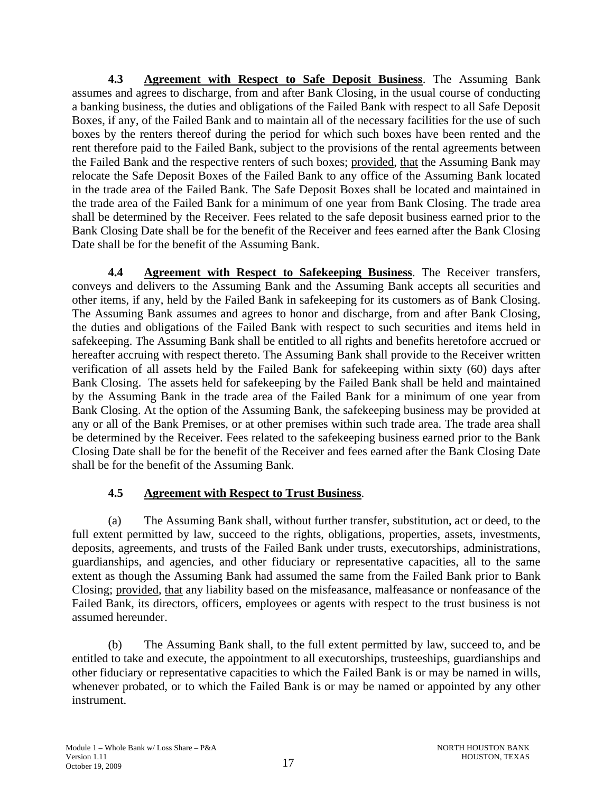**4.3 Agreement with Respect to Safe Deposit Business**. The Assuming Bank assumes and agrees to discharge, from and after Bank Closing, in the usual course of conducting a banking business, the duties and obligations of the Failed Bank with respect to all Safe Deposit Boxes, if any, of the Failed Bank and to maintain all of the necessary facilities for the use of such boxes by the renters thereof during the period for which such boxes have been rented and the rent therefore paid to the Failed Bank, subject to the provisions of the rental agreements between the Failed Bank and the respective renters of such boxes; provided, that the Assuming Bank may relocate the Safe Deposit Boxes of the Failed Bank to any office of the Assuming Bank located in the trade area of the Failed Bank. The Safe Deposit Boxes shall be located and maintained in the trade area of the Failed Bank for a minimum of one year from Bank Closing. The trade area shall be determined by the Receiver. Fees related to the safe deposit business earned prior to the Bank Closing Date shall be for the benefit of the Receiver and fees earned after the Bank Closing Date shall be for the benefit of the Assuming Bank.

**4.4 Agreement with Respect to Safekeeping Business**. The Receiver transfers, conveys and delivers to the Assuming Bank and the Assuming Bank accepts all securities and other items, if any, held by the Failed Bank in safekeeping for its customers as of Bank Closing. The Assuming Bank assumes and agrees to honor and discharge, from and after Bank Closing, the duties and obligations of the Failed Bank with respect to such securities and items held in safekeeping. The Assuming Bank shall be entitled to all rights and benefits heretofore accrued or hereafter accruing with respect thereto. The Assuming Bank shall provide to the Receiver written verification of all assets held by the Failed Bank for safekeeping within sixty (60) days after Bank Closing. The assets held for safekeeping by the Failed Bank shall be held and maintained by the Assuming Bank in the trade area of the Failed Bank for a minimum of one year from Bank Closing. At the option of the Assuming Bank, the safekeeping business may be provided at any or all of the Bank Premises, or at other premises within such trade area. The trade area shall be determined by the Receiver. Fees related to the safekeeping business earned prior to the Bank Closing Date shall be for the benefit of the Receiver and fees earned after the Bank Closing Date shall be for the benefit of the Assuming Bank.

# **4.5 Agreement with Respect to Trust Business**.

<span id="page-20-0"></span>(a) The Assuming Bank shall, without further transfer, substitution, act or deed, to the full extent permitted by law, succeed to the rights, obligations, properties, assets, investments, deposits, agreements, and trusts of the Failed Bank under trusts, executorships, administrations, guardianships, and agencies, and other fiduciary or representative capacities, all to the same extent as though the Assuming Bank had assumed the same from the Failed Bank prior to Bank Closing; provided, that any liability based on the misfeasance, malfeasance or nonfeasance of the Failed Bank, its directors, officers, employees or agents with respect to the trust business is not assumed hereunder.

(b) The Assuming Bank shall, to the full extent permitted by law, succeed to, and be entitled to take and execute, the appointment to all executorships, trusteeships, guardianships and other fiduciary or representative capacities to which the Failed Bank is or may be named in wills, whenever probated, or to which the Failed Bank is or may be named or appointed by any other instrument.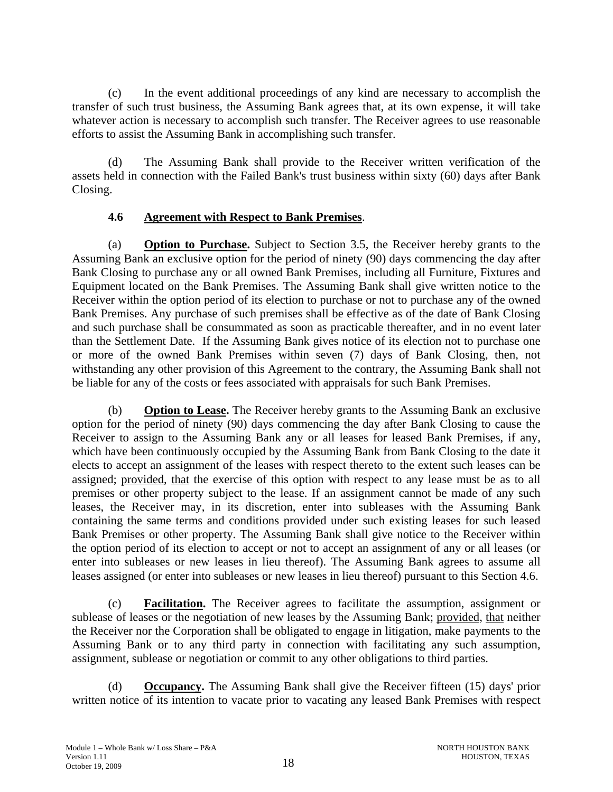(c) In the event additional proceedings of any kind are necessary to accomplish the transfer of such trust business, the Assuming Bank agrees that, at its own expense, it will take whatever action is necessary to accomplish such transfer. The Receiver agrees to use reasonable efforts to assist the Assuming Bank in accomplishing such transfer.

(d) The Assuming Bank shall provide to the Receiver written verification of the assets held in connection with the Failed Bank's trust business within sixty (60) days after Bank Closing.

# **4.6 Agreement with Respect to Bank Premises**.

<span id="page-21-0"></span>(a) **Option to Purchase.** Subject to Section 3.5, the Receiver hereby grants to the Assuming Bank an exclusive option for the period of ninety (90) days commencing the day after Bank Closing to purchase any or all owned Bank Premises, including all Furniture, Fixtures and Equipment located on the Bank Premises. The Assuming Bank shall give written notice to the Receiver within the option period of its election to purchase or not to purchase any of the owned Bank Premises. Any purchase of such premises shall be effective as of the date of Bank Closing and such purchase shall be consummated as soon as practicable thereafter, and in no event later than the Settlement Date. If the Assuming Bank gives notice of its election not to purchase one or more of the owned Bank Premises within seven (7) days of Bank Closing, then, not withstanding any other provision of this Agreement to the contrary, the Assuming Bank shall not be liable for any of the costs or fees associated with appraisals for such Bank Premises.

(b) **Option to Lease.** The Receiver hereby grants to the Assuming Bank an exclusive option for the period of ninety (90) days commencing the day after Bank Closing to cause the Receiver to assign to the Assuming Bank any or all leases for leased Bank Premises, if any, which have been continuously occupied by the Assuming Bank from Bank Closing to the date it elects to accept an assignment of the leases with respect thereto to the extent such leases can be assigned; provided, that the exercise of this option with respect to any lease must be as to all premises or other property subject to the lease. If an assignment cannot be made of any such leases, the Receiver may, in its discretion, enter into subleases with the Assuming Bank containing the same terms and conditions provided under such existing leases for such leased Bank Premises or other property. The Assuming Bank shall give notice to the Receiver within the option period of its election to accept or not to accept an assignment of any or all leases (or enter into subleases or new leases in lieu thereof). The Assuming Bank agrees to assume all leases assigned (or enter into subleases or new leases in lieu thereof) pursuant to this Section 4.6.

(c) **Facilitation.** The Receiver agrees to facilitate the assumption, assignment or sublease of leases or the negotiation of new leases by the Assuming Bank; provided, that neither the Receiver nor the Corporation shall be obligated to engage in litigation, make payments to the Assuming Bank or to any third party in connection with facilitating any such assumption, assignment, sublease or negotiation or commit to any other obligations to third parties.

(d) **Occupancy.** The Assuming Bank shall give the Receiver fifteen (15) days' prior written notice of its intention to vacate prior to vacating any leased Bank Premises with respect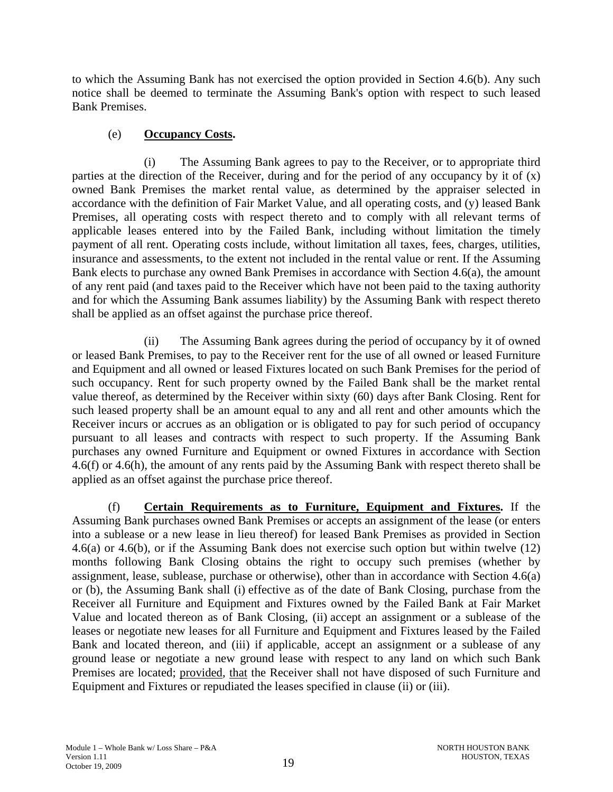to which the Assuming Bank has not exercised the option provided in Section 4.6(b). Any such notice shall be deemed to terminate the Assuming Bank's option with respect to such leased Bank Premises.

# (e) **Occupancy Costs.**

(i) The Assuming Bank agrees to pay to the Receiver, or to appropriate third parties at the direction of the Receiver, during and for the period of any occupancy by it of (x) owned Bank Premises the market rental value, as determined by the appraiser selected in accordance with the definition of Fair Market Value, and all operating costs, and (y) leased Bank Premises, all operating costs with respect thereto and to comply with all relevant terms of applicable leases entered into by the Failed Bank, including without limitation the timely payment of all rent. Operating costs include, without limitation all taxes, fees, charges, utilities, insurance and assessments, to the extent not included in the rental value or rent. If the Assuming Bank elects to purchase any owned Bank Premises in accordance with Section 4.6(a), the amount of any rent paid (and taxes paid to the Receiver which have not been paid to the taxing authority and for which the Assuming Bank assumes liability) by the Assuming Bank with respect thereto shall be applied as an offset against the purchase price thereof.

(ii) The Assuming Bank agrees during the period of occupancy by it of owned or leased Bank Premises, to pay to the Receiver rent for the use of all owned or leased Furniture and Equipment and all owned or leased Fixtures located on such Bank Premises for the period of such occupancy. Rent for such property owned by the Failed Bank shall be the market rental value thereof, as determined by the Receiver within sixty (60) days after Bank Closing. Rent for such leased property shall be an amount equal to any and all rent and other amounts which the Receiver incurs or accrues as an obligation or is obligated to pay for such period of occupancy pursuant to all leases and contracts with respect to such property. If the Assuming Bank purchases any owned Furniture and Equipment or owned Fixtures in accordance with Section 4.6(f) or 4.6(h), the amount of any rents paid by the Assuming Bank with respect thereto shall be applied as an offset against the purchase price thereof.

(f) **Certain Requirements as to Furniture, Equipment and Fixtures.** If the Assuming Bank purchases owned Bank Premises or accepts an assignment of the lease (or enters into a sublease or a new lease in lieu thereof) for leased Bank Premises as provided in Section 4.6(a) or 4.6(b), or if the Assuming Bank does not exercise such option but within twelve (12) months following Bank Closing obtains the right to occupy such premises (whether by assignment, lease, sublease, purchase or otherwise), other than in accordance with Section 4.6(a) or (b), the Assuming Bank shall (i) effective as of the date of Bank Closing, purchase from the Receiver all Furniture and Equipment and Fixtures owned by the Failed Bank at Fair Market Value and located thereon as of Bank Closing, (ii) accept an assignment or a sublease of the leases or negotiate new leases for all Furniture and Equipment and Fixtures leased by the Failed Bank and located thereon, and (iii) if applicable, accept an assignment or a sublease of any ground lease or negotiate a new ground lease with respect to any land on which such Bank Premises are located; provided, that the Receiver shall not have disposed of such Furniture and Equipment and Fixtures or repudiated the leases specified in clause (ii) or (iii).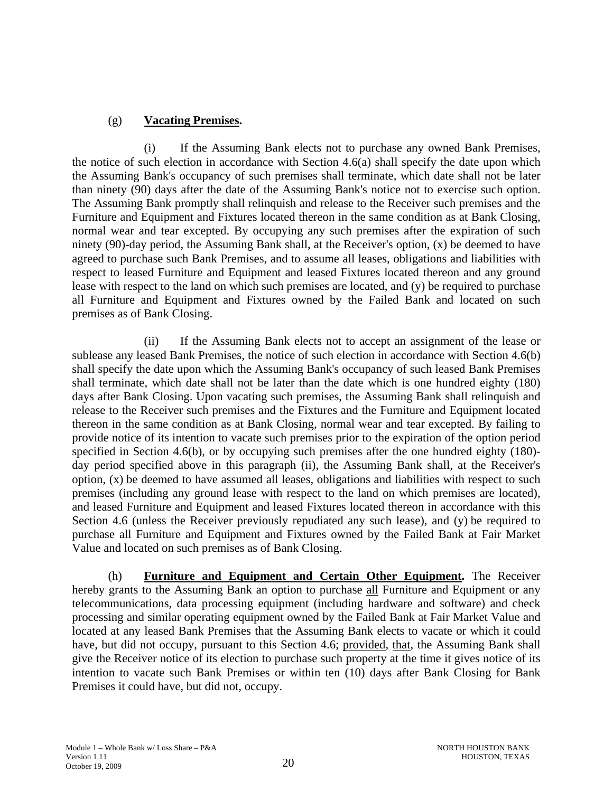# (g) **Vacating Premises.**

(i) If the Assuming Bank elects not to purchase any owned Bank Premises, the notice of such election in accordance with Section 4.6(a) shall specify the date upon which the Assuming Bank's occupancy of such premises shall terminate, which date shall not be later than ninety (90) days after the date of the Assuming Bank's notice not to exercise such option. The Assuming Bank promptly shall relinquish and release to the Receiver such premises and the Furniture and Equipment and Fixtures located thereon in the same condition as at Bank Closing, normal wear and tear excepted. By occupying any such premises after the expiration of such ninety (90)-day period, the Assuming Bank shall, at the Receiver's option, (x) be deemed to have agreed to purchase such Bank Premises, and to assume all leases, obligations and liabilities with respect to leased Furniture and Equipment and leased Fixtures located thereon and any ground lease with respect to the land on which such premises are located, and (y) be required to purchase all Furniture and Equipment and Fixtures owned by the Failed Bank and located on such premises as of Bank Closing.

(ii) If the Assuming Bank elects not to accept an assignment of the lease or sublease any leased Bank Premises, the notice of such election in accordance with Section 4.6(b) shall specify the date upon which the Assuming Bank's occupancy of such leased Bank Premises shall terminate, which date shall not be later than the date which is one hundred eighty (180) days after Bank Closing. Upon vacating such premises, the Assuming Bank shall relinquish and release to the Receiver such premises and the Fixtures and the Furniture and Equipment located thereon in the same condition as at Bank Closing, normal wear and tear excepted. By failing to provide notice of its intention to vacate such premises prior to the expiration of the option period specified in Section 4.6(b), or by occupying such premises after the one hundred eighty (180) day period specified above in this paragraph (ii), the Assuming Bank shall, at the Receiver's option, (x) be deemed to have assumed all leases, obligations and liabilities with respect to such premises (including any ground lease with respect to the land on which premises are located), and leased Furniture and Equipment and leased Fixtures located thereon in accordance with this Section 4.6 (unless the Receiver previously repudiated any such lease), and (y) be required to purchase all Furniture and Equipment and Fixtures owned by the Failed Bank at Fair Market Value and located on such premises as of Bank Closing.

(h) **Furniture and Equipment and Certain Other Equipment.** The Receiver hereby grants to the Assuming Bank an option to purchase all Furniture and Equipment or any telecommunications, data processing equipment (including hardware and software) and check processing and similar operating equipment owned by the Failed Bank at Fair Market Value and located at any leased Bank Premises that the Assuming Bank elects to vacate or which it could have, but did not occupy, pursuant to this Section 4.6; provided, that, the Assuming Bank shall give the Receiver notice of its election to purchase such property at the time it gives notice of its intention to vacate such Bank Premises or within ten (10) days after Bank Closing for Bank Premises it could have, but did not, occupy.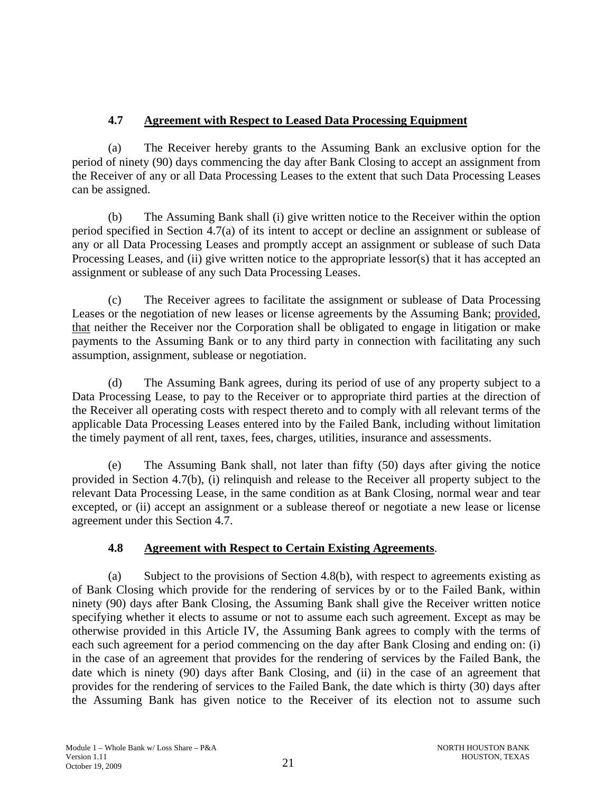# **4.7 Agreement with Respect to Leased Data Processing Equipment**

<span id="page-24-0"></span>(a) The Receiver hereby grants to the Assuming Bank an exclusive option for the period of ninety (90) days commencing the day after Bank Closing to accept an assignment from the Receiver of any or all Data Processing Leases to the extent that such Data Processing Leases can be assigned.

(b) The Assuming Bank shall (i) give written notice to the Receiver within the option period specified in Section 4.7(a) of its intent to accept or decline an assignment or sublease of any or all Data Processing Leases and promptly accept an assignment or sublease of such Data Processing Leases, and (ii) give written notice to the appropriate lessor(s) that it has accepted an assignment or sublease of any such Data Processing Leases.

(c) The Receiver agrees to facilitate the assignment or sublease of Data Processing Leases or the negotiation of new leases or license agreements by the Assuming Bank; provided, that neither the Receiver nor the Corporation shall be obligated to engage in litigation or make payments to the Assuming Bank or to any third party in connection with facilitating any such assumption, assignment, sublease or negotiation.

(d) The Assuming Bank agrees, during its period of use of any property subject to a Data Processing Lease, to pay to the Receiver or to appropriate third parties at the direction of the Receiver all operating costs with respect thereto and to comply with all relevant terms of the applicable Data Processing Leases entered into by the Failed Bank, including without limitation the timely payment of all rent, taxes, fees, charges, utilities, insurance and assessments.

(e) The Assuming Bank shall, not later than fifty (50) days after giving the notice provided in Section 4.7(b), (i) relinquish and release to the Receiver all property subject to the relevant Data Processing Lease, in the same condition as at Bank Closing, normal wear and tear excepted, or (ii) accept an assignment or a sublease thereof or negotiate a new lease or license agreement under this Section 4.7.

# **4.8 Agreement with Respect to Certain Existing Agreements**.

<span id="page-24-1"></span>(a) Subject to the provisions of Section 4.8(b), with respect to agreements existing as of Bank Closing which provide for the rendering of services by or to the Failed Bank, within ninety (90) days after Bank Closing, the Assuming Bank shall give the Receiver written notice specifying whether it elects to assume or not to assume each such agreement. Except as may be otherwise provided in this Article IV, the Assuming Bank agrees to comply with the terms of each such agreement for a period commencing on the day after Bank Closing and ending on: (i) in the case of an agreement that provides for the rendering of services by the Failed Bank, the date which is ninety (90) days after Bank Closing, and (ii) in the case of an agreement that provides for the rendering of services to the Failed Bank, the date which is thirty (30) days after the Assuming Bank has given notice to the Receiver of its election not to assume such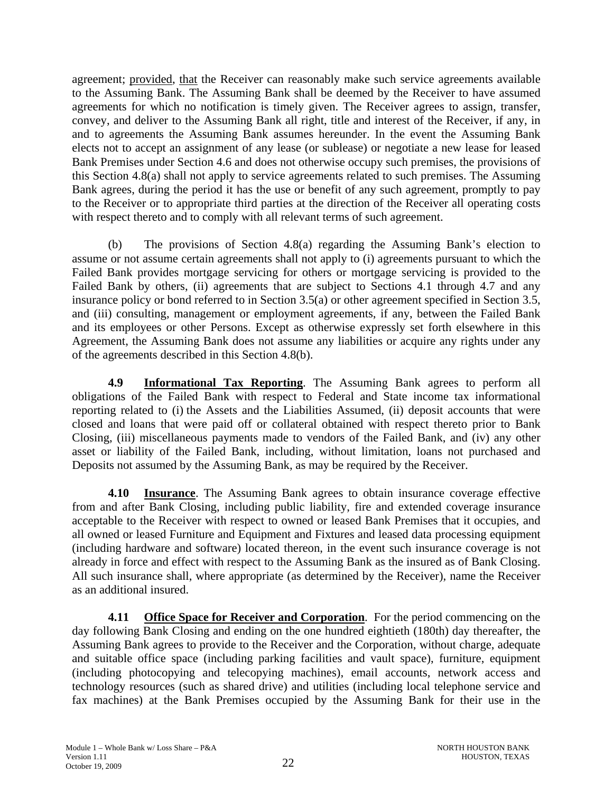agreement; provided, that the Receiver can reasonably make such service agreements available to the Assuming Bank. The Assuming Bank shall be deemed by the Receiver to have assumed agreements for which no notification is timely given. The Receiver agrees to assign, transfer, convey, and deliver to the Assuming Bank all right, title and interest of the Receiver, if any, in and to agreements the Assuming Bank assumes hereunder. In the event the Assuming Bank elects not to accept an assignment of any lease (or sublease) or negotiate a new lease for leased Bank Premises under Section 4.6 and does not otherwise occupy such premises, the provisions of this Section 4.8(a) shall not apply to service agreements related to such premises. The Assuming Bank agrees, during the period it has the use or benefit of any such agreement, promptly to pay to the Receiver or to appropriate third parties at the direction of the Receiver all operating costs with respect thereto and to comply with all relevant terms of such agreement.

(b) The provisions of Section 4.8(a) regarding the Assuming Bank's election to assume or not assume certain agreements shall not apply to (i) agreements pursuant to which the Failed Bank provides mortgage servicing for others or mortgage servicing is provided to the Failed Bank by others, (ii) agreements that are subject to Sections 4.1 through 4.7 and any insurance policy or bond referred to in Section 3.5(a) or other agreement specified in Section 3.5, and (iii) consulting, management or employment agreements, if any, between the Failed Bank and its employees or other Persons. Except as otherwise expressly set forth elsewhere in this Agreement, the Assuming Bank does not assume any liabilities or acquire any rights under any of the agreements described in this Section 4.8(b).

<span id="page-25-0"></span>**4.9 Informational Tax Reporting**. The Assuming Bank agrees to perform all obligations of the Failed Bank with respect to Federal and State income tax informational reporting related to (i) the Assets and the Liabilities Assumed, (ii) deposit accounts that were closed and loans that were paid off or collateral obtained with respect thereto prior to Bank Closing, (iii) miscellaneous payments made to vendors of the Failed Bank, and (iv) any other asset or liability of the Failed Bank, including, without limitation, loans not purchased and Deposits not assumed by the Assuming Bank, as may be required by the Receiver.

<span id="page-25-1"></span>**4.10 Insurance**. The Assuming Bank agrees to obtain insurance coverage effective from and after Bank Closing, including public liability, fire and extended coverage insurance acceptable to the Receiver with respect to owned or leased Bank Premises that it occupies, and all owned or leased Furniture and Equipment and Fixtures and leased data processing equipment (including hardware and software) located thereon, in the event such insurance coverage is not already in force and effect with respect to the Assuming Bank as the insured as of Bank Closing. All such insurance shall, where appropriate (as determined by the Receiver), name the Receiver as an additional insured.

<span id="page-25-2"></span>**4.11 Office Space for Receiver and Corporation**. For the period commencing on the day following Bank Closing and ending on the one hundred eightieth (180th) day thereafter, the Assuming Bank agrees to provide to the Receiver and the Corporation, without charge, adequate and suitable office space (including parking facilities and vault space), furniture, equipment (including photocopying and telecopying machines), email accounts, network access and technology resources (such as shared drive) and utilities (including local telephone service and fax machines) at the Bank Premises occupied by the Assuming Bank for their use in the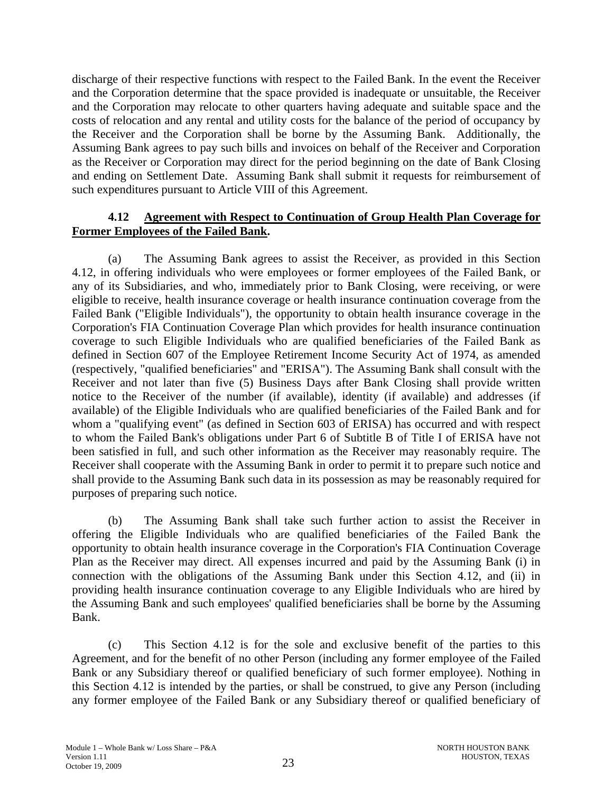discharge of their respective functions with respect to the Failed Bank. In the event the Receiver and the Corporation determine that the space provided is inadequate or unsuitable, the Receiver and the Corporation may relocate to other quarters having adequate and suitable space and the costs of relocation and any rental and utility costs for the balance of the period of occupancy by the Receiver and the Corporation shall be borne by the Assuming Bank. Additionally, the Assuming Bank agrees to pay such bills and invoices on behalf of the Receiver and Corporation as the Receiver or Corporation may direct for the period beginning on the date of Bank Closing and ending on Settlement Date. Assuming Bank shall submit it requests for reimbursement of such expenditures pursuant to Article VIII of this Agreement.

### <span id="page-26-0"></span>**4.12 Agreement with Respect to Continuation of Group Health Plan Coverage for Former Employees of the Failed Bank.**

(a) The Assuming Bank agrees to assist the Receiver, as provided in this Section 4.12, in offering individuals who were employees or former employees of the Failed Bank, or any of its Subsidiaries, and who, immediately prior to Bank Closing, were receiving, or were eligible to receive, health insurance coverage or health insurance continuation coverage from the Failed Bank ("Eligible Individuals"), the opportunity to obtain health insurance coverage in the Corporation's FIA Continuation Coverage Plan which provides for health insurance continuation coverage to such Eligible Individuals who are qualified beneficiaries of the Failed Bank as defined in Section 607 of the Employee Retirement Income Security Act of 1974, as amended (respectively, "qualified beneficiaries" and "ERISA"). The Assuming Bank shall consult with the Receiver and not later than five (5) Business Days after Bank Closing shall provide written notice to the Receiver of the number (if available), identity (if available) and addresses (if available) of the Eligible Individuals who are qualified beneficiaries of the Failed Bank and for whom a "qualifying event" (as defined in Section 603 of ERISA) has occurred and with respect to whom the Failed Bank's obligations under Part 6 of Subtitle B of Title I of ERISA have not been satisfied in full, and such other information as the Receiver may reasonably require. The Receiver shall cooperate with the Assuming Bank in order to permit it to prepare such notice and shall provide to the Assuming Bank such data in its possession as may be reasonably required for purposes of preparing such notice.

(b) The Assuming Bank shall take such further action to assist the Receiver in offering the Eligible Individuals who are qualified beneficiaries of the Failed Bank the opportunity to obtain health insurance coverage in the Corporation's FIA Continuation Coverage Plan as the Receiver may direct. All expenses incurred and paid by the Assuming Bank (i) in connection with the obligations of the Assuming Bank under this Section 4.12, and (ii) in providing health insurance continuation coverage to any Eligible Individuals who are hired by the Assuming Bank and such employees' qualified beneficiaries shall be borne by the Assuming Bank.

(c) This Section 4.12 is for the sole and exclusive benefit of the parties to this Agreement, and for the benefit of no other Person (including any former employee of the Failed Bank or any Subsidiary thereof or qualified beneficiary of such former employee). Nothing in this Section 4.12 is intended by the parties, or shall be construed, to give any Person (including any former employee of the Failed Bank or any Subsidiary thereof or qualified beneficiary of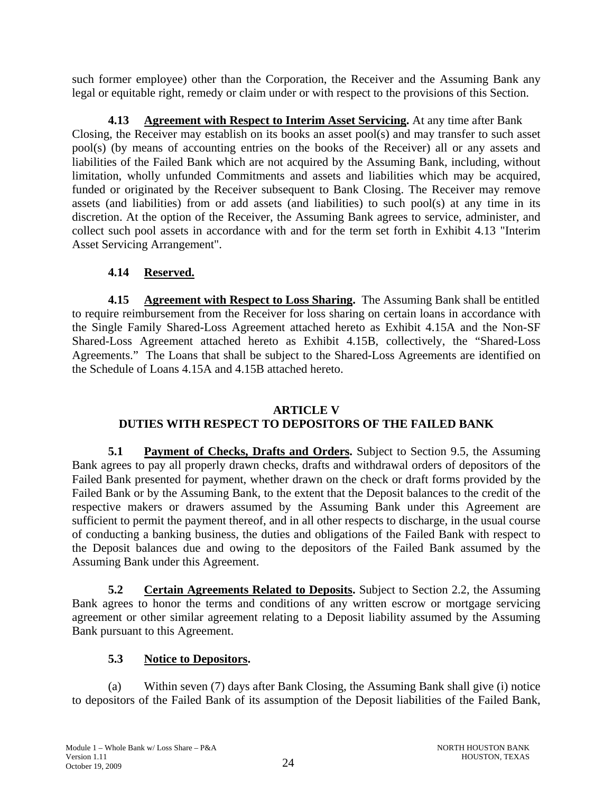such former employee) other than the Corporation, the Receiver and the Assuming Bank any legal or equitable right, remedy or claim under or with respect to the provisions of this Section.

<span id="page-27-0"></span>**4.13** Agreement with Respect to Interim Asset Servicing. At any time after Bank Closing, the Receiver may establish on its books an asset pool(s) and may transfer to such asset pool(s) (by means of accounting entries on the books of the Receiver) all or any assets and liabilities of the Failed Bank which are not acquired by the Assuming Bank, including, without limitation, wholly unfunded Commitments and assets and liabilities which may be acquired, funded or originated by the Receiver subsequent to Bank Closing. The Receiver may remove assets (and liabilities) from or add assets (and liabilities) to such pool(s) at any time in its discretion. At the option of the Receiver, the Assuming Bank agrees to service, administer, and collect such pool assets in accordance with and for the term set forth in Exhibit 4.13 "Interim Asset Servicing Arrangement".

# **4.14 Reserved.**

**4.15 Agreement with Respect to Loss Sharing.** The Assuming Bank shall be entitled to require reimbursement from the Receiver for loss sharing on certain loans in accordance with the Single Family Shared-Loss Agreement attached hereto as Exhibit 4.15A and the Non-SF Shared-Loss Agreement attached hereto as Exhibit 4.15B, collectively, the "Shared-Loss Agreements." The Loans that shall be subject to the Shared-Loss Agreements are identified on the Schedule of Loans 4.15A and 4.15B attached hereto.

# **ARTICLE V DUTIES WITH RESPECT TO DEPOSITORS OF THE FAILED BANK**

<span id="page-27-2"></span><span id="page-27-1"></span> **5.1 Payment of Checks, Drafts and Orders.** Subject to Section 9.5, the Assuming Bank agrees to pay all properly drawn checks, drafts and withdrawal orders of depositors of the Failed Bank presented for payment, whether drawn on the check or draft forms provided by the Failed Bank or by the Assuming Bank, to the extent that the Deposit balances to the credit of the respective makers or drawers assumed by the Assuming Bank under this Agreement are sufficient to permit the payment thereof, and in all other respects to discharge, in the usual course of conducting a banking business, the duties and obligations of the Failed Bank with respect to the Deposit balances due and owing to the depositors of the Failed Bank assumed by the Assuming Bank under this Agreement.

<span id="page-27-3"></span>**5.2 Certain Agreements Related to Deposits.** Subject to Section 2.2, the Assuming Bank agrees to honor the terms and conditions of any written escrow or mortgage servicing agreement or other similar agreement relating to a Deposit liability assumed by the Assuming Bank pursuant to this Agreement.

# **5.3 Notice to Depositors.**

<span id="page-27-4"></span>(a) Within seven (7) days after Bank Closing, the Assuming Bank shall give (i) notice to depositors of the Failed Bank of its assumption of the Deposit liabilities of the Failed Bank,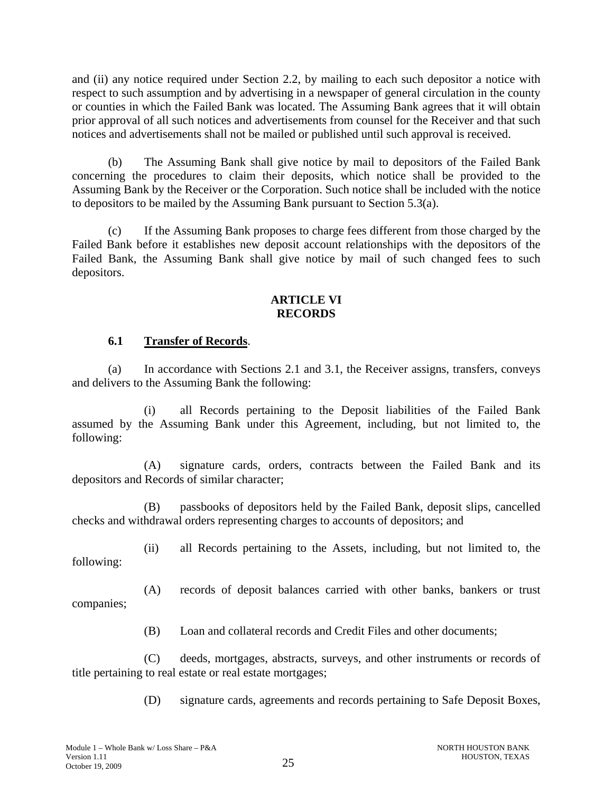and (ii) any notice required under Section 2.2, by mailing to each such depositor a notice with respect to such assumption and by advertising in a newspaper of general circulation in the county or counties in which the Failed Bank was located. The Assuming Bank agrees that it will obtain prior approval of all such notices and advertisements from counsel for the Receiver and that such notices and advertisements shall not be mailed or published until such approval is received.

(b) The Assuming Bank shall give notice by mail to depositors of the Failed Bank concerning the procedures to claim their deposits, which notice shall be provided to the Assuming Bank by the Receiver or the Corporation. Such notice shall be included with the notice to depositors to be mailed by the Assuming Bank pursuant to Section 5.3(a).

(c) If the Assuming Bank proposes to charge fees different from those charged by the Failed Bank before it establishes new deposit account relationships with the depositors of the Failed Bank, the Assuming Bank shall give notice by mail of such changed fees to such depositors.

### **ARTICLE VI RECORDS**

# **6.1 Transfer of Records**.

<span id="page-28-1"></span><span id="page-28-0"></span>(a) In accordance with Sections 2.1 and 3.1, the Receiver assigns, transfers, conveys and delivers to the Assuming Bank the following:

(i) all Records pertaining to the Deposit liabilities of the Failed Bank assumed by the Assuming Bank under this Agreement, including, but not limited to, the following:

(A) signature cards, orders, contracts between the Failed Bank and its depositors and Records of similar character;

(B) passbooks of depositors held by the Failed Bank, deposit slips, cancelled checks and withdrawal orders representing charges to accounts of depositors; and

following: (ii) all Records pertaining to the Assets, including, but not limited to, the

companies; (A) records of deposit balances carried with other banks, bankers or trust

(B) Loan and collateral records and Credit Files and other documents;

(C) deeds, mortgages, abstracts, surveys, and other instruments or records of title pertaining to real estate or real estate mortgages;

(D) signature cards, agreements and records pertaining to Safe Deposit Boxes,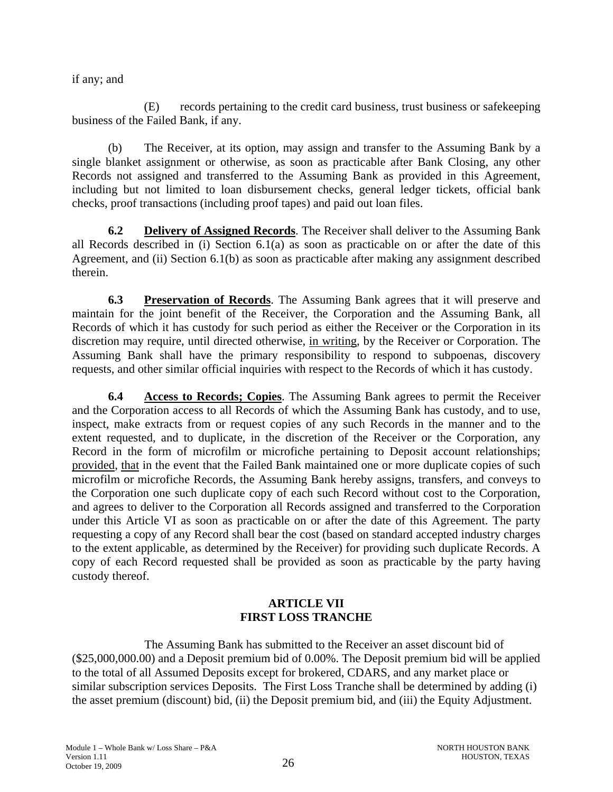if any; and

(E) records pertaining to the credit card business, trust business or safekeeping business of the Failed Bank, if any.

(b) The Receiver, at its option, may assign and transfer to the Assuming Bank by a single blanket assignment or otherwise, as soon as practicable after Bank Closing, any other Records not assigned and transferred to the Assuming Bank as provided in this Agreement, including but not limited to loan disbursement checks, general ledger tickets, official bank checks, proof transactions (including proof tapes) and paid out loan files.

<span id="page-29-0"></span>**6.2 Delivery of Assigned Records**. The Receiver shall deliver to the Assuming Bank all Records described in (i) Section 6.1(a) as soon as practicable on or after the date of this Agreement, and (ii) Section 6.1(b) as soon as practicable after making any assignment described therein.

<span id="page-29-1"></span>**6.3 Preservation of Records**. The Assuming Bank agrees that it will preserve and maintain for the joint benefit of the Receiver, the Corporation and the Assuming Bank, all Records of which it has custody for such period as either the Receiver or the Corporation in its discretion may require, until directed otherwise, in writing, by the Receiver or Corporation. The Assuming Bank shall have the primary responsibility to respond to subpoenas, discovery requests, and other similar official inquiries with respect to the Records of which it has custody.

**6.4 Access to Records; Copies.** The Assuming Bank agrees to permit the Receiver and the Corporation access to all Records of which the Assuming Bank has custody, and to use, inspect, make extracts from or request copies of any such Records in the manner and to the extent requested, and to duplicate, in the discretion of the Receiver or the Corporation, any Record in the form of microfilm or microfiche pertaining to Deposit account relationships; provided, that in the event that the Failed Bank maintained one or more duplicate copies of such microfilm or microfiche Records, the Assuming Bank hereby assigns, transfers, and conveys to the Corporation one such duplicate copy of each such Record without cost to the Corporation, and agrees to deliver to the Corporation all Records assigned and transferred to the Corporation under this Article VI as soon as practicable on or after the date of this Agreement. The party requesting a copy of any Record shall bear the cost (based on standard accepted industry charges to the extent applicable, as determined by the Receiver) for providing such duplicate Records. A copy of each Record requested shall be provided as soon as practicable by the party having custody thereof.

# **ARTICLE VII FIRST LOSS TRANCHE**

 The Assuming Bank has submitted to the Receiver an asset discount bid of (\$25,000,000.00) and a Deposit premium bid of 0.00%. The Deposit premium bid will be applied to the total of all Assumed Deposits except for brokered, CDARS, and any market place or similar subscription services Deposits. The First Loss Tranche shall be determined by adding (i) the asset premium (discount) bid, (ii) the Deposit premium bid, and (iii) the Equity Adjustment.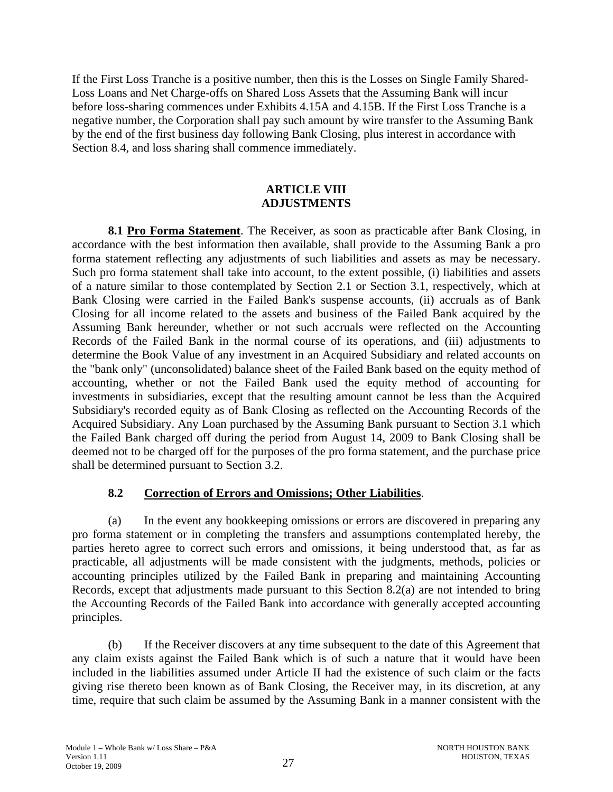If the First Loss Tranche is a positive number, then this is the Losses on Single Family Shared-Loss Loans and Net Charge-offs on Shared Loss Assets that the Assuming Bank will incur before loss-sharing commences under Exhibits 4.15A and 4.15B. If the First Loss Tranche is a negative number, the Corporation shall pay such amount by wire transfer to the Assuming Bank by the end of the first business day following Bank Closing, plus interest in accordance with Section 8.4, and loss sharing shall commence immediately.

### **ARTICLE VIII ADJUSTMENTS**

<span id="page-30-1"></span><span id="page-30-0"></span>**8.1 Pro Forma Statement**. The Receiver, as soon as practicable after Bank Closing, in accordance with the best information then available, shall provide to the Assuming Bank a pro forma statement reflecting any adjustments of such liabilities and assets as may be necessary. Such pro forma statement shall take into account, to the extent possible, (i) liabilities and assets of a nature similar to those contemplated by Section 2.1 or Section 3.1, respectively, which at Bank Closing were carried in the Failed Bank's suspense accounts, (ii) accruals as of Bank Closing for all income related to the assets and business of the Failed Bank acquired by the Assuming Bank hereunder, whether or not such accruals were reflected on the Accounting Records of the Failed Bank in the normal course of its operations, and (iii) adjustments to determine the Book Value of any investment in an Acquired Subsidiary and related accounts on the "bank only" (unconsolidated) balance sheet of the Failed Bank based on the equity method of accounting, whether or not the Failed Bank used the equity method of accounting for investments in subsidiaries, except that the resulting amount cannot be less than the Acquired Subsidiary's recorded equity as of Bank Closing as reflected on the Accounting Records of the Acquired Subsidiary. Any Loan purchased by the Assuming Bank pursuant to Section 3.1 which the Failed Bank charged off during the period from August 14, 2009 to Bank Closing shall be deemed not to be charged off for the purposes of the pro forma statement, and the purchase price shall be determined pursuant to Section 3.2.

# **8.2 Correction of Errors and Omissions; Other Liabilities**.

(a) In the event any bookkeeping omissions or errors are discovered in preparing any pro forma statement or in completing the transfers and assumptions contemplated hereby, the parties hereto agree to correct such errors and omissions, it being understood that, as far as practicable, all adjustments will be made consistent with the judgments, methods, policies or accounting principles utilized by the Failed Bank in preparing and maintaining Accounting Records, except that adjustments made pursuant to this Section 8.2(a) are not intended to bring the Accounting Records of the Failed Bank into accordance with generally accepted accounting principles.

(b) If the Receiver discovers at any time subsequent to the date of this Agreement that any claim exists against the Failed Bank which is of such a nature that it would have been included in the liabilities assumed under Article II had the existence of such claim or the facts giving rise thereto been known as of Bank Closing, the Receiver may, in its discretion, at any time, require that such claim be assumed by the Assuming Bank in a manner consistent with the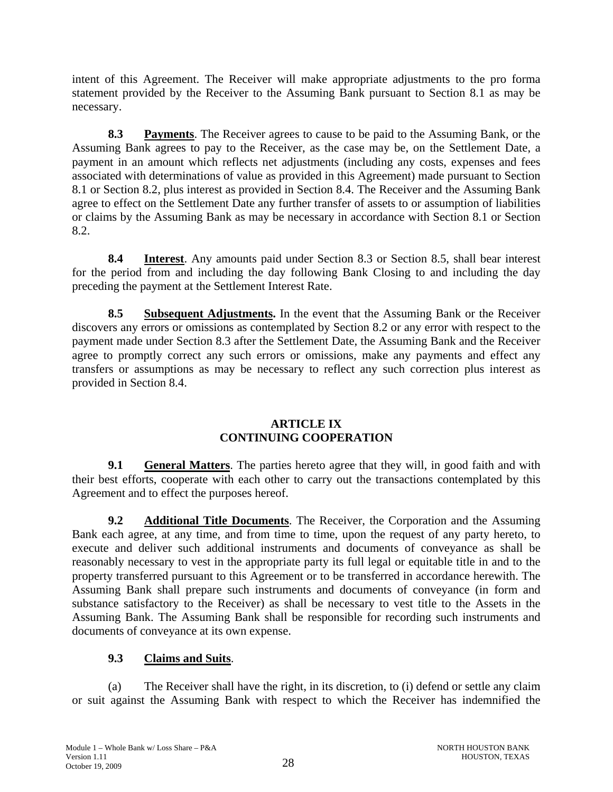intent of this Agreement. The Receiver will make appropriate adjustments to the pro forma statement provided by the Receiver to the Assuming Bank pursuant to Section 8.1 as may be necessary.

<span id="page-31-0"></span>**8.3 Payments**. The Receiver agrees to cause to be paid to the Assuming Bank, or the Assuming Bank agrees to pay to the Receiver, as the case may be, on the Settlement Date, a payment in an amount which reflects net adjustments (including any costs, expenses and fees associated with determinations of value as provided in this Agreement) made pursuant to Section 8.1 or Section 8.2, plus interest as provided in Section 8.4. The Receiver and the Assuming Bank agree to effect on the Settlement Date any further transfer of assets to or assumption of liabilities or claims by the Assuming Bank as may be necessary in accordance with Section 8.1 or Section 8.2.

<span id="page-31-1"></span>**8.4 Interest**. Any amounts paid under Section 8.3 or Section 8.5, shall bear interest for the period from and including the day following Bank Closing to and including the day preceding the payment at the Settlement Interest Rate.

<span id="page-31-2"></span>**8.5 Subsequent Adjustments.** In the event that the Assuming Bank or the Receiver discovers any errors or omissions as contemplated by Section 8.2 or any error with respect to the payment made under Section 8.3 after the Settlement Date, the Assuming Bank and the Receiver agree to promptly correct any such errors or omissions, make any payments and effect any transfers or assumptions as may be necessary to reflect any such correction plus interest as provided in Section 8.4.

# **ARTICLE IX CONTINUING COOPERATION**

<span id="page-31-4"></span><span id="page-31-3"></span>**9.1** General Matters. The parties hereto agree that they will, in good faith and with their best efforts, cooperate with each other to carry out the transactions contemplated by this Agreement and to effect the purposes hereof.

<span id="page-31-5"></span>**9.2 Additional Title Documents**. The Receiver, the Corporation and the Assuming Bank each agree, at any time, and from time to time, upon the request of any party hereto, to execute and deliver such additional instruments and documents of conveyance as shall be reasonably necessary to vest in the appropriate party its full legal or equitable title in and to the property transferred pursuant to this Agreement or to be transferred in accordance herewith. The Assuming Bank shall prepare such instruments and documents of conveyance (in form and substance satisfactory to the Receiver) as shall be necessary to vest title to the Assets in the Assuming Bank. The Assuming Bank shall be responsible for recording such instruments and documents of conveyance at its own expense.

# **9.3 Claims and Suits**.

<span id="page-31-6"></span>(a) The Receiver shall have the right, in its discretion, to (i) defend or settle any claim or suit against the Assuming Bank with respect to which the Receiver has indemnified the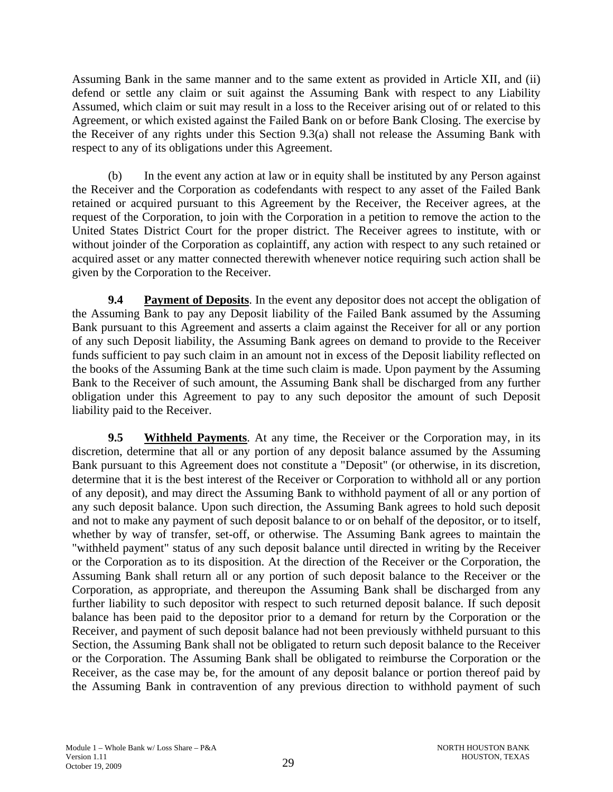Assuming Bank in the same manner and to the same extent as provided in Article XII, and (ii) defend or settle any claim or suit against the Assuming Bank with respect to any Liability Assumed, which claim or suit may result in a loss to the Receiver arising out of or related to this Agreement, or which existed against the Failed Bank on or before Bank Closing. The exercise by the Receiver of any rights under this Section 9.3(a) shall not release the Assuming Bank with respect to any of its obligations under this Agreement.

(b) In the event any action at law or in equity shall be instituted by any Person against the Receiver and the Corporation as codefendants with respect to any asset of the Failed Bank retained or acquired pursuant to this Agreement by the Receiver, the Receiver agrees, at the request of the Corporation, to join with the Corporation in a petition to remove the action to the United States District Court for the proper district. The Receiver agrees to institute, with or without joinder of the Corporation as coplaintiff, any action with respect to any such retained or acquired asset or any matter connected therewith whenever notice requiring such action shall be given by the Corporation to the Receiver.

<span id="page-32-0"></span>**9.4** Payment of Deposits. In the event any depositor does not accept the obligation of the Assuming Bank to pay any Deposit liability of the Failed Bank assumed by the Assuming Bank pursuant to this Agreement and asserts a claim against the Receiver for all or any portion of any such Deposit liability, the Assuming Bank agrees on demand to provide to the Receiver funds sufficient to pay such claim in an amount not in excess of the Deposit liability reflected on the books of the Assuming Bank at the time such claim is made. Upon payment by the Assuming Bank to the Receiver of such amount, the Assuming Bank shall be discharged from any further obligation under this Agreement to pay to any such depositor the amount of such Deposit liability paid to the Receiver.

<span id="page-32-1"></span>**9.5 Withheld Payments**. At any time, the Receiver or the Corporation may, in its discretion, determine that all or any portion of any deposit balance assumed by the Assuming Bank pursuant to this Agreement does not constitute a "Deposit" (or otherwise, in its discretion, determine that it is the best interest of the Receiver or Corporation to withhold all or any portion of any deposit), and may direct the Assuming Bank to withhold payment of all or any portion of any such deposit balance. Upon such direction, the Assuming Bank agrees to hold such deposit and not to make any payment of such deposit balance to or on behalf of the depositor, or to itself, whether by way of transfer, set-off, or otherwise. The Assuming Bank agrees to maintain the "withheld payment" status of any such deposit balance until directed in writing by the Receiver or the Corporation as to its disposition. At the direction of the Receiver or the Corporation, the Assuming Bank shall return all or any portion of such deposit balance to the Receiver or the Corporation, as appropriate, and thereupon the Assuming Bank shall be discharged from any further liability to such depositor with respect to such returned deposit balance. If such deposit balance has been paid to the depositor prior to a demand for return by the Corporation or the Receiver, and payment of such deposit balance had not been previously withheld pursuant to this Section, the Assuming Bank shall not be obligated to return such deposit balance to the Receiver or the Corporation. The Assuming Bank shall be obligated to reimburse the Corporation or the Receiver, as the case may be, for the amount of any deposit balance or portion thereof paid by the Assuming Bank in contravention of any previous direction to withhold payment of such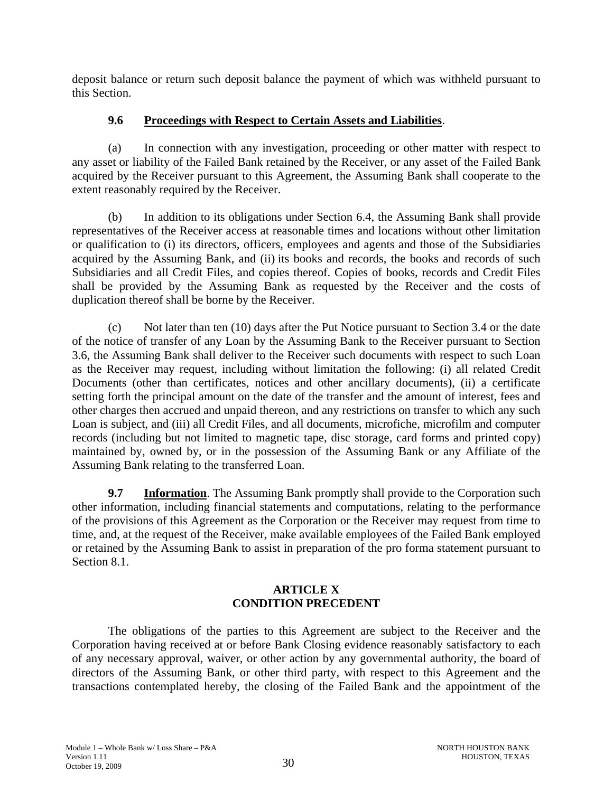deposit balance or return such deposit balance the payment of which was withheld pursuant to this Section.

# **9.6 Proceedings with Respect to Certain Assets and Liabilities**.

<span id="page-33-0"></span>(a) In connection with any investigation, proceeding or other matter with respect to any asset or liability of the Failed Bank retained by the Receiver, or any asset of the Failed Bank acquired by the Receiver pursuant to this Agreement, the Assuming Bank shall cooperate to the extent reasonably required by the Receiver.

(b) In addition to its obligations under Section 6.4, the Assuming Bank shall provide representatives of the Receiver access at reasonable times and locations without other limitation or qualification to (i) its directors, officers, employees and agents and those of the Subsidiaries acquired by the Assuming Bank, and (ii) its books and records, the books and records of such Subsidiaries and all Credit Files, and copies thereof. Copies of books, records and Credit Files shall be provided by the Assuming Bank as requested by the Receiver and the costs of duplication thereof shall be borne by the Receiver.

(c) Not later than ten (10) days after the Put Notice pursuant to Section 3.4 or the date of the notice of transfer of any Loan by the Assuming Bank to the Receiver pursuant to Section 3.6, the Assuming Bank shall deliver to the Receiver such documents with respect to such Loan as the Receiver may request, including without limitation the following: (i) all related Credit Documents (other than certificates, notices and other ancillary documents), (ii) a certificate setting forth the principal amount on the date of the transfer and the amount of interest, fees and other charges then accrued and unpaid thereon, and any restrictions on transfer to which any such Loan is subject, and (iii) all Credit Files, and all documents, microfiche, microfilm and computer records (including but not limited to magnetic tape, disc storage, card forms and printed copy) maintained by, owned by, or in the possession of the Assuming Bank or any Affiliate of the Assuming Bank relating to the transferred Loan.

<span id="page-33-1"></span>**9.7** Information. The Assuming Bank promptly shall provide to the Corporation such other information, including financial statements and computations, relating to the performance of the provisions of this Agreement as the Corporation or the Receiver may request from time to time, and, at the request of the Receiver, make available employees of the Failed Bank employed or retained by the Assuming Bank to assist in preparation of the pro forma statement pursuant to Section 8.1.

# **ARTICLE X CONDITION PRECEDENT**

<span id="page-33-2"></span>The obligations of the parties to this Agreement are subject to the Receiver and the Corporation having received at or before Bank Closing evidence reasonably satisfactory to each of any necessary approval, waiver, or other action by any governmental authority, the board of directors of the Assuming Bank, or other third party, with respect to this Agreement and the transactions contemplated hereby, the closing of the Failed Bank and the appointment of the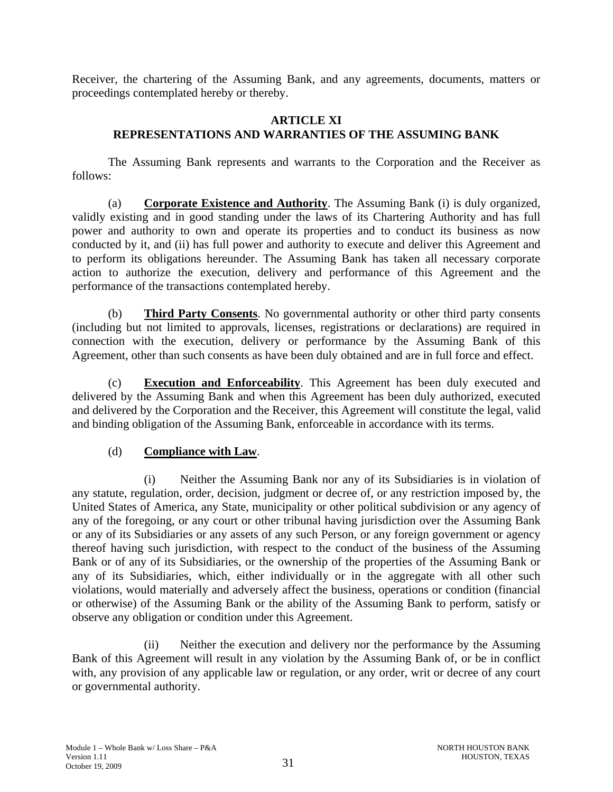Receiver, the chartering of the Assuming Bank, and any agreements, documents, matters or proceedings contemplated hereby or thereby.

#### **ARTICLE XI REPRESENTATIONS AND WARRANTIES OF THE ASSUMING BANK**

<span id="page-34-0"></span>The Assuming Bank represents and warrants to the Corporation and the Receiver as follows:

(a) **Corporate Existence and Authority**. The Assuming Bank (i) is duly organized, validly existing and in good standing under the laws of its Chartering Authority and has full power and authority to own and operate its properties and to conduct its business as now conducted by it, and (ii) has full power and authority to execute and deliver this Agreement and to perform its obligations hereunder. The Assuming Bank has taken all necessary corporate action to authorize the execution, delivery and performance of this Agreement and the performance of the transactions contemplated hereby.

(b) **Third Party Consents**. No governmental authority or other third party consents (including but not limited to approvals, licenses, registrations or declarations) are required in connection with the execution, delivery or performance by the Assuming Bank of this Agreement, other than such consents as have been duly obtained and are in full force and effect.

(c) **Execution and Enforceability**. This Agreement has been duly executed and delivered by the Assuming Bank and when this Agreement has been duly authorized, executed and delivered by the Corporation and the Receiver, this Agreement will constitute the legal, valid and binding obligation of the Assuming Bank, enforceable in accordance with its terms.

# (d) **Compliance with Law**.

(i) Neither the Assuming Bank nor any of its Subsidiaries is in violation of any statute, regulation, order, decision, judgment or decree of, or any restriction imposed by, the United States of America, any State, municipality or other political subdivision or any agency of any of the foregoing, or any court or other tribunal having jurisdiction over the Assuming Bank or any of its Subsidiaries or any assets of any such Person, or any foreign government or agency thereof having such jurisdiction, with respect to the conduct of the business of the Assuming Bank or of any of its Subsidiaries, or the ownership of the properties of the Assuming Bank or any of its Subsidiaries, which, either individually or in the aggregate with all other such violations, would materially and adversely affect the business, operations or condition (financial or otherwise) of the Assuming Bank or the ability of the Assuming Bank to perform, satisfy or observe any obligation or condition under this Agreement.

(ii) Neither the execution and delivery nor the performance by the Assuming Bank of this Agreement will result in any violation by the Assuming Bank of, or be in conflict with, any provision of any applicable law or regulation, or any order, writ or decree of any court or governmental authority.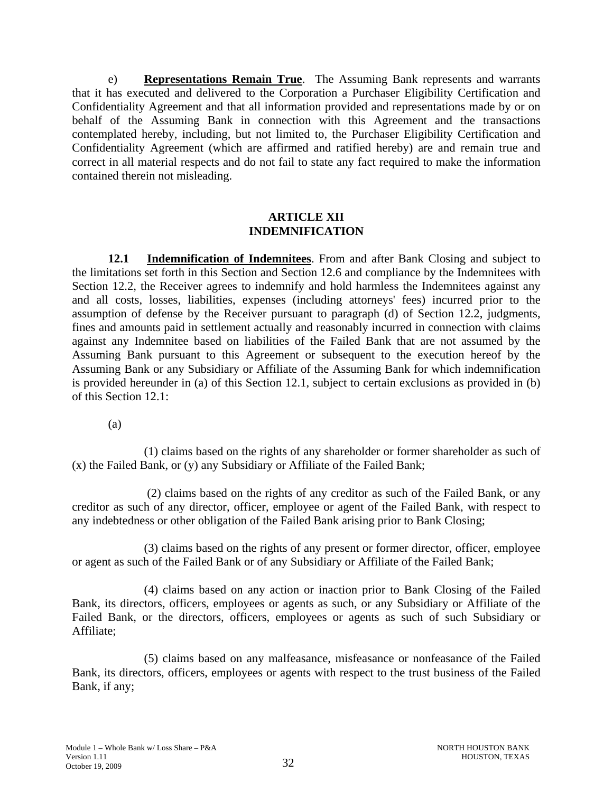e) **Representations Remain True**. The Assuming Bank represents and warrants that it has executed and delivered to the Corporation a Purchaser Eligibility Certification and Confidentiality Agreement and that all information provided and representations made by or on behalf of the Assuming Bank in connection with this Agreement and the transactions contemplated hereby, including, but not limited to, the Purchaser Eligibility Certification and Confidentiality Agreement (which are affirmed and ratified hereby) are and remain true and correct in all material respects and do not fail to state any fact required to make the information contained therein not misleading.

### **ARTICLE XII INDEMNIFICATION**

<span id="page-35-0"></span>**12.1** Indemnification of Indemnitees. From and after Bank Closing and subject to the limitations set forth in this Section and Section 12.6 and compliance by the Indemnitees with Section 12.2, the Receiver agrees to indemnify and hold harmless the Indemnitees against any and all costs, losses, liabilities, expenses (including attorneys' fees) incurred prior to the assumption of defense by the Receiver pursuant to paragraph (d) of Section 12.2, judgments, fines and amounts paid in settlement actually and reasonably incurred in connection with claims against any Indemnitee based on liabilities of the Failed Bank that are not assumed by the Assuming Bank pursuant to this Agreement or subsequent to the execution hereof by the Assuming Bank or any Subsidiary or Affiliate of the Assuming Bank for which indemnification is provided hereunder in (a) of this Section 12.1, subject to certain exclusions as provided in (b) of this Section 12.1:

(a)

(1) claims based on the rights of any shareholder or former shareholder as such of (x) the Failed Bank, or (y) any Subsidiary or Affiliate of the Failed Bank;

(2) claims based on the rights of any creditor as such of the Failed Bank, or any creditor as such of any director, officer, employee or agent of the Failed Bank, with respect to any indebtedness or other obligation of the Failed Bank arising prior to Bank Closing;

(3) claims based on the rights of any present or former director, officer, employee or agent as such of the Failed Bank or of any Subsidiary or Affiliate of the Failed Bank;

(4) claims based on any action or inaction prior to Bank Closing of the Failed Bank, its directors, officers, employees or agents as such, or any Subsidiary or Affiliate of the Failed Bank, or the directors, officers, employees or agents as such of such Subsidiary or Affiliate;

(5) claims based on any malfeasance, misfeasance or nonfeasance of the Failed Bank, its directors, officers, employees or agents with respect to the trust business of the Failed Bank, if any;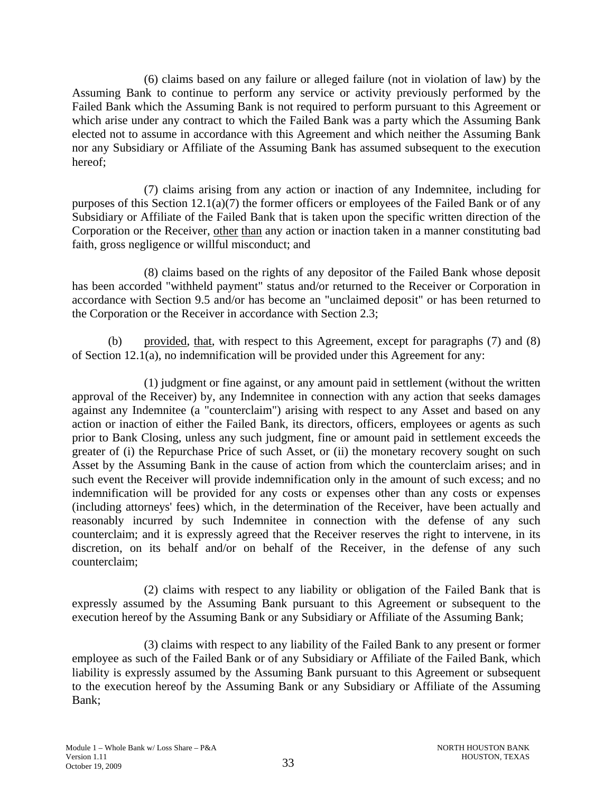(6) claims based on any failure or alleged failure (not in violation of law) by the Assuming Bank to continue to perform any service or activity previously performed by the Failed Bank which the Assuming Bank is not required to perform pursuant to this Agreement or which arise under any contract to which the Failed Bank was a party which the Assuming Bank elected not to assume in accordance with this Agreement and which neither the Assuming Bank nor any Subsidiary or Affiliate of the Assuming Bank has assumed subsequent to the execution hereof;

(7) claims arising from any action or inaction of any Indemnitee, including for purposes of this Section 12.1(a)(7) the former officers or employees of the Failed Bank or of any Subsidiary or Affiliate of the Failed Bank that is taken upon the specific written direction of the Corporation or the Receiver, other than any action or inaction taken in a manner constituting bad faith, gross negligence or willful misconduct; and

(8) claims based on the rights of any depositor of the Failed Bank whose deposit has been accorded "withheld payment" status and/or returned to the Receiver or Corporation in accordance with Section 9.5 and/or has become an "unclaimed deposit" or has been returned to the Corporation or the Receiver in accordance with Section 2.3;

(b) provided, that, with respect to this Agreement, except for paragraphs (7) and (8) of Section 12.1(a), no indemnification will be provided under this Agreement for any:

(1) judgment or fine against, or any amount paid in settlement (without the written approval of the Receiver) by, any Indemnitee in connection with any action that seeks damages against any Indemnitee (a "counterclaim") arising with respect to any Asset and based on any action or inaction of either the Failed Bank, its directors, officers, employees or agents as such prior to Bank Closing, unless any such judgment, fine or amount paid in settlement exceeds the greater of (i) the Repurchase Price of such Asset, or (ii) the monetary recovery sought on such Asset by the Assuming Bank in the cause of action from which the counterclaim arises; and in such event the Receiver will provide indemnification only in the amount of such excess; and no indemnification will be provided for any costs or expenses other than any costs or expenses (including attorneys' fees) which, in the determination of the Receiver, have been actually and reasonably incurred by such Indemnitee in connection with the defense of any such counterclaim; and it is expressly agreed that the Receiver reserves the right to intervene, in its discretion, on its behalf and/or on behalf of the Receiver, in the defense of any such counterclaim;

(2) claims with respect to any liability or obligation of the Failed Bank that is expressly assumed by the Assuming Bank pursuant to this Agreement or subsequent to the execution hereof by the Assuming Bank or any Subsidiary or Affiliate of the Assuming Bank;

(3) claims with respect to any liability of the Failed Bank to any present or former employee as such of the Failed Bank or of any Subsidiary or Affiliate of the Failed Bank, which liability is expressly assumed by the Assuming Bank pursuant to this Agreement or subsequent to the execution hereof by the Assuming Bank or any Subsidiary or Affiliate of the Assuming Bank;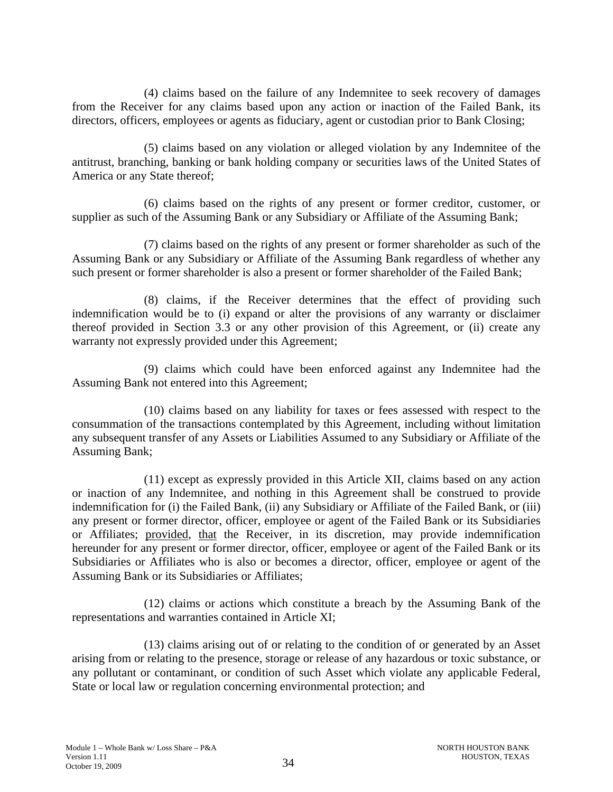(4) claims based on the failure of any Indemnitee to seek recovery of damages from the Receiver for any claims based upon any action or inaction of the Failed Bank, its directors, officers, employees or agents as fiduciary, agent or custodian prior to Bank Closing;

(5) claims based on any violation or alleged violation by any Indemnitee of the antitrust, branching, banking or bank holding company or securities laws of the United States of America or any State thereof;

(6) claims based on the rights of any present or former creditor, customer, or supplier as such of the Assuming Bank or any Subsidiary or Affiliate of the Assuming Bank;

(7) claims based on the rights of any present or former shareholder as such of the Assuming Bank or any Subsidiary or Affiliate of the Assuming Bank regardless of whether any such present or former shareholder is also a present or former shareholder of the Failed Bank;

(8) claims, if the Receiver determines that the effect of providing such indemnification would be to (i) expand or alter the provisions of any warranty or disclaimer thereof provided in Section 3.3 or any other provision of this Agreement, or (ii) create any warranty not expressly provided under this Agreement;

(9) claims which could have been enforced against any Indemnitee had the Assuming Bank not entered into this Agreement;

(10) claims based on any liability for taxes or fees assessed with respect to the consummation of the transactions contemplated by this Agreement, including without limitation any subsequent transfer of any Assets or Liabilities Assumed to any Subsidiary or Affiliate of the Assuming Bank;

(11) except as expressly provided in this Article XII, claims based on any action or inaction of any Indemnitee, and nothing in this Agreement shall be construed to provide indemnification for (i) the Failed Bank, (ii) any Subsidiary or Affiliate of the Failed Bank, or (iii) any present or former director, officer, employee or agent of the Failed Bank or its Subsidiaries or Affiliates; provided, that the Receiver, in its discretion, may provide indemnification hereunder for any present or former director, officer, employee or agent of the Failed Bank or its Subsidiaries or Affiliates who is also or becomes a director, officer, employee or agent of the Assuming Bank or its Subsidiaries or Affiliates;

(12) claims or actions which constitute a breach by the Assuming Bank of the representations and warranties contained in Article XI;

(13) claims arising out of or relating to the condition of or generated by an Asset arising from or relating to the presence, storage or release of any hazardous or toxic substance, or any pollutant or contaminant, or condition of such Asset which violate any applicable Federal, State or local law or regulation concerning environmental protection; and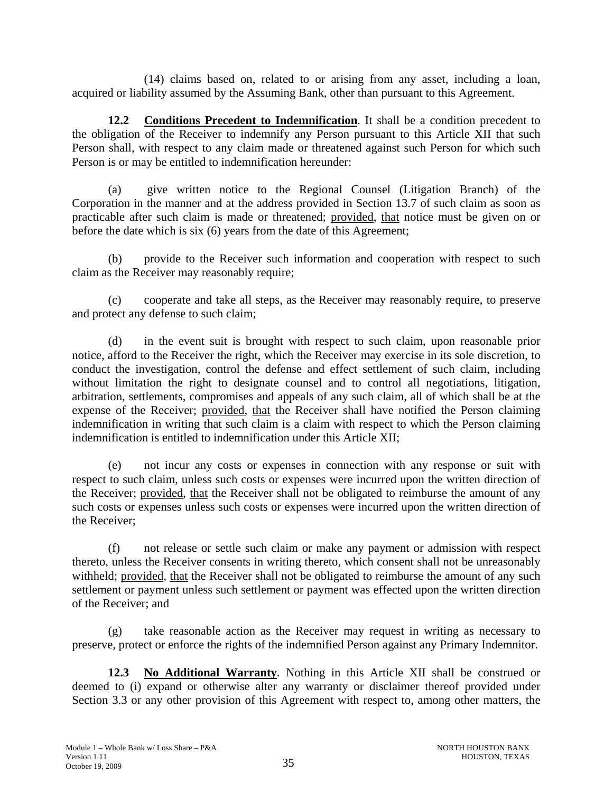(14) claims based on, related to or arising from any asset, including a loan, acquired or liability assumed by the Assuming Bank, other than pursuant to this Agreement.

**12.2 Conditions Precedent to Indemnification**. It shall be a condition precedent to the obligation of the Receiver to indemnify any Person pursuant to this Article XII that such Person shall, with respect to any claim made or threatened against such Person for which such Person is or may be entitled to indemnification hereunder:

(a) give written notice to the Regional Counsel (Litigation Branch) of the Corporation in the manner and at the address provided in Section 13.7 of such claim as soon as practicable after such claim is made or threatened; provided, that notice must be given on or before the date which is six (6) years from the date of this Agreement;

(b) provide to the Receiver such information and cooperation with respect to such claim as the Receiver may reasonably require;

(c) cooperate and take all steps, as the Receiver may reasonably require, to preserve and protect any defense to such claim;

(d) in the event suit is brought with respect to such claim, upon reasonable prior notice, afford to the Receiver the right, which the Receiver may exercise in its sole discretion, to conduct the investigation, control the defense and effect settlement of such claim, including without limitation the right to designate counsel and to control all negotiations, litigation, arbitration, settlements, compromises and appeals of any such claim, all of which shall be at the expense of the Receiver; provided, that the Receiver shall have notified the Person claiming indemnification in writing that such claim is a claim with respect to which the Person claiming indemnification is entitled to indemnification under this Article XII;

(e) not incur any costs or expenses in connection with any response or suit with respect to such claim, unless such costs or expenses were incurred upon the written direction of the Receiver; provided, that the Receiver shall not be obligated to reimburse the amount of any such costs or expenses unless such costs or expenses were incurred upon the written direction of the Receiver;

(f) not release or settle such claim or make any payment or admission with respect thereto, unless the Receiver consents in writing thereto, which consent shall not be unreasonably withheld; provided, that the Receiver shall not be obligated to reimburse the amount of any such settlement or payment unless such settlement or payment was effected upon the written direction of the Receiver; and

(g) take reasonable action as the Receiver may request in writing as necessary to preserve, protect or enforce the rights of the indemnified Person against any Primary Indemnitor.

**12.3 No Additional Warranty**. Nothing in this Article XII shall be construed or deemed to (i) expand or otherwise alter any warranty or disclaimer thereof provided under Section 3.3 or any other provision of this Agreement with respect to, among other matters, the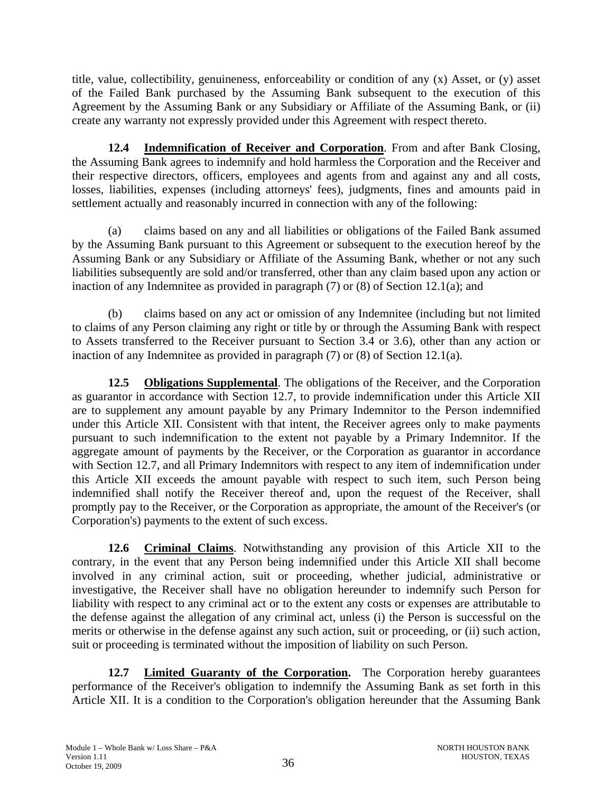title, value, collectibility, genuineness, enforceability or condition of any (x) Asset, or (y) asset of the Failed Bank purchased by the Assuming Bank subsequent to the execution of this Agreement by the Assuming Bank or any Subsidiary or Affiliate of the Assuming Bank, or (ii) create any warranty not expressly provided under this Agreement with respect thereto.

**12.4 Indemnification of Receiver and Corporation**. From and after Bank Closing, the Assuming Bank agrees to indemnify and hold harmless the Corporation and the Receiver and their respective directors, officers, employees and agents from and against any and all costs, losses, liabilities, expenses (including attorneys' fees), judgments, fines and amounts paid in settlement actually and reasonably incurred in connection with any of the following:

(a) claims based on any and all liabilities or obligations of the Failed Bank assumed by the Assuming Bank pursuant to this Agreement or subsequent to the execution hereof by the Assuming Bank or any Subsidiary or Affiliate of the Assuming Bank, whether or not any such liabilities subsequently are sold and/or transferred, other than any claim based upon any action or inaction of any Indemnitee as provided in paragraph (7) or (8) of Section 12.1(a); and

(b) claims based on any act or omission of any Indemnitee (including but not limited to claims of any Person claiming any right or title by or through the Assuming Bank with respect to Assets transferred to the Receiver pursuant to Section 3.4 or 3.6), other than any action or inaction of any Indemnitee as provided in paragraph (7) or (8) of Section 12.1(a).

**12.5 Obligations Supplemental**. The obligations of the Receiver, and the Corporation as guarantor in accordance with Section 12.7, to provide indemnification under this Article XII are to supplement any amount payable by any Primary Indemnitor to the Person indemnified under this Article XII. Consistent with that intent, the Receiver agrees only to make payments pursuant to such indemnification to the extent not payable by a Primary Indemnitor. If the aggregate amount of payments by the Receiver, or the Corporation as guarantor in accordance with Section 12.7, and all Primary Indemnitors with respect to any item of indemnification under this Article XII exceeds the amount payable with respect to such item, such Person being indemnified shall notify the Receiver thereof and, upon the request of the Receiver, shall promptly pay to the Receiver, or the Corporation as appropriate, the amount of the Receiver's (or Corporation's) payments to the extent of such excess.

**12.6 Criminal Claims**. Notwithstanding any provision of this Article XII to the contrary, in the event that any Person being indemnified under this Article XII shall become involved in any criminal action, suit or proceeding, whether judicial, administrative or investigative, the Receiver shall have no obligation hereunder to indemnify such Person for liability with respect to any criminal act or to the extent any costs or expenses are attributable to the defense against the allegation of any criminal act, unless (i) the Person is successful on the merits or otherwise in the defense against any such action, suit or proceeding, or (ii) such action, suit or proceeding is terminated without the imposition of liability on such Person.

**12.7 Limited Guaranty of the Corporation.** The Corporation hereby guarantees performance of the Receiver's obligation to indemnify the Assuming Bank as set forth in this Article XII. It is a condition to the Corporation's obligation hereunder that the Assuming Bank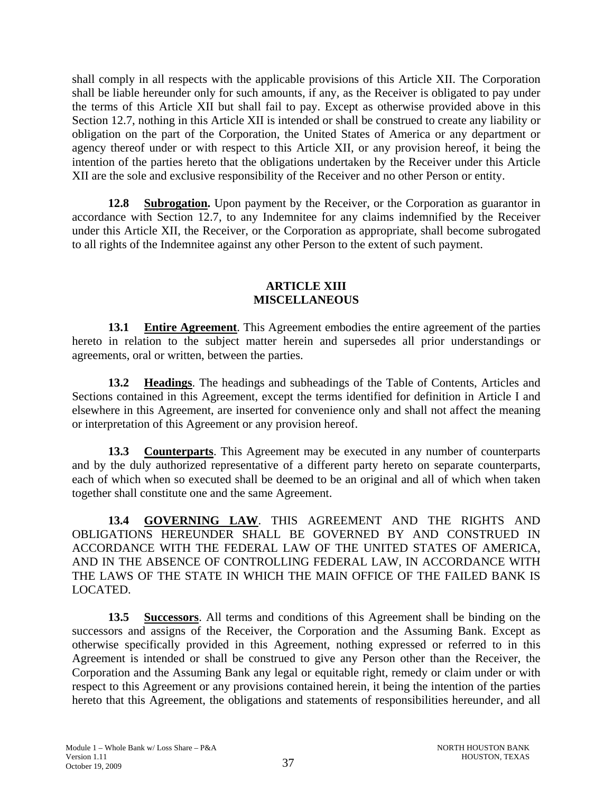shall comply in all respects with the applicable provisions of this Article XII. The Corporation shall be liable hereunder only for such amounts, if any, as the Receiver is obligated to pay under the terms of this Article XII but shall fail to pay. Except as otherwise provided above in this Section 12.7, nothing in this Article XII is intended or shall be construed to create any liability or obligation on the part of the Corporation, the United States of America or any department or agency thereof under or with respect to this Article XII, or any provision hereof, it being the intention of the parties hereto that the obligations undertaken by the Receiver under this Article XII are the sole and exclusive responsibility of the Receiver and no other Person or entity.

**12.8 Subrogation.** Upon payment by the Receiver, or the Corporation as guarantor in accordance with Section 12.7, to any Indemnitee for any claims indemnified by the Receiver under this Article XII, the Receiver, or the Corporation as appropriate, shall become subrogated to all rights of the Indemnitee against any other Person to the extent of such payment.

### **ARTICLE XIII MISCELLANEOUS**

**13.1** Entire Agreement. This Agreement embodies the entire agreement of the parties hereto in relation to the subject matter herein and supersedes all prior understandings or agreements, oral or written, between the parties.

**13.2 Headings**. The headings and subheadings of the Table of Contents, Articles and Sections contained in this Agreement, except the terms identified for definition in Article I and elsewhere in this Agreement, are inserted for convenience only and shall not affect the meaning or interpretation of this Agreement or any provision hereof.

**13.3 Counterparts**. This Agreement may be executed in any number of counterparts and by the duly authorized representative of a different party hereto on separate counterparts, each of which when so executed shall be deemed to be an original and all of which when taken together shall constitute one and the same Agreement.

**13.4 GOVERNING LAW**. THIS AGREEMENT AND THE RIGHTS AND OBLIGATIONS HEREUNDER SHALL BE GOVERNED BY AND CONSTRUED IN ACCORDANCE WITH THE FEDERAL LAW OF THE UNITED STATES OF AMERICA, AND IN THE ABSENCE OF CONTROLLING FEDERAL LAW, IN ACCORDANCE WITH THE LAWS OF THE STATE IN WHICH THE MAIN OFFICE OF THE FAILED BANK IS LOCATED.

 **13.5 Successors**. All terms and conditions of this Agreement shall be binding on the successors and assigns of the Receiver, the Corporation and the Assuming Bank. Except as otherwise specifically provided in this Agreement, nothing expressed or referred to in this Agreement is intended or shall be construed to give any Person other than the Receiver, the Corporation and the Assuming Bank any legal or equitable right, remedy or claim under or with respect to this Agreement or any provisions contained herein, it being the intention of the parties hereto that this Agreement, the obligations and statements of responsibilities hereunder, and all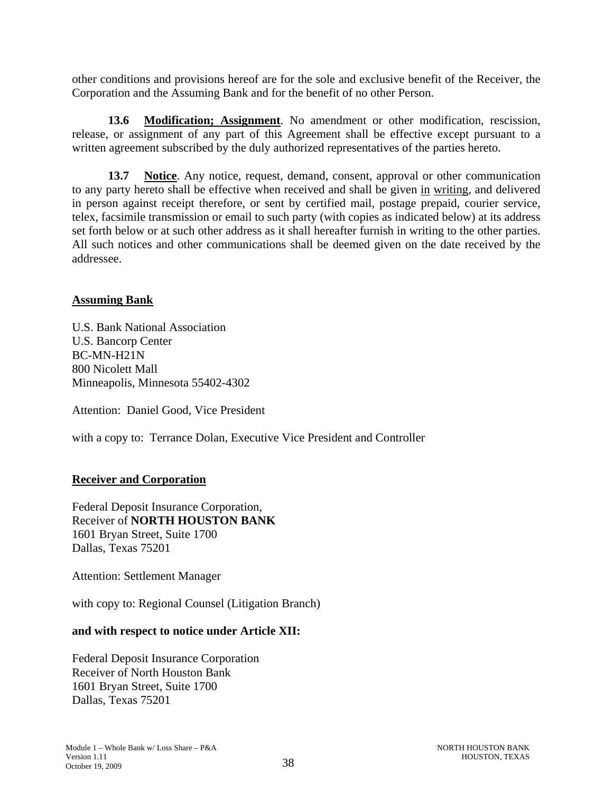other conditions and provisions hereof are for the sole and exclusive benefit of the Receiver, the Corporation and the Assuming Bank and for the benefit of no other Person.

**13.6 Modification; Assignment**. No amendment or other modification, rescission, release, or assignment of any part of this Agreement shall be effective except pursuant to a written agreement subscribed by the duly authorized representatives of the parties hereto.

13.7 Notice. Any notice, request, demand, consent, approval or other communication to any party hereto shall be effective when received and shall be given in writing, and delivered in person against receipt therefore, or sent by certified mail, postage prepaid, courier service, telex, facsimile transmission or email to such party (with copies as indicated below) at its address set forth below or at such other address as it shall hereafter furnish in writing to the other parties. All such notices and other communications shall be deemed given on the date received by the addressee.

## **Assuming Bank**

U.S. Bank National Association U.S. Bancorp Center BC-MN-H21N 800 Nicolett Mall Minneapolis, Minnesota 55402-4302

Attention: Daniel Good, Vice President

with a copy to: Terrance Dolan, Executive Vice President and Controller

# **Receiver and Corporation**

Federal Deposit Insurance Corporation, Receiver of **NORTH HOUSTON BANK**  1601 Bryan Street, Suite 1700 Dallas, Texas 75201

Attention: Settlement Manager

with copy to: Regional Counsel (Litigation Branch)

## **and with respect to notice under Article XII:**

Federal Deposit Insurance Corporation Receiver of North Houston Bank 1601 Bryan Street, Suite 1700 Dallas, Texas 75201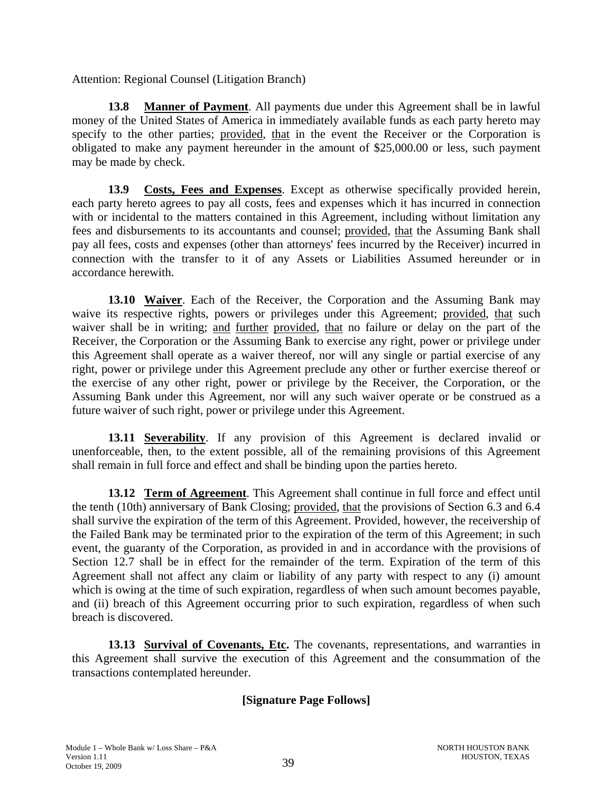Attention: Regional Counsel (Litigation Branch)

 **13.8 Manner of Payment**. All payments due under this Agreement shall be in lawful money of the United States of America in immediately available funds as each party hereto may specify to the other parties; provided, that in the event the Receiver or the Corporation is obligated to make any payment hereunder in the amount of \$25,000.00 or less, such payment may be made by check.

**13.9 Costs, Fees and Expenses**. Except as otherwise specifically provided herein, each party hereto agrees to pay all costs, fees and expenses which it has incurred in connection with or incidental to the matters contained in this Agreement, including without limitation any fees and disbursements to its accountants and counsel; provided, that the Assuming Bank shall pay all fees, costs and expenses (other than attorneys' fees incurred by the Receiver) incurred in connection with the transfer to it of any Assets or Liabilities Assumed hereunder or in accordance herewith.

**13.10 Waiver**. Each of the Receiver, the Corporation and the Assuming Bank may waive its respective rights, powers or privileges under this Agreement; provided, that such waiver shall be in writing; and further provided, that no failure or delay on the part of the Receiver, the Corporation or the Assuming Bank to exercise any right, power or privilege under this Agreement shall operate as a waiver thereof, nor will any single or partial exercise of any right, power or privilege under this Agreement preclude any other or further exercise thereof or the exercise of any other right, power or privilege by the Receiver, the Corporation, or the Assuming Bank under this Agreement, nor will any such waiver operate or be construed as a future waiver of such right, power or privilege under this Agreement.

**13.11 Severability**. If any provision of this Agreement is declared invalid or unenforceable, then, to the extent possible, all of the remaining provisions of this Agreement shall remain in full force and effect and shall be binding upon the parties hereto.

**13.12 Term of Agreement**. This Agreement shall continue in full force and effect until the tenth (10th) anniversary of Bank Closing; provided, that the provisions of Section 6.3 and 6.4 shall survive the expiration of the term of this Agreement. Provided, however, the receivership of the Failed Bank may be terminated prior to the expiration of the term of this Agreement; in such event, the guaranty of the Corporation, as provided in and in accordance with the provisions of Section 12.7 shall be in effect for the remainder of the term. Expiration of the term of this Agreement shall not affect any claim or liability of any party with respect to any (i) amount which is owing at the time of such expiration, regardless of when such amount becomes payable, and (ii) breach of this Agreement occurring prior to such expiration, regardless of when such breach is discovered.

**13.13 Survival of Covenants, Etc.** The covenants, representations, and warranties in this Agreement shall survive the execution of this Agreement and the consummation of the transactions contemplated hereunder.

## **[Signature Page Follows]**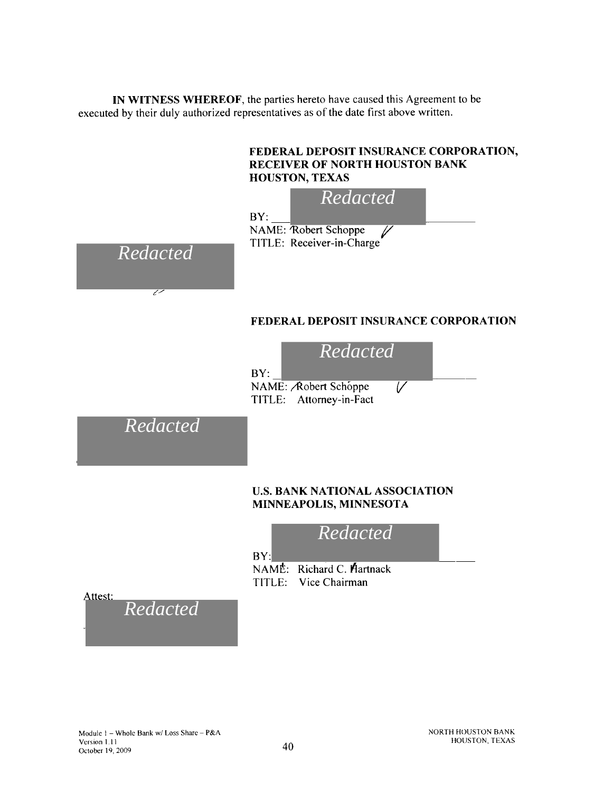IN WITNESS WHEREOF, the parties hereto have caused this Agreement to be executed by their duly authorized representatives as of the date first above written.

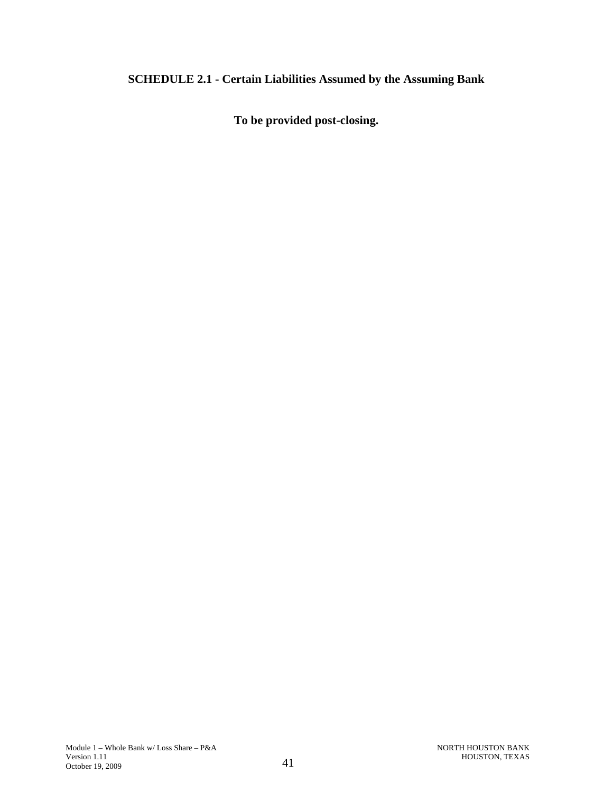# **SCHEDULE 2.1 - Certain Liabilities Assumed by the Assuming Bank**

**To be provided post-closing.**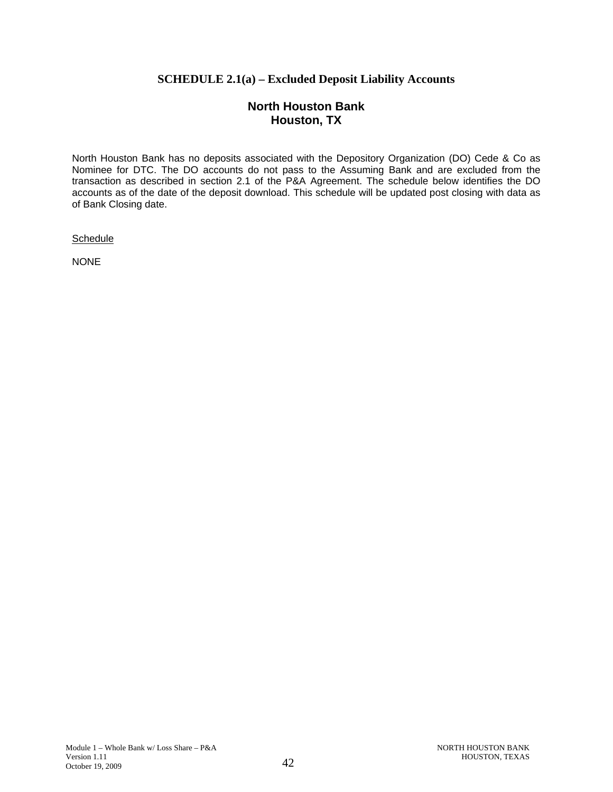# **SCHEDULE 2.1(a) – Excluded Deposit Liability Accounts**

## **North Houston Bank Houston, TX**

North Houston Bank has no deposits associated with the Depository Organization (DO) Cede & Co as Nominee for DTC. The DO accounts do not pass to the Assuming Bank and are excluded from the transaction as described in section 2.1 of the P&A Agreement. The schedule below identifies the DO accounts as of the date of the deposit download. This schedule will be updated post closing with data as of Bank Closing date.

**Schedule** 

NONE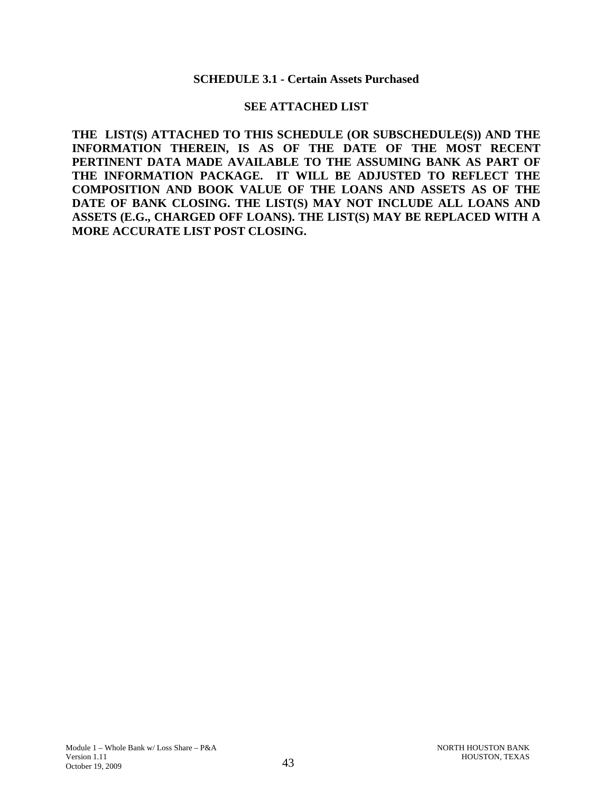### **SCHEDULE 3.1 - Certain Assets Purchased**

### **SEE ATTACHED LIST**

THE LIST(S) ATTACHED TO THIS SCHEDULE (OR SUBSCHEDULE(S)) AND THE **INFORMATION THEREIN, IS AS OF THE DATE OF THE MOST RECENT PERTINENT DATA MADE AVAILABLE TO THE ASSUMING BANK AS PART OF THE INFORMATION PACKAGE. IT WILL BE ADJUSTED TO REFLECT THE COMPOSITION AND BOOK VALUE OF THE LOANS AND ASSETS AS OF THE DATE OF BANK CLOSING. THE LIST(S) MAY NOT INCLUDE ALL LOANS AND ASSETS (E.G., CHARGED OFF LOANS). THE LIST(S) MAY BE REPLACED WITH A MORE ACCURATE LIST POST CLOSING.**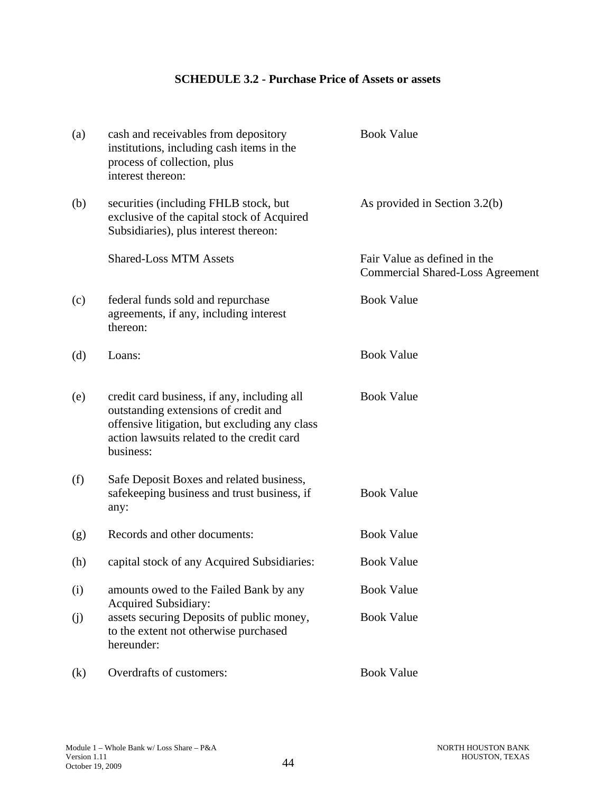# **SCHEDULE 3.2 - Purchase Price of Assets or assets**

| (a) | cash and receivables from depository<br>institutions, including cash items in the<br>process of collection, plus<br>interest thereon:                                                           | <b>Book Value</b>                                                       |
|-----|-------------------------------------------------------------------------------------------------------------------------------------------------------------------------------------------------|-------------------------------------------------------------------------|
| (b) | securities (including FHLB stock, but<br>exclusive of the capital stock of Acquired<br>Subsidiaries), plus interest thereon:                                                                    | As provided in Section 3.2(b)                                           |
|     | <b>Shared-Loss MTM Assets</b>                                                                                                                                                                   | Fair Value as defined in the<br><b>Commercial Shared-Loss Agreement</b> |
| (c) | federal funds sold and repurchase<br>agreements, if any, including interest<br>thereon:                                                                                                         | <b>Book Value</b>                                                       |
| (d) | Loans:                                                                                                                                                                                          | <b>Book Value</b>                                                       |
| (e) | credit card business, if any, including all<br>outstanding extensions of credit and<br>offensive litigation, but excluding any class<br>action lawsuits related to the credit card<br>business: | <b>Book Value</b>                                                       |
| (f) | Safe Deposit Boxes and related business,<br>safekeeping business and trust business, if<br>any:                                                                                                 | <b>Book Value</b>                                                       |
| (g) | Records and other documents:                                                                                                                                                                    | <b>Book Value</b>                                                       |
| (h) | capital stock of any Acquired Subsidiaries:                                                                                                                                                     | <b>Book Value</b>                                                       |
| (i) | amounts owed to the Failed Bank by any<br><b>Acquired Subsidiary:</b>                                                                                                                           | <b>Book Value</b>                                                       |
| (j) | assets securing Deposits of public money,<br>to the extent not otherwise purchased<br>hereunder:                                                                                                | <b>Book Value</b>                                                       |
| (k) | Overdrafts of customers:                                                                                                                                                                        | <b>Book Value</b>                                                       |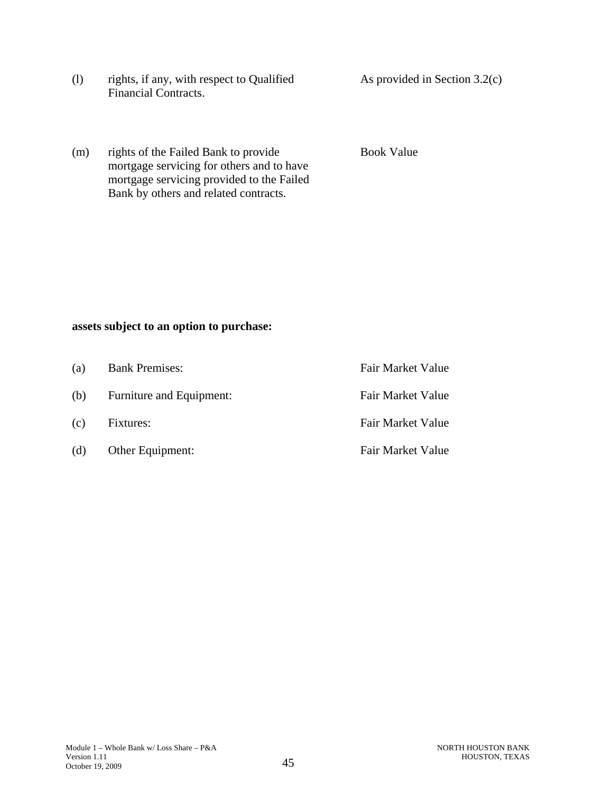(1) rights, if any, with respect to Qualified As provided in Section 3.2(c) Financial Contracts.

(m) rights of the Failed Bank to provide Book Value mortgage servicing for others and to have mortgage servicing provided to the Failed Bank by others and related contracts.

## **assets subject to an option to purchase:**

| (a) | <b>Bank Premises:</b>    | Fair Market Value |
|-----|--------------------------|-------------------|
| (b) | Furniture and Equipment: | Fair Market Value |
| (c) | Fixtures:                | Fair Market Value |
| (d) | Other Equipment:         | Fair Market Value |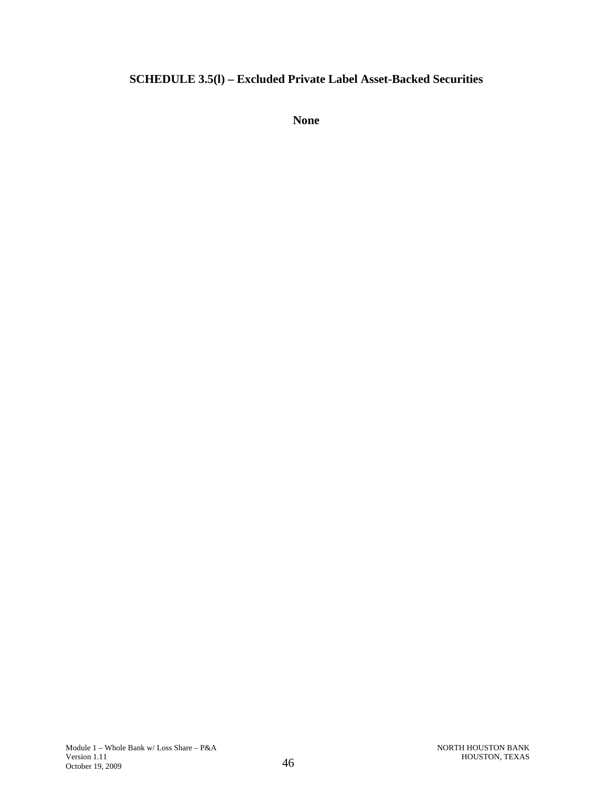# **SCHEDULE 3.5(l) – Excluded Private Label Asset-Backed Securities**

**None**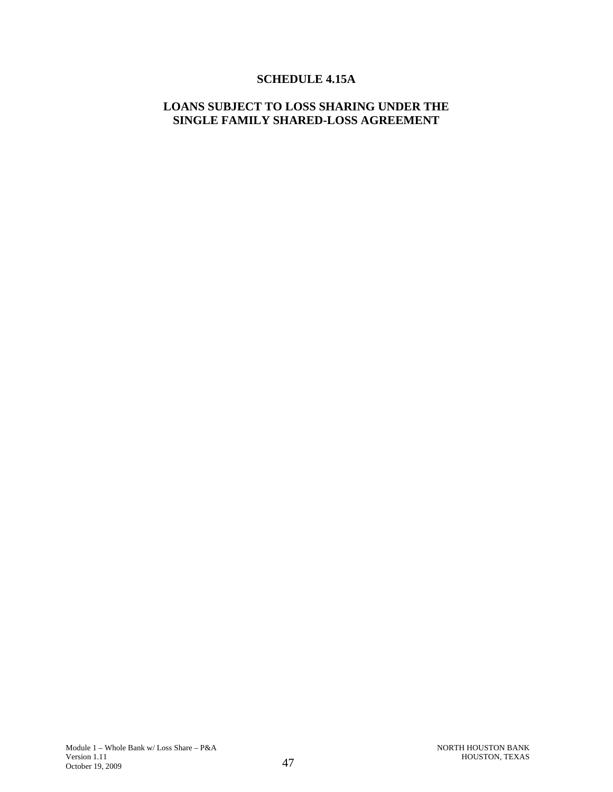## **SCHEDULE 4.15A**

# **LOANS SUBJECT TO LOSS SHARING UNDER THE SINGLE FAMILY SHARED-LOSS AGREEMENT**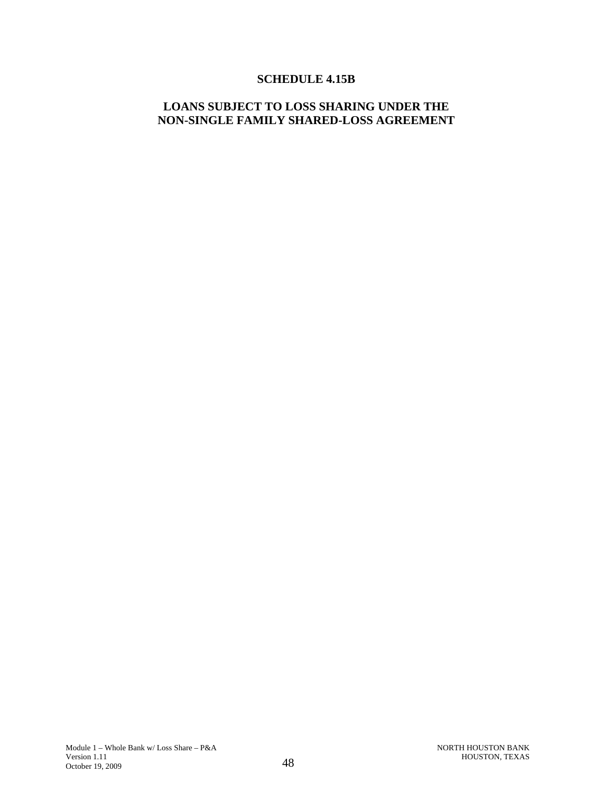## **SCHEDULE 4.15B**

### **LOANS SUBJECT TO LOSS SHARING UNDER THE NON-SINGLE FAMILY SHARED-LOSS AGREEMENT**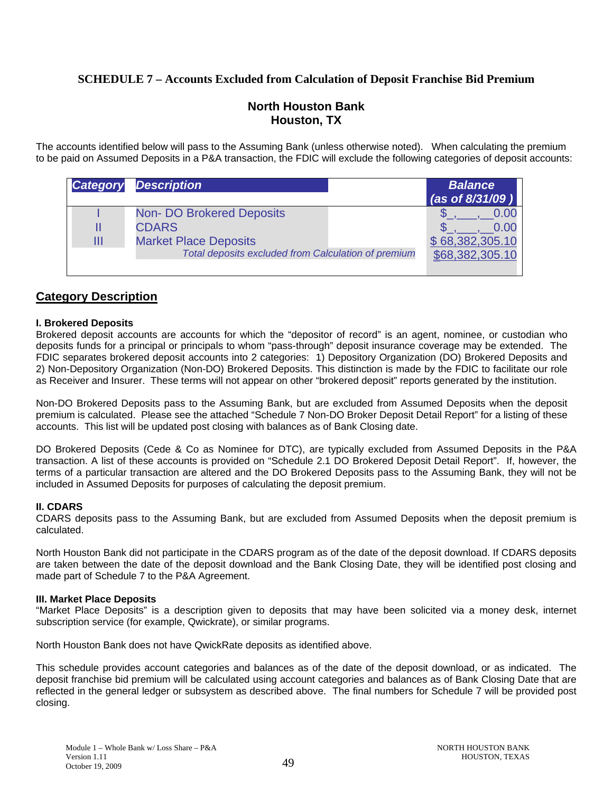# **SCHEDULE 7 – Accounts Excluded from Calculation of Deposit Franchise Bid Premium**

## **North Houston Bank Houston, TX**

The accounts identified below will pass to the Assuming Bank (unless otherwise noted). When calculating the premium to be paid on Assumed Deposits in a P&A transaction, the FDIC will exclude the following categories of deposit accounts:

|   | <b>Category Description</b>                         | <b>Balance</b>  |
|---|-----------------------------------------------------|-----------------|
|   |                                                     | (as of 8/31/09) |
|   | <b>Non-DO Brokered Deposits</b>                     | 0.00            |
|   | <b>CDARS</b>                                        | 0.00            |
| Ш | <b>Market Place Deposits</b>                        | \$68,382,305.10 |
|   | Total deposits excluded from Calculation of premium | \$68,382,305.10 |
|   |                                                     |                 |

## **Category Description**

#### **I. Brokered Deposits**

Brokered deposit accounts are accounts for which the "depositor of record" is an agent, nominee, or custodian who deposits funds for a principal or principals to whom "pass-through" deposit insurance coverage may be extended. The FDIC separates brokered deposit accounts into 2 categories: 1) Depository Organization (DO) Brokered Deposits and 2) Non-Depository Organization (Non-DO) Brokered Deposits. This distinction is made by the FDIC to facilitate our role as Receiver and Insurer. These terms will not appear on other "brokered deposit" reports generated by the institution.

Non-DO Brokered Deposits pass to the Assuming Bank, but are excluded from Assumed Deposits when the deposit premium is calculated. Please see the attached "Schedule 7 Non-DO Broker Deposit Detail Report" for a listing of these accounts. This list will be updated post closing with balances as of Bank Closing date.

DO Brokered Deposits (Cede & Co as Nominee for DTC), are typically excluded from Assumed Deposits in the P&A transaction. A list of these accounts is provided on "Schedule 2.1 DO Brokered Deposit Detail Report". If, however, the terms of a particular transaction are altered and the DO Brokered Deposits pass to the Assuming Bank, they will not be included in Assumed Deposits for purposes of calculating the deposit premium.

#### **II. CDARS**

CDARS deposits pass to the Assuming Bank, but are excluded from Assumed Deposits when the deposit premium is calculated.

North Houston Bank did not participate in the CDARS program as of the date of the deposit download. If CDARS deposits are taken between the date of the deposit download and the Bank Closing Date, they will be identified post closing and made part of Schedule 7 to the P&A Agreement.

#### **III. Market Place Deposits**

"Market Place Deposits" is a description given to deposits that may have been solicited via a money desk, internet subscription service (for example, Qwickrate), or similar programs.

North Houston Bank does not have QwickRate deposits as identified above.

This schedule provides account categories and balances as of the date of the deposit download, or as indicated. The deposit franchise bid premium will be calculated using account categories and balances as of Bank Closing Date that are reflected in the general ledger or subsystem as described above. The final numbers for Schedule 7 will be provided post closing.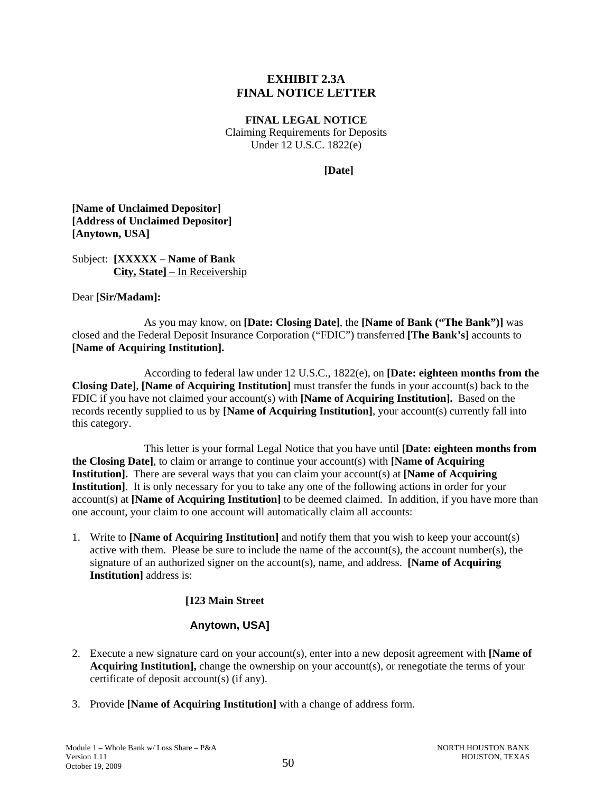### **EXHIBIT 2.3A FINAL NOTICE LETTER**

#### **FINAL LEGAL NOTICE**

Claiming Requirements for Deposits Under 12 U.S.C. 1822(e)

**[Date]** 

**[Name of Unclaimed Depositor] [Address of Unclaimed Depositor] [Anytown, USA]** 

Subject: **[XXXXX – Name of Bank City, State]** – In Receivership

Dear **[Sir/Madam]:** 

As you may know, on **[Date: Closing Date]**, the **[Name of Bank ("The Bank")]** was closed and the Federal Deposit Insurance Corporation ("FDIC") transferred **[The Bank's]** accounts to **[Name of Acquiring Institution].** 

According to federal law under 12 U.S.C., 1822(e), on **[Date: eighteen months from the Closing Date]**, **[Name of Acquiring Institution]** must transfer the funds in your account(s) back to the FDIC if you have not claimed your account(s) with **[Name of Acquiring Institution].** Based on the records recently supplied to us by **[Name of Acquiring Institution]**, your account(s) currently fall into this category.

This letter is your formal Legal Notice that you have until **[Date: eighteen months from the Closing Date]**, to claim or arrange to continue your account(s) with **[Name of Acquiring Institution].** There are several ways that you can claim your account(s) at **[Name of Acquiring Institution]**. It is only necessary for you to take any one of the following actions in order for your account(s) at **[Name of Acquiring Institution]** to be deemed claimed. In addition, if you have more than one account, your claim to one account will automatically claim all accounts:

1. Write to **[Name of Acquiring Institution]** and notify them that you wish to keep your account(s) active with them. Please be sure to include the name of the account(s), the account number(s), the signature of an authorized signer on the account(s), name, and address. **[Name of Acquiring Institution]** address is:

### **[123 Main Street**

## **Anytown, USA]**

- 2. Execute a new signature card on your account(s), enter into a new deposit agreement with **[Name of Acquiring Institution],** change the ownership on your account(s), or renegotiate the terms of your certificate of deposit account(s) (if any).
- 3. Provide **[Name of Acquiring Institution]** with a change of address form.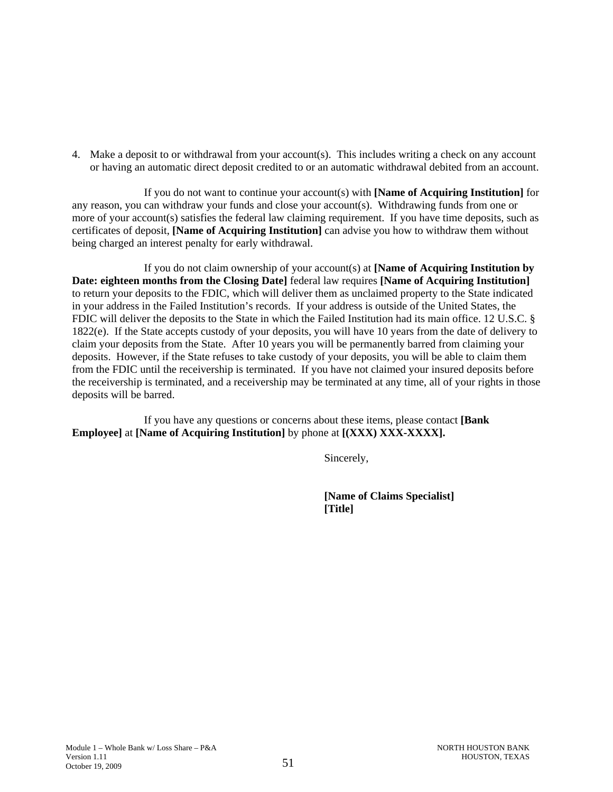4. Make a deposit to or withdrawal from your account(s). This includes writing a check on any account or having an automatic direct deposit credited to or an automatic withdrawal debited from an account.

If you do not want to continue your account(s) with **[Name of Acquiring Institution]** for any reason, you can withdraw your funds and close your account(s). Withdrawing funds from one or more of your account(s) satisfies the federal law claiming requirement. If you have time deposits, such as certificates of deposit, **[Name of Acquiring Institution]** can advise you how to withdraw them without being charged an interest penalty for early withdrawal.

If you do not claim ownership of your account(s) at **[Name of Acquiring Institution by Date: eighteen months from the Closing Date]** federal law requires **[Name of Acquiring Institution]**  to return your deposits to the FDIC, which will deliver them as unclaimed property to the State indicated in your address in the Failed Institution's records. If your address is outside of the United States, the FDIC will deliver the deposits to the State in which the Failed Institution had its main office. 12 U.S.C. § 1822(e). If the State accepts custody of your deposits, you will have 10 years from the date of delivery to claim your deposits from the State. After 10 years you will be permanently barred from claiming your deposits. However, if the State refuses to take custody of your deposits, you will be able to claim them from the FDIC until the receivership is terminated. If you have not claimed your insured deposits before the receivership is terminated, and a receivership may be terminated at any time, all of your rights in those deposits will be barred.

If you have any questions or concerns about these items, please contact **[Bank Employee]** at **[Name of Acquiring Institution]** by phone at **[(XXX) XXX-XXXX].** 

Sincerely,

**[Name of Claims Specialist] [Title]**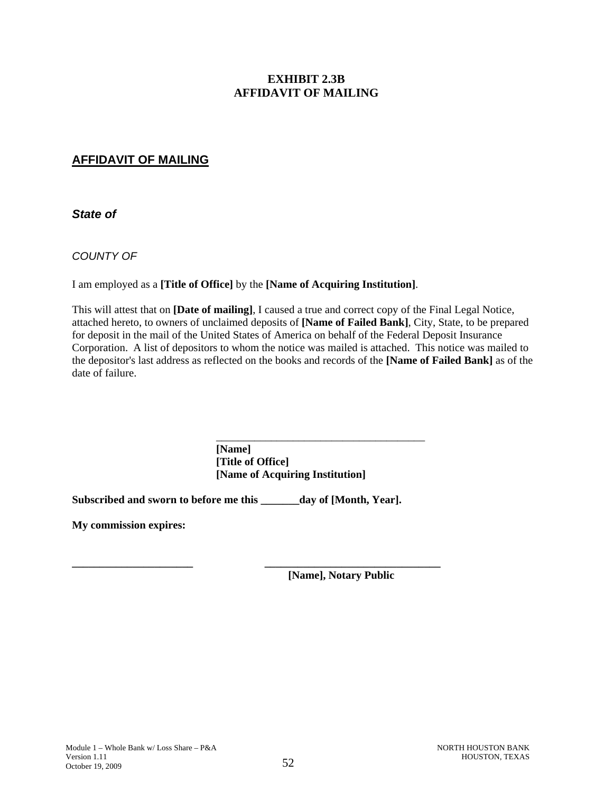## **EXHIBIT 2.3B AFFIDAVIT OF MAILING**

## **AFFIDAVIT OF MAILING**

*State of* 

*COUNTY OF* 

I am employed as a **[Title of Office]** by the **[Name of Acquiring Institution]**.

This will attest that on **[Date of mailing]**, I caused a true and correct copy of the Final Legal Notice, attached hereto, to owners of unclaimed deposits of **[Name of Failed Bank]**, City, State, to be prepared for deposit in the mail of the United States of America on behalf of the Federal Deposit Insurance Corporation. A list of depositors to whom the notice was mailed is attached. This notice was mailed to the depositor's last address as reflected on the books and records of the **[Name of Failed Bank]** as of the date of failure.

 $\overline{\phantom{a}}$  , and the contract of the contract of the contract of the contract of the contract of the contract of the contract of the contract of the contract of the contract of the contract of the contract of the contrac **[Name] [Title of Office] [Name of Acquiring Institution]** 

**Subscribed and sworn to before me this \_\_\_\_\_\_\_day of [Month, Year].** 

**My commission expires:** 

**\_\_\_\_\_\_\_\_\_\_\_\_\_\_\_\_\_\_\_\_\_\_ \_\_\_\_\_\_\_\_\_\_\_\_\_\_\_\_\_\_\_\_\_\_\_\_\_\_\_\_\_\_\_\_ [Name], Notary Public**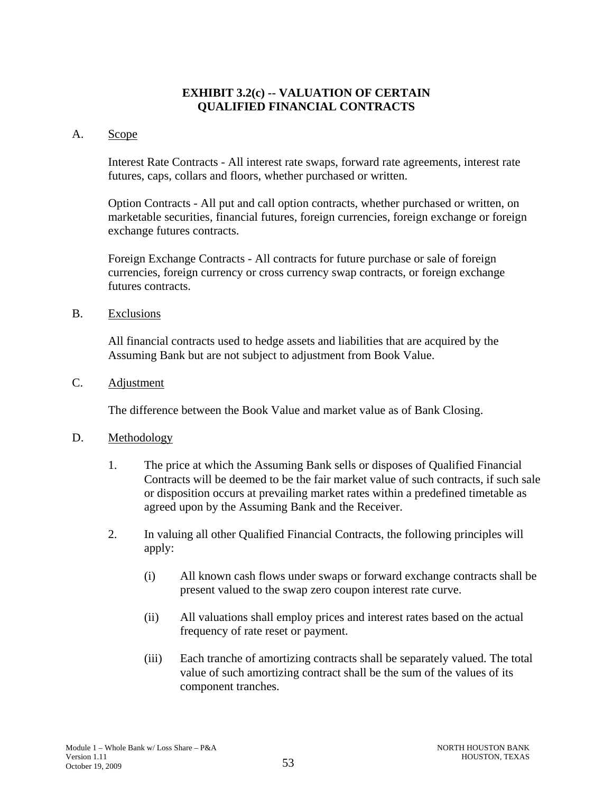## **EXHIBIT 3.2(c) -- VALUATION OF CERTAIN QUALIFIED FINANCIAL CONTRACTS**

### A. Scope

Interest Rate Contracts - All interest rate swaps, forward rate agreements, interest rate futures, caps, collars and floors, whether purchased or written.

Option Contracts - All put and call option contracts, whether purchased or written, on marketable securities, financial futures, foreign currencies, foreign exchange or foreign exchange futures contracts.

Foreign Exchange Contracts - All contracts for future purchase or sale of foreign currencies, foreign currency or cross currency swap contracts, or foreign exchange futures contracts.

### B. Exclusions

All financial contracts used to hedge assets and liabilities that are acquired by the Assuming Bank but are not subject to adjustment from Book Value.

### C. Adjustment

The difference between the Book Value and market value as of Bank Closing.

### D. Methodology

- 1. The price at which the Assuming Bank sells or disposes of Qualified Financial Contracts will be deemed to be the fair market value of such contracts, if such sale or disposition occurs at prevailing market rates within a predefined timetable as agreed upon by the Assuming Bank and the Receiver.
- 2. In valuing all other Qualified Financial Contracts, the following principles will apply:
	- (i) All known cash flows under swaps or forward exchange contracts shall be present valued to the swap zero coupon interest rate curve.
	- (ii) All valuations shall employ prices and interest rates based on the actual frequency of rate reset or payment.
	- (iii) Each tranche of amortizing contracts shall be separately valued. The total value of such amortizing contract shall be the sum of the values of its component tranches.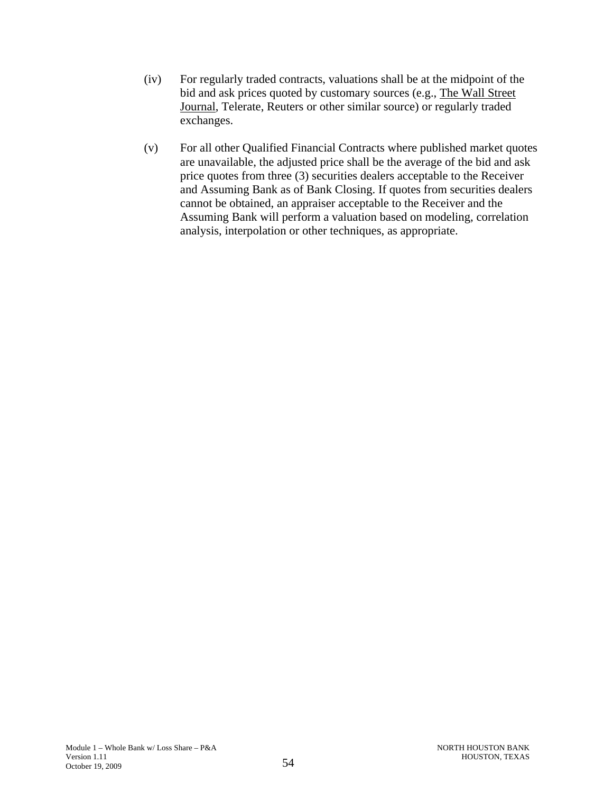- (iv) For regularly traded contracts, valuations shall be at the midpoint of the bid and ask prices quoted by customary sources (e.g., The Wall Street Journal, Telerate, Reuters or other similar source) or regularly traded exchanges.
- (v) For all other Qualified Financial Contracts where published market quotes are unavailable, the adjusted price shall be the average of the bid and ask price quotes from three (3) securities dealers acceptable to the Receiver and Assuming Bank as of Bank Closing. If quotes from securities dealers cannot be obtained, an appraiser acceptable to the Receiver and the Assuming Bank will perform a valuation based on modeling, correlation analysis, interpolation or other techniques, as appropriate.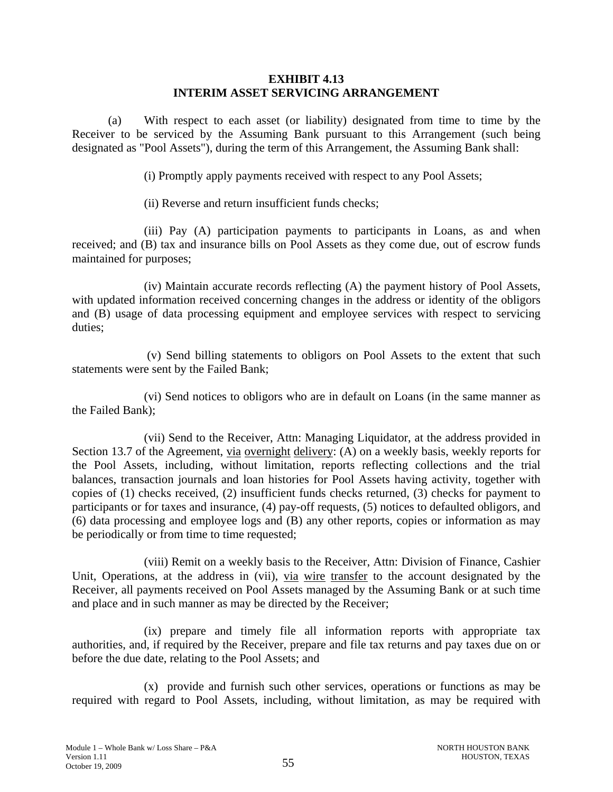### **EXHIBIT 4.13 INTERIM ASSET SERVICING ARRANGEMENT**

(a) With respect to each asset (or liability) designated from time to time by the Receiver to be serviced by the Assuming Bank pursuant to this Arrangement (such being designated as "Pool Assets"), during the term of this Arrangement, the Assuming Bank shall:

(i) Promptly apply payments received with respect to any Pool Assets;

(ii) Reverse and return insufficient funds checks;

(iii) Pay (A) participation payments to participants in Loans, as and when received; and (B) tax and insurance bills on Pool Assets as they come due, out of escrow funds maintained for purposes;

(iv) Maintain accurate records reflecting (A) the payment history of Pool Assets, with updated information received concerning changes in the address or identity of the obligors and (B) usage of data processing equipment and employee services with respect to servicing duties;

(v) Send billing statements to obligors on Pool Assets to the extent that such statements were sent by the Failed Bank;

(vi) Send notices to obligors who are in default on Loans (in the same manner as the Failed Bank);

(vii) Send to the Receiver, Attn: Managing Liquidator, at the address provided in Section 13.7 of the Agreement, via overnight delivery: (A) on a weekly basis, weekly reports for the Pool Assets, including, without limitation, reports reflecting collections and the trial balances, transaction journals and loan histories for Pool Assets having activity, together with copies of (1) checks received, (2) insufficient funds checks returned, (3) checks for payment to participants or for taxes and insurance, (4) pay-off requests, (5) notices to defaulted obligors, and (6) data processing and employee logs and (B) any other reports, copies or information as may be periodically or from time to time requested;

(viii) Remit on a weekly basis to the Receiver, Attn: Division of Finance, Cashier Unit, Operations, at the address in (vii), via wire transfer to the account designated by the Receiver, all payments received on Pool Assets managed by the Assuming Bank or at such time and place and in such manner as may be directed by the Receiver;

(ix) prepare and timely file all information reports with appropriate tax authorities, and, if required by the Receiver, prepare and file tax returns and pay taxes due on or before the due date, relating to the Pool Assets; and

(x) provide and furnish such other services, operations or functions as may be required with regard to Pool Assets, including, without limitation, as may be required with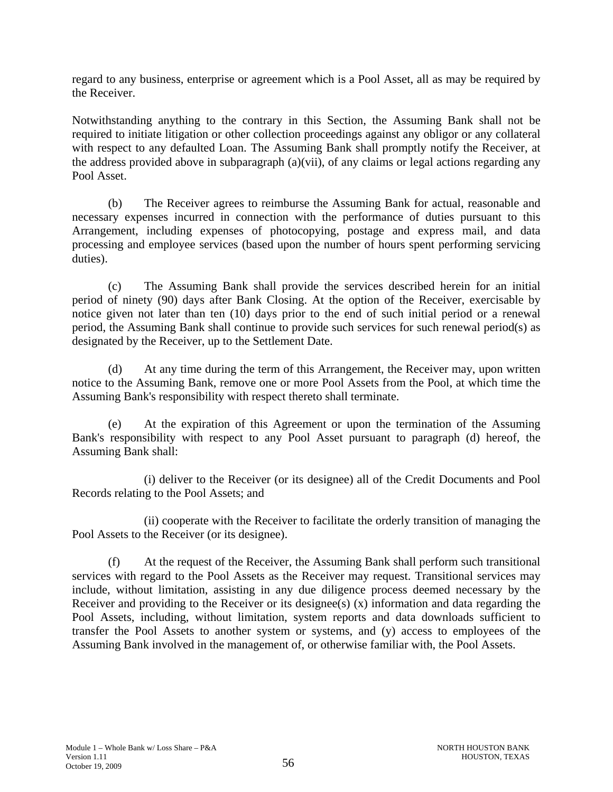regard to any business, enterprise or agreement which is a Pool Asset, all as may be required by the Receiver.

Notwithstanding anything to the contrary in this Section, the Assuming Bank shall not be required to initiate litigation or other collection proceedings against any obligor or any collateral with respect to any defaulted Loan. The Assuming Bank shall promptly notify the Receiver, at the address provided above in subparagraph (a)(vii), of any claims or legal actions regarding any Pool Asset.

(b) The Receiver agrees to reimburse the Assuming Bank for actual, reasonable and necessary expenses incurred in connection with the performance of duties pursuant to this Arrangement, including expenses of photocopying, postage and express mail, and data processing and employee services (based upon the number of hours spent performing servicing duties).

(c) The Assuming Bank shall provide the services described herein for an initial period of ninety (90) days after Bank Closing. At the option of the Receiver, exercisable by notice given not later than ten (10) days prior to the end of such initial period or a renewal period, the Assuming Bank shall continue to provide such services for such renewal period(s) as designated by the Receiver, up to the Settlement Date.

(d) At any time during the term of this Arrangement, the Receiver may, upon written notice to the Assuming Bank, remove one or more Pool Assets from the Pool, at which time the Assuming Bank's responsibility with respect thereto shall terminate.

(e) At the expiration of this Agreement or upon the termination of the Assuming Bank's responsibility with respect to any Pool Asset pursuant to paragraph (d) hereof, the Assuming Bank shall:

(i) deliver to the Receiver (or its designee) all of the Credit Documents and Pool Records relating to the Pool Assets; and

(ii) cooperate with the Receiver to facilitate the orderly transition of managing the Pool Assets to the Receiver (or its designee).

(f) At the request of the Receiver, the Assuming Bank shall perform such transitional services with regard to the Pool Assets as the Receiver may request. Transitional services may include, without limitation, assisting in any due diligence process deemed necessary by the Receiver and providing to the Receiver or its designee(s) (x) information and data regarding the Pool Assets, including, without limitation, system reports and data downloads sufficient to transfer the Pool Assets to another system or systems, and (y) access to employees of the Assuming Bank involved in the management of, or otherwise familiar with, the Pool Assets.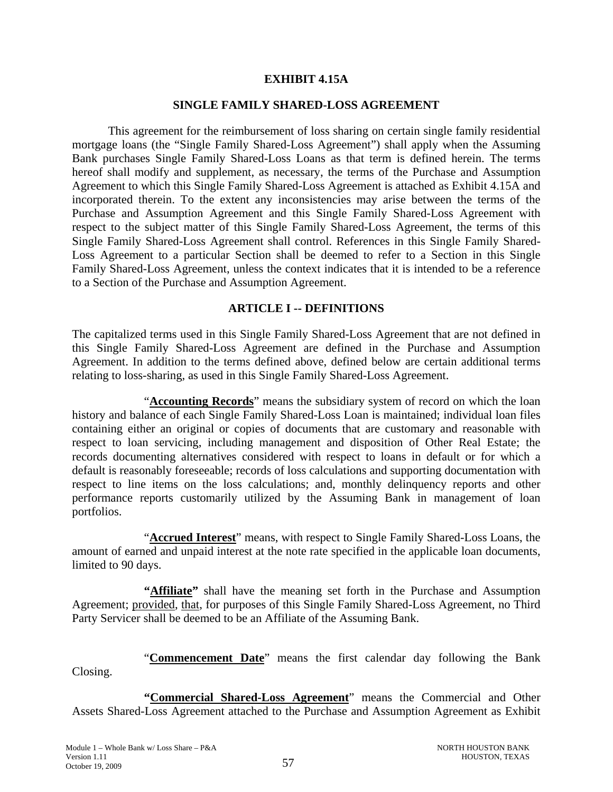### **EXHIBIT 4.15A**

### **SINGLE FAMILY SHARED-LOSS AGREEMENT**

This agreement for the reimbursement of loss sharing on certain single family residential mortgage loans (the "Single Family Shared-Loss Agreement") shall apply when the Assuming Bank purchases Single Family Shared-Loss Loans as that term is defined herein. The terms hereof shall modify and supplement, as necessary, the terms of the Purchase and Assumption Agreement to which this Single Family Shared-Loss Agreement is attached as Exhibit 4.15A and incorporated therein. To the extent any inconsistencies may arise between the terms of the Purchase and Assumption Agreement and this Single Family Shared-Loss Agreement with respect to the subject matter of this Single Family Shared-Loss Agreement, the terms of this Single Family Shared-Loss Agreement shall control. References in this Single Family Shared-Loss Agreement to a particular Section shall be deemed to refer to a Section in this Single Family Shared-Loss Agreement, unless the context indicates that it is intended to be a reference to a Section of the Purchase and Assumption Agreement.

### **ARTICLE I -- DEFINITIONS**

The capitalized terms used in this Single Family Shared-Loss Agreement that are not defined in this Single Family Shared-Loss Agreement are defined in the Purchase and Assumption Agreement. In addition to the terms defined above, defined below are certain additional terms relating to loss-sharing, as used in this Single Family Shared-Loss Agreement.

"**Accounting Records**" means the subsidiary system of record on which the loan history and balance of each Single Family Shared-Loss Loan is maintained; individual loan files containing either an original or copies of documents that are customary and reasonable with respect to loan servicing, including management and disposition of Other Real Estate; the records documenting alternatives considered with respect to loans in default or for which a default is reasonably foreseeable; records of loss calculations and supporting documentation with respect to line items on the loss calculations; and, monthly delinquency reports and other performance reports customarily utilized by the Assuming Bank in management of loan portfolios.

"**Accrued Interest**" means, with respect to Single Family Shared-Loss Loans, the amount of earned and unpaid interest at the note rate specified in the applicable loan documents, limited to 90 days.

"**Affiliate**" shall have the meaning set forth in the Purchase and Assumption Agreement; provided, that, for purposes of this Single Family Shared-Loss Agreement, no Third Party Servicer shall be deemed to be an Affiliate of the Assuming Bank.

"**Commencement Date**" means the first calendar day following the Bank Closing.

**"Commercial Shared-Loss Agreement**" means the Commercial and Other Assets Shared-Loss Agreement attached to the Purchase and Assumption Agreement as Exhibit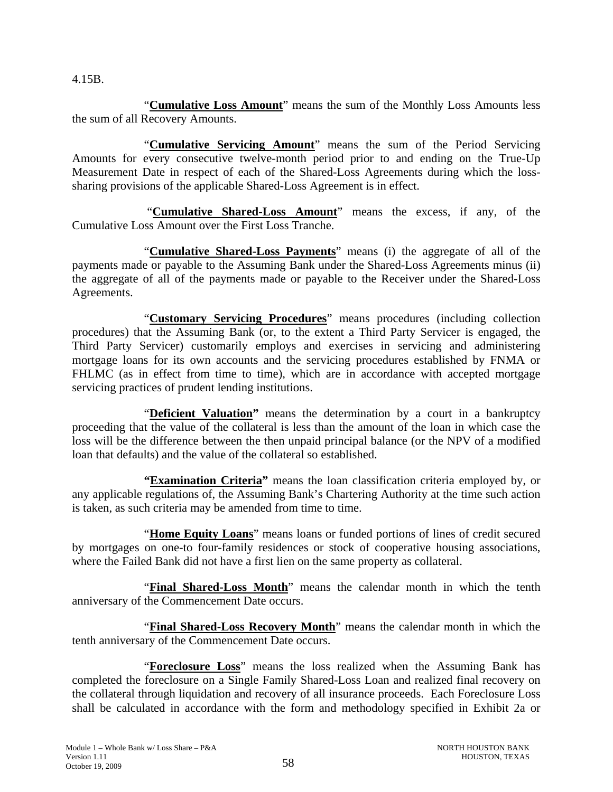4.15B.

"**Cumulative Loss Amount**" means the sum of the Monthly Loss Amounts less the sum of all Recovery Amounts.

"**Cumulative Servicing Amount**" means the sum of the Period Servicing Amounts for every consecutive twelve-month period prior to and ending on the True-Up Measurement Date in respect of each of the Shared-Loss Agreements during which the losssharing provisions of the applicable Shared-Loss Agreement is in effect.

"**Cumulative Shared-Loss Amount**" means the excess, if any, of the Cumulative Loss Amount over the First Loss Tranche.

"**Cumulative Shared-Loss Payments**" means (i) the aggregate of all of the payments made or payable to the Assuming Bank under the Shared-Loss Agreements minus (ii) the aggregate of all of the payments made or payable to the Receiver under the Shared-Loss Agreements.

"**Customary Servicing Procedures**" means procedures (including collection procedures) that the Assuming Bank (or, to the extent a Third Party Servicer is engaged, the Third Party Servicer) customarily employs and exercises in servicing and administering mortgage loans for its own accounts and the servicing procedures established by FNMA or FHLMC (as in effect from time to time), which are in accordance with accepted mortgage servicing practices of prudent lending institutions.

"**Deficient Valuation"** means the determination by a court in a bankruptcy proceeding that the value of the collateral is less than the amount of the loan in which case the loss will be the difference between the then unpaid principal balance (or the NPV of a modified loan that defaults) and the value of the collateral so established.

**"Examination Criteria"** means the loan classification criteria employed by, or any applicable regulations of, the Assuming Bank's Chartering Authority at the time such action is taken, as such criteria may be amended from time to time.

"**Home Equity Loans**" means loans or funded portions of lines of credit secured by mortgages on one-to four-family residences or stock of cooperative housing associations, where the Failed Bank did not have a first lien on the same property as collateral.

"**Final Shared-Loss Month**" means the calendar month in which the tenth anniversary of the Commencement Date occurs.

"**Final Shared-Loss Recovery Month**" means the calendar month in which the tenth anniversary of the Commencement Date occurs.

"**Foreclosure Loss**" means the loss realized when the Assuming Bank has completed the foreclosure on a Single Family Shared-Loss Loan and realized final recovery on the collateral through liquidation and recovery of all insurance proceeds. Each Foreclosure Loss shall be calculated in accordance with the form and methodology specified in Exhibit 2a or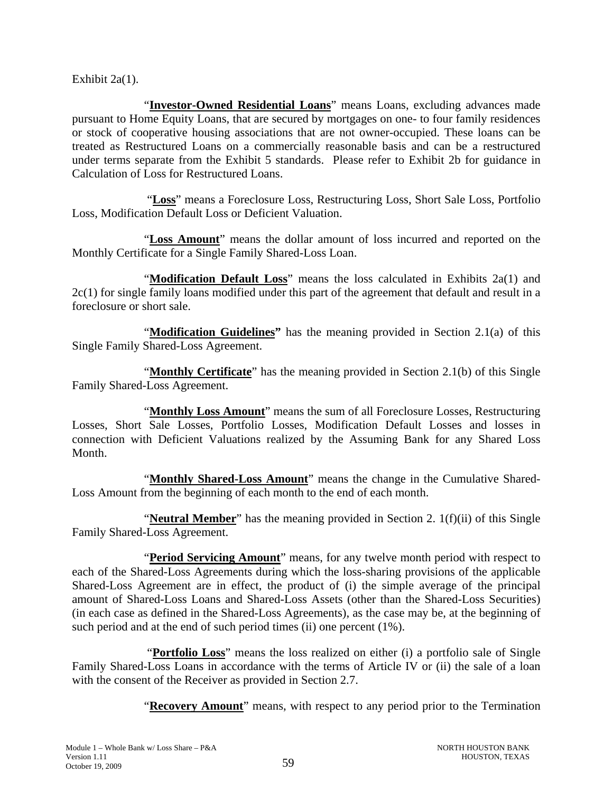Exhibit 2a(1).

"**Investor-Owned Residential Loans**" means Loans, excluding advances made pursuant to Home Equity Loans, that are secured by mortgages on one- to four family residences or stock of cooperative housing associations that are not owner-occupied. These loans can be treated as Restructured Loans on a commercially reasonable basis and can be a restructured under terms separate from the Exhibit 5 standards. Please refer to Exhibit 2b for guidance in Calculation of Loss for Restructured Loans.

"**Loss**" means a Foreclosure Loss, Restructuring Loss, Short Sale Loss, Portfolio Loss, Modification Default Loss or Deficient Valuation.

"**Loss Amount**" means the dollar amount of loss incurred and reported on the Monthly Certificate for a Single Family Shared-Loss Loan.

"**Modification Default Loss**" means the loss calculated in Exhibits 2a(1) and 2c(1) for single family loans modified under this part of the agreement that default and result in a foreclosure or short sale.

"**Modification Guidelines"** has the meaning provided in Section 2.1(a) of this Single Family Shared-Loss Agreement.

"**Monthly Certificate**" has the meaning provided in Section 2.1(b) of this Single Family Shared-Loss Agreement.

"Monthly Loss Amount" means the sum of all Foreclosure Losses, Restructuring Losses, Short Sale Losses, Portfolio Losses, Modification Default Losses and losses in connection with Deficient Valuations realized by the Assuming Bank for any Shared Loss Month.

"**Monthly Shared-Loss Amount**" means the change in the Cumulative Shared-Loss Amount from the beginning of each month to the end of each month.

"**Neutral Member**" has the meaning provided in Section 2. 1(f)(ii) of this Single Family Shared-Loss Agreement.

"**Period Servicing Amount**" means, for any twelve month period with respect to each of the Shared-Loss Agreements during which the loss-sharing provisions of the applicable Shared-Loss Agreement are in effect, the product of (i) the simple average of the principal amount of Shared-Loss Loans and Shared-Loss Assets (other than the Shared-Loss Securities) (in each case as defined in the Shared-Loss Agreements), as the case may be, at the beginning of such period and at the end of such period times (ii) one percent (1%).

"**Portfolio Loss**" means the loss realized on either (i) a portfolio sale of Single Family Shared-Loss Loans in accordance with the terms of Article IV or (ii) the sale of a loan with the consent of the Receiver as provided in Section 2.7.

"**Recovery Amount**" means, with respect to any period prior to the Termination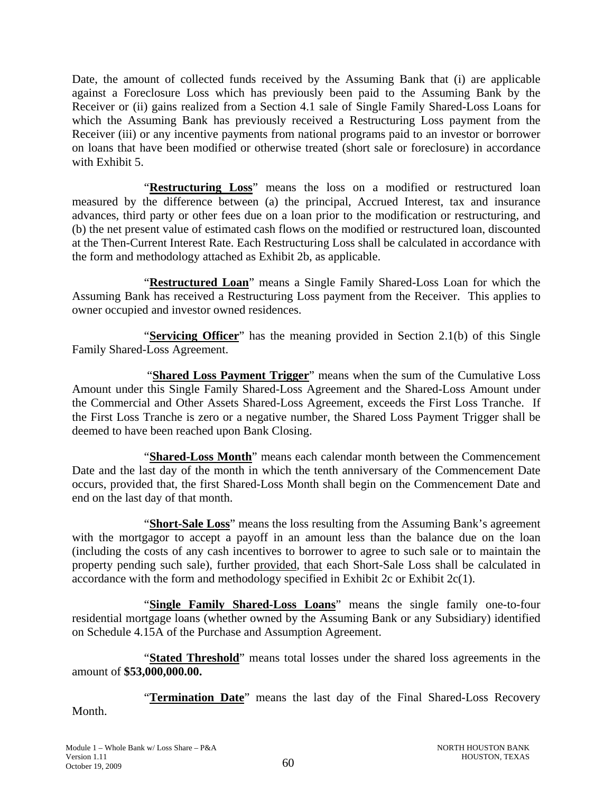Date, the amount of collected funds received by the Assuming Bank that (i) are applicable against a Foreclosure Loss which has previously been paid to the Assuming Bank by the Receiver or (ii) gains realized from a Section 4.1 sale of Single Family Shared-Loss Loans for which the Assuming Bank has previously received a Restructuring Loss payment from the Receiver (iii) or any incentive payments from national programs paid to an investor or borrower on loans that have been modified or otherwise treated (short sale or foreclosure) in accordance with Exhibit 5.

"**Restructuring Loss**" means the loss on a modified or restructured loan measured by the difference between (a) the principal, Accrued Interest, tax and insurance advances, third party or other fees due on a loan prior to the modification or restructuring, and (b) the net present value of estimated cash flows on the modified or restructured loan, discounted at the Then-Current Interest Rate. Each Restructuring Loss shall be calculated in accordance with the form and methodology attached as Exhibit 2b, as applicable.

"**Restructured Loan**" means a Single Family Shared-Loss Loan for which the Assuming Bank has received a Restructuring Loss payment from the Receiver. This applies to owner occupied and investor owned residences.

"**Servicing Officer**" has the meaning provided in Section 2.1(b) of this Single Family Shared-Loss Agreement.

"Shared Loss Payment Trigger" means when the sum of the Cumulative Loss Amount under this Single Family Shared-Loss Agreement and the Shared-Loss Amount under the Commercial and Other Assets Shared-Loss Agreement, exceeds the First Loss Tranche. If the First Loss Tranche is zero or a negative number, the Shared Loss Payment Trigger shall be deemed to have been reached upon Bank Closing.

"**Shared-Loss Month**" means each calendar month between the Commencement Date and the last day of the month in which the tenth anniversary of the Commencement Date occurs, provided that, the first Shared-Loss Month shall begin on the Commencement Date and end on the last day of that month.

"**Short-Sale Loss**" means the loss resulting from the Assuming Bank's agreement with the mortgagor to accept a payoff in an amount less than the balance due on the loan (including the costs of any cash incentives to borrower to agree to such sale or to maintain the property pending such sale), further provided, that each Short-Sale Loss shall be calculated in accordance with the form and methodology specified in Exhibit 2c or Exhibit 2c(1).

"**Single Family Shared-Loss Loans**" means the single family one-to-four residential mortgage loans (whether owned by the Assuming Bank or any Subsidiary) identified on Schedule 4.15A of the Purchase and Assumption Agreement.

"**Stated Threshold**" means total losses under the shared loss agreements in the amount of **\$53,000,000.00.** 

"**Termination Date**" means the last day of the Final Shared-Loss Recovery Month.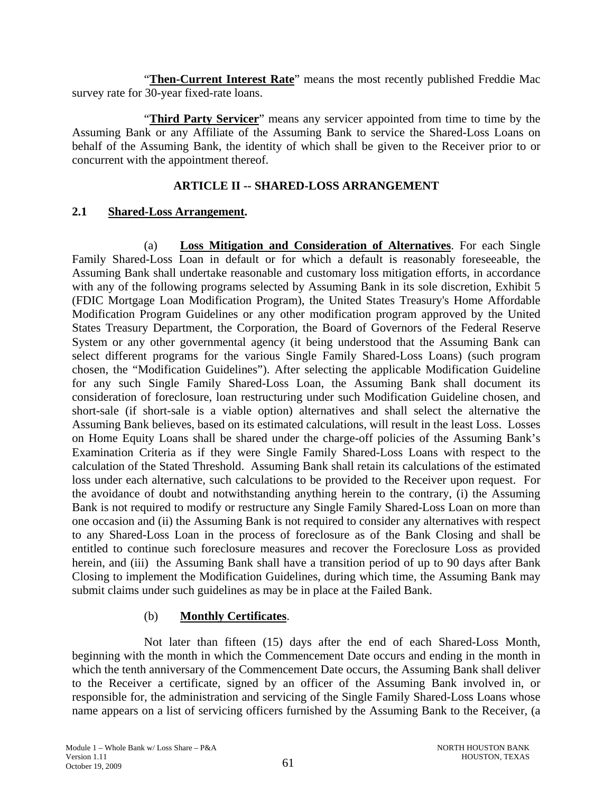"**Then-Current Interest Rate**" means the most recently published Freddie Mac survey rate for 30-year fixed-rate loans.

"**Third Party Servicer**" means any servicer appointed from time to time by the Assuming Bank or any Affiliate of the Assuming Bank to service the Shared-Loss Loans on behalf of the Assuming Bank, the identity of which shall be given to the Receiver prior to or concurrent with the appointment thereof.

### **ARTICLE II -- SHARED-LOSS ARRANGEMENT**

## **2.1 Shared-Loss Arrangement.**

(a) **Loss Mitigation and Consideration of Alternatives**. For each Single Family Shared-Loss Loan in default or for which a default is reasonably foreseeable, the Assuming Bank shall undertake reasonable and customary loss mitigation efforts, in accordance with any of the following programs selected by Assuming Bank in its sole discretion, Exhibit 5 (FDIC Mortgage Loan Modification Program), the United States Treasury's Home Affordable Modification Program Guidelines or any other modification program approved by the United States Treasury Department, the Corporation, the Board of Governors of the Federal Reserve System or any other governmental agency (it being understood that the Assuming Bank can select different programs for the various Single Family Shared-Loss Loans) (such program chosen, the "Modification Guidelines"). After selecting the applicable Modification Guideline for any such Single Family Shared-Loss Loan, the Assuming Bank shall document its consideration of foreclosure, loan restructuring under such Modification Guideline chosen, and short-sale (if short-sale is a viable option) alternatives and shall select the alternative the Assuming Bank believes, based on its estimated calculations, will result in the least Loss. Losses on Home Equity Loans shall be shared under the charge-off policies of the Assuming Bank's Examination Criteria as if they were Single Family Shared-Loss Loans with respect to the calculation of the Stated Threshold. Assuming Bank shall retain its calculations of the estimated loss under each alternative, such calculations to be provided to the Receiver upon request. For the avoidance of doubt and notwithstanding anything herein to the contrary, (i) the Assuming Bank is not required to modify or restructure any Single Family Shared-Loss Loan on more than one occasion and (ii) the Assuming Bank is not required to consider any alternatives with respect to any Shared-Loss Loan in the process of foreclosure as of the Bank Closing and shall be entitled to continue such foreclosure measures and recover the Foreclosure Loss as provided herein, and (iii) the Assuming Bank shall have a transition period of up to 90 days after Bank Closing to implement the Modification Guidelines, during which time, the Assuming Bank may submit claims under such guidelines as may be in place at the Failed Bank.

## (b) **Monthly Certificates**.

Not later than fifteen (15) days after the end of each Shared-Loss Month, beginning with the month in which the Commencement Date occurs and ending in the month in which the tenth anniversary of the Commencement Date occurs, the Assuming Bank shall deliver to the Receiver a certificate, signed by an officer of the Assuming Bank involved in, or responsible for, the administration and servicing of the Single Family Shared-Loss Loans whose name appears on a list of servicing officers furnished by the Assuming Bank to the Receiver, (a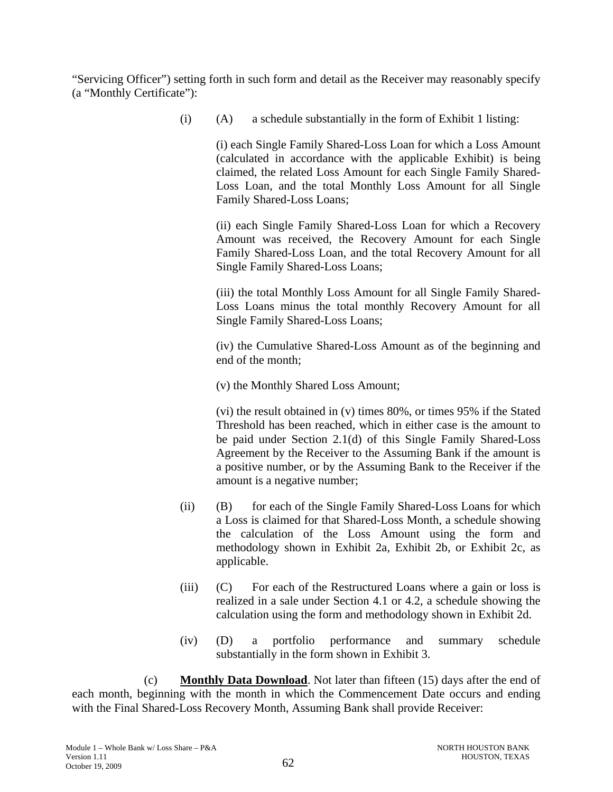"Servicing Officer") setting forth in such form and detail as the Receiver may reasonably specify (a "Monthly Certificate"):

 $(i)$  (A) a schedule substantially in the form of Exhibit 1 listing:

(i) each Single Family Shared-Loss Loan for which a Loss Amount (calculated in accordance with the applicable Exhibit) is being claimed, the related Loss Amount for each Single Family Shared-Loss Loan, and the total Monthly Loss Amount for all Single Family Shared-Loss Loans;

(ii) each Single Family Shared-Loss Loan for which a Recovery Amount was received, the Recovery Amount for each Single Family Shared-Loss Loan, and the total Recovery Amount for all Single Family Shared-Loss Loans;

(iii) the total Monthly Loss Amount for all Single Family Shared-Loss Loans minus the total monthly Recovery Amount for all Single Family Shared-Loss Loans;

(iv) the Cumulative Shared-Loss Amount as of the beginning and end of the month;

(v) the Monthly Shared Loss Amount;

(vi) the result obtained in (v) times 80%, or times 95% if the Stated Threshold has been reached, which in either case is the amount to be paid under Section 2.1(d) of this Single Family Shared-Loss Agreement by the Receiver to the Assuming Bank if the amount is a positive number, or by the Assuming Bank to the Receiver if the amount is a negative number;

- (ii) (B) for each of the Single Family Shared-Loss Loans for which a Loss is claimed for that Shared-Loss Month, a schedule showing the calculation of the Loss Amount using the form and methodology shown in Exhibit 2a, Exhibit 2b, or Exhibit 2c, as applicable.
- (iii) (C) For each of the Restructured Loans where a gain or loss is realized in a sale under Section 4.1 or 4.2, a schedule showing the calculation using the form and methodology shown in Exhibit 2d.
- (iv) (D) a portfolio performance and summary schedule substantially in the form shown in Exhibit 3.

(c) **Monthly Data Download**. Not later than fifteen (15) days after the end of each month, beginning with the month in which the Commencement Date occurs and ending with the Final Shared-Loss Recovery Month, Assuming Bank shall provide Receiver: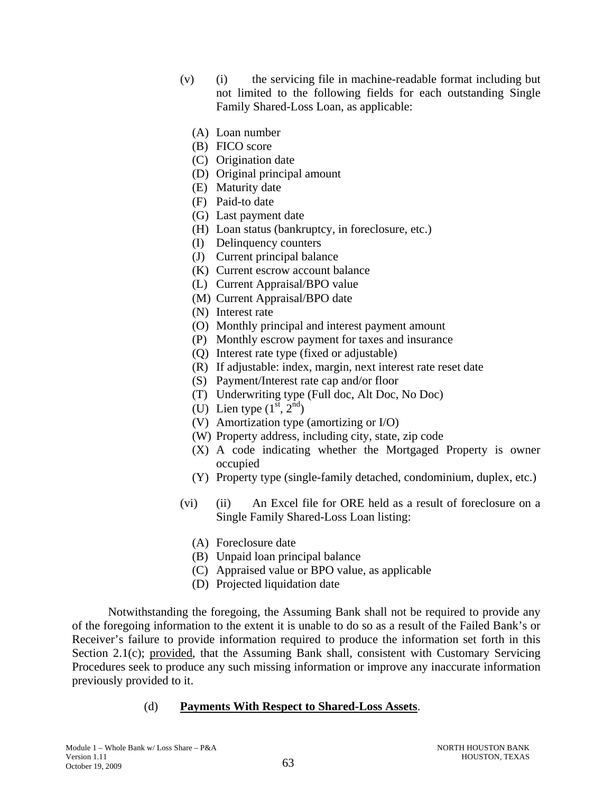- $(v)$  (i) the servicing file in machine-readable format including but not limited to the following fields for each outstanding Single Family Shared-Loss Loan, as applicable:
	- (A) Loan number
	- (B) FICO score
	- (C) Origination date
	- (D) Original principal amount
	- (E) Maturity date
	- (F) Paid-to date
	- (G) Last payment date
	- (H) Loan status (bankruptcy, in foreclosure, etc.)
	- (I) Delinquency counters
	- (J) Current principal balance
	- (K) Current escrow account balance
	- (L) Current Appraisal/BPO value
	- (M) Current Appraisal/BPO date
	- (N) Interest rate
	- (O) Monthly principal and interest payment amount
	- (P) Monthly escrow payment for taxes and insurance
	- (Q) Interest rate type (fixed or adjustable)
	- (R) If adjustable: index, margin, next interest rate reset date
	- (S) Payment/Interest rate cap and/or floor
	- (T) Underwriting type (Full doc, Alt Doc, No Doc)
	- (U) Lien type  $(1^{\overline{s}t}, 2^{\overline{n}d})$
	- (V) Amortization type (amortizing or I/O)
	- (W) Property address, including city, state, zip code
	- (X) A code indicating whether the Mortgaged Property is owner occupied
	- (Y) Property type (single-family detached, condominium, duplex, etc.)
- (vi) (ii) An Excel file for ORE held as a result of foreclosure on a Single Family Shared-Loss Loan listing:
	- (A) Foreclosure date
	- (B) Unpaid loan principal balance
	- (C) Appraised value or BPO value, as applicable
	- (D) Projected liquidation date

Notwithstanding the foregoing, the Assuming Bank shall not be required to provide any of the foregoing information to the extent it is unable to do so as a result of the Failed Bank's or Receiver's failure to provide information required to produce the information set forth in this Section 2.1(c); provided, that the Assuming Bank shall, consistent with Customary Servicing Procedures seek to produce any such missing information or improve any inaccurate information previously provided to it.

(d) **Payments With Respect to Shared-Loss Assets**.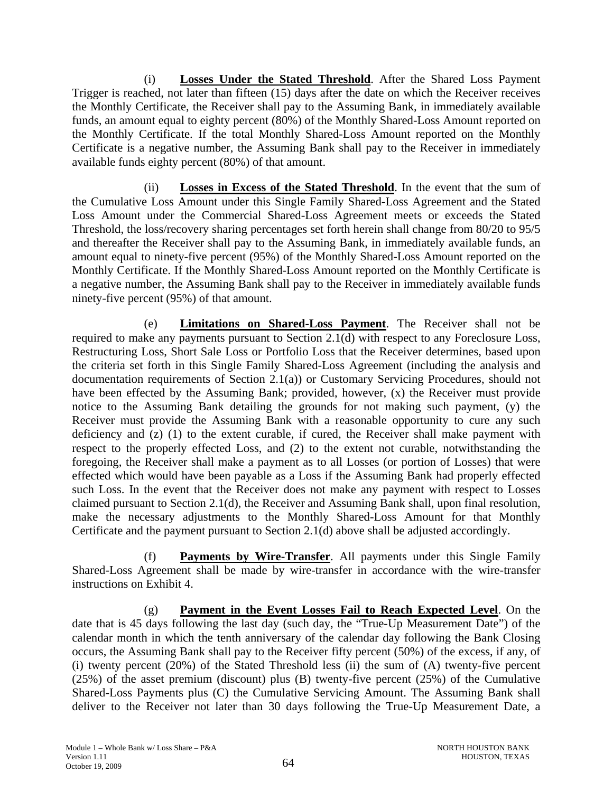(i) **Losses Under the Stated Threshold**. After the Shared Loss Payment Trigger is reached, not later than fifteen (15) days after the date on which the Receiver receives the Monthly Certificate, the Receiver shall pay to the Assuming Bank, in immediately available funds, an amount equal to eighty percent (80%) of the Monthly Shared-Loss Amount reported on the Monthly Certificate. If the total Monthly Shared-Loss Amount reported on the Monthly Certificate is a negative number, the Assuming Bank shall pay to the Receiver in immediately available funds eighty percent (80%) of that amount.

(ii) **Losses in Excess of the Stated Threshold**. In the event that the sum of the Cumulative Loss Amount under this Single Family Shared-Loss Agreement and the Stated Loss Amount under the Commercial Shared-Loss Agreement meets or exceeds the Stated Threshold, the loss/recovery sharing percentages set forth herein shall change from 80/20 to 95/5 and thereafter the Receiver shall pay to the Assuming Bank, in immediately available funds, an amount equal to ninety-five percent (95%) of the Monthly Shared-Loss Amount reported on the Monthly Certificate. If the Monthly Shared-Loss Amount reported on the Monthly Certificate is a negative number, the Assuming Bank shall pay to the Receiver in immediately available funds ninety-five percent (95%) of that amount.

(e) **Limitations on Shared-Loss Payment**. The Receiver shall not be required to make any payments pursuant to Section 2.1(d) with respect to any Foreclosure Loss, Restructuring Loss, Short Sale Loss or Portfolio Loss that the Receiver determines, based upon the criteria set forth in this Single Family Shared-Loss Agreement (including the analysis and documentation requirements of Section 2.1(a)) or Customary Servicing Procedures, should not have been effected by the Assuming Bank; provided, however, (x) the Receiver must provide notice to the Assuming Bank detailing the grounds for not making such payment, (y) the Receiver must provide the Assuming Bank with a reasonable opportunity to cure any such deficiency and (z) (1) to the extent curable, if cured, the Receiver shall make payment with respect to the properly effected Loss, and (2) to the extent not curable, notwithstanding the foregoing, the Receiver shall make a payment as to all Losses (or portion of Losses) that were effected which would have been payable as a Loss if the Assuming Bank had properly effected such Loss. In the event that the Receiver does not make any payment with respect to Losses claimed pursuant to Section 2.1(d), the Receiver and Assuming Bank shall, upon final resolution, make the necessary adjustments to the Monthly Shared-Loss Amount for that Monthly Certificate and the payment pursuant to Section 2.1(d) above shall be adjusted accordingly.

(f) **Payments by Wire-Transfer**. All payments under this Single Family Shared-Loss Agreement shall be made by wire-transfer in accordance with the wire-transfer instructions on Exhibit 4.

 (g) **Payment in the Event Losses Fail to Reach Expected Level**. On the date that is 45 days following the last day (such day, the "True-Up Measurement Date") of the calendar month in which the tenth anniversary of the calendar day following the Bank Closing occurs, the Assuming Bank shall pay to the Receiver fifty percent (50%) of the excess, if any, of (i) twenty percent (20%) of the Stated Threshold less (ii) the sum of (A) twenty-five percent (25%) of the asset premium (discount) plus (B) twenty-five percent (25%) of the Cumulative Shared-Loss Payments plus (C) the Cumulative Servicing Amount. The Assuming Bank shall deliver to the Receiver not later than 30 days following the True-Up Measurement Date, a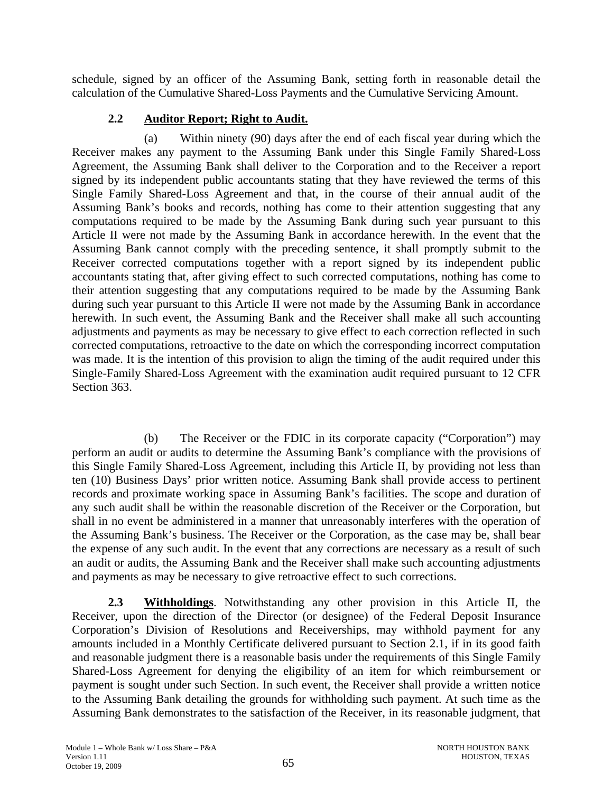schedule, signed by an officer of the Assuming Bank, setting forth in reasonable detail the calculation of the Cumulative Shared-Loss Payments and the Cumulative Servicing Amount.

# **2.2 Auditor Report; Right to Audit.**

(a) Within ninety (90) days after the end of each fiscal year during which the Receiver makes any payment to the Assuming Bank under this Single Family Shared-Loss Agreement, the Assuming Bank shall deliver to the Corporation and to the Receiver a report signed by its independent public accountants stating that they have reviewed the terms of this Single Family Shared-Loss Agreement and that, in the course of their annual audit of the Assuming Bank's books and records, nothing has come to their attention suggesting that any computations required to be made by the Assuming Bank during such year pursuant to this Article II were not made by the Assuming Bank in accordance herewith. In the event that the Assuming Bank cannot comply with the preceding sentence, it shall promptly submit to the Receiver corrected computations together with a report signed by its independent public accountants stating that, after giving effect to such corrected computations, nothing has come to their attention suggesting that any computations required to be made by the Assuming Bank during such year pursuant to this Article II were not made by the Assuming Bank in accordance herewith. In such event, the Assuming Bank and the Receiver shall make all such accounting adjustments and payments as may be necessary to give effect to each correction reflected in such corrected computations, retroactive to the date on which the corresponding incorrect computation was made. It is the intention of this provision to align the timing of the audit required under this Single-Family Shared-Loss Agreement with the examination audit required pursuant to 12 CFR Section 363.

(b) The Receiver or the FDIC in its corporate capacity ("Corporation") may perform an audit or audits to determine the Assuming Bank's compliance with the provisions of this Single Family Shared-Loss Agreement, including this Article II, by providing not less than ten (10) Business Days' prior written notice. Assuming Bank shall provide access to pertinent records and proximate working space in Assuming Bank's facilities. The scope and duration of any such audit shall be within the reasonable discretion of the Receiver or the Corporation, but shall in no event be administered in a manner that unreasonably interferes with the operation of the Assuming Bank's business. The Receiver or the Corporation, as the case may be, shall bear the expense of any such audit. In the event that any corrections are necessary as a result of such an audit or audits, the Assuming Bank and the Receiver shall make such accounting adjustments and payments as may be necessary to give retroactive effect to such corrections.

**2.3 Withholdings**. Notwithstanding any other provision in this Article II, the Receiver, upon the direction of the Director (or designee) of the Federal Deposit Insurance Corporation's Division of Resolutions and Receiverships, may withhold payment for any amounts included in a Monthly Certificate delivered pursuant to Section 2.1, if in its good faith and reasonable judgment there is a reasonable basis under the requirements of this Single Family Shared-Loss Agreement for denying the eligibility of an item for which reimbursement or payment is sought under such Section. In such event, the Receiver shall provide a written notice to the Assuming Bank detailing the grounds for withholding such payment. At such time as the Assuming Bank demonstrates to the satisfaction of the Receiver, in its reasonable judgment, that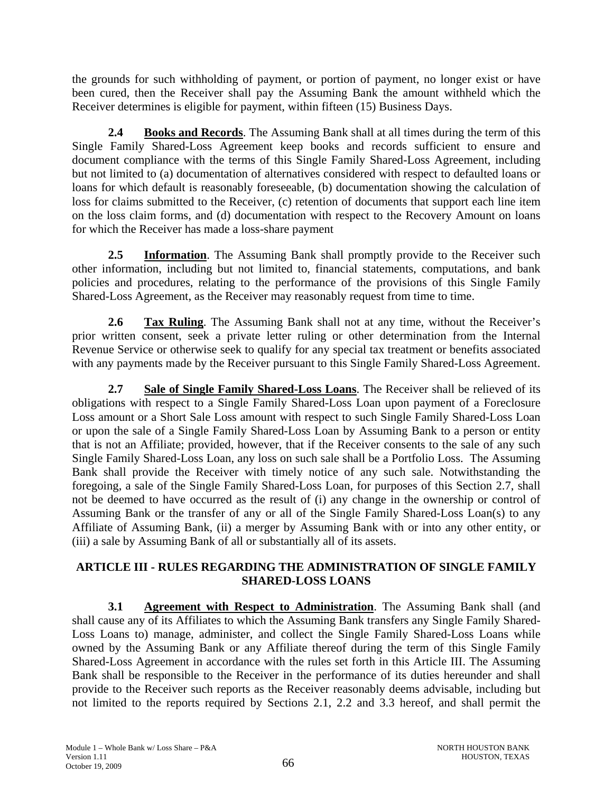the grounds for such withholding of payment, or portion of payment, no longer exist or have been cured, then the Receiver shall pay the Assuming Bank the amount withheld which the Receiver determines is eligible for payment, within fifteen (15) Business Days.

**2.4 Books and Records**. The Assuming Bank shall at all times during the term of this Single Family Shared-Loss Agreement keep books and records sufficient to ensure and document compliance with the terms of this Single Family Shared-Loss Agreement, including but not limited to (a) documentation of alternatives considered with respect to defaulted loans or loans for which default is reasonably foreseeable, (b) documentation showing the calculation of loss for claims submitted to the Receiver, (c) retention of documents that support each line item on the loss claim forms, and (d) documentation with respect to the Recovery Amount on loans for which the Receiver has made a loss-share payment

**2.5 Information**. The Assuming Bank shall promptly provide to the Receiver such other information, including but not limited to, financial statements, computations, and bank policies and procedures, relating to the performance of the provisions of this Single Family Shared-Loss Agreement, as the Receiver may reasonably request from time to time.

**2.6 Tax Ruling**. The Assuming Bank shall not at any time, without the Receiver's prior written consent, seek a private letter ruling or other determination from the Internal Revenue Service or otherwise seek to qualify for any special tax treatment or benefits associated with any payments made by the Receiver pursuant to this Single Family Shared-Loss Agreement.

**2.7 Sale of Single Family Shared-Loss Loans**. The Receiver shall be relieved of its obligations with respect to a Single Family Shared-Loss Loan upon payment of a Foreclosure Loss amount or a Short Sale Loss amount with respect to such Single Family Shared-Loss Loan or upon the sale of a Single Family Shared-Loss Loan by Assuming Bank to a person or entity that is not an Affiliate; provided, however, that if the Receiver consents to the sale of any such Single Family Shared-Loss Loan, any loss on such sale shall be a Portfolio Loss. The Assuming Bank shall provide the Receiver with timely notice of any such sale. Notwithstanding the foregoing, a sale of the Single Family Shared-Loss Loan, for purposes of this Section 2.7, shall not be deemed to have occurred as the result of (i) any change in the ownership or control of Assuming Bank or the transfer of any or all of the Single Family Shared-Loss Loan(s) to any Affiliate of Assuming Bank, (ii) a merger by Assuming Bank with or into any other entity, or (iii) a sale by Assuming Bank of all or substantially all of its assets.

# **ARTICLE III - RULES REGARDING THE ADMINISTRATION OF SINGLE FAMILY SHARED-LOSS LOANS**

**3.1 Agreement with Respect to Administration**. The Assuming Bank shall (and shall cause any of its Affiliates to which the Assuming Bank transfers any Single Family Shared-Loss Loans to) manage, administer, and collect the Single Family Shared-Loss Loans while owned by the Assuming Bank or any Affiliate thereof during the term of this Single Family Shared-Loss Agreement in accordance with the rules set forth in this Article III. The Assuming Bank shall be responsible to the Receiver in the performance of its duties hereunder and shall provide to the Receiver such reports as the Receiver reasonably deems advisable, including but not limited to the reports required by Sections 2.1, 2.2 and 3.3 hereof, and shall permit the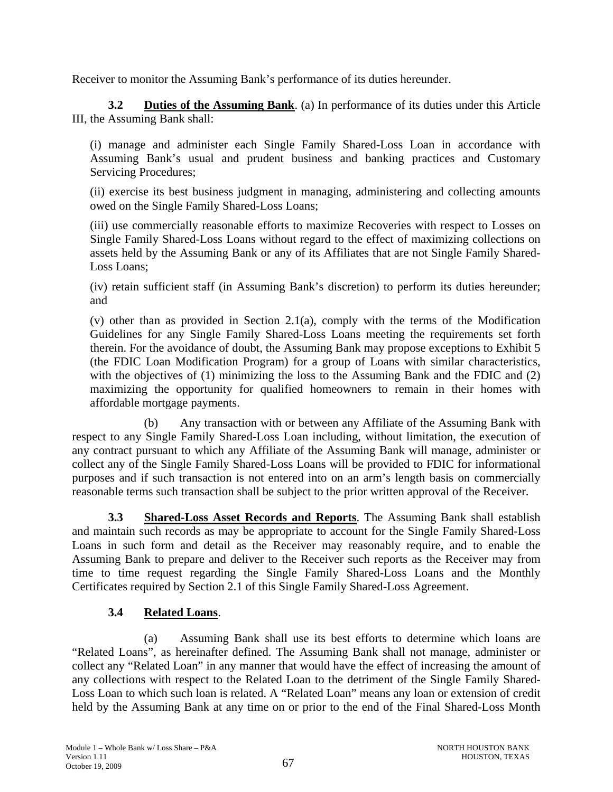Receiver to monitor the Assuming Bank's performance of its duties hereunder.

**3.2 Duties of the Assuming Bank**. (a) In performance of its duties under this Article III, the Assuming Bank shall:

(i) manage and administer each Single Family Shared-Loss Loan in accordance with Assuming Bank's usual and prudent business and banking practices and Customary Servicing Procedures;

(ii) exercise its best business judgment in managing, administering and collecting amounts owed on the Single Family Shared-Loss Loans;

(iii) use commercially reasonable efforts to maximize Recoveries with respect to Losses on Single Family Shared-Loss Loans without regard to the effect of maximizing collections on assets held by the Assuming Bank or any of its Affiliates that are not Single Family Shared-Loss Loans;

(iv) retain sufficient staff (in Assuming Bank's discretion) to perform its duties hereunder; and

(v) other than as provided in Section 2.1(a), comply with the terms of the Modification Guidelines for any Single Family Shared-Loss Loans meeting the requirements set forth therein. For the avoidance of doubt, the Assuming Bank may propose exceptions to Exhibit 5 (the FDIC Loan Modification Program) for a group of Loans with similar characteristics, with the objectives of (1) minimizing the loss to the Assuming Bank and the FDIC and (2) maximizing the opportunity for qualified homeowners to remain in their homes with affordable mortgage payments.

(b) Any transaction with or between any Affiliate of the Assuming Bank with respect to any Single Family Shared-Loss Loan including, without limitation, the execution of any contract pursuant to which any Affiliate of the Assuming Bank will manage, administer or collect any of the Single Family Shared-Loss Loans will be provided to FDIC for informational purposes and if such transaction is not entered into on an arm's length basis on commercially reasonable terms such transaction shall be subject to the prior written approval of the Receiver.

**3.3 Shared-Loss Asset Records and Reports**. The Assuming Bank shall establish and maintain such records as may be appropriate to account for the Single Family Shared-Loss Loans in such form and detail as the Receiver may reasonably require, and to enable the Assuming Bank to prepare and deliver to the Receiver such reports as the Receiver may from time to time request regarding the Single Family Shared-Loss Loans and the Monthly Certificates required by Section 2.1 of this Single Family Shared-Loss Agreement.

# **3.4 Related Loans**.

(a) Assuming Bank shall use its best efforts to determine which loans are "Related Loans", as hereinafter defined. The Assuming Bank shall not manage, administer or collect any "Related Loan" in any manner that would have the effect of increasing the amount of any collections with respect to the Related Loan to the detriment of the Single Family Shared-Loss Loan to which such loan is related. A "Related Loan" means any loan or extension of credit held by the Assuming Bank at any time on or prior to the end of the Final Shared-Loss Month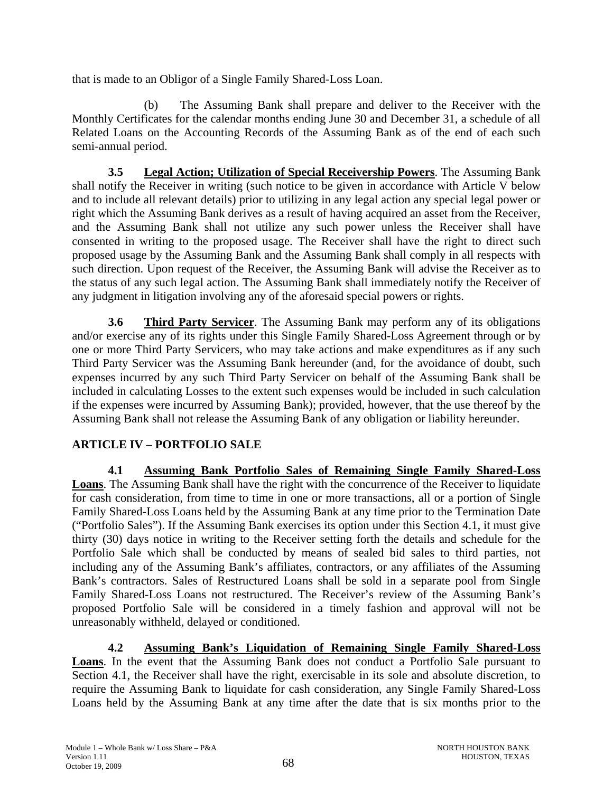that is made to an Obligor of a Single Family Shared-Loss Loan.

(b) The Assuming Bank shall prepare and deliver to the Receiver with the Monthly Certificates for the calendar months ending June 30 and December 31, a schedule of all Related Loans on the Accounting Records of the Assuming Bank as of the end of each such semi-annual period.

**3.5 Legal Action; Utilization of Special Receivership Powers**. The Assuming Bank shall notify the Receiver in writing (such notice to be given in accordance with Article V below and to include all relevant details) prior to utilizing in any legal action any special legal power or right which the Assuming Bank derives as a result of having acquired an asset from the Receiver, and the Assuming Bank shall not utilize any such power unless the Receiver shall have consented in writing to the proposed usage. The Receiver shall have the right to direct such proposed usage by the Assuming Bank and the Assuming Bank shall comply in all respects with such direction. Upon request of the Receiver, the Assuming Bank will advise the Receiver as to the status of any such legal action. The Assuming Bank shall immediately notify the Receiver of any judgment in litigation involving any of the aforesaid special powers or rights.

**3.6** Third Party Servicer. The Assuming Bank may perform any of its obligations and/or exercise any of its rights under this Single Family Shared-Loss Agreement through or by one or more Third Party Servicers, who may take actions and make expenditures as if any such Third Party Servicer was the Assuming Bank hereunder (and, for the avoidance of doubt, such expenses incurred by any such Third Party Servicer on behalf of the Assuming Bank shall be included in calculating Losses to the extent such expenses would be included in such calculation if the expenses were incurred by Assuming Bank); provided, however, that the use thereof by the Assuming Bank shall not release the Assuming Bank of any obligation or liability hereunder.

# **ARTICLE IV – PORTFOLIO SALE**

**4.1 Assuming Bank Portfolio Sales of Remaining Single Family Shared-Loss Loans**. The Assuming Bank shall have the right with the concurrence of the Receiver to liquidate for cash consideration, from time to time in one or more transactions, all or a portion of Single Family Shared-Loss Loans held by the Assuming Bank at any time prior to the Termination Date ("Portfolio Sales"). If the Assuming Bank exercises its option under this Section 4.1, it must give thirty (30) days notice in writing to the Receiver setting forth the details and schedule for the Portfolio Sale which shall be conducted by means of sealed bid sales to third parties, not including any of the Assuming Bank's affiliates, contractors, or any affiliates of the Assuming Bank's contractors. Sales of Restructured Loans shall be sold in a separate pool from Single Family Shared-Loss Loans not restructured. The Receiver's review of the Assuming Bank's proposed Portfolio Sale will be considered in a timely fashion and approval will not be unreasonably withheld, delayed or conditioned.

**4.2 Assuming Bank's Liquidation of Remaining Single Family Shared-Loss Loans**. In the event that the Assuming Bank does not conduct a Portfolio Sale pursuant to Section 4.1, the Receiver shall have the right, exercisable in its sole and absolute discretion, to require the Assuming Bank to liquidate for cash consideration, any Single Family Shared-Loss Loans held by the Assuming Bank at any time after the date that is six months prior to the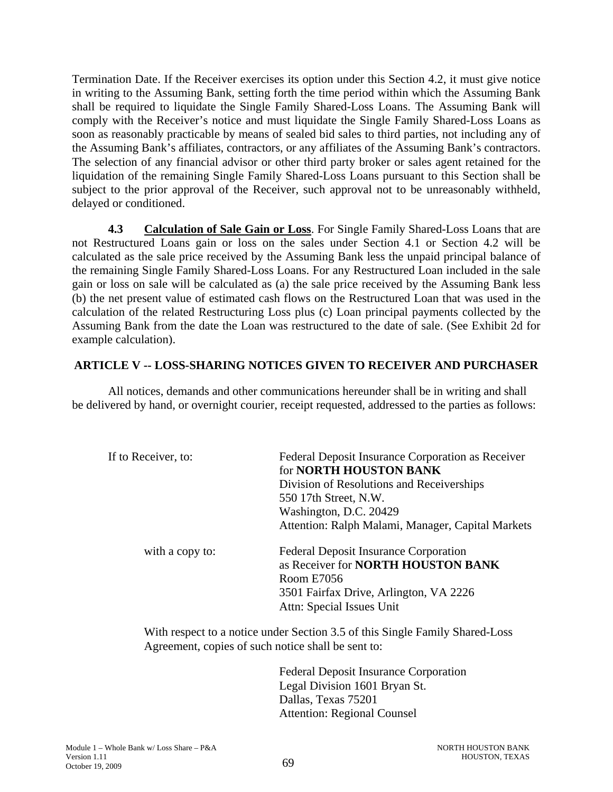Termination Date. If the Receiver exercises its option under this Section 4.2, it must give notice in writing to the Assuming Bank, setting forth the time period within which the Assuming Bank shall be required to liquidate the Single Family Shared-Loss Loans. The Assuming Bank will comply with the Receiver's notice and must liquidate the Single Family Shared-Loss Loans as soon as reasonably practicable by means of sealed bid sales to third parties, not including any of the Assuming Bank's affiliates, contractors, or any affiliates of the Assuming Bank's contractors. The selection of any financial advisor or other third party broker or sales agent retained for the liquidation of the remaining Single Family Shared-Loss Loans pursuant to this Section shall be subject to the prior approval of the Receiver, such approval not to be unreasonably withheld, delayed or conditioned.

**4.3 Calculation of Sale Gain or Loss**. For Single Family Shared-Loss Loans that are not Restructured Loans gain or loss on the sales under Section 4.1 or Section 4.2 will be calculated as the sale price received by the Assuming Bank less the unpaid principal balance of the remaining Single Family Shared-Loss Loans. For any Restructured Loan included in the sale gain or loss on sale will be calculated as (a) the sale price received by the Assuming Bank less (b) the net present value of estimated cash flows on the Restructured Loan that was used in the calculation of the related Restructuring Loss plus (c) Loan principal payments collected by the Assuming Bank from the date the Loan was restructured to the date of sale. (See Exhibit 2d for example calculation).

#### **ARTICLE V -- LOSS-SHARING NOTICES GIVEN TO RECEIVER AND PURCHASER**

All notices, demands and other communications hereunder shall be in writing and shall be delivered by hand, or overnight courier, receipt requested, addressed to the parties as follows:

| If to Receiver, to: | Federal Deposit Insurance Corporation as Receiver<br>for NORTH HOUSTON BANK<br>Division of Resolutions and Receiverships<br>550 17th Street, N.W.<br>Washington, D.C. 20429 |
|---------------------|-----------------------------------------------------------------------------------------------------------------------------------------------------------------------------|
| with a copy to:     | Attention: Ralph Malami, Manager, Capital Markets<br><b>Federal Deposit Insurance Corporation</b><br>as Receiver for <b>NORTH HOUSTON BANK</b>                              |
|                     | Room E7056<br>3501 Fairfax Drive, Arlington, VA 2226<br>Attn: Special Issues Unit                                                                                           |
|                     | With respect to a notice under Section 3.5 of this Single Family Shared-Loss                                                                                                |

With respect to a notice under Section 3.5 of this Single Family Shared-Loss Agreement, copies of such notice shall be sent to:

> Federal Deposit Insurance Corporation Legal Division 1601 Bryan St. Dallas, Texas 75201 Attention: Regional Counsel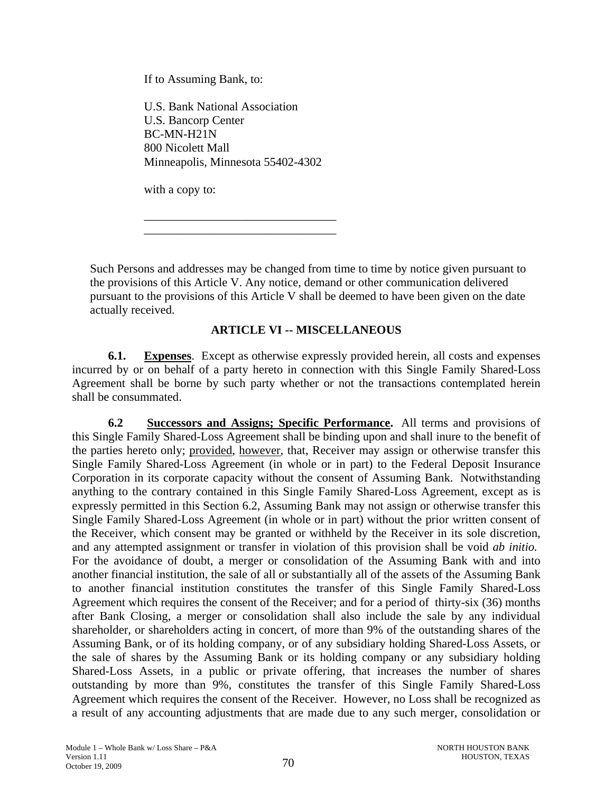If to Assuming Bank, to:

U.S. Bank National Association U.S. Bancorp Center BC-MN-H21N 800 Nicolett Mall Minneapolis, Minnesota 55402-4302

\_\_\_\_\_\_\_\_\_\_\_\_\_\_\_\_\_\_\_\_\_\_\_\_\_\_\_\_\_\_\_\_ \_\_\_\_\_\_\_\_\_\_\_\_\_\_\_\_\_\_\_\_\_\_\_\_\_\_\_\_\_\_\_\_

with a copy to:

Such Persons and addresses may be changed from time to time by notice given pursuant to the provisions of this Article V. Any notice, demand or other communication delivered pursuant to the provisions of this Article V shall be deemed to have been given on the date actually received.

### **ARTICLE VI -- MISCELLANEOUS**

**6.1. Expenses**. Except as otherwise expressly provided herein, all costs and expenses incurred by or on behalf of a party hereto in connection with this Single Family Shared-Loss Agreement shall be borne by such party whether or not the transactions contemplated herein shall be consummated.

**6.2 Successors and Assigns; Specific Performance.** All terms and provisions of this Single Family Shared-Loss Agreement shall be binding upon and shall inure to the benefit of the parties hereto only; provided, however, that, Receiver may assign or otherwise transfer this Single Family Shared-Loss Agreement (in whole or in part) to the Federal Deposit Insurance Corporation in its corporate capacity without the consent of Assuming Bank. Notwithstanding anything to the contrary contained in this Single Family Shared-Loss Agreement, except as is expressly permitted in this Section 6.2, Assuming Bank may not assign or otherwise transfer this Single Family Shared-Loss Agreement (in whole or in part) without the prior written consent of the Receiver, which consent may be granted or withheld by the Receiver in its sole discretion, and any attempted assignment or transfer in violation of this provision shall be void *ab initio.*  For the avoidance of doubt, a merger or consolidation of the Assuming Bank with and into another financial institution, the sale of all or substantially all of the assets of the Assuming Bank to another financial institution constitutes the transfer of this Single Family Shared-Loss Agreement which requires the consent of the Receiver; and for a period of thirty-six (36) months after Bank Closing, a merger or consolidation shall also include the sale by any individual shareholder, or shareholders acting in concert, of more than 9% of the outstanding shares of the Assuming Bank, or of its holding company, or of any subsidiary holding Shared-Loss Assets, or the sale of shares by the Assuming Bank or its holding company or any subsidiary holding Shared-Loss Assets, in a public or private offering, that increases the number of shares outstanding by more than 9%, constitutes the transfer of this Single Family Shared-Loss Agreement which requires the consent of the Receiver. However, no Loss shall be recognized as a result of any accounting adjustments that are made due to any such merger, consolidation or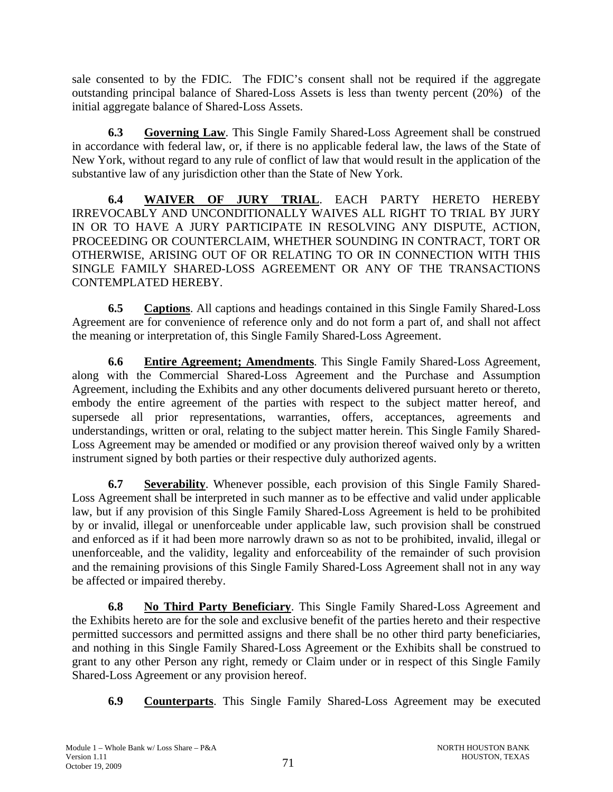sale consented to by the FDIC. The FDIC's consent shall not be required if the aggregate outstanding principal balance of Shared-Loss Assets is less than twenty percent (20%) of the initial aggregate balance of Shared-Loss Assets.

**6.3 Governing Law**. This Single Family Shared-Loss Agreement shall be construed in accordance with federal law, or, if there is no applicable federal law, the laws of the State of New York, without regard to any rule of conflict of law that would result in the application of the substantive law of any jurisdiction other than the State of New York.

**6.4 WAIVER OF JURY TRIAL**. EACH PARTY HERETO HEREBY IRREVOCABLY AND UNCONDITIONALLY WAIVES ALL RIGHT TO TRIAL BY JURY IN OR TO HAVE A JURY PARTICIPATE IN RESOLVING ANY DISPUTE, ACTION, PROCEEDING OR COUNTERCLAIM, WHETHER SOUNDING IN CONTRACT, TORT OR OTHERWISE, ARISING OUT OF OR RELATING TO OR IN CONNECTION WITH THIS SINGLE FAMILY SHARED-LOSS AGREEMENT OR ANY OF THE TRANSACTIONS CONTEMPLATED HEREBY.

**6.5 Captions**. All captions and headings contained in this Single Family Shared-Loss Agreement are for convenience of reference only and do not form a part of, and shall not affect the meaning or interpretation of, this Single Family Shared-Loss Agreement.

**6.6 Entire Agreement; Amendments**. This Single Family Shared-Loss Agreement, along with the Commercial Shared-Loss Agreement and the Purchase and Assumption Agreement, including the Exhibits and any other documents delivered pursuant hereto or thereto, embody the entire agreement of the parties with respect to the subject matter hereof, and supersede all prior representations, warranties, offers, acceptances, agreements and understandings, written or oral, relating to the subject matter herein. This Single Family Shared-Loss Agreement may be amended or modified or any provision thereof waived only by a written instrument signed by both parties or their respective duly authorized agents.

**6.7 Severability**. Whenever possible, each provision of this Single Family Shared-Loss Agreement shall be interpreted in such manner as to be effective and valid under applicable law, but if any provision of this Single Family Shared-Loss Agreement is held to be prohibited by or invalid, illegal or unenforceable under applicable law, such provision shall be construed and enforced as if it had been more narrowly drawn so as not to be prohibited, invalid, illegal or unenforceable, and the validity, legality and enforceability of the remainder of such provision and the remaining provisions of this Single Family Shared-Loss Agreement shall not in any way be affected or impaired thereby.

**6.8 No Third Party Beneficiary**. This Single Family Shared-Loss Agreement and the Exhibits hereto are for the sole and exclusive benefit of the parties hereto and their respective permitted successors and permitted assigns and there shall be no other third party beneficiaries, and nothing in this Single Family Shared-Loss Agreement or the Exhibits shall be construed to grant to any other Person any right, remedy or Claim under or in respect of this Single Family Shared-Loss Agreement or any provision hereof.

**6.9 Counterparts**. This Single Family Shared-Loss Agreement may be executed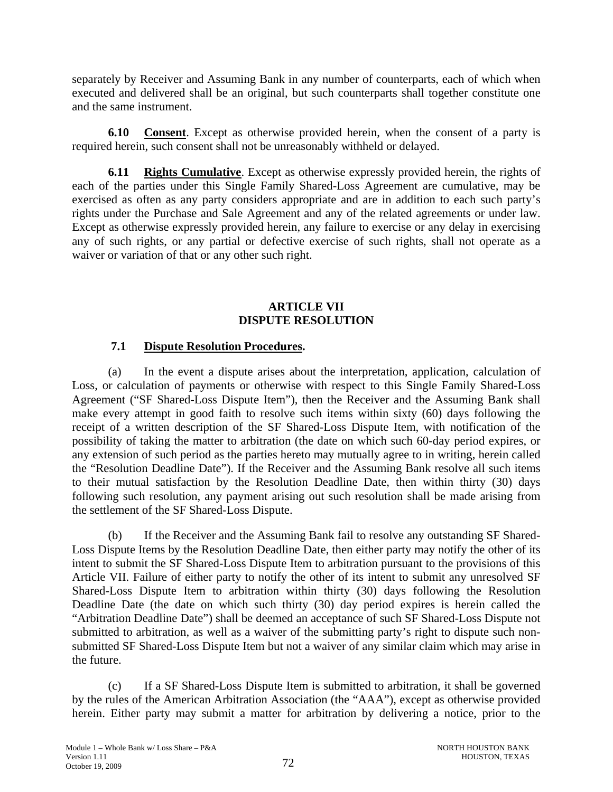separately by Receiver and Assuming Bank in any number of counterparts, each of which when executed and delivered shall be an original, but such counterparts shall together constitute one and the same instrument.

**6.10 Consent**. Except as otherwise provided herein, when the consent of a party is required herein, such consent shall not be unreasonably withheld or delayed.

**6.11 Rights Cumulative**. Except as otherwise expressly provided herein, the rights of each of the parties under this Single Family Shared-Loss Agreement are cumulative, may be exercised as often as any party considers appropriate and are in addition to each such party's rights under the Purchase and Sale Agreement and any of the related agreements or under law. Except as otherwise expressly provided herein, any failure to exercise or any delay in exercising any of such rights, or any partial or defective exercise of such rights, shall not operate as a waiver or variation of that or any other such right.

#### **ARTICLE VII DISPUTE RESOLUTION**

# **7.1 Dispute Resolution Procedures.**

(a) In the event a dispute arises about the interpretation, application, calculation of Loss, or calculation of payments or otherwise with respect to this Single Family Shared-Loss Agreement ("SF Shared-Loss Dispute Item"), then the Receiver and the Assuming Bank shall make every attempt in good faith to resolve such items within sixty (60) days following the receipt of a written description of the SF Shared-Loss Dispute Item, with notification of the possibility of taking the matter to arbitration (the date on which such 60-day period expires, or any extension of such period as the parties hereto may mutually agree to in writing, herein called the "Resolution Deadline Date"). If the Receiver and the Assuming Bank resolve all such items to their mutual satisfaction by the Resolution Deadline Date, then within thirty (30) days following such resolution, any payment arising out such resolution shall be made arising from the settlement of the SF Shared-Loss Dispute.

(b) If the Receiver and the Assuming Bank fail to resolve any outstanding SF Shared-Loss Dispute Items by the Resolution Deadline Date, then either party may notify the other of its intent to submit the SF Shared-Loss Dispute Item to arbitration pursuant to the provisions of this Article VII. Failure of either party to notify the other of its intent to submit any unresolved SF Shared-Loss Dispute Item to arbitration within thirty (30) days following the Resolution Deadline Date (the date on which such thirty (30) day period expires is herein called the "Arbitration Deadline Date") shall be deemed an acceptance of such SF Shared-Loss Dispute not submitted to arbitration, as well as a waiver of the submitting party's right to dispute such nonsubmitted SF Shared-Loss Dispute Item but not a waiver of any similar claim which may arise in the future.

(c) If a SF Shared-Loss Dispute Item is submitted to arbitration, it shall be governed by the rules of the American Arbitration Association (the "AAA"), except as otherwise provided herein. Either party may submit a matter for arbitration by delivering a notice, prior to the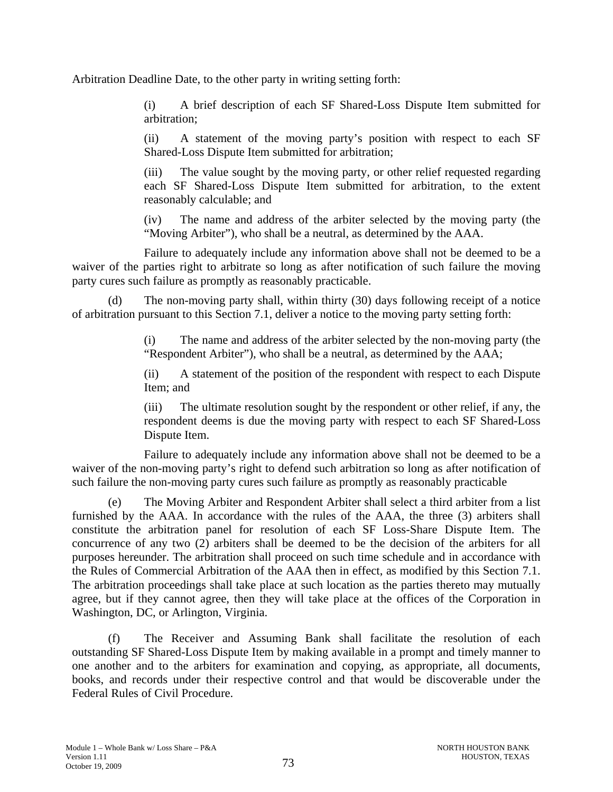Arbitration Deadline Date, to the other party in writing setting forth:

(i) A brief description of each SF Shared-Loss Dispute Item submitted for arbitration;

(ii) A statement of the moving party's position with respect to each SF Shared-Loss Dispute Item submitted for arbitration;

(iii) The value sought by the moving party, or other relief requested regarding each SF Shared-Loss Dispute Item submitted for arbitration, to the extent reasonably calculable; and

(iv) The name and address of the arbiter selected by the moving party (the "Moving Arbiter"), who shall be a neutral, as determined by the AAA.

Failure to adequately include any information above shall not be deemed to be a waiver of the parties right to arbitrate so long as after notification of such failure the moving party cures such failure as promptly as reasonably practicable.

(d) The non-moving party shall, within thirty (30) days following receipt of a notice of arbitration pursuant to this Section 7.1, deliver a notice to the moving party setting forth:

> (i) The name and address of the arbiter selected by the non-moving party (the "Respondent Arbiter"), who shall be a neutral, as determined by the AAA;

> (ii) A statement of the position of the respondent with respect to each Dispute Item; and

> (iii) The ultimate resolution sought by the respondent or other relief, if any, the respondent deems is due the moving party with respect to each SF Shared-Loss Dispute Item.

Failure to adequately include any information above shall not be deemed to be a waiver of the non-moving party's right to defend such arbitration so long as after notification of such failure the non-moving party cures such failure as promptly as reasonably practicable

(e) The Moving Arbiter and Respondent Arbiter shall select a third arbiter from a list furnished by the AAA. In accordance with the rules of the AAA, the three (3) arbiters shall constitute the arbitration panel for resolution of each SF Loss-Share Dispute Item. The concurrence of any two (2) arbiters shall be deemed to be the decision of the arbiters for all purposes hereunder. The arbitration shall proceed on such time schedule and in accordance with the Rules of Commercial Arbitration of the AAA then in effect, as modified by this Section 7.1. The arbitration proceedings shall take place at such location as the parties thereto may mutually agree, but if they cannot agree, then they will take place at the offices of the Corporation in Washington, DC, or Arlington, Virginia.

(f) The Receiver and Assuming Bank shall facilitate the resolution of each outstanding SF Shared-Loss Dispute Item by making available in a prompt and timely manner to one another and to the arbiters for examination and copying, as appropriate, all documents, books, and records under their respective control and that would be discoverable under the Federal Rules of Civil Procedure.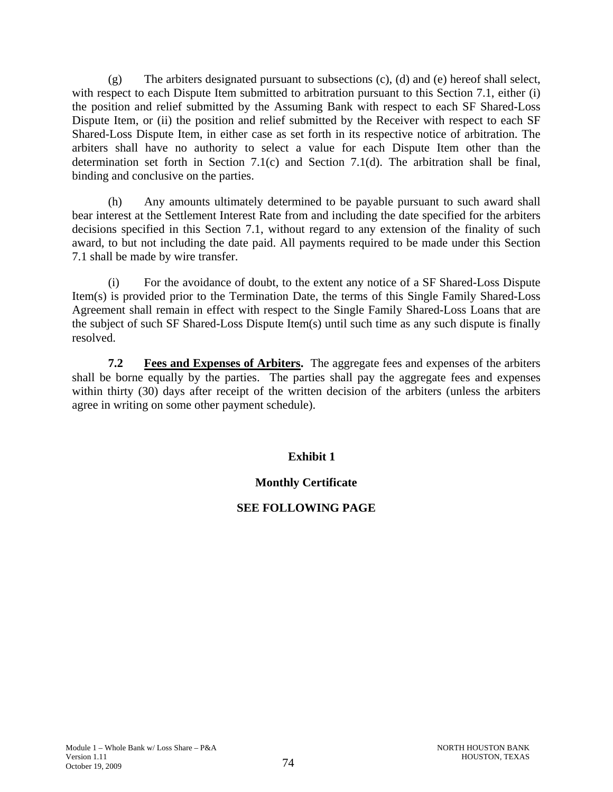$(g)$  The arbiters designated pursuant to subsections  $(c)$ ,  $(d)$  and  $(e)$  hereof shall select, with respect to each Dispute Item submitted to arbitration pursuant to this Section 7.1, either (i) the position and relief submitted by the Assuming Bank with respect to each SF Shared-Loss Dispute Item, or (ii) the position and relief submitted by the Receiver with respect to each SF Shared-Loss Dispute Item, in either case as set forth in its respective notice of arbitration. The arbiters shall have no authority to select a value for each Dispute Item other than the determination set forth in Section 7.1(c) and Section 7.1(d). The arbitration shall be final, binding and conclusive on the parties.

(h) Any amounts ultimately determined to be payable pursuant to such award shall bear interest at the Settlement Interest Rate from and including the date specified for the arbiters decisions specified in this Section 7.1, without regard to any extension of the finality of such award, to but not including the date paid. All payments required to be made under this Section 7.1 shall be made by wire transfer.

(i) For the avoidance of doubt, to the extent any notice of a SF Shared-Loss Dispute Item(s) is provided prior to the Termination Date, the terms of this Single Family Shared-Loss Agreement shall remain in effect with respect to the Single Family Shared-Loss Loans that are the subject of such SF Shared-Loss Dispute Item(s) until such time as any such dispute is finally resolved.

**7.2 Fees and Expenses of Arbiters.** The aggregate fees and expenses of the arbiters shall be borne equally by the parties. The parties shall pay the aggregate fees and expenses within thirty (30) days after receipt of the written decision of the arbiters (unless the arbiters agree in writing on some other payment schedule).

## **Exhibit 1**

## **Monthly Certificate**

## **SEE FOLLOWING PAGE**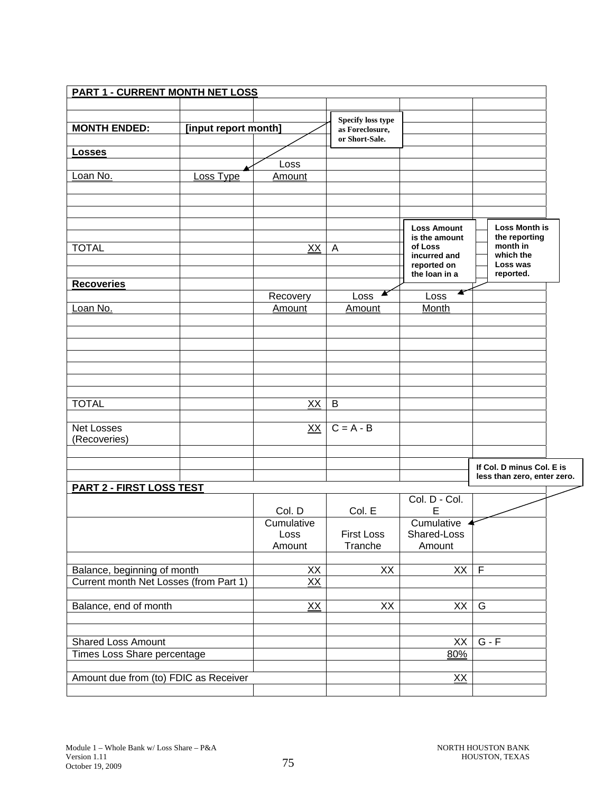| <b>PART 1 - CURRENT MONTH NET LOSS</b> |                      |            |                                   |                             |                             |
|----------------------------------------|----------------------|------------|-----------------------------------|-----------------------------|-----------------------------|
|                                        |                      |            |                                   |                             |                             |
|                                        |                      |            | <b>Specify loss type</b>          |                             |                             |
| <b>MONTH ENDED:</b>                    | [input report month] |            | as Foreclosure,<br>or Short-Sale. |                             |                             |
| <b>Losses</b>                          |                      |            |                                   |                             |                             |
|                                        |                      | Loss       |                                   |                             |                             |
| Loan No.                               | Loss Type            | Amount     |                                   |                             |                             |
|                                        |                      |            |                                   |                             |                             |
|                                        |                      |            |                                   |                             |                             |
|                                        |                      |            |                                   |                             |                             |
|                                        |                      |            |                                   | <b>Loss Amount</b>          | Loss Month is               |
|                                        |                      |            |                                   | is the amount               | the reporting               |
| <b>TOTAL</b>                           |                      | XX         | $\overline{A}$                    | of Loss                     | month in                    |
|                                        |                      |            |                                   | incurred and<br>reported on | which the<br>Loss was       |
|                                        |                      |            |                                   | the loan in a               | reported.                   |
| <b>Recoveries</b>                      |                      |            |                                   | Ŧ                           |                             |
|                                        |                      | Recovery   | $Loss^{\mathbf{Z}}$               | Loss                        |                             |
| Loan No.                               |                      | Amount     | Amount                            | Month                       |                             |
|                                        |                      |            |                                   |                             |                             |
|                                        |                      |            |                                   |                             |                             |
|                                        |                      |            |                                   |                             |                             |
|                                        |                      |            |                                   |                             |                             |
|                                        |                      |            |                                   |                             |                             |
|                                        |                      |            |                                   |                             |                             |
| <b>TOTAL</b>                           |                      | XX         | B                                 |                             |                             |
|                                        |                      |            |                                   |                             |                             |
| <b>Net Losses</b>                      |                      | XX         | $C = A - B$                       |                             |                             |
| (Recoveries)                           |                      |            |                                   |                             |                             |
|                                        |                      |            |                                   |                             |                             |
|                                        |                      |            |                                   |                             | If Col. D minus Col. E is   |
|                                        |                      |            |                                   |                             | less than zero, enter zero. |
| <b>PART 2 - FIRST LOSS TEST</b>        |                      |            |                                   |                             |                             |
|                                        |                      |            |                                   | Col. D - Col.               |                             |
|                                        |                      | Col. D     | Col. E                            | E                           |                             |
|                                        |                      | Cumulative |                                   | Cumulative                  |                             |
|                                        |                      | Loss       | <b>First Loss</b>                 | Shared-Loss                 |                             |
|                                        |                      | Amount     | Tranche                           | Amount                      |                             |
|                                        |                      |            |                                   |                             |                             |
| Balance, beginning of month            |                      | XX         | XX                                | XX                          | $\mathsf F$                 |
| Current month Net Losses (from Part 1) |                      | XX         |                                   |                             |                             |
|                                        |                      |            |                                   |                             |                             |
| Balance, end of month                  |                      | <u>XX</u>  | XX                                | XX                          | G                           |
|                                        |                      |            |                                   |                             |                             |
|                                        |                      |            |                                   |                             | $G - F$                     |
| <b>Shared Loss Amount</b>              |                      |            |                                   | XX<br>80%                   |                             |
| Times Loss Share percentage            |                      |            |                                   |                             |                             |
| Amount due from (to) FDIC as Receiver  |                      |            |                                   | XX                          |                             |
|                                        |                      |            |                                   |                             |                             |
|                                        |                      |            |                                   |                             |                             |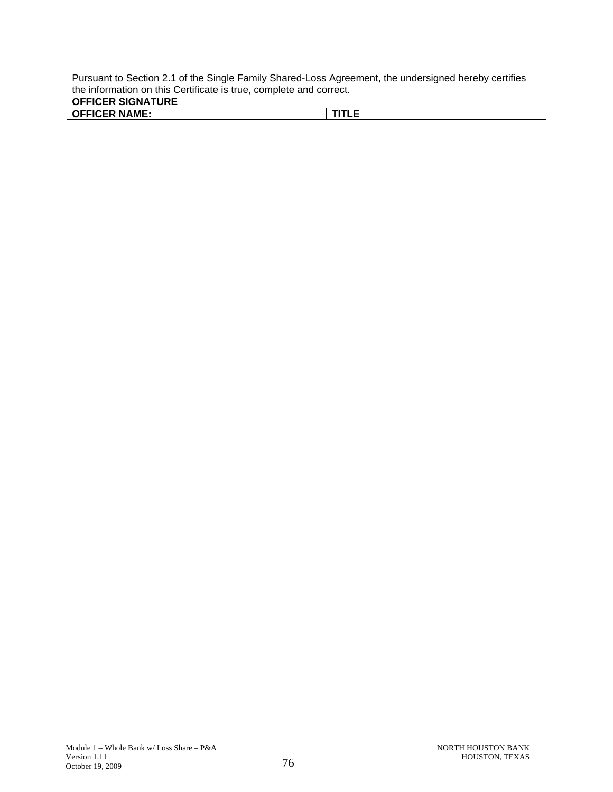| Pursuant to Section 2.1 of the Single Family Shared-Loss Agreement, the undersigned hereby certifies |  |  |  |  |
|------------------------------------------------------------------------------------------------------|--|--|--|--|
| the information on this Certificate is true, complete and correct.                                   |  |  |  |  |
| <b>OFFICER SIGNATURE</b>                                                                             |  |  |  |  |
| <b>TITLE</b><br><b>OFFICER NAME:</b>                                                                 |  |  |  |  |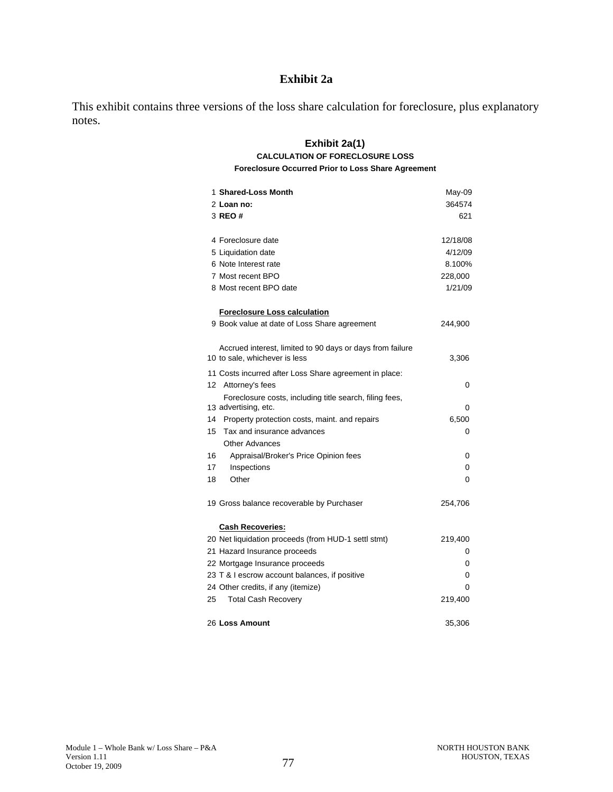#### **Exhibit 2a**

This exhibit contains three versions of the loss share calculation for foreclosure, plus explanatory notes.

#### **Exhibit 2a(1) CALCULATION OF FORECLOSURE LOSS Foreclosure Occurred Prior to Loss Share Agreement**

|    | 1 Shared-Loss Month                                       | May-09   |
|----|-----------------------------------------------------------|----------|
|    | 2 Loan no:                                                | 364574   |
|    | 3 REO #                                                   | 621      |
|    |                                                           |          |
|    | 4 Foreclosure date                                        | 12/18/08 |
|    | 5 Liquidation date                                        | 4/12/09  |
|    | 6 Note Interest rate                                      | 8.100%   |
|    | 7 Most recent BPO                                         | 228,000  |
|    | 8 Most recent BPO date                                    | 1/21/09  |
|    | <b>Foreclosure Loss calculation</b>                       |          |
|    | 9 Book value at date of Loss Share agreement              | 244,900  |
|    | Accrued interest, limited to 90 days or days from failure |          |
|    | 10 to sale, whichever is less                             | 3,306    |
|    | 11 Costs incurred after Loss Share agreement in place:    |          |
| 12 | Attorney's fees                                           | 0        |
|    | Foreclosure costs, including title search, filing fees,   |          |
|    | 13 advertising, etc.                                      | 0        |
| 14 | Property protection costs, maint. and repairs             | 6,500    |
| 15 | Tax and insurance advances                                | 0        |
|    | <b>Other Advances</b>                                     |          |
| 16 | Appraisal/Broker's Price Opinion fees                     | 0        |
| 17 | Inspections                                               | 0        |
| 18 | Other                                                     | 0        |
|    | 19 Gross balance recoverable by Purchaser                 | 254,706  |
|    | <b>Cash Recoveries:</b>                                   |          |
|    | 20 Net liquidation proceeds (from HUD-1 settl stmt)       | 219,400  |
|    | 21 Hazard Insurance proceeds                              | 0        |
|    | 22 Mortgage Insurance proceeds                            | 0        |
|    | 23 T & I escrow account balances, if positive             | 0        |
|    | 24 Other credits, if any (itemize)                        | 0        |
| 25 | <b>Total Cash Recovery</b>                                | 219,400  |
|    | 26 Loss Amount                                            | 35,306   |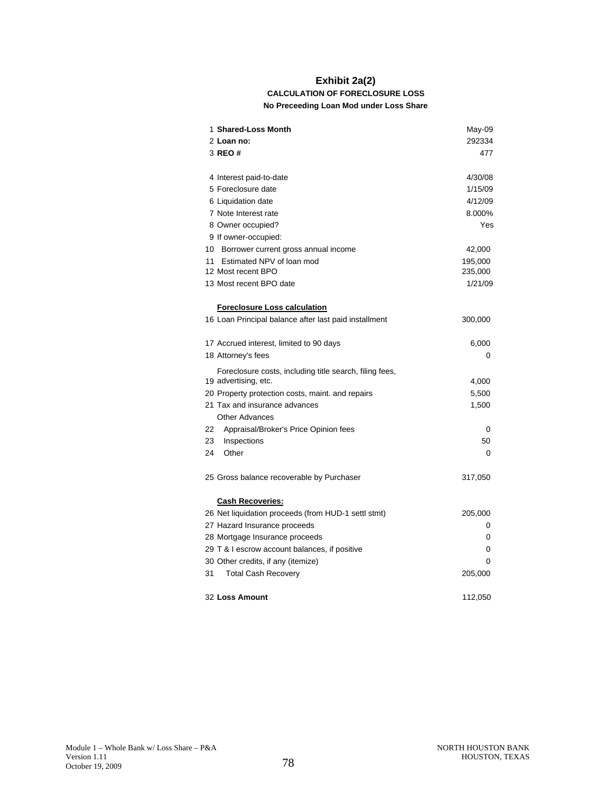#### **Exhibit 2a(2)**

#### **CALCULATION OF FORECLOSURE LOSS**

#### **No Preceeding Loan Mod under Loss Share**

| 1 Shared-Loss Month                                                             | May-09  |
|---------------------------------------------------------------------------------|---------|
| 2 Loan no:                                                                      | 292334  |
| 3 REO #                                                                         | 477     |
| 4 Interest paid-to-date                                                         | 4/30/08 |
| 5 Foreclosure date                                                              | 1/15/09 |
| 6 Liquidation date                                                              | 4/12/09 |
| 7 Note Interest rate                                                            | 8.000%  |
| 8 Owner occupied?                                                               | Yes     |
| 9 If owner-occupied:                                                            |         |
| 10<br>Borrower current gross annual income                                      | 42,000  |
| Estimated NPV of loan mod<br>11                                                 | 195,000 |
| 12 Most recent BPO                                                              | 235,000 |
| 13 Most recent BPO date                                                         | 1/21/09 |
| <b>Foreclosure Loss calculation</b>                                             |         |
| 16 Loan Principal balance after last paid installment                           | 300,000 |
| 17 Accrued interest, limited to 90 days                                         | 6,000   |
| 18 Attorney's fees                                                              | 0       |
| Foreclosure costs, including title search, filing fees,<br>19 advertising, etc. | 4,000   |
| 20 Property protection costs, maint. and repairs                                | 5,500   |
| 21 Tax and insurance advances                                                   | 1,500   |
| <b>Other Advances</b>                                                           |         |
| 22<br>Appraisal/Broker's Price Opinion fees                                     | 0       |
| 23<br>Inspections                                                               | 50      |
| 24<br>Other                                                                     | 0       |
| 25 Gross balance recoverable by Purchaser                                       | 317,050 |
| <b>Cash Recoveries:</b>                                                         |         |
| 26 Net liquidation proceeds (from HUD-1 settl stmt)                             | 205,000 |
| 27 Hazard Insurance proceeds                                                    | 0       |
| 28 Mortgage Insurance proceeds                                                  | 0       |
| 29 T & I escrow account balances, if positive                                   | 0       |
| 30 Other credits, if any (itemize)                                              | 0       |
| 31<br><b>Total Cash Recovery</b>                                                | 205,000 |
| 32 Loss Amount                                                                  | 112,050 |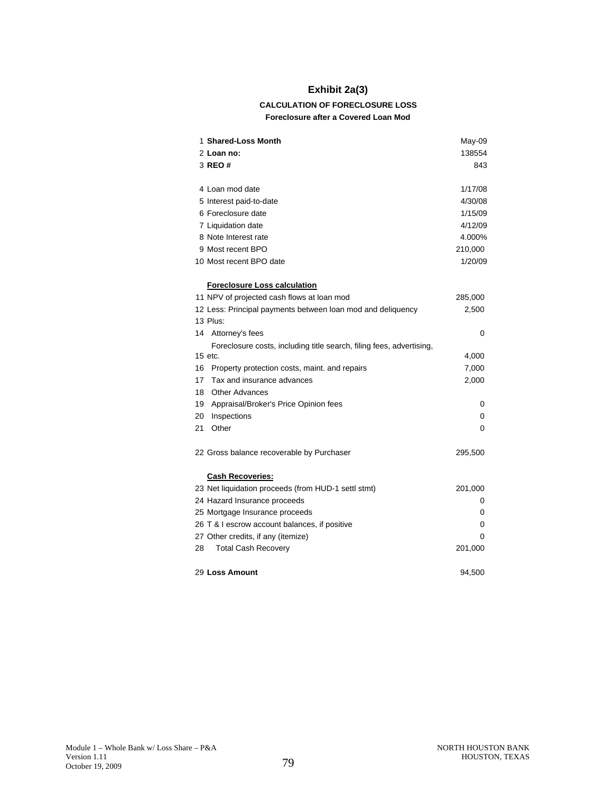## **Exhibit 2a(3)**

#### **CALCULATION OF FORECLOSURE LOSS Foreclosure after a Covered Loan Mod**

|    | 1 Shared-Loss Month                                                  | May-09  |
|----|----------------------------------------------------------------------|---------|
|    | 2 Loan no:                                                           | 138554  |
|    | 3 REO #                                                              | 843     |
|    |                                                                      |         |
|    | 4 Loan mod date                                                      | 1/17/08 |
|    | 5 Interest paid-to-date                                              | 4/30/08 |
|    | 6 Foreclosure date                                                   | 1/15/09 |
|    | 7 Liquidation date                                                   | 4/12/09 |
|    | 8 Note Interest rate                                                 | 4.000%  |
|    | 9 Most recent BPO                                                    | 210,000 |
|    | 10 Most recent BPO date                                              | 1/20/09 |
|    |                                                                      |         |
|    | <b>Foreclosure Loss calculation</b>                                  |         |
|    | 11 NPV of projected cash flows at loan mod                           | 285,000 |
|    | 12 Less: Principal payments between loan mod and deliquency          | 2,500   |
|    | 13 Plus:                                                             |         |
| 14 | Attorney's fees                                                      | 0       |
|    | Foreclosure costs, including title search, filing fees, advertising, |         |
|    | 15 etc.                                                              | 4,000   |
| 16 | Property protection costs, maint. and repairs                        | 7,000   |
| 17 | Tax and insurance advances                                           | 2,000   |
| 18 | <b>Other Advances</b>                                                |         |
| 19 | Appraisal/Broker's Price Opinion fees                                | 0       |
| 20 | Inspections                                                          | 0       |
| 21 | Other                                                                | 0       |
|    |                                                                      |         |
|    | 22 Gross balance recoverable by Purchaser                            | 295,500 |
|    |                                                                      |         |
|    | <b>Cash Recoveries:</b>                                              |         |
|    | 23 Net liquidation proceeds (from HUD-1 settl stmt)                  | 201,000 |
|    | 24 Hazard Insurance proceeds                                         | 0       |
|    | 25 Mortgage Insurance proceeds                                       | 0       |
|    | 26 T & I escrow account balances, if positive                        | 0       |
|    | 27 Other credits, if any (itemize)                                   | 0       |
| 28 | <b>Total Cash Recovery</b>                                           | 201,000 |
|    |                                                                      |         |
|    | 29 Loss Amount                                                       | 94,500  |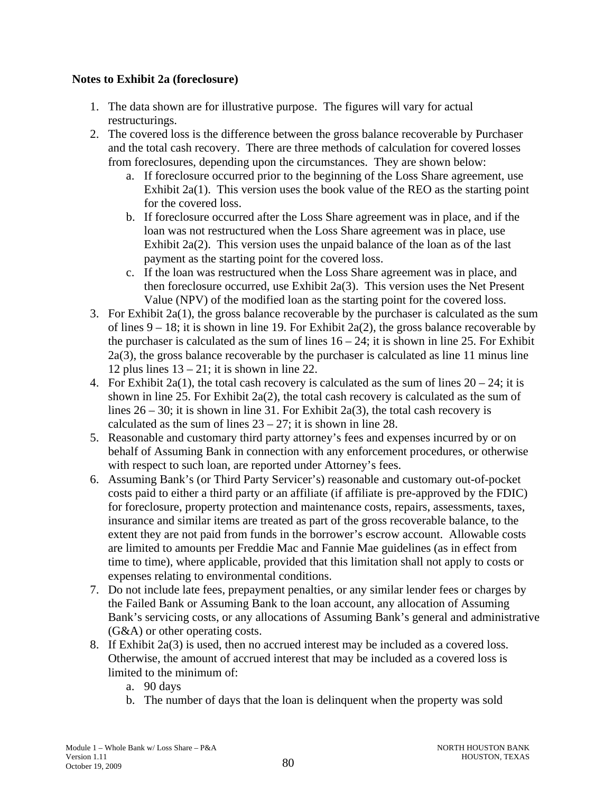## **Notes to Exhibit 2a (foreclosure)**

- 1. The data shown are for illustrative purpose. The figures will vary for actual restructurings.
- 2. The covered loss is the difference between the gross balance recoverable by Purchaser and the total cash recovery. There are three methods of calculation for covered losses from foreclosures, depending upon the circumstances. They are shown below:
	- a. If foreclosure occurred prior to the beginning of the Loss Share agreement, use Exhibit 2a(1). This version uses the book value of the REO as the starting point for the covered loss.
	- b. If foreclosure occurred after the Loss Share agreement was in place, and if the loan was not restructured when the Loss Share agreement was in place, use Exhibit 2a(2). This version uses the unpaid balance of the loan as of the last payment as the starting point for the covered loss.
	- c. If the loan was restructured when the Loss Share agreement was in place, and then foreclosure occurred, use Exhibit 2a(3). This version uses the Net Present Value (NPV) of the modified loan as the starting point for the covered loss.
- 3. For Exhibit  $2a(1)$ , the gross balance recoverable by the purchaser is calculated as the sum of lines  $9 - 18$ ; it is shown in line 19. For Exhibit 2a(2), the gross balance recoverable by the purchaser is calculated as the sum of lines  $16 - 24$ ; it is shown in line 25. For Exhibit 2a(3), the gross balance recoverable by the purchaser is calculated as line 11 minus line 12 plus lines  $13 - 21$ ; it is shown in line 22.
- 4. For Exhibit 2a(1), the total cash recovery is calculated as the sum of lines  $20 24$ ; it is shown in line 25. For Exhibit 2a(2), the total cash recovery is calculated as the sum of lines  $26 - 30$ ; it is shown in line 31. For Exhibit 2a(3), the total cash recovery is calculated as the sum of lines  $23 - 27$ ; it is shown in line 28.
- 5. Reasonable and customary third party attorney's fees and expenses incurred by or on behalf of Assuming Bank in connection with any enforcement procedures, or otherwise with respect to such loan, are reported under Attorney's fees.
- 6. Assuming Bank's (or Third Party Servicer's) reasonable and customary out-of-pocket costs paid to either a third party or an affiliate (if affiliate is pre-approved by the FDIC) for foreclosure, property protection and maintenance costs, repairs, assessments, taxes, insurance and similar items are treated as part of the gross recoverable balance, to the extent they are not paid from funds in the borrower's escrow account. Allowable costs are limited to amounts per Freddie Mac and Fannie Mae guidelines (as in effect from time to time), where applicable, provided that this limitation shall not apply to costs or expenses relating to environmental conditions.
- 7. Do not include late fees, prepayment penalties, or any similar lender fees or charges by the Failed Bank or Assuming Bank to the loan account, any allocation of Assuming Bank's servicing costs, or any allocations of Assuming Bank's general and administrative (G&A) or other operating costs.
- 8. If Exhibit  $2a(3)$  is used, then no accrued interest may be included as a covered loss. Otherwise, the amount of accrued interest that may be included as a covered loss is limited to the minimum of:
	- a. 90 days
	- b. The number of days that the loan is delinguent when the property was sold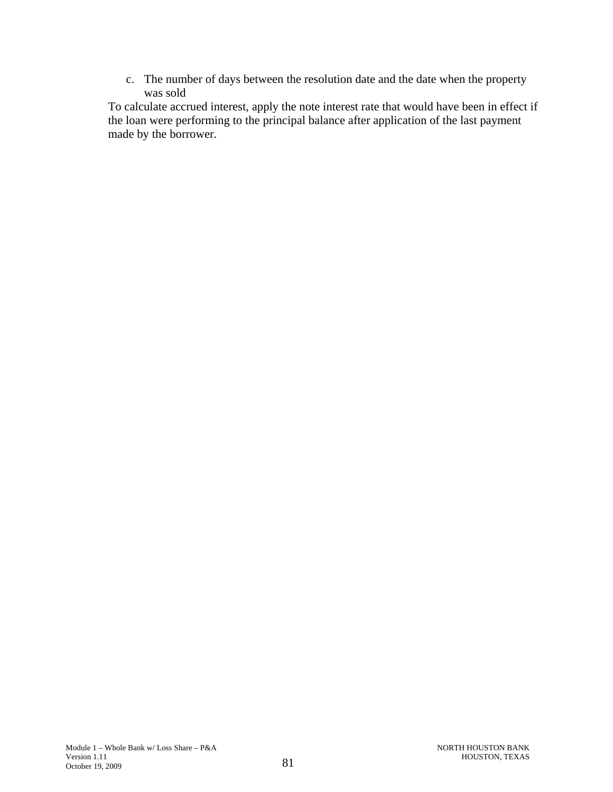c. The number of days between the resolution date and the date when the property was sold

To calculate accrued interest, apply the note interest rate that would have been in effect if the loan were performing to the principal balance after application of the last payment made by the borrower.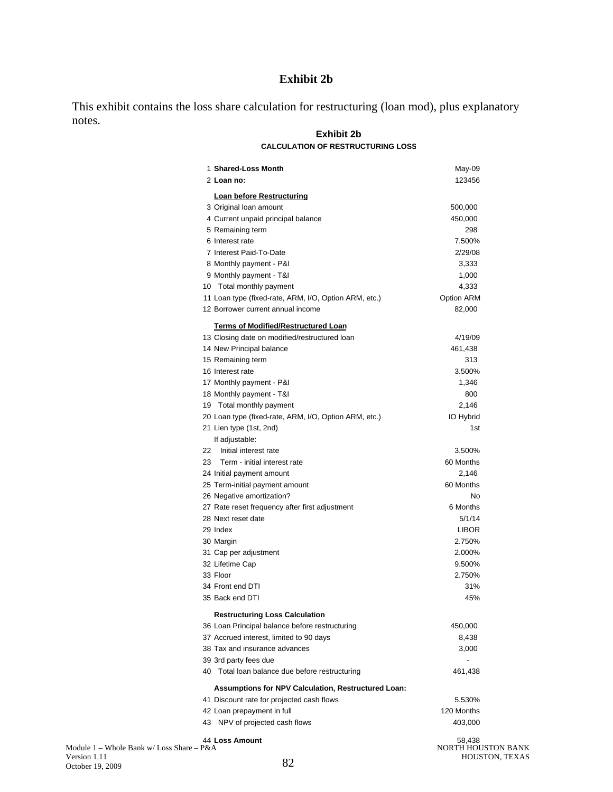# **Exhibit 2b**

This exhibit contains the loss share calculation for restructuring (loan mod), plus explanatory notes.

#### **Exhibit 2b CALCULATION OF RESTRUCTURING LOSS**

|                                                           | 1 Shared-Loss Month                                   | May-09                                        |
|-----------------------------------------------------------|-------------------------------------------------------|-----------------------------------------------|
|                                                           | 2 Loan no:                                            | 123456                                        |
|                                                           | <b>Loan before Restructuring</b>                      |                                               |
|                                                           | 3 Original loan amount                                | 500,000                                       |
|                                                           | 4 Current unpaid principal balance                    | 450,000                                       |
|                                                           | 5 Remaining term                                      | 298                                           |
|                                                           | 6 Interest rate                                       | 7.500%                                        |
|                                                           | 7 Interest Paid-To-Date                               | 2/29/08                                       |
|                                                           | 8 Monthly payment - P&I                               | 3,333                                         |
|                                                           | 9 Monthly payment - T&I                               | 1,000                                         |
|                                                           | 10 Total monthly payment                              | 4,333                                         |
|                                                           | 11 Loan type (fixed-rate, ARM, I/O, Option ARM, etc.) | <b>Option ARM</b>                             |
|                                                           | 12 Borrower current annual income                     | 82,000                                        |
|                                                           | <b>Terms of Modified/Restructured Loan</b>            |                                               |
|                                                           | 13 Closing date on modified/restructured loan         | 4/19/09                                       |
|                                                           | 14 New Principal balance                              | 461,438                                       |
|                                                           | 15 Remaining term                                     | 313                                           |
|                                                           | 16 Interest rate                                      | 3.500%                                        |
|                                                           | 17 Monthly payment - P&I                              | 1,346                                         |
|                                                           | 18 Monthly payment - T&I                              | 800                                           |
|                                                           | 19 Total monthly payment                              | 2,146                                         |
|                                                           | 20 Loan type (fixed-rate, ARM, I/O, Option ARM, etc.) | IO Hybrid                                     |
|                                                           | 21 Lien type (1st, 2nd)                               | 1st                                           |
|                                                           | If adjustable:                                        |                                               |
|                                                           | 22 Initial interest rate                              | 3.500%                                        |
| 23                                                        | Term - initial interest rate                          | 60 Months                                     |
|                                                           | 24 Initial payment amount                             | 2,146                                         |
|                                                           | 25 Term-initial payment amount                        | 60 Months                                     |
|                                                           | 26 Negative amortization?                             | No                                            |
|                                                           | 27 Rate reset frequency after first adjustment        | 6 Months                                      |
|                                                           | 28 Next reset date                                    | 5/1/14                                        |
|                                                           | 29 Index                                              | <b>LIBOR</b>                                  |
|                                                           |                                                       |                                               |
|                                                           | 30 Margin                                             | 2.750%                                        |
|                                                           | 31 Cap per adjustment                                 | 2.000%                                        |
|                                                           | 32 Lifetime Cap                                       | 9.500%                                        |
|                                                           | 33 Floor                                              | 2.750%                                        |
|                                                           | 34 Front end DTI                                      | 31%                                           |
|                                                           | 35 Back end DTI                                       | 45%                                           |
|                                                           | <b>Restructuring Loss Calculation</b>                 |                                               |
|                                                           | 36 Loan Principal balance before restructuring        | 450,000                                       |
|                                                           | 37 Accrued interest, limited to 90 days               | 8,438                                         |
|                                                           | 38 Tax and insurance advances                         | 3,000                                         |
|                                                           | 39 3rd party fees due                                 |                                               |
|                                                           | 40 Total loan balance due before restructuring        | 461,438                                       |
|                                                           | Assumptions for NPV Calculation, Restructured Loan:   |                                               |
|                                                           | 41 Discount rate for projected cash flows             | 5.530%                                        |
|                                                           | 42 Loan prepayment in full                            | 120 Months                                    |
|                                                           | 43 NPV of projected cash flows                        | 403,000                                       |
| Module 1 – Whole Bank w/ Loss Share – P&A<br>Varsion 1 11 | 44 Loss Amount                                        | 58,438<br>NORTH HOUSTON BANK<br>HOURTON TEVAS |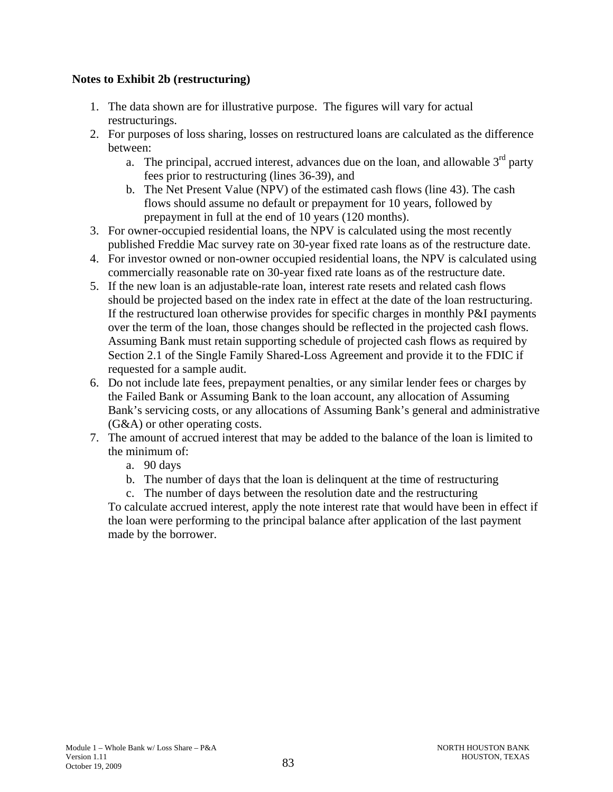### **Notes to Exhibit 2b (restructuring)**

- 1. The data shown are for illustrative purpose. The figures will vary for actual restructurings.
- 2. For purposes of loss sharing, losses on restructured loans are calculated as the difference between:
	- a. The principal, accrued interest, advances due on the loan, and allowable  $3<sup>rd</sup>$  party fees prior to restructuring (lines 36-39), and
	- b. The Net Present Value (NPV) of the estimated cash flows (line 43). The cash flows should assume no default or prepayment for 10 years, followed by prepayment in full at the end of 10 years (120 months).
- 3. For owner-occupied residential loans, the NPV is calculated using the most recently published Freddie Mac survey rate on 30-year fixed rate loans as of the restructure date.
- 4. For investor owned or non-owner occupied residential loans, the NPV is calculated using commercially reasonable rate on 30-year fixed rate loans as of the restructure date.
- 5. If the new loan is an adjustable-rate loan, interest rate resets and related cash flows should be projected based on the index rate in effect at the date of the loan restructuring. If the restructured loan otherwise provides for specific charges in monthly P&I payments over the term of the loan, those changes should be reflected in the projected cash flows. Assuming Bank must retain supporting schedule of projected cash flows as required by Section 2.1 of the Single Family Shared-Loss Agreement and provide it to the FDIC if requested for a sample audit.
- 6. Do not include late fees, prepayment penalties, or any similar lender fees or charges by the Failed Bank or Assuming Bank to the loan account, any allocation of Assuming Bank's servicing costs, or any allocations of Assuming Bank's general and administrative (G&A) or other operating costs.
- 7. The amount of accrued interest that may be added to the balance of the loan is limited to the minimum of:
	- a. 90 days
	- b. The number of days that the loan is delinquent at the time of restructuring

c. The number of days between the resolution date and the restructuring To calculate accrued interest, apply the note interest rate that would have been in effect if the loan were performing to the principal balance after application of the last payment made by the borrower.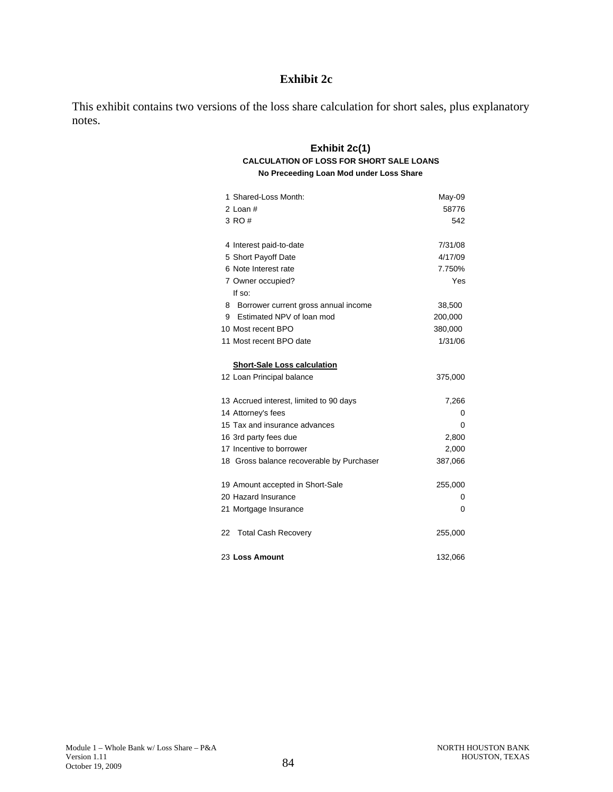#### **Exhibit 2c**

This exhibit contains two versions of the loss share calculation for short sales, plus explanatory notes.

#### **Exhibit 2c(1) CALCULATION OF LOSS FOR SHORT SALE LOANS No Preceeding Loan Mod under Loss Share**

| 1 Shared-Loss Month:                      | May-09  |
|-------------------------------------------|---------|
| 2 Loan #                                  | 58776   |
| 3 RO #                                    | 542     |
|                                           |         |
| 4 Interest paid-to-date                   | 7/31/08 |
| 5 Short Payoff Date                       | 4/17/09 |
| 6 Note Interest rate                      | 7.750%  |
| 7 Owner occupied?                         | Yes     |
| If so:                                    |         |
| Borrower current gross annual income<br>8 | 38,500  |
| Estimated NPV of loan mod<br>9            | 200,000 |
| 10 Most recent BPO                        | 380,000 |
| 11 Most recent BPO date                   | 1/31/06 |
|                                           |         |
| <b>Short-Sale Loss calculation</b>        |         |
| 12 Loan Principal balance                 | 375,000 |
|                                           |         |
| 13 Accrued interest, limited to 90 days   | 7,266   |
| 14 Attorney's fees                        | 0       |
| 15 Tax and insurance advances             | 0       |
| 16 3rd party fees due                     | 2,800   |
| 17 Incentive to borrower                  | 2,000   |
| 18 Gross balance recoverable by Purchaser | 387,066 |
|                                           |         |
| 19 Amount accepted in Short-Sale          | 255,000 |
| 20 Hazard Insurance                       | 0       |
| 21 Mortgage Insurance                     | 0       |
|                                           |         |
| 22 Total Cash Recovery                    | 255,000 |
|                                           |         |
| 23 Loss Amount                            | 132,066 |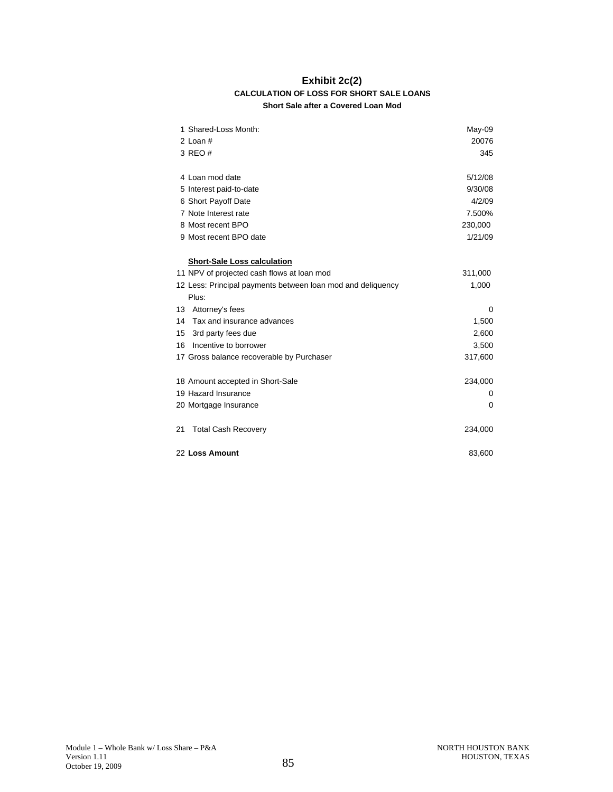#### **Exhibit 2c(2) CALCULATION OF LOSS FOR SHORT SALE LOANS Short Sale after a Covered Loan Mod**

| 1 Shared-Loss Month:                                        | May-09  |
|-------------------------------------------------------------|---------|
| 2 Loan $#$                                                  | 20076   |
| 3 REO #                                                     | 345     |
|                                                             |         |
| 4 Loan mod date                                             | 5/12/08 |
| 5 Interest paid-to-date                                     | 9/30/08 |
| 6 Short Payoff Date                                         | 4/2/09  |
| 7 Note Interest rate                                        | 7.500%  |
| 8 Most recent BPO                                           | 230,000 |
| 9 Most recent BPO date                                      | 1/21/09 |
|                                                             |         |
| <b>Short-Sale Loss calculation</b>                          |         |
| 11 NPV of projected cash flows at loan mod                  | 311,000 |
| 12 Less: Principal payments between loan mod and deliquency | 1,000   |
| Plus:                                                       |         |
| 13<br>Attorney's fees                                       | 0       |
| Tax and insurance advances<br>14                            | 1,500   |
| 15<br>3rd party fees due                                    | 2,600   |
| Incentive to borrower<br>16                                 | 3,500   |
| 17 Gross balance recoverable by Purchaser                   | 317,600 |
|                                                             |         |
| 18 Amount accepted in Short-Sale                            | 234,000 |
| 19 Hazard Insurance                                         | 0       |
| 20 Mortgage Insurance                                       | 0       |
|                                                             |         |
| <b>Total Cash Recovery</b><br>21                            | 234,000 |
|                                                             |         |
| 22 Loss Amount                                              | 83,600  |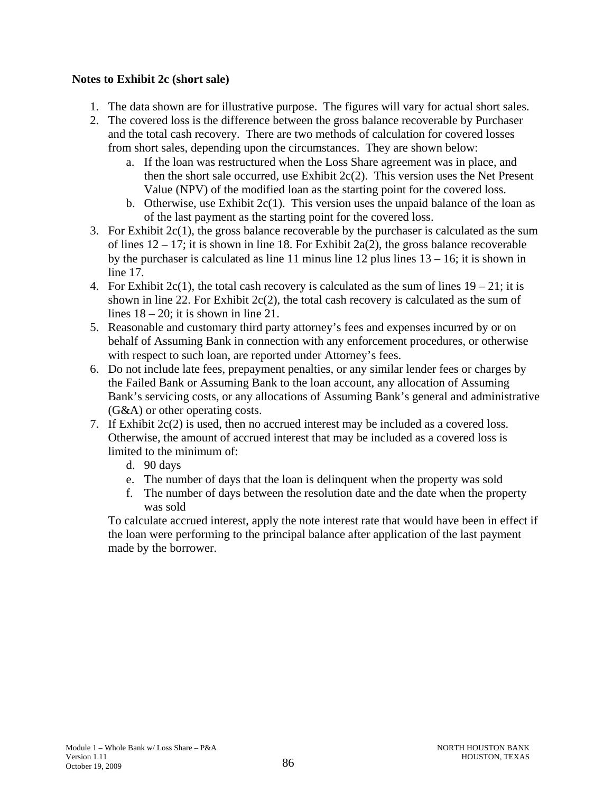## **Notes to Exhibit 2c (short sale)**

- 1. The data shown are for illustrative purpose. The figures will vary for actual short sales.
- 2. The covered loss is the difference between the gross balance recoverable by Purchaser and the total cash recovery. There are two methods of calculation for covered losses from short sales, depending upon the circumstances. They are shown below:
	- a. If the loan was restructured when the Loss Share agreement was in place, and then the short sale occurred, use Exhibit  $2c(2)$ . This version uses the Net Present Value (NPV) of the modified loan as the starting point for the covered loss.
	- b. Otherwise, use Exhibit  $2c(1)$ . This version uses the unpaid balance of the loan as of the last payment as the starting point for the covered loss.
- 3. For Exhibit  $2c(1)$ , the gross balance recoverable by the purchaser is calculated as the sum of lines  $12 - 17$ ; it is shown in line 18. For Exhibit 2a(2), the gross balance recoverable by the purchaser is calculated as line 11 minus line 12 plus lines 13 – 16; it is shown in line 17.
- 4. For Exhibit 2c(1), the total cash recovery is calculated as the sum of lines  $19 21$ ; it is shown in line 22. For Exhibit  $2c(2)$ , the total cash recovery is calculated as the sum of lines  $18 - 20$ ; it is shown in line 21.
- 5. Reasonable and customary third party attorney's fees and expenses incurred by or on behalf of Assuming Bank in connection with any enforcement procedures, or otherwise with respect to such loan, are reported under Attorney's fees.
- 6. Do not include late fees, prepayment penalties, or any similar lender fees or charges by the Failed Bank or Assuming Bank to the loan account, any allocation of Assuming Bank's servicing costs, or any allocations of Assuming Bank's general and administrative (G&A) or other operating costs.
- 7. If Exhibit  $2c(2)$  is used, then no accrued interest may be included as a covered loss. Otherwise, the amount of accrued interest that may be included as a covered loss is limited to the minimum of:
	- d. 90 days
	- e. The number of days that the loan is delinquent when the property was sold
	- f. The number of days between the resolution date and the date when the property was sold

To calculate accrued interest, apply the note interest rate that would have been in effect if the loan were performing to the principal balance after application of the last payment made by the borrower.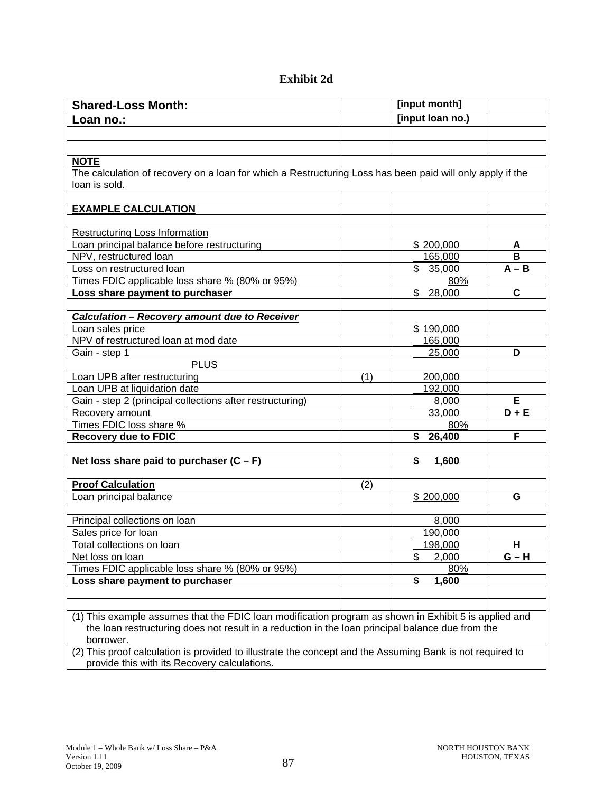# **Exhibit 2d**

| <b>Shared-Loss Month:</b>                                                                                                                                                                                 | [input month] |                    |         |
|-----------------------------------------------------------------------------------------------------------------------------------------------------------------------------------------------------------|---------------|--------------------|---------|
| [input loan no.)<br>Loan no.:                                                                                                                                                                             |               |                    |         |
|                                                                                                                                                                                                           |               |                    |         |
|                                                                                                                                                                                                           |               |                    |         |
| <b>NOTE</b>                                                                                                                                                                                               |               |                    |         |
| The calculation of recovery on a loan for which a Restructuring Loss has been paid will only apply if the                                                                                                 |               |                    |         |
| loan is sold.                                                                                                                                                                                             |               |                    |         |
|                                                                                                                                                                                                           |               |                    |         |
| <b>EXAMPLE CALCULATION</b>                                                                                                                                                                                |               |                    |         |
|                                                                                                                                                                                                           |               |                    |         |
| <b>Restructuring Loss Information</b>                                                                                                                                                                     |               |                    |         |
| Loan principal balance before restructuring                                                                                                                                                               |               | \$200,000          | A       |
| NPV, restructured loan                                                                                                                                                                                    |               | 165,000            | B       |
| Loss on restructured loan                                                                                                                                                                                 |               | \$35,000           | $A - B$ |
| Times FDIC applicable loss share % (80% or 95%)                                                                                                                                                           |               | 80%                |         |
| Loss share payment to purchaser                                                                                                                                                                           |               | \$28,000           | C       |
|                                                                                                                                                                                                           |               |                    |         |
| Calculation - Recovery amount due to Receiver                                                                                                                                                             |               |                    |         |
| Loan sales price                                                                                                                                                                                          |               | \$190,000          |         |
| NPV of restructured loan at mod date                                                                                                                                                                      |               | 165,000            |         |
| Gain - step 1                                                                                                                                                                                             |               | 25,000             | D       |
| <b>PLUS</b>                                                                                                                                                                                               |               |                    |         |
| Loan UPB after restructuring                                                                                                                                                                              | (1)           | 200,000<br>192,000 |         |
| Loan UPB at liquidation date<br>Gain - step 2 (principal collections after restructuring)                                                                                                                 |               | 8,000              | Е       |
| Recovery amount                                                                                                                                                                                           |               | 33,000             | $D + E$ |
| Times FDIC loss share %                                                                                                                                                                                   |               | 80%                |         |
| <b>Recovery due to FDIC</b>                                                                                                                                                                               |               | \$26,400           | F       |
|                                                                                                                                                                                                           |               |                    |         |
| Net loss share paid to purchaser $(C - F)$                                                                                                                                                                |               | \$<br>1,600        |         |
|                                                                                                                                                                                                           |               |                    |         |
| <b>Proof Calculation</b>                                                                                                                                                                                  | (2)           |                    |         |
| Loan principal balance                                                                                                                                                                                    |               | \$200,000          | G       |
|                                                                                                                                                                                                           |               |                    |         |
| Principal collections on loan                                                                                                                                                                             |               | 8,000              |         |
| Sales price for loan                                                                                                                                                                                      |               | 190,000            |         |
| Total collections on loan                                                                                                                                                                                 |               | 198,000            | H       |
| Net loss on loan                                                                                                                                                                                          |               | \$<br>2,000        | G – H   |
| Times FDIC applicable loss share % (80% or 95%)                                                                                                                                                           |               | 80%                |         |
| Loss share payment to purchaser                                                                                                                                                                           |               | 1,600<br>\$        |         |
|                                                                                                                                                                                                           |               |                    |         |
|                                                                                                                                                                                                           |               |                    |         |
| (1) This example assumes that the FDIC loan modification program as shown in Exhibit 5 is applied and<br>the loan restructuring does not result in a reduction in the loan principal balance due from the |               |                    |         |
| borrower.                                                                                                                                                                                                 |               |                    |         |
| (2) This proof calculation is provided to illustrate the concept and the Assuming Bank is not required to                                                                                                 |               |                    |         |
| provide this with its Recovery calculations.                                                                                                                                                              |               |                    |         |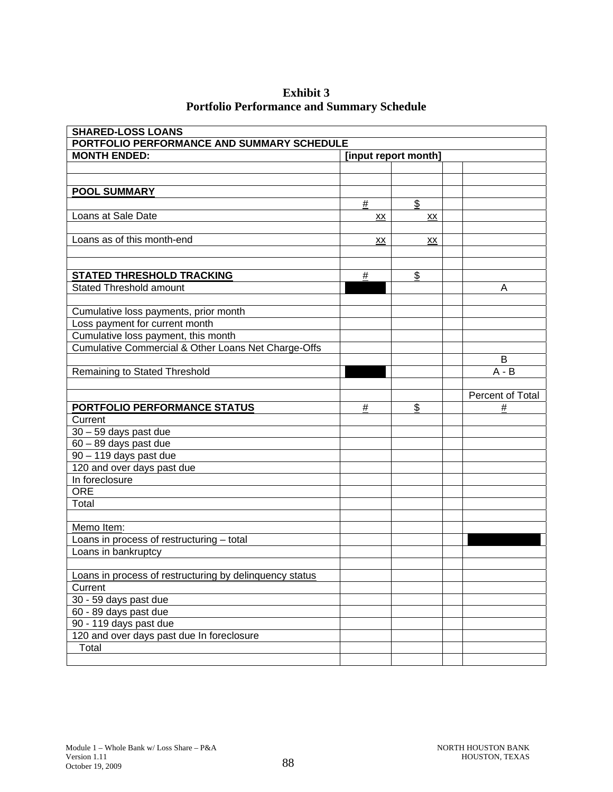| <b>SHARED-LOSS LOANS</b><br>PORTFOLIO PERFORMANCE AND SUMMARY SCHEDULE |                      |    |                  |
|------------------------------------------------------------------------|----------------------|----|------------------|
| <b>MONTH ENDED:</b>                                                    | [input report month] |    |                  |
|                                                                        |                      |    |                  |
|                                                                        |                      |    |                  |
| <b>POOL SUMMARY</b>                                                    |                      |    |                  |
|                                                                        | $\#$                 | \$ |                  |
| Loans at Sale Date                                                     | XX                   | XX |                  |
|                                                                        |                      |    |                  |
| Loans as of this month-end                                             | XX                   | XX |                  |
| <b>STATED THRESHOLD TRACKING</b>                                       | $\#$                 | \$ |                  |
| <b>Stated Threshold amount</b>                                         |                      |    | A                |
|                                                                        |                      |    |                  |
| Cumulative loss payments, prior month                                  |                      |    |                  |
| Loss payment for current month                                         |                      |    |                  |
| Cumulative loss payment, this month                                    |                      |    |                  |
| Cumulative Commercial & Other Loans Net Charge-Offs                    |                      |    |                  |
|                                                                        |                      |    | B                |
| Remaining to Stated Threshold                                          |                      |    | $A - B$          |
|                                                                        |                      |    |                  |
|                                                                        |                      |    | Percent of Total |
| <b>PORTFOLIO PERFORMANCE STATUS</b>                                    | $\#$                 | \$ | $\#$             |
| Current                                                                |                      |    |                  |
| $30 - 59$ days past due                                                |                      |    |                  |
| $60 - 89$ days past due                                                |                      |    |                  |
| $90 - 119$ days past due                                               |                      |    |                  |
| 120 and over days past due                                             |                      |    |                  |
| In foreclosure                                                         |                      |    |                  |
| <b>ORE</b>                                                             |                      |    |                  |
| Total                                                                  |                      |    |                  |
|                                                                        |                      |    |                  |
| Memo Item:                                                             |                      |    |                  |
| Loans in process of restructuring - total                              |                      |    |                  |
| Loans in bankruptcy                                                    |                      |    |                  |
|                                                                        |                      |    |                  |
| Loans in process of restructuring by delinguency status                |                      |    |                  |
| Current                                                                |                      |    |                  |
| 30 - 59 days past due                                                  |                      |    |                  |
| 60 - 89 days past due                                                  |                      |    |                  |
| 90 - 119 days past due                                                 |                      |    |                  |
| 120 and over days past due In foreclosure                              |                      |    |                  |
| Total                                                                  |                      |    |                  |
|                                                                        |                      |    |                  |

## **Exhibit 3 Portfolio Performance and Summary Schedule**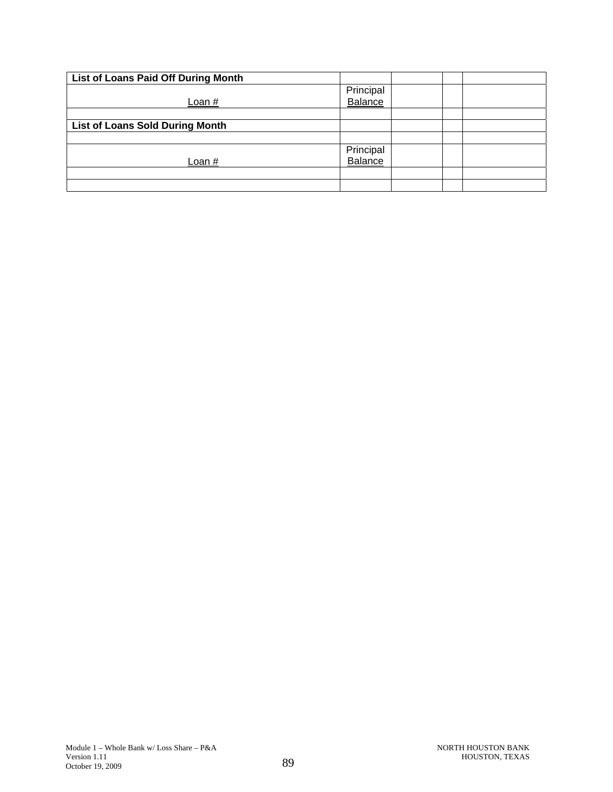| List of Loans Paid Off During Month    |                      |  |  |
|----------------------------------------|----------------------|--|--|
|                                        | Principal            |  |  |
| Loan #                                 | Balance              |  |  |
|                                        |                      |  |  |
| <b>List of Loans Sold During Month</b> |                      |  |  |
|                                        |                      |  |  |
|                                        | Principal<br>Balance |  |  |
| Loan #                                 |                      |  |  |
|                                        |                      |  |  |
|                                        |                      |  |  |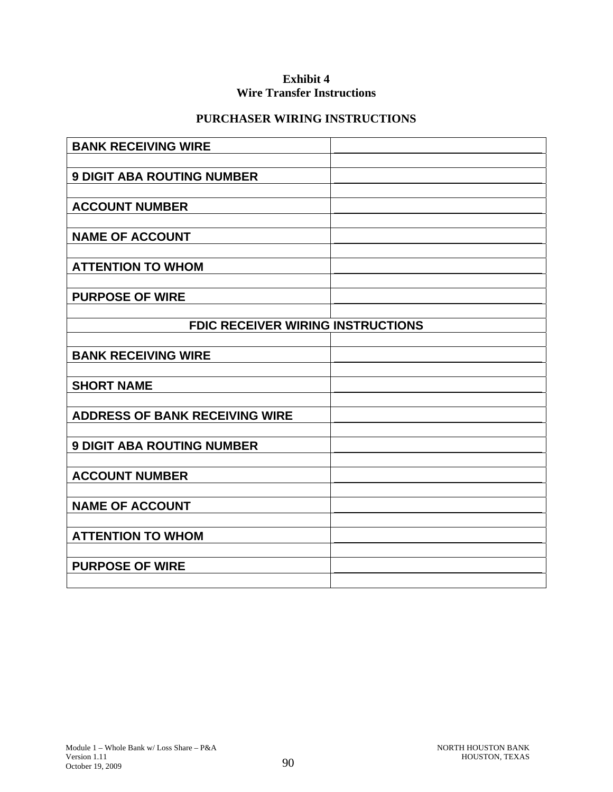## **Exhibit 4 Wire Transfer Instructions**

# **PURCHASER WIRING INSTRUCTIONS**

| <b>BANK RECEIVING WIRE</b>               |  |
|------------------------------------------|--|
|                                          |  |
| <b>9 DIGIT ABA ROUTING NUMBER</b>        |  |
|                                          |  |
| <b>ACCOUNT NUMBER</b>                    |  |
|                                          |  |
| <b>NAME OF ACCOUNT</b>                   |  |
|                                          |  |
| <b>ATTENTION TO WHOM</b>                 |  |
| <b>PURPOSE OF WIRE</b>                   |  |
|                                          |  |
| <b>FDIC RECEIVER WIRING INSTRUCTIONS</b> |  |
|                                          |  |
| <b>BANK RECEIVING WIRE</b>               |  |
|                                          |  |
| <b>SHORT NAME</b>                        |  |
|                                          |  |
| <b>ADDRESS OF BANK RECEIVING WIRE</b>    |  |
|                                          |  |
| <b>9 DIGIT ABA ROUTING NUMBER</b>        |  |
|                                          |  |
| <b>ACCOUNT NUMBER</b>                    |  |
| <b>NAME OF ACCOUNT</b>                   |  |
|                                          |  |
| <b>ATTENTION TO WHOM</b>                 |  |
|                                          |  |
| <b>PURPOSE OF WIRE</b>                   |  |
|                                          |  |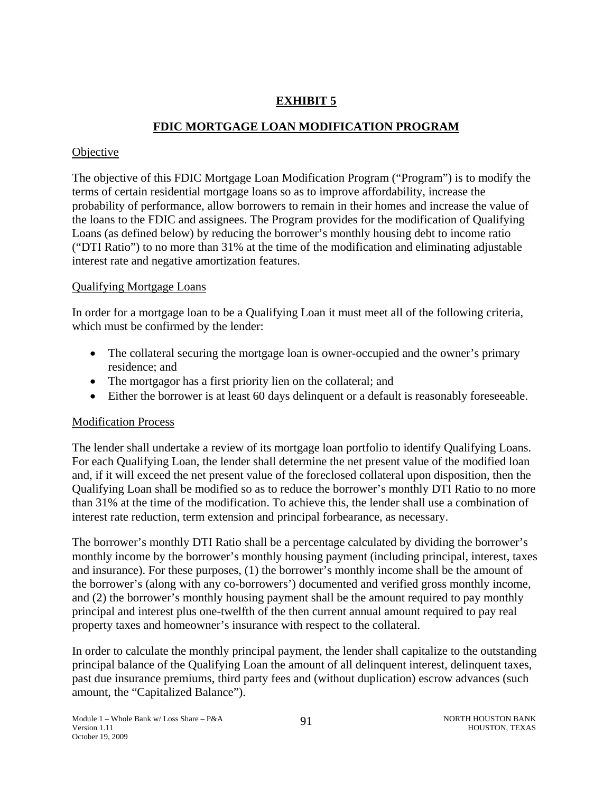# **EXHIBIT 5**

# **FDIC MORTGAGE LOAN MODIFICATION PROGRAM**

## **Objective**

The objective of this FDIC Mortgage Loan Modification Program ("Program") is to modify the terms of certain residential mortgage loans so as to improve affordability, increase the probability of performance, allow borrowers to remain in their homes and increase the value of the loans to the FDIC and assignees. The Program provides for the modification of Qualifying Loans (as defined below) by reducing the borrower's monthly housing debt to income ratio ("DTI Ratio") to no more than 31% at the time of the modification and eliminating adjustable interest rate and negative amortization features.

## Qualifying Mortgage Loans

In order for a mortgage loan to be a Qualifying Loan it must meet all of the following criteria, which must be confirmed by the lender:

- The collateral securing the mortgage loan is owner-occupied and the owner's primary residence; and
- The mortgagor has a first priority lien on the collateral; and
- Either the borrower is at least 60 days delinquent or a default is reasonably foreseeable.

### Modification Process

The lender shall undertake a review of its mortgage loan portfolio to identify Qualifying Loans. For each Qualifying Loan, the lender shall determine the net present value of the modified loan and, if it will exceed the net present value of the foreclosed collateral upon disposition, then the Qualifying Loan shall be modified so as to reduce the borrower's monthly DTI Ratio to no more than 31% at the time of the modification. To achieve this, the lender shall use a combination of interest rate reduction, term extension and principal forbearance, as necessary.

The borrower's monthly DTI Ratio shall be a percentage calculated by dividing the borrower's monthly income by the borrower's monthly housing payment (including principal, interest, taxes and insurance). For these purposes, (1) the borrower's monthly income shall be the amount of the borrower's (along with any co-borrowers') documented and verified gross monthly income, and (2) the borrower's monthly housing payment shall be the amount required to pay monthly principal and interest plus one-twelfth of the then current annual amount required to pay real property taxes and homeowner's insurance with respect to the collateral.

In order to calculate the monthly principal payment, the lender shall capitalize to the outstanding principal balance of the Qualifying Loan the amount of all delinquent interest, delinquent taxes, past due insurance premiums, third party fees and (without duplication) escrow advances (such amount, the "Capitalized Balance").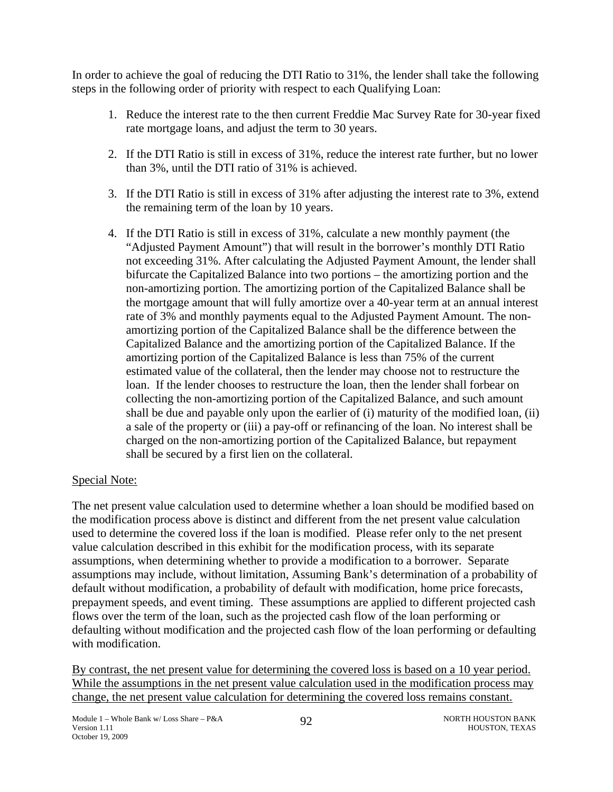In order to achieve the goal of reducing the DTI Ratio to 31%, the lender shall take the following steps in the following order of priority with respect to each Qualifying Loan:

- 1. Reduce the interest rate to the then current Freddie Mac Survey Rate for 30-year fixed rate mortgage loans, and adjust the term to 30 years.
- 2. If the DTI Ratio is still in excess of 31%, reduce the interest rate further, but no lower than 3%, until the DTI ratio of 31% is achieved.
- 3. If the DTI Ratio is still in excess of 31% after adjusting the interest rate to 3%, extend the remaining term of the loan by 10 years.
- 4. If the DTI Ratio is still in excess of 31%, calculate a new monthly payment (the "Adjusted Payment Amount") that will result in the borrower's monthly DTI Ratio not exceeding 31%. After calculating the Adjusted Payment Amount, the lender shall bifurcate the Capitalized Balance into two portions – the amortizing portion and the non-amortizing portion. The amortizing portion of the Capitalized Balance shall be the mortgage amount that will fully amortize over a 40-year term at an annual interest rate of 3% and monthly payments equal to the Adjusted Payment Amount. The nonamortizing portion of the Capitalized Balance shall be the difference between the Capitalized Balance and the amortizing portion of the Capitalized Balance. If the amortizing portion of the Capitalized Balance is less than 75% of the current estimated value of the collateral, then the lender may choose not to restructure the loan. If the lender chooses to restructure the loan, then the lender shall forbear on collecting the non-amortizing portion of the Capitalized Balance, and such amount shall be due and payable only upon the earlier of (i) maturity of the modified loan, (ii) a sale of the property or (iii) a pay-off or refinancing of the loan. No interest shall be charged on the non-amortizing portion of the Capitalized Balance, but repayment shall be secured by a first lien on the collateral.

### Special Note:

The net present value calculation used to determine whether a loan should be modified based on the modification process above is distinct and different from the net present value calculation used to determine the covered loss if the loan is modified. Please refer only to the net present value calculation described in this exhibit for the modification process, with its separate assumptions, when determining whether to provide a modification to a borrower. Separate assumptions may include, without limitation, Assuming Bank's determination of a probability of default without modification, a probability of default with modification, home price forecasts, prepayment speeds, and event timing. These assumptions are applied to different projected cash flows over the term of the loan, such as the projected cash flow of the loan performing or defaulting without modification and the projected cash flow of the loan performing or defaulting with modification.

change, the net present value calculation for determining the covered loss remains constant.<br>
Module 1 – Whole Bank w/ Loss Share – P&A 92 NORTH HOUSTON, TEXAS<br>
Version 1.11 HOUSTON, TEXAS By contrast, the net present value for determining the covered loss is based on a 10 year period. While the assumptions in the net present value calculation used in the modification process may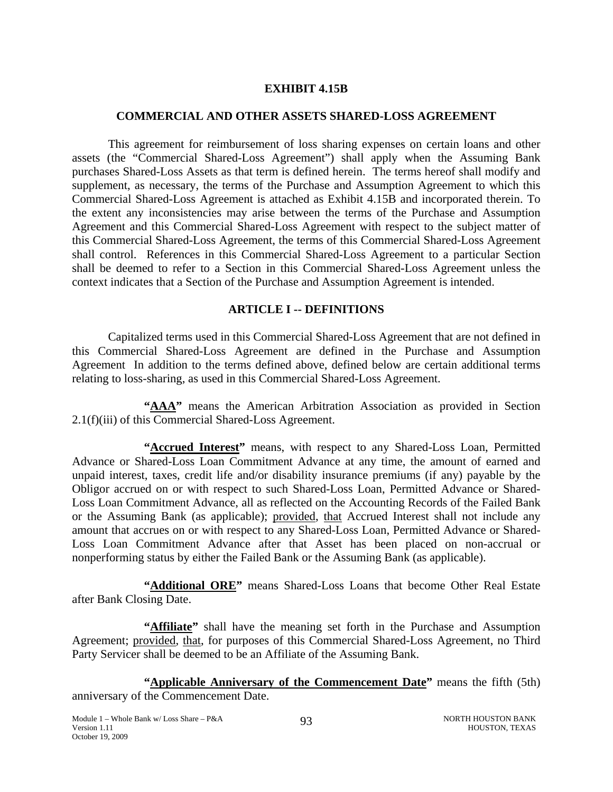#### **EXHIBIT 4.15B**

#### **COMMERCIAL AND OTHER ASSETS SHARED-LOSS AGREEMENT**

This agreement for reimbursement of loss sharing expenses on certain loans and other assets (the "Commercial Shared-Loss Agreement") shall apply when the Assuming Bank purchases Shared-Loss Assets as that term is defined herein. The terms hereof shall modify and supplement, as necessary, the terms of the Purchase and Assumption Agreement to which this Commercial Shared-Loss Agreement is attached as Exhibit 4.15B and incorporated therein. To the extent any inconsistencies may arise between the terms of the Purchase and Assumption Agreement and this Commercial Shared-Loss Agreement with respect to the subject matter of this Commercial Shared-Loss Agreement, the terms of this Commercial Shared-Loss Agreement shall control. References in this Commercial Shared-Loss Agreement to a particular Section shall be deemed to refer to a Section in this Commercial Shared-Loss Agreement unless the context indicates that a Section of the Purchase and Assumption Agreement is intended.

#### **ARTICLE I -- DEFINITIONS**

Capitalized terms used in this Commercial Shared-Loss Agreement that are not defined in this Commercial Shared-Loss Agreement are defined in the Purchase and Assumption Agreement In addition to the terms defined above, defined below are certain additional terms relating to loss-sharing, as used in this Commercial Shared-Loss Agreement.

"AAA" means the American Arbitration Association as provided in Section 2.1(f)(iii) of this Commercial Shared-Loss Agreement.

**"Accrued Interest"** means, with respect to any Shared-Loss Loan, Permitted Advance or Shared-Loss Loan Commitment Advance at any time, the amount of earned and unpaid interest, taxes, credit life and/or disability insurance premiums (if any) payable by the Obligor accrued on or with respect to such Shared-Loss Loan, Permitted Advance or Shared-Loss Loan Commitment Advance, all as reflected on the Accounting Records of the Failed Bank or the Assuming Bank (as applicable); provided, that Accrued Interest shall not include any amount that accrues on or with respect to any Shared-Loss Loan, Permitted Advance or Shared-Loss Loan Commitment Advance after that Asset has been placed on non-accrual or nonperforming status by either the Failed Bank or the Assuming Bank (as applicable).

"**Additional ORE**" means Shared-Loss Loans that become Other Real Estate after Bank Closing Date.

"**Affiliate**" shall have the meaning set forth in the Purchase and Assumption Agreement; provided, that, for purposes of this Commercial Shared-Loss Agreement, no Third Party Servicer shall be deemed to be an Affiliate of the Assuming Bank.

**Examplicable Anniversary of the Commencement Date**" means the fifth (5th) anniversary of the Commencement Date.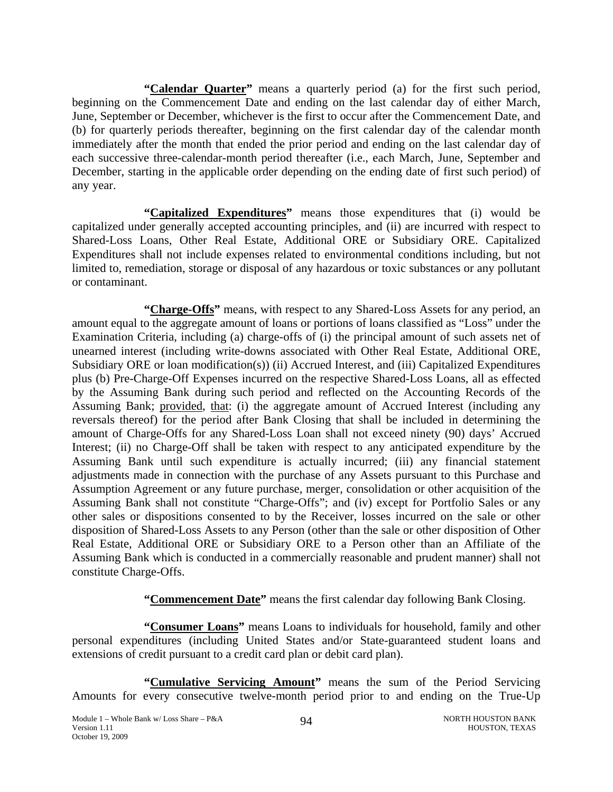"Calendar Quarter" means a quarterly period (a) for the first such period, beginning on the Commencement Date and ending on the last calendar day of either March, June, September or December, whichever is the first to occur after the Commencement Date, and (b) for quarterly periods thereafter, beginning on the first calendar day of the calendar month immediately after the month that ended the prior period and ending on the last calendar day of each successive three-calendar-month period thereafter (i.e., each March, June, September and December, starting in the applicable order depending on the ending date of first such period) of any year.

**"Capitalized Expenditures"** means those expenditures that (i) would be capitalized under generally accepted accounting principles, and (ii) are incurred with respect to Shared-Loss Loans, Other Real Estate, Additional ORE or Subsidiary ORE. Capitalized Expenditures shall not include expenses related to environmental conditions including, but not limited to, remediation, storage or disposal of any hazardous or toxic substances or any pollutant or contaminant.

**"Charge-Offs"** means, with respect to any Shared-Loss Assets for any period, an amount equal to the aggregate amount of loans or portions of loans classified as "Loss" under the Examination Criteria, including (a) charge-offs of (i) the principal amount of such assets net of unearned interest (including write-downs associated with Other Real Estate, Additional ORE, Subsidiary ORE or loan modification(s)) (ii) Accrued Interest, and (iii) Capitalized Expenditures plus (b) Pre-Charge-Off Expenses incurred on the respective Shared-Loss Loans, all as effected by the Assuming Bank during such period and reflected on the Accounting Records of the Assuming Bank; provided, that: (i) the aggregate amount of Accrued Interest (including any reversals thereof) for the period after Bank Closing that shall be included in determining the amount of Charge-Offs for any Shared-Loss Loan shall not exceed ninety (90) days' Accrued Interest; (ii) no Charge-Off shall be taken with respect to any anticipated expenditure by the Assuming Bank until such expenditure is actually incurred; (iii) any financial statement adjustments made in connection with the purchase of any Assets pursuant to this Purchase and Assumption Agreement or any future purchase, merger, consolidation or other acquisition of the Assuming Bank shall not constitute "Charge-Offs"; and (iv) except for Portfolio Sales or any other sales or dispositions consented to by the Receiver, losses incurred on the sale or other disposition of Shared-Loss Assets to any Person (other than the sale or other disposition of Other Real Estate, Additional ORE or Subsidiary ORE to a Person other than an Affiliate of the Assuming Bank which is conducted in a commercially reasonable and prudent manner) shall not constitute Charge-Offs.

**"Commencement Date"** means the first calendar day following Bank Closing.

**"Consumer Loans"** means Loans to individuals for household, family and other personal expenditures (including United States and/or State-guaranteed student loans and extensions of credit pursuant to a credit card plan or debit card plan).

**"Cumulative Servicing Amount"** means the sum of the Period Servicing Amounts for every consecutive twelve-month period prior to and ending on the True-Up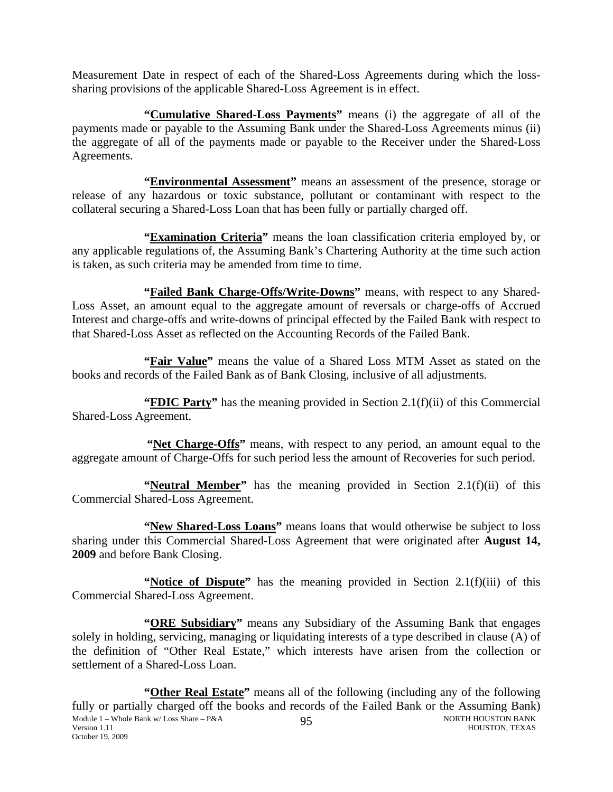Measurement Date in respect of each of the Shared-Loss Agreements during which the losssharing provisions of the applicable Shared-Loss Agreement is in effect.

**"Cumulative Shared-Loss Payments"** means (i) the aggregate of all of the payments made or payable to the Assuming Bank under the Shared-Loss Agreements minus (ii) the aggregate of all of the payments made or payable to the Receiver under the Shared-Loss Agreements.

**"Environmental Assessment"** means an assessment of the presence, storage or release of any hazardous or toxic substance, pollutant or contaminant with respect to the collateral securing a Shared-Loss Loan that has been fully or partially charged off.

**"Examination Criteria"** means the loan classification criteria employed by, or any applicable regulations of, the Assuming Bank's Chartering Authority at the time such action is taken, as such criteria may be amended from time to time.

**"Failed Bank Charge-Offs/Write-Downs"** means, with respect to any Shared-Loss Asset, an amount equal to the aggregate amount of reversals or charge-offs of Accrued Interest and charge-offs and write-downs of principal effected by the Failed Bank with respect to that Shared-Loss Asset as reflected on the Accounting Records of the Failed Bank.

**"Fair Value"** means the value of a Shared Loss MTM Asset as stated on the books and records of the Failed Bank as of Bank Closing, inclusive of all adjustments.

**"FDIC Party"** has the meaning provided in Section 2.1(f)(ii) of this Commercial Shared-Loss Agreement.

**"Net Charge-Offs"** means, with respect to any period, an amount equal to the aggregate amount of Charge-Offs for such period less the amount of Recoveries for such period.

 Commercial Shared-Loss Agreement. "Neutral Member" has the meaning provided in Section 2.1(f)(ii) of this

**"New Shared-Loss Loans"** means loans that would otherwise be subject to loss sharing under this Commercial Shared-Loss Agreement that were originated after **August 14, 2009** and before Bank Closing.

**"Notice of Dispute"** has the meaning provided in Section 2.1(f)(iii) of this Commercial Shared-Loss Agreement.

**"ORE Subsidiary"** means any Subsidiary of the Assuming Bank that engages solely in holding, servicing, managing or liquidating interests of a type described in clause (A) of the definition of "Other Real Estate," which interests have arisen from the collection or settlement of a Shared-Loss Loan.

**"Other Real Estate"** means all of the following (including any of the following fully or partially charged off the books and records of the Failed Bank or the Assuming Bank) Module 1 – Whole Bank w/ Loss Share – P&A  $95$  NORTH HOUSTON BANK HOUSTON, TEXAS October 19, 2009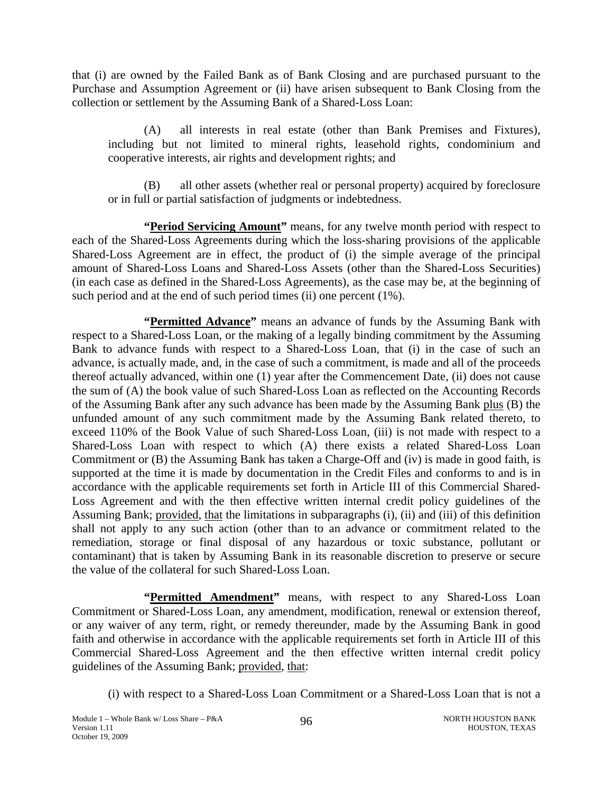that (i) are owned by the Failed Bank as of Bank Closing and are purchased pursuant to the Purchase and Assumption Agreement or (ii) have arisen subsequent to Bank Closing from the collection or settlement by the Assuming Bank of a Shared-Loss Loan:

(A) all interests in real estate (other than Bank Premises and Fixtures), including but not limited to mineral rights, leasehold rights, condominium and cooperative interests, air rights and development rights; and

(B) all other assets (whether real or personal property) acquired by foreclosure or in full or partial satisfaction of judgments or indebtedness.

**"Period Servicing Amount"** means, for any twelve month period with respect to each of the Shared-Loss Agreements during which the loss-sharing provisions of the applicable Shared-Loss Agreement are in effect, the product of (i) the simple average of the principal amount of Shared-Loss Loans and Shared-Loss Assets (other than the Shared-Loss Securities) (in each case as defined in the Shared-Loss Agreements), as the case may be, at the beginning of such period and at the end of such period times (ii) one percent (1%).

**"Permitted Advance"** means an advance of funds by the Assuming Bank with respect to a Shared-Loss Loan, or the making of a legally binding commitment by the Assuming Bank to advance funds with respect to a Shared-Loss Loan, that (i) in the case of such an advance, is actually made, and, in the case of such a commitment, is made and all of the proceeds thereof actually advanced, within one (1) year after the Commencement Date, (ii) does not cause the sum of (A) the book value of such Shared-Loss Loan as reflected on the Accounting Records of the Assuming Bank after any such advance has been made by the Assuming Bank plus (B) the unfunded amount of any such commitment made by the Assuming Bank related thereto, to exceed 110% of the Book Value of such Shared-Loss Loan, (iii) is not made with respect to a Shared-Loss Loan with respect to which (A) there exists a related Shared-Loss Loan Commitment or (B) the Assuming Bank has taken a Charge-Off and (iv) is made in good faith, is supported at the time it is made by documentation in the Credit Files and conforms to and is in accordance with the applicable requirements set forth in Article III of this Commercial Shared-Loss Agreement and with the then effective written internal credit policy guidelines of the Assuming Bank; provided, that the limitations in subparagraphs (i), (ii) and (iii) of this definition shall not apply to any such action (other than to an advance or commitment related to the remediation, storage or final disposal of any hazardous or toxic substance, pollutant or contaminant) that is taken by Assuming Bank in its reasonable discretion to preserve or secure the value of the collateral for such Shared-Loss Loan.

"Permitted Amendment" means, with respect to any Shared-Loss Loan Commitment or Shared-Loss Loan, any amendment, modification, renewal or extension thereof, or any waiver of any term, right, or remedy thereunder, made by the Assuming Bank in good faith and otherwise in accordance with the applicable requirements set forth in Article III of this Commercial Shared-Loss Agreement and the then effective written internal credit policy guidelines of the Assuming Bank; provided, that:

(i) with respect to a Shared-Loss Loan Commitment or a Shared-Loss Loan that is not a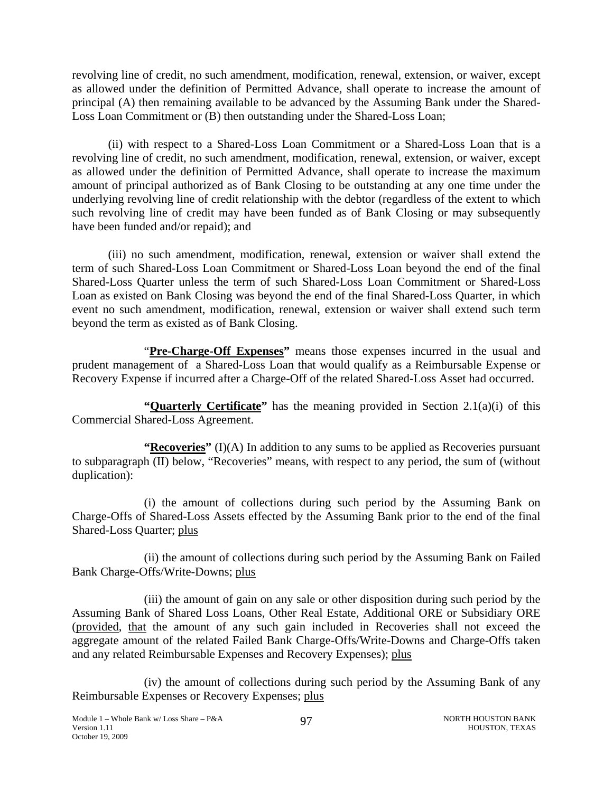revolving line of credit, no such amendment, modification, renewal, extension, or waiver, except as allowed under the definition of Permitted Advance, shall operate to increase the amount of principal (A) then remaining available to be advanced by the Assuming Bank under the Shared-Loss Loan Commitment or (B) then outstanding under the Shared-Loss Loan;

(ii) with respect to a Shared-Loss Loan Commitment or a Shared-Loss Loan that is a revolving line of credit, no such amendment, modification, renewal, extension, or waiver, except as allowed under the definition of Permitted Advance, shall operate to increase the maximum amount of principal authorized as of Bank Closing to be outstanding at any one time under the underlying revolving line of credit relationship with the debtor (regardless of the extent to which such revolving line of credit may have been funded as of Bank Closing or may subsequently have been funded and/or repaid); and

(iii) no such amendment, modification, renewal, extension or waiver shall extend the term of such Shared-Loss Loan Commitment or Shared-Loss Loan beyond the end of the final Shared-Loss Quarter unless the term of such Shared-Loss Loan Commitment or Shared-Loss Loan as existed on Bank Closing was beyond the end of the final Shared-Loss Quarter, in which event no such amendment, modification, renewal, extension or waiver shall extend such term beyond the term as existed as of Bank Closing.

"**Pre-Charge-Off Expenses"** means those expenses incurred in the usual and prudent management of a Shared-Loss Loan that would qualify as a Reimbursable Expense or Recovery Expense if incurred after a Charge-Off of the related Shared-Loss Asset had occurred.

**"Quarterly Certificate"** has the meaning provided in Section 2.1(a)(i) of this Commercial Shared-Loss Agreement.

**"Recoveries"** (I)(A) In addition to any sums to be applied as Recoveries pursuant to subparagraph (II) below, "Recoveries" means, with respect to any period, the sum of (without duplication):

**Shared-Loss Quarter; plus** (i) the amount of collections during such period by the Assuming Bank on Charge-Offs of Shared-Loss Assets effected by the Assuming Bank prior to the end of the final

(ii) the amount of collections during such period by the Assuming Bank on Failed Bank Charge-Offs/Write-Downs; plus

(iii) the amount of gain on any sale or other disposition during such period by the Assuming Bank of Shared Loss Loans, Other Real Estate, Additional ORE or Subsidiary ORE (provided, that the amount of any such gain included in Recoveries shall not exceed the aggregate amount of the related Failed Bank Charge-Offs/Write-Downs and Charge-Offs taken and any related Reimbursable Expenses and Recovery Expenses); plus

(iv) the amount of collections during such period by the Assuming Bank of any Reimbursable Expenses or Recovery Expenses; plus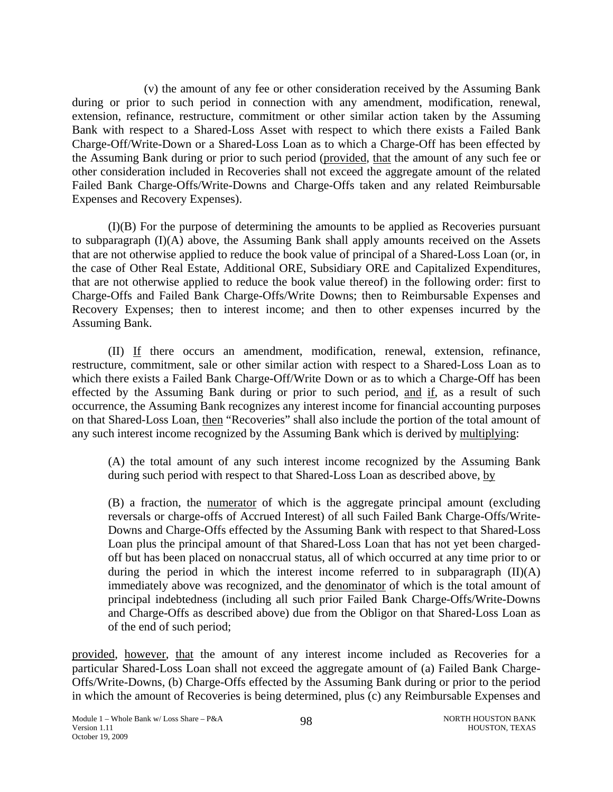(v) the amount of any fee or other consideration received by the Assuming Bank during or prior to such period in connection with any amendment, modification, renewal, extension, refinance, restructure, commitment or other similar action taken by the Assuming Bank with respect to a Shared-Loss Asset with respect to which there exists a Failed Bank Charge-Off/Write-Down or a Shared-Loss Loan as to which a Charge-Off has been effected by the Assuming Bank during or prior to such period (provided, that the amount of any such fee or other consideration included in Recoveries shall not exceed the aggregate amount of the related Failed Bank Charge-Offs/Write-Downs and Charge-Offs taken and any related Reimbursable Expenses and Recovery Expenses).

(I)(B) For the purpose of determining the amounts to be applied as Recoveries pursuant to subparagraph (I)(A) above, the Assuming Bank shall apply amounts received on the Assets that are not otherwise applied to reduce the book value of principal of a Shared-Loss Loan (or, in the case of Other Real Estate, Additional ORE, Subsidiary ORE and Capitalized Expenditures, that are not otherwise applied to reduce the book value thereof) in the following order: first to Charge-Offs and Failed Bank Charge-Offs/Write Downs; then to Reimbursable Expenses and Recovery Expenses; then to interest income; and then to other expenses incurred by the Assuming Bank.

(II) If there occurs an amendment, modification, renewal, extension, refinance, restructure, commitment, sale or other similar action with respect to a Shared-Loss Loan as to which there exists a Failed Bank Charge-Off/Write Down or as to which a Charge-Off has been effected by the Assuming Bank during or prior to such period, and if, as a result of such occurrence, the Assuming Bank recognizes any interest income for financial accounting purposes on that Shared-Loss Loan, then "Recoveries" shall also include the portion of the total amount of any such interest income recognized by the Assuming Bank which is derived by multiplying:

(A) the total amount of any such interest income recognized by the Assuming Bank during such period with respect to that Shared-Loss Loan as described above, by

(B) a fraction, the numerator of which is the aggregate principal amount (excluding reversals or charge-offs of Accrued Interest) of all such Failed Bank Charge-Offs/Write-Downs and Charge-Offs effected by the Assuming Bank with respect to that Shared-Loss Loan plus the principal amount of that Shared-Loss Loan that has not yet been chargedoff but has been placed on nonaccrual status, all of which occurred at any time prior to or during the period in which the interest income referred to in subparagraph (II)(A) immediately above was recognized, and the denominator of which is the total amount of principal indebtedness (including all such prior Failed Bank Charge-Offs/Write-Downs and Charge-Offs as described above) due from the Obligor on that Shared-Loss Loan as of the end of such period;

provided, however, that the amount of any interest income included as Recoveries for a particular Shared-Loss Loan shall not exceed the aggregate amount of (a) Failed Bank Charge-Offs/Write-Downs, (b) Charge-Offs effected by the Assuming Bank during or prior to the period in which the amount of Recoveries is being determined, plus (c) any Reimbursable Expenses and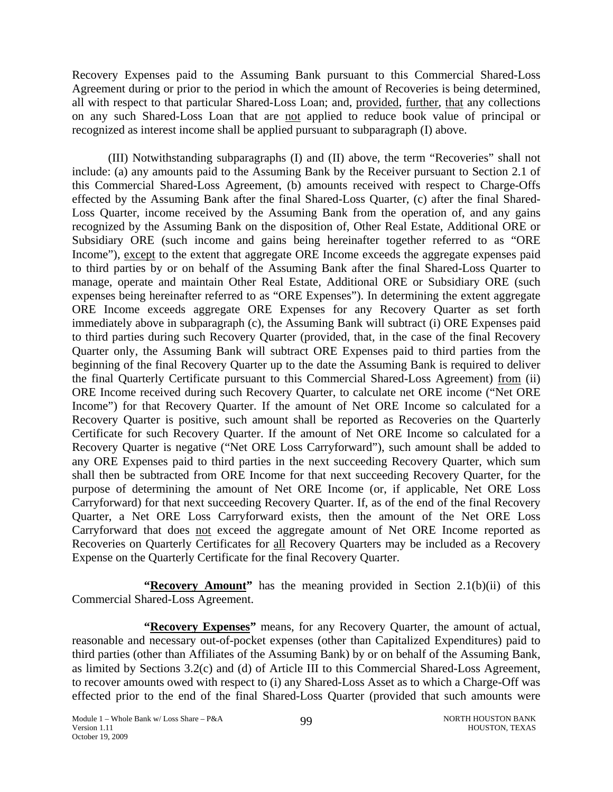Recovery Expenses paid to the Assuming Bank pursuant to this Commercial Shared-Loss Agreement during or prior to the period in which the amount of Recoveries is being determined, all with respect to that particular Shared-Loss Loan; and, provided, further, that any collections on any such Shared-Loss Loan that are not applied to reduce book value of principal or recognized as interest income shall be applied pursuant to subparagraph (I) above.

(III) Notwithstanding subparagraphs (I) and (II) above, the term "Recoveries" shall not include: (a) any amounts paid to the Assuming Bank by the Receiver pursuant to Section 2.1 of this Commercial Shared-Loss Agreement, (b) amounts received with respect to Charge-Offs effected by the Assuming Bank after the final Shared-Loss Quarter, (c) after the final Shared-Loss Quarter, income received by the Assuming Bank from the operation of, and any gains recognized by the Assuming Bank on the disposition of, Other Real Estate, Additional ORE or Subsidiary ORE (such income and gains being hereinafter together referred to as "ORE Income"), except to the extent that aggregate ORE Income exceeds the aggregate expenses paid to third parties by or on behalf of the Assuming Bank after the final Shared-Loss Quarter to manage, operate and maintain Other Real Estate, Additional ORE or Subsidiary ORE (such expenses being hereinafter referred to as "ORE Expenses"). In determining the extent aggregate ORE Income exceeds aggregate ORE Expenses for any Recovery Quarter as set forth immediately above in subparagraph (c), the Assuming Bank will subtract (i) ORE Expenses paid to third parties during such Recovery Quarter (provided, that, in the case of the final Recovery Quarter only, the Assuming Bank will subtract ORE Expenses paid to third parties from the beginning of the final Recovery Quarter up to the date the Assuming Bank is required to deliver the final Quarterly Certificate pursuant to this Commercial Shared-Loss Agreement) from (ii) ORE Income received during such Recovery Quarter, to calculate net ORE income ("Net ORE Income") for that Recovery Quarter. If the amount of Net ORE Income so calculated for a Recovery Quarter is positive, such amount shall be reported as Recoveries on the Quarterly Certificate for such Recovery Quarter. If the amount of Net ORE Income so calculated for a Recovery Quarter is negative ("Net ORE Loss Carryforward"), such amount shall be added to any ORE Expenses paid to third parties in the next succeeding Recovery Quarter, which sum shall then be subtracted from ORE Income for that next succeeding Recovery Quarter, for the purpose of determining the amount of Net ORE Income (or, if applicable, Net ORE Loss Carryforward) for that next succeeding Recovery Quarter. If, as of the end of the final Recovery Quarter, a Net ORE Loss Carryforward exists, then the amount of the Net ORE Loss Carryforward that does not exceed the aggregate amount of Net ORE Income reported as Recoveries on Quarterly Certificates for all Recovery Quarters may be included as a Recovery Expense on the Quarterly Certificate for the final Recovery Quarter.

**"Recovery Amount"** has the meaning provided in Section 2.1(b)(ii) of this Commercial Shared-Loss Agreement.

**"Recovery Expenses"** means, for any Recovery Quarter, the amount of actual, reasonable and necessary out-of-pocket expenses (other than Capitalized Expenditures) paid to third parties (other than Affiliates of the Assuming Bank) by or on behalf of the Assuming Bank, as limited by Sections 3.2(c) and (d) of Article III to this Commercial Shared-Loss Agreement, to recover amounts owed with respect to (i) any Shared-Loss Asset as to which a Charge-Off was effected prior to the end of the final Shared-Loss Quarter (provided that such amounts were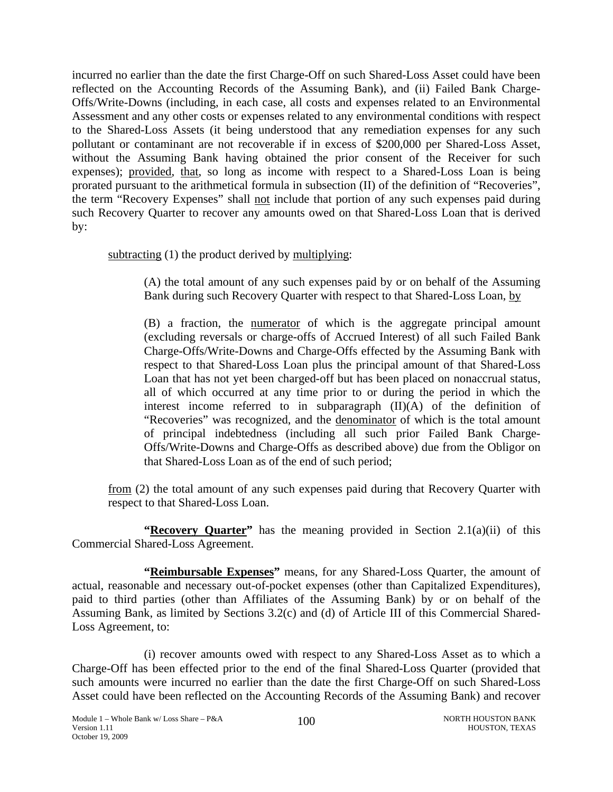incurred no earlier than the date the first Charge-Off on such Shared-Loss Asset could have been reflected on the Accounting Records of the Assuming Bank), and (ii) Failed Bank Charge-Offs/Write-Downs (including, in each case, all costs and expenses related to an Environmental Assessment and any other costs or expenses related to any environmental conditions with respect to the Shared-Loss Assets (it being understood that any remediation expenses for any such pollutant or contaminant are not recoverable if in excess of \$200,000 per Shared-Loss Asset, without the Assuming Bank having obtained the prior consent of the Receiver for such expenses); provided, that, so long as income with respect to a Shared-Loss Loan is being prorated pursuant to the arithmetical formula in subsection (II) of the definition of "Recoveries", the term "Recovery Expenses" shall not include that portion of any such expenses paid during such Recovery Quarter to recover any amounts owed on that Shared-Loss Loan that is derived by:

subtracting (1) the product derived by multiplying:

(A) the total amount of any such expenses paid by or on behalf of the Assuming Bank during such Recovery Quarter with respect to that Shared-Loss Loan, by

(B) a fraction, the numerator of which is the aggregate principal amount (excluding reversals or charge-offs of Accrued Interest) of all such Failed Bank Charge-Offs/Write-Downs and Charge-Offs effected by the Assuming Bank with respect to that Shared-Loss Loan plus the principal amount of that Shared-Loss Loan that has not yet been charged-off but has been placed on nonaccrual status, all of which occurred at any time prior to or during the period in which the interest income referred to in subparagraph (II)(A) of the definition of "Recoveries" was recognized, and the denominator of which is the total amount of principal indebtedness (including all such prior Failed Bank Charge-Offs/Write-Downs and Charge-Offs as described above) due from the Obligor on that Shared-Loss Loan as of the end of such period;

from (2) the total amount of any such expenses paid during that Recovery Quarter with respect to that Shared-Loss Loan.

**"Recovery Quarter"** has the meaning provided in Section 2.1(a)(ii) of this Commercial Shared-Loss Agreement.

**"Reimbursable Expenses"** means, for any Shared-Loss Quarter, the amount of actual, reasonable and necessary out-of-pocket expenses (other than Capitalized Expenditures), paid to third parties (other than Affiliates of the Assuming Bank) by or on behalf of the Assuming Bank, as limited by Sections 3.2(c) and (d) of Article III of this Commercial Shared-Loss Agreement, to:

(i) recover amounts owed with respect to any Shared-Loss Asset as to which a Charge-Off has been effected prior to the end of the final Shared-Loss Quarter (provided that such amounts were incurred no earlier than the date the first Charge-Off on such Shared-Loss Asset could have been reflected on the Accounting Records of the Assuming Bank) and recover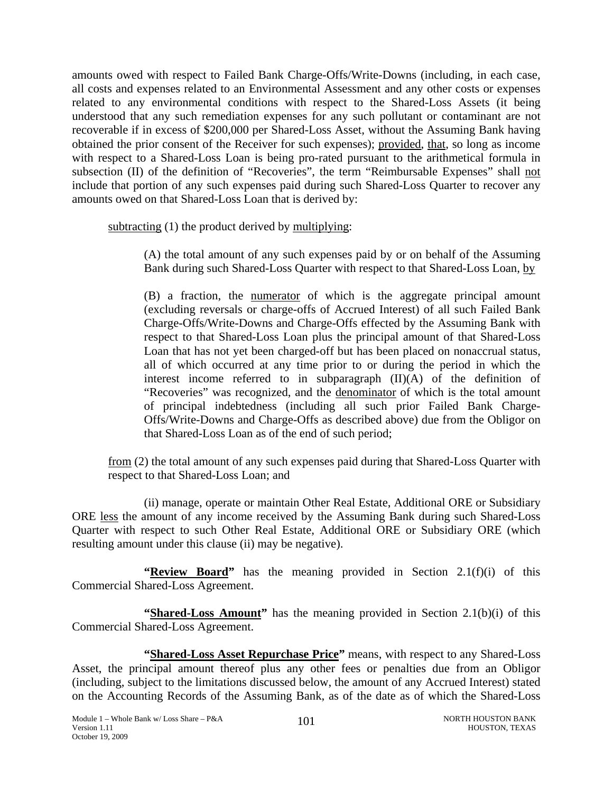amounts owed with respect to Failed Bank Charge-Offs/Write-Downs (including, in each case, all costs and expenses related to an Environmental Assessment and any other costs or expenses related to any environmental conditions with respect to the Shared-Loss Assets (it being understood that any such remediation expenses for any such pollutant or contaminant are not recoverable if in excess of \$200,000 per Shared-Loss Asset, without the Assuming Bank having obtained the prior consent of the Receiver for such expenses); provided, that, so long as income with respect to a Shared-Loss Loan is being pro-rated pursuant to the arithmetical formula in subsection (II) of the definition of "Recoveries", the term "Reimbursable Expenses" shall not include that portion of any such expenses paid during such Shared-Loss Quarter to recover any amounts owed on that Shared-Loss Loan that is derived by:

subtracting (1) the product derived by multiplying:

(A) the total amount of any such expenses paid by or on behalf of the Assuming Bank during such Shared-Loss Quarter with respect to that Shared-Loss Loan, by

(B) a fraction, the numerator of which is the aggregate principal amount (excluding reversals or charge-offs of Accrued Interest) of all such Failed Bank Charge-Offs/Write-Downs and Charge-Offs effected by the Assuming Bank with respect to that Shared-Loss Loan plus the principal amount of that Shared-Loss Loan that has not yet been charged-off but has been placed on nonaccrual status, all of which occurred at any time prior to or during the period in which the interest income referred to in subparagraph (II)(A) of the definition of "Recoveries" was recognized, and the denominator of which is the total amount of principal indebtedness (including all such prior Failed Bank Charge-Offs/Write-Downs and Charge-Offs as described above) due from the Obligor on that Shared-Loss Loan as of the end of such period;

from (2) the total amount of any such expenses paid during that Shared-Loss Quarter with respect to that Shared-Loss Loan; and

(ii) manage, operate or maintain Other Real Estate, Additional ORE or Subsidiary ORE less the amount of any income received by the Assuming Bank during such Shared-Loss Quarter with respect to such Other Real Estate, Additional ORE or Subsidiary ORE (which resulting amount under this clause (ii) may be negative).

**"Review Board"** has the meaning provided in Section 2.1(f)(i) of this Commercial Shared-Loss Agreement.

**"Shared-Loss Amount"** has the meaning provided in Section 2.1(b)(i) of this Commercial Shared-Loss Agreement.

**"Shared-Loss Asset Repurchase Price"** means, with respect to any Shared-Loss Asset, the principal amount thereof plus any other fees or penalties due from an Obligor (including, subject to the limitations discussed below, the amount of any Accrued Interest) stated on the Accounting Records of the Assuming Bank, as of the date as of which the Shared-Loss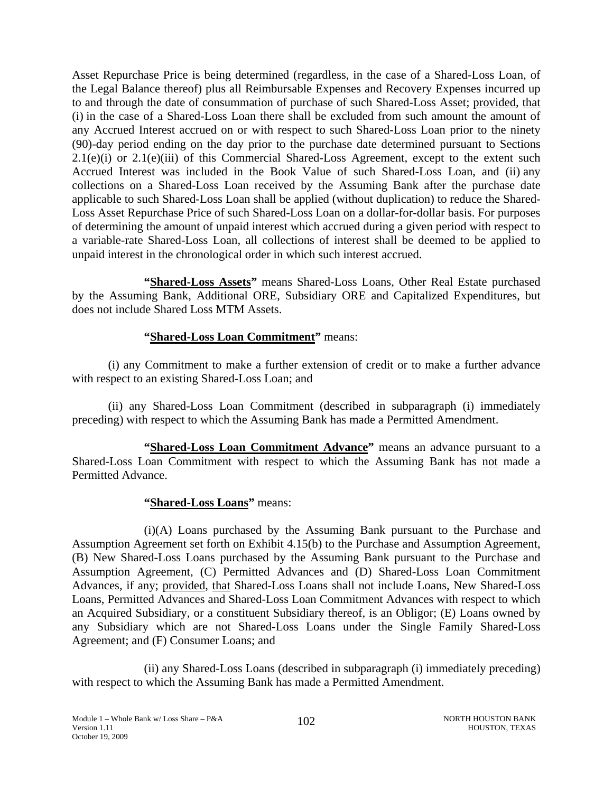Asset Repurchase Price is being determined (regardless, in the case of a Shared-Loss Loan, of the Legal Balance thereof) plus all Reimbursable Expenses and Recovery Expenses incurred up to and through the date of consummation of purchase of such Shared-Loss Asset; provided, that (i) in the case of a Shared-Loss Loan there shall be excluded from such amount the amount of any Accrued Interest accrued on or with respect to such Shared-Loss Loan prior to the ninety (90)-day period ending on the day prior to the purchase date determined pursuant to Sections  $2.1(e)(i)$  or  $2.1(e)(iii)$  of this Commercial Shared-Loss Agreement, except to the extent such Accrued Interest was included in the Book Value of such Shared-Loss Loan, and (ii) any collections on a Shared-Loss Loan received by the Assuming Bank after the purchase date applicable to such Shared-Loss Loan shall be applied (without duplication) to reduce the Shared-Loss Asset Repurchase Price of such Shared-Loss Loan on a dollar-for-dollar basis. For purposes of determining the amount of unpaid interest which accrued during a given period with respect to a variable-rate Shared-Loss Loan, all collections of interest shall be deemed to be applied to unpaid interest in the chronological order in which such interest accrued.

**"Shared-Loss Assets"** means Shared-Loss Loans, Other Real Estate purchased by the Assuming Bank, Additional ORE, Subsidiary ORE and Capitalized Expenditures, but does not include Shared Loss MTM Assets.

### "Shared-Loss Loan Commitment" means:

(i) any Commitment to make a further extension of credit or to make a further advance with respect to an existing Shared-Loss Loan; and

(ii) any Shared-Loss Loan Commitment (described in subparagraph (i) immediately preceding) with respect to which the Assuming Bank has made a Permitted Amendment.

"Shared-Loss Loan Commitment Advance" means an advance pursuant to a Shared-Loss Loan Commitment with respect to which the Assuming Bank has not made a Permitted Advance.

## **"Shared-Loss Loans"** means:

(i)(A) Loans purchased by the Assuming Bank pursuant to the Purchase and Assumption Agreement set forth on Exhibit 4.15(b) to the Purchase and Assumption Agreement, (B) New Shared-Loss Loans purchased by the Assuming Bank pursuant to the Purchase and Assumption Agreement, (C) Permitted Advances and (D) Shared-Loss Loan Commitment Advances, if any; provided, that Shared-Loss Loans shall not include Loans, New Shared-Loss Loans, Permitted Advances and Shared-Loss Loan Commitment Advances with respect to which an Acquired Subsidiary, or a constituent Subsidiary thereof, is an Obligor; (E) Loans owned by any Subsidiary which are not Shared-Loss Loans under the Single Family Shared-Loss Agreement; and (F) Consumer Loans; and

(ii) any Shared-Loss Loans (described in subparagraph (i) immediately preceding) with respect to which the Assuming Bank has made a Permitted Amendment.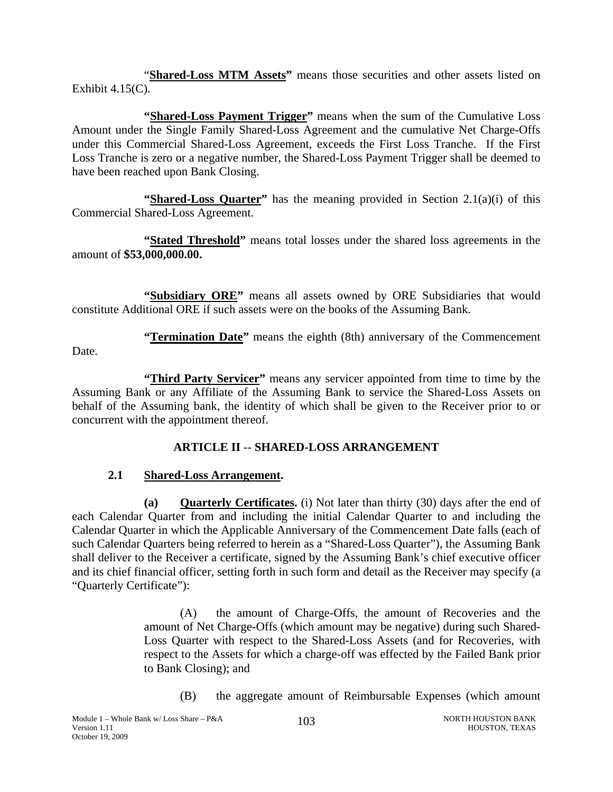"**Shared-Loss MTM Assets"** means those securities and other assets listed on Exhibit  $4.15(C)$ .

**"Shared-Loss Payment Trigger"** means when the sum of the Cumulative Loss Amount under the Single Family Shared-Loss Agreement and the cumulative Net Charge-Offs under this Commercial Shared-Loss Agreement, exceeds the First Loss Tranche. If the First Loss Tranche is zero or a negative number, the Shared-Loss Payment Trigger shall be deemed to have been reached upon Bank Closing.

**"Shared-Loss Quarter"** has the meaning provided in Section 2.1(a)(i) of this Commercial Shared-Loss Agreement.

**"Stated Threshold"** means total losses under the shared loss agreements in the amount of **\$53,000,000.00.** 

"Subsidiary ORE" means all assets owned by ORE Subsidiaries that would constitute Additional ORE if such assets were on the books of the Assuming Bank.

**"Termination Date"** means the eighth (8th) anniversary of the Commencement Date.

**"Third Party Servicer"** means any servicer appointed from time to time by the Assuming Bank or any Affiliate of the Assuming Bank to service the Shared-Loss Assets on behalf of the Assuming bank, the identity of which shall be given to the Receiver prior to or concurrent with the appointment thereof.

## **ARTICLE II** -- **SHARED-LOSS ARRANGEMENT**

### **2.1 Shared-Loss Arrangement.**

**(a) Quarterly Certificates.** (i) Not later than thirty (30) days after the end of each Calendar Quarter from and including the initial Calendar Quarter to and including the Calendar Quarter in which the Applicable Anniversary of the Commencement Date falls (each of such Calendar Quarters being referred to herein as a "Shared-Loss Quarter"), the Assuming Bank shall deliver to the Receiver a certificate, signed by the Assuming Bank's chief executive officer and its chief financial officer, setting forth in such form and detail as the Receiver may specify (a "Quarterly Certificate"):

> (A) the amount of Charge-Offs, the amount of Recoveries and the amount of Net Charge-Offs (which amount may be negative) during such Shared-Loss Quarter with respect to the Shared-Loss Assets (and for Recoveries, with respect to the Assets for which a charge-off was effected by the Failed Bank prior to Bank Closing); and

(B) the aggregate amount of Reimbursable Expenses (which amount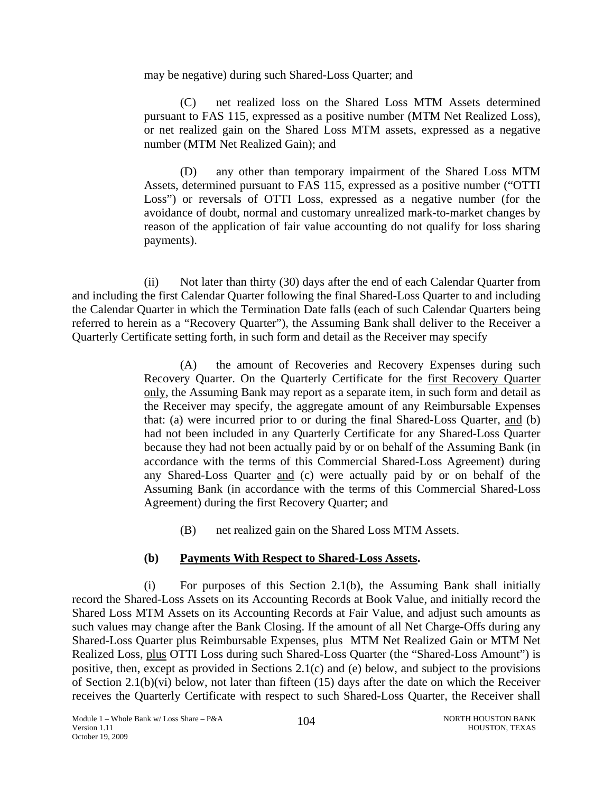may be negative) during such Shared-Loss Quarter; and

(C) net realized loss on the Shared Loss MTM Assets determined pursuant to FAS 115, expressed as a positive number (MTM Net Realized Loss), or net realized gain on the Shared Loss MTM assets, expressed as a negative number (MTM Net Realized Gain); and

(D) any other than temporary impairment of the Shared Loss MTM Assets, determined pursuant to FAS 115, expressed as a positive number ("OTTI Loss") or reversals of OTTI Loss, expressed as a negative number (for the avoidance of doubt, normal and customary unrealized mark-to-market changes by reason of the application of fair value accounting do not qualify for loss sharing payments).

(ii) Not later than thirty (30) days after the end of each Calendar Quarter from and including the first Calendar Quarter following the final Shared-Loss Quarter to and including the Calendar Quarter in which the Termination Date falls (each of such Calendar Quarters being referred to herein as a "Recovery Quarter"), the Assuming Bank shall deliver to the Receiver a Quarterly Certificate setting forth, in such form and detail as the Receiver may specify

> (A) the amount of Recoveries and Recovery Expenses during such Recovery Quarter. On the Quarterly Certificate for the first Recovery Quarter only, the Assuming Bank may report as a separate item, in such form and detail as the Receiver may specify, the aggregate amount of any Reimbursable Expenses that: (a) were incurred prior to or during the final Shared-Loss Quarter, and (b) had not been included in any Quarterly Certificate for any Shared-Loss Quarter because they had not been actually paid by or on behalf of the Assuming Bank (in accordance with the terms of this Commercial Shared-Loss Agreement) during any Shared-Loss Quarter and (c) were actually paid by or on behalf of the Assuming Bank (in accordance with the terms of this Commercial Shared-Loss Agreement) during the first Recovery Quarter; and

(B) net realized gain on the Shared Loss MTM Assets.

## **(b) Payments With Respect to Shared-Loss Assets.**

 $(i)$  For purposes of this Section 2.1(b), the Assuming Bank shall initially record the Shared-Loss Assets on its Accounting Records at Book Value, and initially record the Shared Loss MTM Assets on its Accounting Records at Fair Value, and adjust such amounts as such values may change after the Bank Closing. If the amount of all Net Charge-Offs during any Shared-Loss Quarter plus Reimbursable Expenses, plus MTM Net Realized Gain or MTM Net Realized Loss, plus OTTI Loss during such Shared-Loss Quarter (the "Shared-Loss Amount") is positive, then, except as provided in Sections 2.1(c) and (e) below, and subject to the provisions of Section 2.1(b)(vi) below, not later than fifteen (15) days after the date on which the Receiver receives the Quarterly Certificate with respect to such Shared-Loss Quarter, the Receiver shall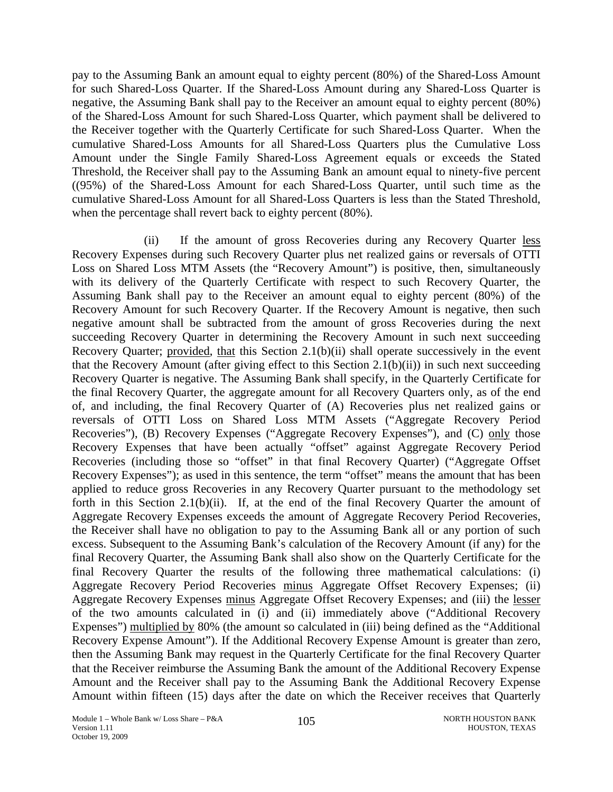pay to the Assuming Bank an amount equal to eighty percent (80%) of the Shared-Loss Amount for such Shared-Loss Quarter. If the Shared-Loss Amount during any Shared-Loss Quarter is negative, the Assuming Bank shall pay to the Receiver an amount equal to eighty percent (80%) of the Shared-Loss Amount for such Shared-Loss Quarter, which payment shall be delivered to the Receiver together with the Quarterly Certificate for such Shared-Loss Quarter. When the cumulative Shared-Loss Amounts for all Shared-Loss Quarters plus the Cumulative Loss Amount under the Single Family Shared-Loss Agreement equals or exceeds the Stated Threshold, the Receiver shall pay to the Assuming Bank an amount equal to ninety-five percent ((95%) of the Shared-Loss Amount for each Shared-Loss Quarter, until such time as the cumulative Shared-Loss Amount for all Shared-Loss Quarters is less than the Stated Threshold, when the percentage shall revert back to eighty percent (80%).

(ii) If the amount of gross Recoveries during any Recovery Quarter less Recovery Expenses during such Recovery Quarter plus net realized gains or reversals of OTTI Loss on Shared Loss MTM Assets (the "Recovery Amount") is positive, then, simultaneously with its delivery of the Quarterly Certificate with respect to such Recovery Quarter, the Assuming Bank shall pay to the Receiver an amount equal to eighty percent (80%) of the Recovery Amount for such Recovery Quarter. If the Recovery Amount is negative, then such negative amount shall be subtracted from the amount of gross Recoveries during the next succeeding Recovery Quarter in determining the Recovery Amount in such next succeeding Recovery Quarter; provided, that this Section 2.1(b)(ii) shall operate successively in the event that the Recovery Amount (after giving effect to this Section 2.1(b)(ii)) in such next succeeding Recovery Quarter is negative. The Assuming Bank shall specify, in the Quarterly Certificate for the final Recovery Quarter, the aggregate amount for all Recovery Quarters only, as of the end of, and including, the final Recovery Quarter of (A) Recoveries plus net realized gains or reversals of OTTI Loss on Shared Loss MTM Assets ("Aggregate Recovery Period Recoveries"), (B) Recovery Expenses ("Aggregate Recovery Expenses"), and (C) only those Recovery Expenses that have been actually "offset" against Aggregate Recovery Period Recoveries (including those so "offset" in that final Recovery Quarter) ("Aggregate Offset Recovery Expenses"); as used in this sentence, the term "offset" means the amount that has been applied to reduce gross Recoveries in any Recovery Quarter pursuant to the methodology set forth in this Section 2.1(b)(ii). If, at the end of the final Recovery Quarter the amount of Aggregate Recovery Expenses exceeds the amount of Aggregate Recovery Period Recoveries, the Receiver shall have no obligation to pay to the Assuming Bank all or any portion of such excess. Subsequent to the Assuming Bank's calculation of the Recovery Amount (if any) for the final Recovery Quarter, the Assuming Bank shall also show on the Quarterly Certificate for the final Recovery Quarter the results of the following three mathematical calculations: (i) Aggregate Recovery Period Recoveries minus Aggregate Offset Recovery Expenses; (ii) Aggregate Recovery Expenses minus Aggregate Offset Recovery Expenses; and (iii) the lesser of the two amounts calculated in (i) and (ii) immediately above ("Additional Recovery Expenses") multiplied by 80% (the amount so calculated in (iii) being defined as the "Additional Recovery Expense Amount"). If the Additional Recovery Expense Amount is greater than zero, then the Assuming Bank may request in the Quarterly Certificate for the final Recovery Quarter that the Receiver reimburse the Assuming Bank the amount of the Additional Recovery Expense Amount and the Receiver shall pay to the Assuming Bank the Additional Recovery Expense Amount within fifteen (15) days after the date on which the Receiver receives that Quarterly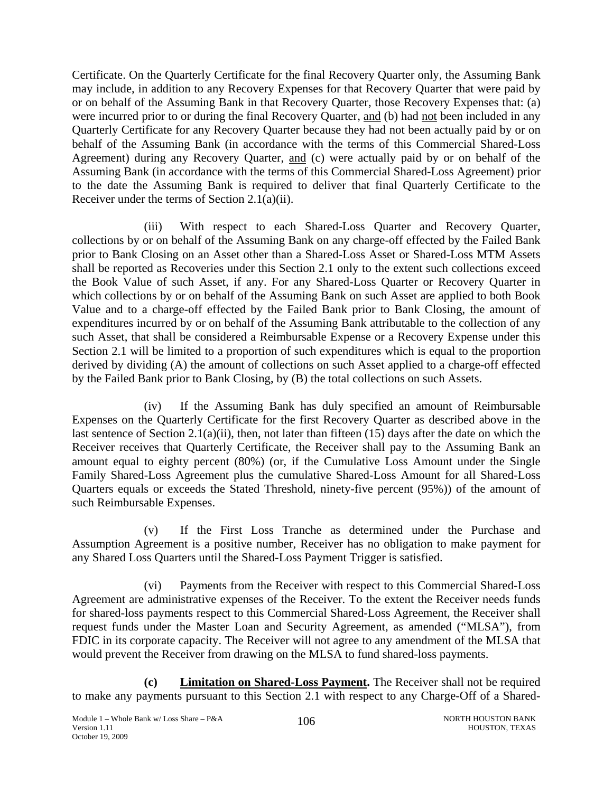Certificate. On the Quarterly Certificate for the final Recovery Quarter only, the Assuming Bank may include, in addition to any Recovery Expenses for that Recovery Quarter that were paid by or on behalf of the Assuming Bank in that Recovery Quarter, those Recovery Expenses that: (a) were incurred prior to or during the final Recovery Quarter, and (b) had not been included in any Quarterly Certificate for any Recovery Quarter because they had not been actually paid by or on behalf of the Assuming Bank (in accordance with the terms of this Commercial Shared-Loss Agreement) during any Recovery Quarter, and (c) were actually paid by or on behalf of the Assuming Bank (in accordance with the terms of this Commercial Shared-Loss Agreement) prior to the date the Assuming Bank is required to deliver that final Quarterly Certificate to the Receiver under the terms of Section 2.1(a)(ii).

(iii) With respect to each Shared-Loss Quarter and Recovery Quarter, collections by or on behalf of the Assuming Bank on any charge-off effected by the Failed Bank prior to Bank Closing on an Asset other than a Shared-Loss Asset or Shared-Loss MTM Assets shall be reported as Recoveries under this Section 2.1 only to the extent such collections exceed the Book Value of such Asset, if any. For any Shared-Loss Quarter or Recovery Quarter in which collections by or on behalf of the Assuming Bank on such Asset are applied to both Book Value and to a charge-off effected by the Failed Bank prior to Bank Closing, the amount of expenditures incurred by or on behalf of the Assuming Bank attributable to the collection of any such Asset, that shall be considered a Reimbursable Expense or a Recovery Expense under this Section 2.1 will be limited to a proportion of such expenditures which is equal to the proportion derived by dividing (A) the amount of collections on such Asset applied to a charge-off effected by the Failed Bank prior to Bank Closing, by (B) the total collections on such Assets.

(iv) If the Assuming Bank has duly specified an amount of Reimbursable Expenses on the Quarterly Certificate for the first Recovery Quarter as described above in the last sentence of Section 2.1(a)(ii), then, not later than fifteen (15) days after the date on which the Receiver receives that Quarterly Certificate, the Receiver shall pay to the Assuming Bank an amount equal to eighty percent (80%) (or, if the Cumulative Loss Amount under the Single Family Shared-Loss Agreement plus the cumulative Shared-Loss Amount for all Shared-Loss Quarters equals or exceeds the Stated Threshold, ninety-five percent (95%)) of the amount of such Reimbursable Expenses.

(v) If the First Loss Tranche as determined under the Purchase and Assumption Agreement is a positive number, Receiver has no obligation to make payment for any Shared Loss Quarters until the Shared-Loss Payment Trigger is satisfied.

(vi) Payments from the Receiver with respect to this Commercial Shared-Loss Agreement are administrative expenses of the Receiver. To the extent the Receiver needs funds for shared-loss payments respect to this Commercial Shared-Loss Agreement, the Receiver shall request funds under the Master Loan and Security Agreement, as amended ("MLSA"), from FDIC in its corporate capacity. The Receiver will not agree to any amendment of the MLSA that would prevent the Receiver from drawing on the MLSA to fund shared-loss payments.

**(c) Limitation on Shared-Loss Payment.** The Receiver shall not be required to make any payments pursuant to this Section 2.1 with respect to any Charge-Off of a Shared-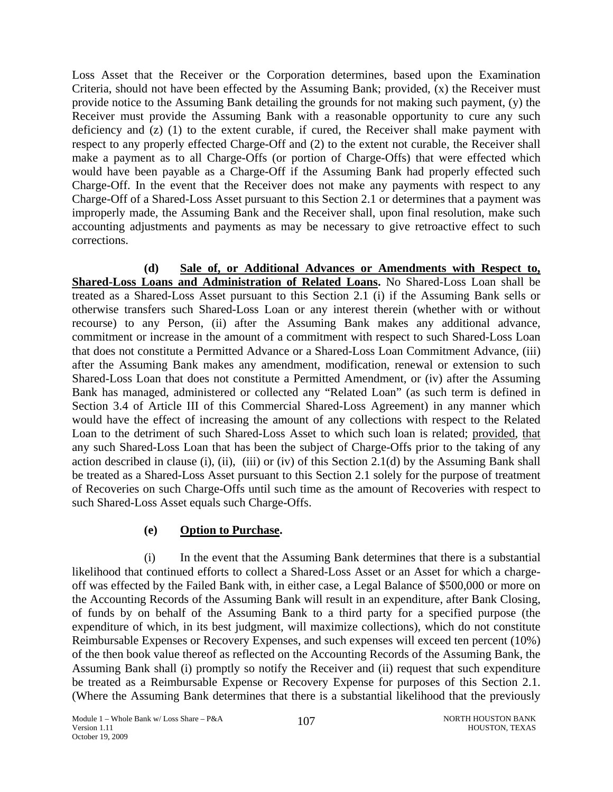Loss Asset that the Receiver or the Corporation determines, based upon the Examination Criteria, should not have been effected by the Assuming Bank; provided, (x) the Receiver must provide notice to the Assuming Bank detailing the grounds for not making such payment, (y) the Receiver must provide the Assuming Bank with a reasonable opportunity to cure any such deficiency and (z) (1) to the extent curable, if cured, the Receiver shall make payment with respect to any properly effected Charge-Off and (2) to the extent not curable, the Receiver shall make a payment as to all Charge-Offs (or portion of Charge-Offs) that were effected which would have been payable as a Charge-Off if the Assuming Bank had properly effected such Charge-Off. In the event that the Receiver does not make any payments with respect to any Charge-Off of a Shared-Loss Asset pursuant to this Section 2.1 or determines that a payment was improperly made, the Assuming Bank and the Receiver shall, upon final resolution, make such accounting adjustments and payments as may be necessary to give retroactive effect to such corrections.

Loan to the detriment of such Shared-Loss Asset to which such loan is related; provided, that **(d) Sale of, or Additional Advances or Amendments with Respect to, Shared-Loss Loans and Administration of Related Loans.** No Shared-Loss Loan shall be treated as a Shared-Loss Asset pursuant to this Section 2.1 (i) if the Assuming Bank sells or otherwise transfers such Shared-Loss Loan or any interest therein (whether with or without recourse) to any Person, (ii) after the Assuming Bank makes any additional advance, commitment or increase in the amount of a commitment with respect to such Shared-Loss Loan that does not constitute a Permitted Advance or a Shared-Loss Loan Commitment Advance, (iii) after the Assuming Bank makes any amendment, modification, renewal or extension to such Shared-Loss Loan that does not constitute a Permitted Amendment, or (iv) after the Assuming Bank has managed, administered or collected any "Related Loan" (as such term is defined in Section 3.4 of Article III of this Commercial Shared-Loss Agreement) in any manner which would have the effect of increasing the amount of any collections with respect to the Related any such Shared-Loss Loan that has been the subject of Charge-Offs prior to the taking of any action described in clause (i), (ii), (iii) or (iv) of this Section 2.1(d) by the Assuming Bank shall be treated as a Shared-Loss Asset pursuant to this Section 2.1 solely for the purpose of treatment of Recoveries on such Charge-Offs until such time as the amount of Recoveries with respect to such Shared-Loss Asset equals such Charge-Offs.

## **(e) Option to Purchase.**

(i) In the event that the Assuming Bank determines that there is a substantial likelihood that continued efforts to collect a Shared-Loss Asset or an Asset for which a chargeoff was effected by the Failed Bank with, in either case, a Legal Balance of \$500,000 or more on the Accounting Records of the Assuming Bank will result in an expenditure, after Bank Closing, of funds by on behalf of the Assuming Bank to a third party for a specified purpose (the expenditure of which, in its best judgment, will maximize collections), which do not constitute Reimbursable Expenses or Recovery Expenses, and such expenses will exceed ten percent (10%) of the then book value thereof as reflected on the Accounting Records of the Assuming Bank, the Assuming Bank shall (i) promptly so notify the Receiver and (ii) request that such expenditure be treated as a Reimbursable Expense or Recovery Expense for purposes of this Section 2.1. (Where the Assuming Bank determines that there is a substantial likelihood that the previously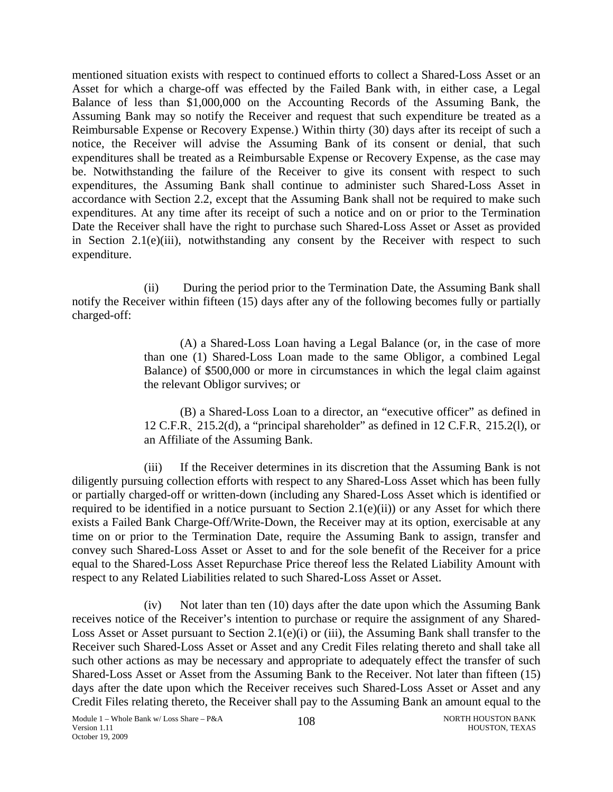mentioned situation exists with respect to continued efforts to collect a Shared-Loss Asset or an Asset for which a charge-off was effected by the Failed Bank with, in either case, a Legal Balance of less than \$1,000,000 on the Accounting Records of the Assuming Bank, the Assuming Bank may so notify the Receiver and request that such expenditure be treated as a Reimbursable Expense or Recovery Expense.) Within thirty (30) days after its receipt of such a notice, the Receiver will advise the Assuming Bank of its consent or denial, that such expenditures shall be treated as a Reimbursable Expense or Recovery Expense, as the case may be. Notwithstanding the failure of the Receiver to give its consent with respect to such expenditures, the Assuming Bank shall continue to administer such Shared-Loss Asset in accordance with Section 2.2, except that the Assuming Bank shall not be required to make such expenditures. At any time after its receipt of such a notice and on or prior to the Termination Date the Receiver shall have the right to purchase such Shared-Loss Asset or Asset as provided in Section 2.1(e)(iii), notwithstanding any consent by the Receiver with respect to such expenditure.

(ii) During the period prior to the Termination Date, the Assuming Bank shall notify the Receiver within fifteen (15) days after any of the following becomes fully or partially charged-off:

> (A) a Shared-Loss Loan having a Legal Balance (or, in the case of more than one (1) Shared-Loss Loan made to the same Obligor, a combined Legal Balance) of \$500,000 or more in circumstances in which the legal claim against the relevant Obligor survives; or

> (B) a Shared-Loss Loan to a director, an "executive officer" as defined in 12 C.F.R. 215.2(d), a "principal shareholder" as defined in 12 C.F.R. 215.2(l), or an Affiliate of the Assuming Bank.

(iii) If the Receiver determines in its discretion that the Assuming Bank is not diligently pursuing collection efforts with respect to any Shared-Loss Asset which has been fully or partially charged-off or written-down (including any Shared-Loss Asset which is identified or required to be identified in a notice pursuant to Section 2.1(e)(ii)) or any Asset for which there exists a Failed Bank Charge-Off/Write-Down, the Receiver may at its option, exercisable at any time on or prior to the Termination Date, require the Assuming Bank to assign, transfer and convey such Shared-Loss Asset or Asset to and for the sole benefit of the Receiver for a price equal to the Shared-Loss Asset Repurchase Price thereof less the Related Liability Amount with respect to any Related Liabilities related to such Shared-Loss Asset or Asset.

(iv) Not later than ten (10) days after the date upon which the Assuming Bank receives notice of the Receiver's intention to purchase or require the assignment of any Shared-Loss Asset or Asset pursuant to Section 2.1(e)(i) or (iii), the Assuming Bank shall transfer to the Receiver such Shared-Loss Asset or Asset and any Credit Files relating thereto and shall take all such other actions as may be necessary and appropriate to adequately effect the transfer of such Shared-Loss Asset or Asset from the Assuming Bank to the Receiver. Not later than fifteen (15) days after the date upon which the Receiver receives such Shared-Loss Asset or Asset and any Credit Files relating thereto, the Receiver shall pay to the Assuming Bank an amount equal to the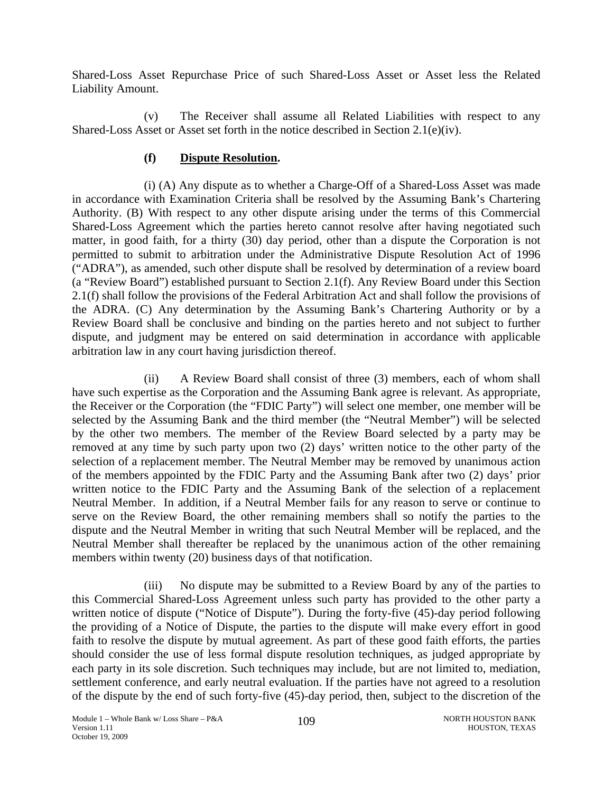Shared-Loss Asset Repurchase Price of such Shared-Loss Asset or Asset less the Related Liability Amount.

(v) The Receiver shall assume all Related Liabilities with respect to any Shared-Loss Asset or Asset set forth in the notice described in Section 2.1(e)(iv).

#### **(f) Dispute Resolution.**

(i) (A) Any dispute as to whether a Charge-Off of a Shared-Loss Asset was made in accordance with Examination Criteria shall be resolved by the Assuming Bank's Chartering Authority. (B) With respect to any other dispute arising under the terms of this Commercial Shared-Loss Agreement which the parties hereto cannot resolve after having negotiated such matter, in good faith, for a thirty (30) day period, other than a dispute the Corporation is not permitted to submit to arbitration under the Administrative Dispute Resolution Act of 1996 ("ADRA"), as amended, such other dispute shall be resolved by determination of a review board (a "Review Board") established pursuant to Section 2.1(f). Any Review Board under this Section 2.1(f) shall follow the provisions of the Federal Arbitration Act and shall follow the provisions of the ADRA. (C) Any determination by the Assuming Bank's Chartering Authority or by a Review Board shall be conclusive and binding on the parties hereto and not subject to further dispute, and judgment may be entered on said determination in accordance with applicable arbitration law in any court having jurisdiction thereof.

(ii) A Review Board shall consist of three (3) members, each of whom shall have such expertise as the Corporation and the Assuming Bank agree is relevant. As appropriate, the Receiver or the Corporation (the "FDIC Party") will select one member, one member will be selected by the Assuming Bank and the third member (the "Neutral Member") will be selected by the other two members. The member of the Review Board selected by a party may be removed at any time by such party upon two (2) days' written notice to the other party of the selection of a replacement member. The Neutral Member may be removed by unanimous action of the members appointed by the FDIC Party and the Assuming Bank after two (2) days' prior written notice to the FDIC Party and the Assuming Bank of the selection of a replacement Neutral Member. In addition, if a Neutral Member fails for any reason to serve or continue to serve on the Review Board, the other remaining members shall so notify the parties to the dispute and the Neutral Member in writing that such Neutral Member will be replaced, and the Neutral Member shall thereafter be replaced by the unanimous action of the other remaining members within twenty (20) business days of that notification.

(iii) No dispute may be submitted to a Review Board by any of the parties to this Commercial Shared-Loss Agreement unless such party has provided to the other party a written notice of dispute ("Notice of Dispute"). During the forty-five (45)-day period following the providing of a Notice of Dispute, the parties to the dispute will make every effort in good faith to resolve the dispute by mutual agreement. As part of these good faith efforts, the parties should consider the use of less formal dispute resolution techniques, as judged appropriate by each party in its sole discretion. Such techniques may include, but are not limited to, mediation, settlement conference, and early neutral evaluation. If the parties have not agreed to a resolution of the dispute by the end of such forty-five (45)-day period, then, subject to the discretion of the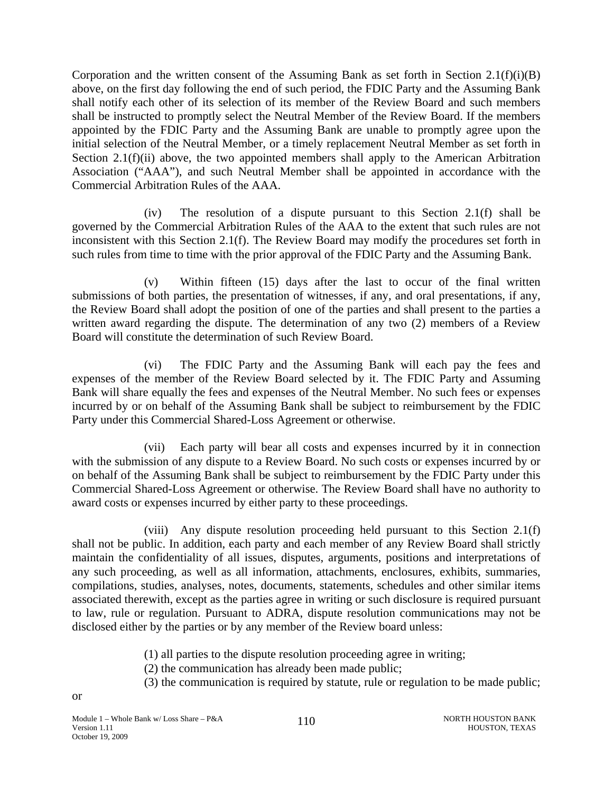Corporation and the written consent of the Assuming Bank as set forth in Section  $2.1(f)(i)(B)$ above, on the first day following the end of such period, the FDIC Party and the Assuming Bank shall notify each other of its selection of its member of the Review Board and such members shall be instructed to promptly select the Neutral Member of the Review Board. If the members appointed by the FDIC Party and the Assuming Bank are unable to promptly agree upon the initial selection of the Neutral Member, or a timely replacement Neutral Member as set forth in Section 2.1(f)(ii) above, the two appointed members shall apply to the American Arbitration Association ("AAA"), and such Neutral Member shall be appointed in accordance with the Commercial Arbitration Rules of the AAA.

(iv) The resolution of a dispute pursuant to this Section 2.1(f) shall be governed by the Commercial Arbitration Rules of the AAA to the extent that such rules are not inconsistent with this Section 2.1(f). The Review Board may modify the procedures set forth in such rules from time to time with the prior approval of the FDIC Party and the Assuming Bank.

(v) Within fifteen (15) days after the last to occur of the final written submissions of both parties, the presentation of witnesses, if any, and oral presentations, if any, the Review Board shall adopt the position of one of the parties and shall present to the parties a written award regarding the dispute. The determination of any two (2) members of a Review Board will constitute the determination of such Review Board.

(vi) The FDIC Party and the Assuming Bank will each pay the fees and expenses of the member of the Review Board selected by it. The FDIC Party and Assuming Bank will share equally the fees and expenses of the Neutral Member. No such fees or expenses incurred by or on behalf of the Assuming Bank shall be subject to reimbursement by the FDIC Party under this Commercial Shared-Loss Agreement or otherwise.

(vii) Each party will bear all costs and expenses incurred by it in connection with the submission of any dispute to a Review Board. No such costs or expenses incurred by or on behalf of the Assuming Bank shall be subject to reimbursement by the FDIC Party under this Commercial Shared-Loss Agreement or otherwise. The Review Board shall have no authority to award costs or expenses incurred by either party to these proceedings.

(viii) Any dispute resolution proceeding held pursuant to this Section 2.1(f) shall not be public. In addition, each party and each member of any Review Board shall strictly maintain the confidentiality of all issues, disputes, arguments, positions and interpretations of any such proceeding, as well as all information, attachments, enclosures, exhibits, summaries, compilations, studies, analyses, notes, documents, statements, schedules and other similar items associated therewith, except as the parties agree in writing or such disclosure is required pursuant to law, rule or regulation. Pursuant to ADRA, dispute resolution communications may not be disclosed either by the parties or by any member of the Review board unless:

(1) all parties to the dispute resolution proceeding agree in writing;

(2) the communication has already been made public;

(3) the communication is required by statute, rule or regulation to be made public;

Module 1 – Whole Bank w/ Loss Share – P&A  $110$  NORTH HOUSTON BANK HOUSTON, TEXAS October 19, 2009

or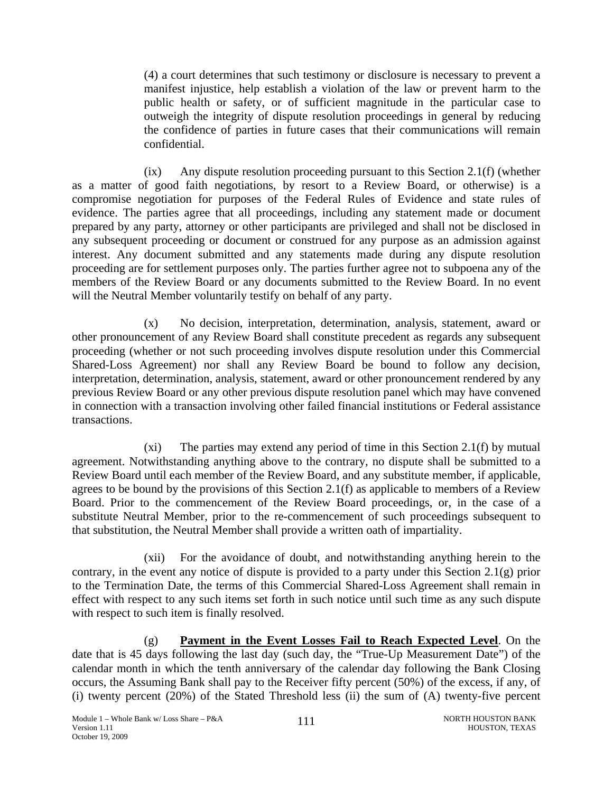(4) a court determines that such testimony or disclosure is necessary to prevent a manifest injustice, help establish a violation of the law or prevent harm to the public health or safety, or of sufficient magnitude in the particular case to outweigh the integrity of dispute resolution proceedings in general by reducing the confidence of parties in future cases that their communications will remain confidential.

(ix) Any dispute resolution proceeding pursuant to this Section 2.1(f) (whether as a matter of good faith negotiations, by resort to a Review Board, or otherwise) is a compromise negotiation for purposes of the Federal Rules of Evidence and state rules of evidence. The parties agree that all proceedings, including any statement made or document prepared by any party, attorney or other participants are privileged and shall not be disclosed in any subsequent proceeding or document or construed for any purpose as an admission against interest. Any document submitted and any statements made during any dispute resolution proceeding are for settlement purposes only. The parties further agree not to subpoena any of the members of the Review Board or any documents submitted to the Review Board. In no event will the Neutral Member voluntarily testify on behalf of any party.

(x) No decision, interpretation, determination, analysis, statement, award or other pronouncement of any Review Board shall constitute precedent as regards any subsequent proceeding (whether or not such proceeding involves dispute resolution under this Commercial Shared-Loss Agreement) nor shall any Review Board be bound to follow any decision, interpretation, determination, analysis, statement, award or other pronouncement rendered by any previous Review Board or any other previous dispute resolution panel which may have convened in connection with a transaction involving other failed financial institutions or Federal assistance transactions.

(xi) The parties may extend any period of time in this Section 2.1(f) by mutual agreement. Notwithstanding anything above to the contrary, no dispute shall be submitted to a Review Board until each member of the Review Board, and any substitute member, if applicable, agrees to be bound by the provisions of this Section 2.1(f) as applicable to members of a Review Board. Prior to the commencement of the Review Board proceedings, or, in the case of a substitute Neutral Member, prior to the re-commencement of such proceedings subsequent to that substitution, the Neutral Member shall provide a written oath of impartiality.

(xii) For the avoidance of doubt, and notwithstanding anything herein to the contrary, in the event any notice of dispute is provided to a party under this Section 2.1(g) prior to the Termination Date, the terms of this Commercial Shared-Loss Agreement shall remain in effect with respect to any such items set forth in such notice until such time as any such dispute with respect to such item is finally resolved.

 (g) **Payment in the Event Losses Fail to Reach Expected Level**. On the date that is 45 days following the last day (such day, the "True-Up Measurement Date") of the calendar month in which the tenth anniversary of the calendar day following the Bank Closing occurs, the Assuming Bank shall pay to the Receiver fifty percent (50%) of the excess, if any, of (i) twenty percent (20%) of the Stated Threshold less (ii) the sum of (A) twenty-five percent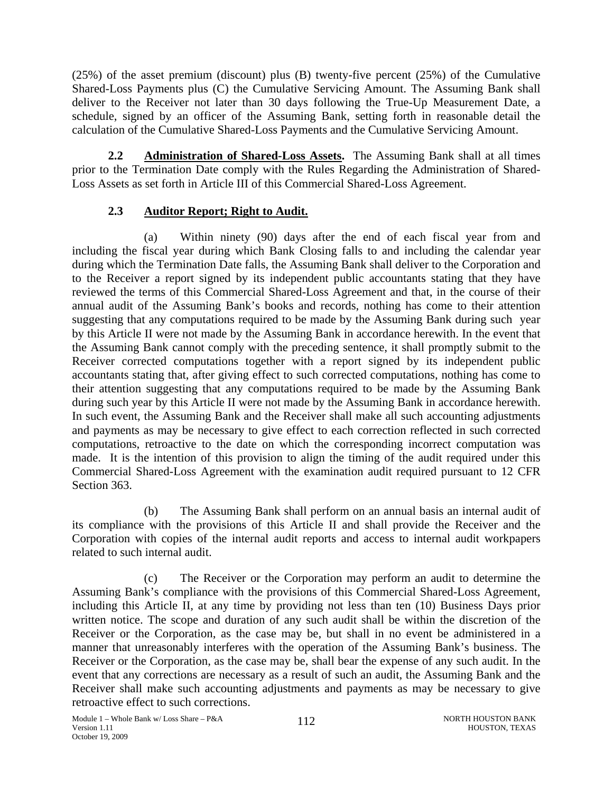(25%) of the asset premium (discount) plus (B) twenty-five percent (25%) of the Cumulative Shared-Loss Payments plus (C) the Cumulative Servicing Amount. The Assuming Bank shall deliver to the Receiver not later than 30 days following the True-Up Measurement Date, a schedule, signed by an officer of the Assuming Bank, setting forth in reasonable detail the calculation of the Cumulative Shared-Loss Payments and the Cumulative Servicing Amount.

**2.2 Administration of Shared-Loss Assets.** The Assuming Bank shall at all times prior to the Termination Date comply with the Rules Regarding the Administration of Shared-Loss Assets as set forth in Article III of this Commercial Shared-Loss Agreement.

# **2.3 Auditor Report; Right to Audit.**

(a) Within ninety (90) days after the end of each fiscal year from and including the fiscal year during which Bank Closing falls to and including the calendar year during which the Termination Date falls, the Assuming Bank shall deliver to the Corporation and to the Receiver a report signed by its independent public accountants stating that they have reviewed the terms of this Commercial Shared-Loss Agreement and that, in the course of their annual audit of the Assuming Bank's books and records, nothing has come to their attention suggesting that any computations required to be made by the Assuming Bank during such year by this Article II were not made by the Assuming Bank in accordance herewith. In the event that the Assuming Bank cannot comply with the preceding sentence, it shall promptly submit to the Receiver corrected computations together with a report signed by its independent public accountants stating that, after giving effect to such corrected computations, nothing has come to their attention suggesting that any computations required to be made by the Assuming Bank during such year by this Article II were not made by the Assuming Bank in accordance herewith. In such event, the Assuming Bank and the Receiver shall make all such accounting adjustments and payments as may be necessary to give effect to each correction reflected in such corrected computations, retroactive to the date on which the corresponding incorrect computation was made. It is the intention of this provision to align the timing of the audit required under this Commercial Shared-Loss Agreement with the examination audit required pursuant to 12 CFR Section 363.

(b) The Assuming Bank shall perform on an annual basis an internal audit of its compliance with the provisions of this Article II and shall provide the Receiver and the Corporation with copies of the internal audit reports and access to internal audit workpapers related to such internal audit.

(c) The Receiver or the Corporation may perform an audit to determine the Assuming Bank's compliance with the provisions of this Commercial Shared-Loss Agreement, including this Article II, at any time by providing not less than ten (10) Business Days prior written notice. The scope and duration of any such audit shall be within the discretion of the Receiver or the Corporation, as the case may be, but shall in no event be administered in a manner that unreasonably interferes with the operation of the Assuming Bank's business. The Receiver or the Corporation, as the case may be, shall bear the expense of any such audit. In the event that any corrections are necessary as a result of such an audit, the Assuming Bank and the Receiver shall make such accounting adjustments and payments as may be necessary to give retroactive effect to such corrections.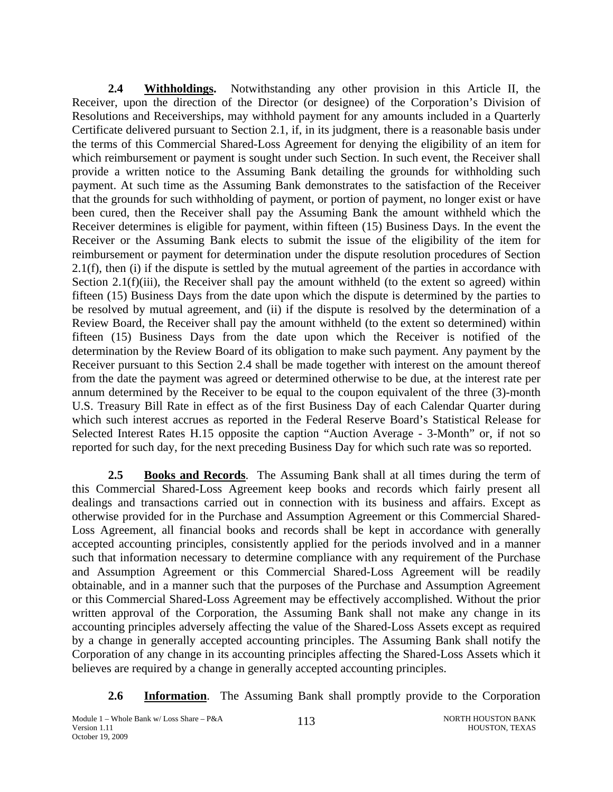**2.4 Withholdings.** Notwithstanding any other provision in this Article II, the Receiver, upon the direction of the Director (or designee) of the Corporation's Division of Resolutions and Receiverships, may withhold payment for any amounts included in a Quarterly Certificate delivered pursuant to Section 2.1, if, in its judgment, there is a reasonable basis under the terms of this Commercial Shared-Loss Agreement for denying the eligibility of an item for which reimbursement or payment is sought under such Section. In such event, the Receiver shall provide a written notice to the Assuming Bank detailing the grounds for withholding such payment. At such time as the Assuming Bank demonstrates to the satisfaction of the Receiver that the grounds for such withholding of payment, or portion of payment, no longer exist or have been cured, then the Receiver shall pay the Assuming Bank the amount withheld which the Receiver determines is eligible for payment, within fifteen (15) Business Days. In the event the Receiver or the Assuming Bank elects to submit the issue of the eligibility of the item for reimbursement or payment for determination under the dispute resolution procedures of Section 2.1(f), then (i) if the dispute is settled by the mutual agreement of the parties in accordance with Section 2.1(f)(iii), the Receiver shall pay the amount withheld (to the extent so agreed) within fifteen (15) Business Days from the date upon which the dispute is determined by the parties to be resolved by mutual agreement, and (ii) if the dispute is resolved by the determination of a Review Board, the Receiver shall pay the amount withheld (to the extent so determined) within fifteen (15) Business Days from the date upon which the Receiver is notified of the determination by the Review Board of its obligation to make such payment. Any payment by the Receiver pursuant to this Section 2.4 shall be made together with interest on the amount thereof from the date the payment was agreed or determined otherwise to be due, at the interest rate per annum determined by the Receiver to be equal to the coupon equivalent of the three (3)-month U.S. Treasury Bill Rate in effect as of the first Business Day of each Calendar Quarter during which such interest accrues as reported in the Federal Reserve Board's Statistical Release for Selected Interest Rates H.15 opposite the caption "Auction Average - 3-Month" or, if not so reported for such day, for the next preceding Business Day for which such rate was so reported.

**2.5 Books and Records**. The Assuming Bank shall at all times during the term of this Commercial Shared-Loss Agreement keep books and records which fairly present all dealings and transactions carried out in connection with its business and affairs. Except as otherwise provided for in the Purchase and Assumption Agreement or this Commercial Shared-Loss Agreement, all financial books and records shall be kept in accordance with generally accepted accounting principles, consistently applied for the periods involved and in a manner such that information necessary to determine compliance with any requirement of the Purchase and Assumption Agreement or this Commercial Shared-Loss Agreement will be readily obtainable, and in a manner such that the purposes of the Purchase and Assumption Agreement or this Commercial Shared-Loss Agreement may be effectively accomplished. Without the prior written approval of the Corporation, the Assuming Bank shall not make any change in its accounting principles adversely affecting the value of the Shared-Loss Assets except as required by a change in generally accepted accounting principles. The Assuming Bank shall notify the Corporation of any change in its accounting principles affecting the Shared-Loss Assets which it believes are required by a change in generally accepted accounting principles.

**2.6 Information**. The Assuming Bank shall promptly provide to the Corporation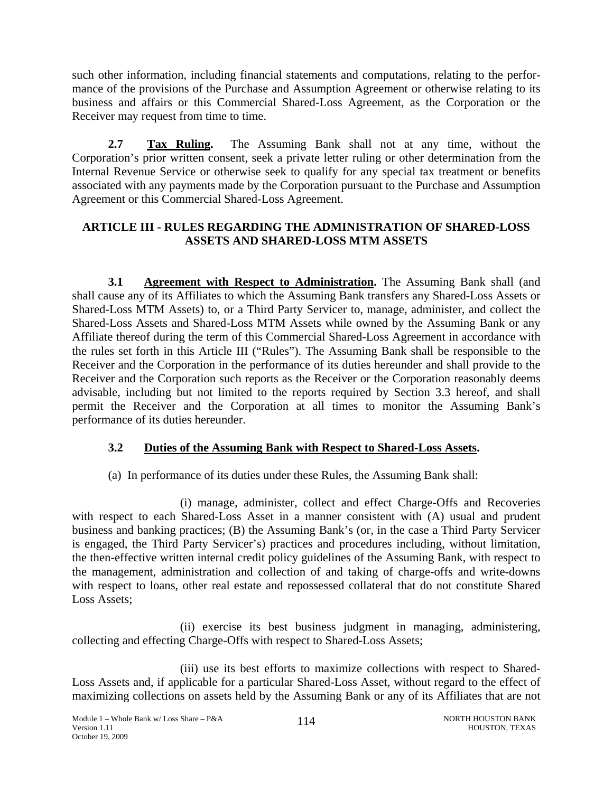such other information, including financial statements and computations, relating to the performance of the provisions of the Purchase and Assumption Agreement or otherwise relating to its business and affairs or this Commercial Shared-Loss Agreement, as the Corporation or the Receiver may request from time to time.

**2.7 Tax Ruling.** The Assuming Bank shall not at any time, without the Corporation's prior written consent, seek a private letter ruling or other determination from the Internal Revenue Service or otherwise seek to qualify for any special tax treatment or benefits associated with any payments made by the Corporation pursuant to the Purchase and Assumption Agreement or this Commercial Shared-Loss Agreement.

## **ARTICLE III - RULES REGARDING THE ADMINISTRATION OF SHARED-LOSS ASSETS AND SHARED-LOSS MTM ASSETS**

**3.1 Agreement with Respect to Administration.** The Assuming Bank shall (and shall cause any of its Affiliates to which the Assuming Bank transfers any Shared-Loss Assets or Shared-Loss MTM Assets) to, or a Third Party Servicer to, manage, administer, and collect the Shared-Loss Assets and Shared-Loss MTM Assets while owned by the Assuming Bank or any Affiliate thereof during the term of this Commercial Shared-Loss Agreement in accordance with the rules set forth in this Article III ("Rules"). The Assuming Bank shall be responsible to the Receiver and the Corporation in the performance of its duties hereunder and shall provide to the Receiver and the Corporation such reports as the Receiver or the Corporation reasonably deems advisable, including but not limited to the reports required by Section 3.3 hereof, and shall permit the Receiver and the Corporation at all times to monitor the Assuming Bank's performance of its duties hereunder.

# **3.2 Duties of the Assuming Bank with Respect to Shared-Loss Assets.**

(a) In performance of its duties under these Rules, the Assuming Bank shall:

(i) manage, administer, collect and effect Charge-Offs and Recoveries with respect to each Shared-Loss Asset in a manner consistent with (A) usual and prudent business and banking practices; (B) the Assuming Bank's (or, in the case a Third Party Servicer is engaged, the Third Party Servicer's) practices and procedures including, without limitation, the then-effective written internal credit policy guidelines of the Assuming Bank, with respect to the management, administration and collection of and taking of charge-offs and write-downs with respect to loans, other real estate and repossessed collateral that do not constitute Shared Loss Assets;

(ii) exercise its best business judgment in managing, administering, collecting and effecting Charge-Offs with respect to Shared-Loss Assets;

(iii) use its best efforts to maximize collections with respect to Shared-Loss Assets and, if applicable for a particular Shared-Loss Asset, without regard to the effect of maximizing collections on assets held by the Assuming Bank or any of its Affiliates that are not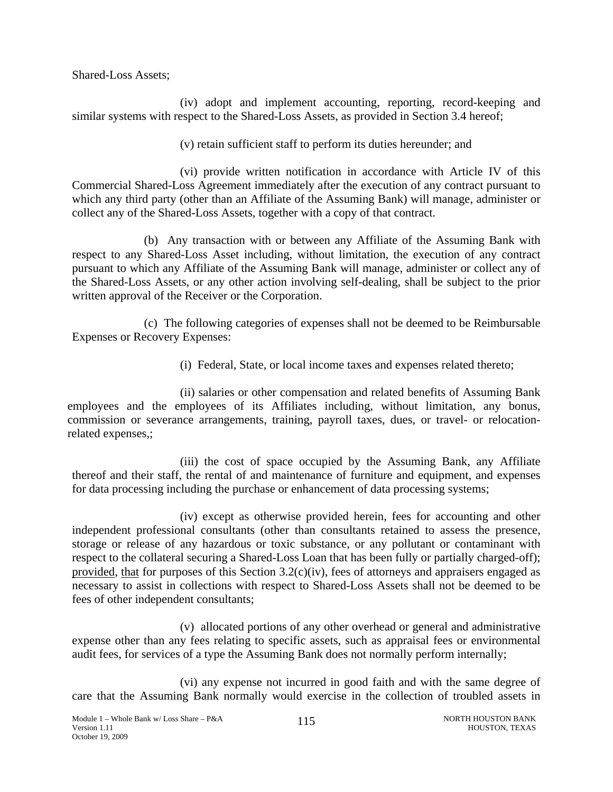Shared-Loss Assets;

(iv) adopt and implement accounting, reporting, record-keeping and similar systems with respect to the Shared-Loss Assets, as provided in Section 3.4 hereof;

(v) retain sufficient staff to perform its duties hereunder; and

(vi) provide written notification in accordance with Article IV of this Commercial Shared-Loss Agreement immediately after the execution of any contract pursuant to which any third party (other than an Affiliate of the Assuming Bank) will manage, administer or collect any of the Shared-Loss Assets, together with a copy of that contract.

(b) Any transaction with or between any Affiliate of the Assuming Bank with respect to any Shared-Loss Asset including, without limitation, the execution of any contract pursuant to which any Affiliate of the Assuming Bank will manage, administer or collect any of the Shared-Loss Assets, or any other action involving self-dealing, shall be subject to the prior written approval of the Receiver or the Corporation.

(c) The following categories of expenses shall not be deemed to be Reimbursable Expenses or Recovery Expenses:

(i) Federal, State, or local income taxes and expenses related thereto;

(ii) salaries or other compensation and related benefits of Assuming Bank employees and the employees of its Affiliates including, without limitation, any bonus, commission or severance arrangements, training, payroll taxes, dues, or travel- or relocationrelated expenses,;

(iii) the cost of space occupied by the Assuming Bank, any Affiliate thereof and their staff, the rental of and maintenance of furniture and equipment, and expenses for data processing including the purchase or enhancement of data processing systems;

(iv) except as otherwise provided herein, fees for accounting and other independent professional consultants (other than consultants retained to assess the presence, storage or release of any hazardous or toxic substance, or any pollutant or contaminant with respect to the collateral securing a Shared-Loss Loan that has been fully or partially charged-off); provided, that for purposes of this Section 3.2(c)(iv), fees of attorneys and appraisers engaged as necessary to assist in collections with respect to Shared-Loss Assets shall not be deemed to be fees of other independent consultants;

(v) allocated portions of any other overhead or general and administrative expense other than any fees relating to specific assets, such as appraisal fees or environmental audit fees, for services of a type the Assuming Bank does not normally perform internally;

(vi) any expense not incurred in good faith and with the same degree of care that the Assuming Bank normally would exercise in the collection of troubled assets in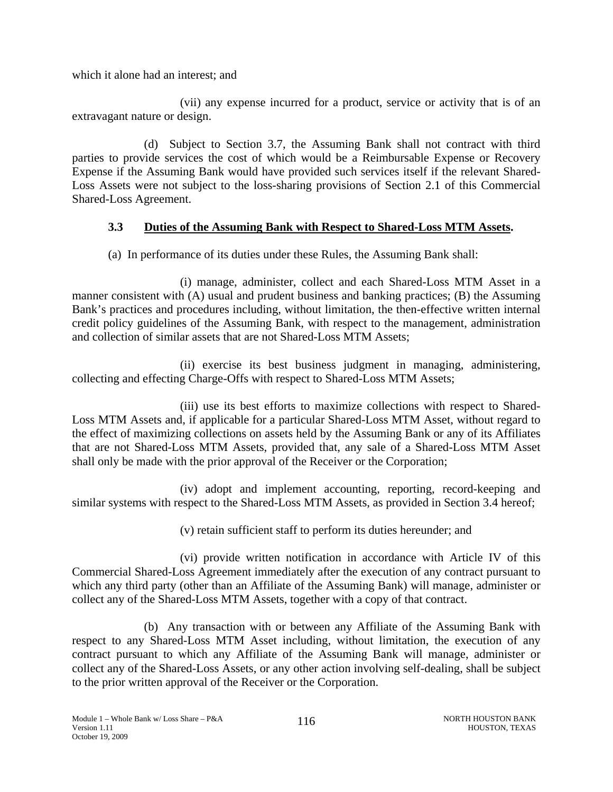which it alone had an interest; and

(vii) any expense incurred for a product, service or activity that is of an extravagant nature or design.

(d) Subject to Section 3.7, the Assuming Bank shall not contract with third parties to provide services the cost of which would be a Reimbursable Expense or Recovery Expense if the Assuming Bank would have provided such services itself if the relevant Shared-Loss Assets were not subject to the loss-sharing provisions of Section 2.1 of this Commercial Shared-Loss Agreement.

## **3.3 Duties of the Assuming Bank with Respect to Shared-Loss MTM Assets.**

(a) In performance of its duties under these Rules, the Assuming Bank shall:

(i) manage, administer, collect and each Shared-Loss MTM Asset in a manner consistent with  $(A)$  usual and prudent business and banking practices;  $(B)$  the Assuming Bank's practices and procedures including, without limitation, the then-effective written internal credit policy guidelines of the Assuming Bank, with respect to the management, administration and collection of similar assets that are not Shared-Loss MTM Assets;

(ii) exercise its best business judgment in managing, administering, collecting and effecting Charge-Offs with respect to Shared-Loss MTM Assets;

(iii) use its best efforts to maximize collections with respect to Shared-Loss MTM Assets and, if applicable for a particular Shared-Loss MTM Asset, without regard to the effect of maximizing collections on assets held by the Assuming Bank or any of its Affiliates that are not Shared-Loss MTM Assets, provided that, any sale of a Shared-Loss MTM Asset shall only be made with the prior approval of the Receiver or the Corporation;

(iv) adopt and implement accounting, reporting, record-keeping and similar systems with respect to the Shared-Loss MTM Assets, as provided in Section 3.4 hereof;

(v) retain sufficient staff to perform its duties hereunder; and

(vi) provide written notification in accordance with Article IV of this Commercial Shared-Loss Agreement immediately after the execution of any contract pursuant to which any third party (other than an Affiliate of the Assuming Bank) will manage, administer or collect any of the Shared-Loss MTM Assets, together with a copy of that contract.

(b) Any transaction with or between any Affiliate of the Assuming Bank with respect to any Shared-Loss MTM Asset including, without limitation, the execution of any contract pursuant to which any Affiliate of the Assuming Bank will manage, administer or collect any of the Shared-Loss Assets, or any other action involving self-dealing, shall be subject to the prior written approval of the Receiver or the Corporation.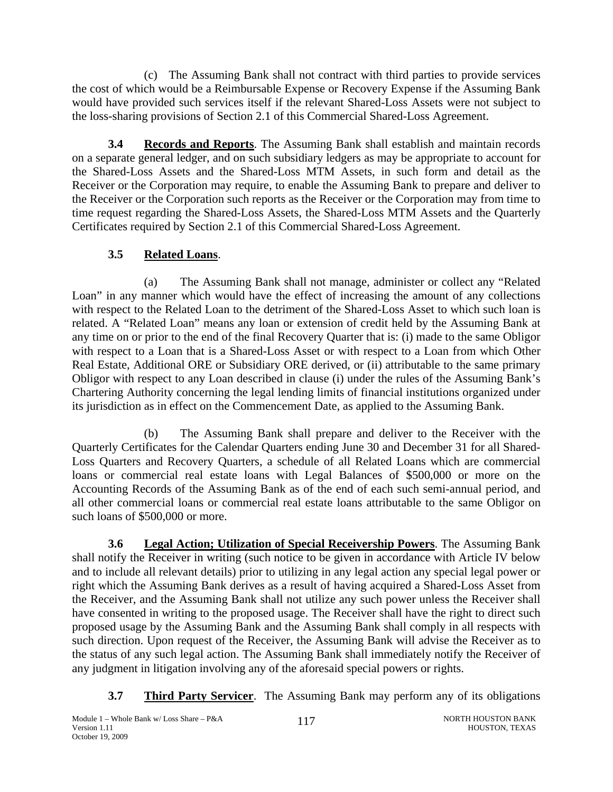(c) The Assuming Bank shall not contract with third parties to provide services the cost of which would be a Reimbursable Expense or Recovery Expense if the Assuming Bank would have provided such services itself if the relevant Shared-Loss Assets were not subject to the loss-sharing provisions of Section 2.1 of this Commercial Shared-Loss Agreement.

**3.4 Records and Reports**. The Assuming Bank shall establish and maintain records on a separate general ledger, and on such subsidiary ledgers as may be appropriate to account for the Shared-Loss Assets and the Shared-Loss MTM Assets, in such form and detail as the Receiver or the Corporation may require, to enable the Assuming Bank to prepare and deliver to the Receiver or the Corporation such reports as the Receiver or the Corporation may from time to time request regarding the Shared-Loss Assets, the Shared-Loss MTM Assets and the Quarterly Certificates required by Section 2.1 of this Commercial Shared-Loss Agreement.

# **3.5 Related Loans**.

(a) The Assuming Bank shall not manage, administer or collect any "Related Loan" in any manner which would have the effect of increasing the amount of any collections with respect to the Related Loan to the detriment of the Shared-Loss Asset to which such loan is related. A "Related Loan" means any loan or extension of credit held by the Assuming Bank at any time on or prior to the end of the final Recovery Quarter that is: (i) made to the same Obligor with respect to a Loan that is a Shared-Loss Asset or with respect to a Loan from which Other Real Estate, Additional ORE or Subsidiary ORE derived, or (ii) attributable to the same primary Obligor with respect to any Loan described in clause (i) under the rules of the Assuming Bank's Chartering Authority concerning the legal lending limits of financial institutions organized under its jurisdiction as in effect on the Commencement Date, as applied to the Assuming Bank.

(b) The Assuming Bank shall prepare and deliver to the Receiver with the Quarterly Certificates for the Calendar Quarters ending June 30 and December 31 for all Shared-Loss Quarters and Recovery Quarters, a schedule of all Related Loans which are commercial loans or commercial real estate loans with Legal Balances of \$500,000 or more on the Accounting Records of the Assuming Bank as of the end of each such semi-annual period, and all other commercial loans or commercial real estate loans attributable to the same Obligor on such loans of \$500,000 or more.

**3.6 Legal Action; Utilization of Special Receivership Powers**. The Assuming Bank shall notify the Receiver in writing (such notice to be given in accordance with Article IV below and to include all relevant details) prior to utilizing in any legal action any special legal power or right which the Assuming Bank derives as a result of having acquired a Shared-Loss Asset from the Receiver, and the Assuming Bank shall not utilize any such power unless the Receiver shall have consented in writing to the proposed usage. The Receiver shall have the right to direct such proposed usage by the Assuming Bank and the Assuming Bank shall comply in all respects with such direction. Upon request of the Receiver, the Assuming Bank will advise the Receiver as to the status of any such legal action. The Assuming Bank shall immediately notify the Receiver of any judgment in litigation involving any of the aforesaid special powers or rights.

**3.7** Third Party Servicer. The Assuming Bank may perform any of its obligations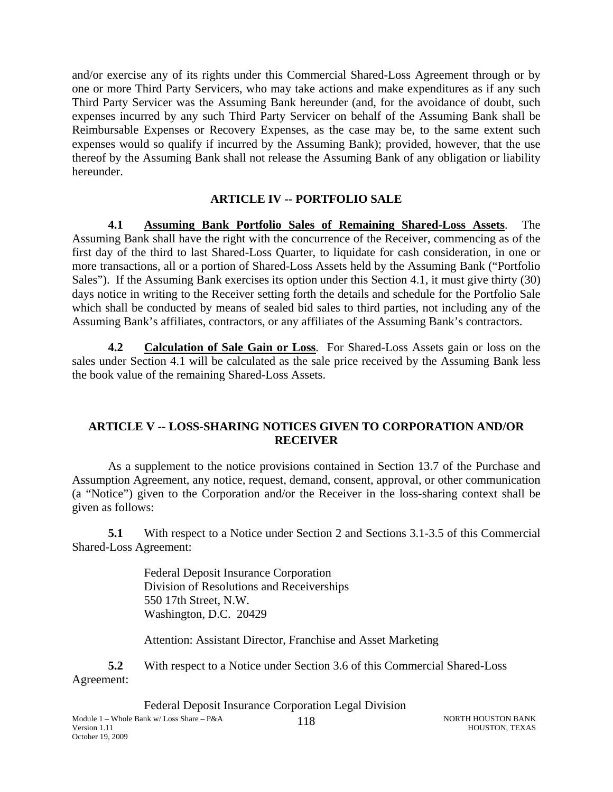and/or exercise any of its rights under this Commercial Shared-Loss Agreement through or by one or more Third Party Servicers, who may take actions and make expenditures as if any such Third Party Servicer was the Assuming Bank hereunder (and, for the avoidance of doubt, such expenses incurred by any such Third Party Servicer on behalf of the Assuming Bank shall be Reimbursable Expenses or Recovery Expenses, as the case may be, to the same extent such expenses would so qualify if incurred by the Assuming Bank); provided, however, that the use thereof by the Assuming Bank shall not release the Assuming Bank of any obligation or liability hereunder.

## **ARTICLE IV -- PORTFOLIO SALE**

**4.1 Assuming Bank Portfolio Sales of Remaining Shared-Loss Assets**. The Assuming Bank shall have the right with the concurrence of the Receiver, commencing as of the first day of the third to last Shared-Loss Quarter, to liquidate for cash consideration, in one or more transactions, all or a portion of Shared-Loss Assets held by the Assuming Bank ("Portfolio Sales"). If the Assuming Bank exercises its option under this Section 4.1, it must give thirty (30) days notice in writing to the Receiver setting forth the details and schedule for the Portfolio Sale which shall be conducted by means of sealed bid sales to third parties, not including any of the Assuming Bank's affiliates, contractors, or any affiliates of the Assuming Bank's contractors.

**4.2 Calculation of Sale Gain or Loss**. For Shared-Loss Assets gain or loss on the sales under Section 4.1 will be calculated as the sale price received by the Assuming Bank less the book value of the remaining Shared-Loss Assets.

## **ARTICLE V -- LOSS-SHARING NOTICES GIVEN TO CORPORATION AND/OR RECEIVER**

As a supplement to the notice provisions contained in Section 13.7 of the Purchase and Assumption Agreement, any notice, request, demand, consent, approval, or other communication (a "Notice") given to the Corporation and/or the Receiver in the loss-sharing context shall be given as follows:

**5.1** With respect to a Notice under Section 2 and Sections 3.1-3.5 of this Commercial Shared-Loss Agreement:

> Federal Deposit Insurance Corporation Division of Resolutions and Receiverships 550 17th Street, N.W. Washington, D.C. 20429

Attention: Assistant Director, Franchise and Asset Marketing

**5.2** With respect to a Notice under Section 3.6 of this Commercial Shared-Loss Agreement:

Federal Deposit Insurance Corporation Legal Division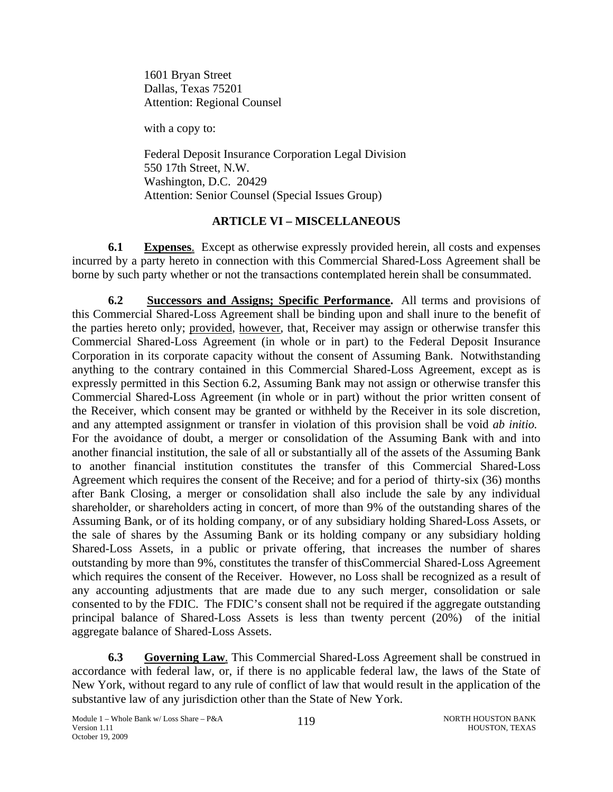1601 Bryan Street Dallas, Texas 75201 Attention: Regional Counsel

with a copy to:

Federal Deposit Insurance Corporation Legal Division 550 17th Street, N.W. Washington, D.C. 20429 Attention: Senior Counsel (Special Issues Group)

# **ARTICLE VI – MISCELLANEOUS**

**6.1** Expenses. Except as otherwise expressly provided herein, all costs and expenses incurred by a party hereto in connection with this Commercial Shared-Loss Agreement shall be borne by such party whether or not the transactions contemplated herein shall be consummated.

**6.2 Successors and Assigns; Specific Performance.** All terms and provisions of this Commercial Shared-Loss Agreement shall be binding upon and shall inure to the benefit of the parties hereto only; provided, however, that, Receiver may assign or otherwise transfer this Commercial Shared-Loss Agreement (in whole or in part) to the Federal Deposit Insurance Corporation in its corporate capacity without the consent of Assuming Bank. Notwithstanding anything to the contrary contained in this Commercial Shared-Loss Agreement, except as is expressly permitted in this Section 6.2, Assuming Bank may not assign or otherwise transfer this Commercial Shared-Loss Agreement (in whole or in part) without the prior written consent of the Receiver, which consent may be granted or withheld by the Receiver in its sole discretion, and any attempted assignment or transfer in violation of this provision shall be void *ab initio.*  For the avoidance of doubt, a merger or consolidation of the Assuming Bank with and into another financial institution, the sale of all or substantially all of the assets of the Assuming Bank to another financial institution constitutes the transfer of this Commercial Shared-Loss Agreement which requires the consent of the Receive; and for a period of thirty-six (36) months after Bank Closing, a merger or consolidation shall also include the sale by any individual shareholder, or shareholders acting in concert, of more than 9% of the outstanding shares of the Assuming Bank, or of its holding company, or of any subsidiary holding Shared-Loss Assets, or the sale of shares by the Assuming Bank or its holding company or any subsidiary holding Shared-Loss Assets, in a public or private offering, that increases the number of shares outstanding by more than 9%, constitutes the transfer of thisCommercial Shared-Loss Agreement which requires the consent of the Receiver. However, no Loss shall be recognized as a result of any accounting adjustments that are made due to any such merger, consolidation or sale consented to by the FDIC. The FDIC's consent shall not be required if the aggregate outstanding principal balance of Shared-Loss Assets is less than twenty percent (20%) of the initial aggregate balance of Shared-Loss Assets.

**6.3 Governing Law**. This Commercial Shared-Loss Agreement shall be construed in accordance with federal law, or, if there is no applicable federal law, the laws of the State of New York, without regard to any rule of conflict of law that would result in the application of the substantive law of any jurisdiction other than the State of New York.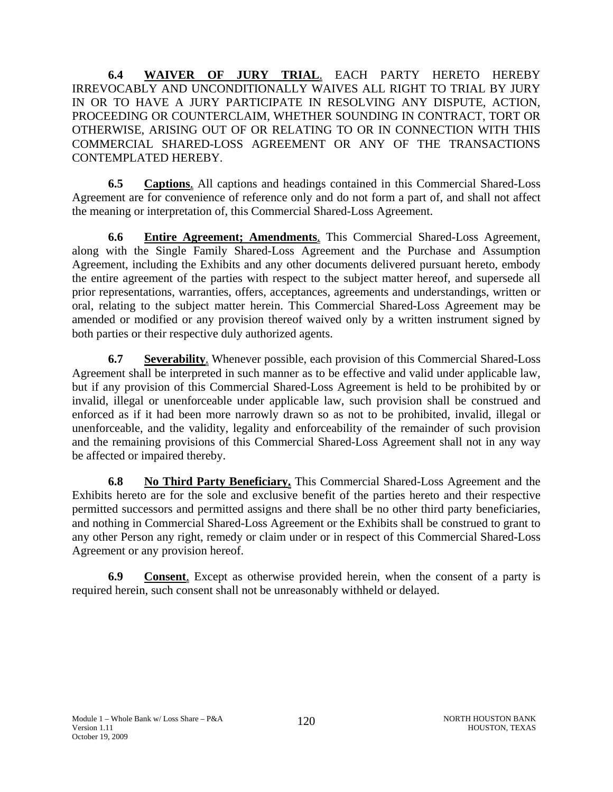**6.4 WAIVER OF JURY TRIAL**. EACH PARTY HERETO HEREBY IRREVOCABLY AND UNCONDITIONALLY WAIVES ALL RIGHT TO TRIAL BY JURY IN OR TO HAVE A JURY PARTICIPATE IN RESOLVING ANY DISPUTE, ACTION, PROCEEDING OR COUNTERCLAIM, WHETHER SOUNDING IN CONTRACT, TORT OR OTHERWISE, ARISING OUT OF OR RELATING TO OR IN CONNECTION WITH THIS COMMERCIAL SHARED-LOSS AGREEMENT OR ANY OF THE TRANSACTIONS CONTEMPLATED HEREBY.

**6.5 Captions**. All captions and headings contained in this Commercial Shared-Loss Agreement are for convenience of reference only and do not form a part of, and shall not affect the meaning or interpretation of, this Commercial Shared-Loss Agreement.

**6.6 Entire Agreement; Amendments**. This Commercial Shared-Loss Agreement, along with the Single Family Shared-Loss Agreement and the Purchase and Assumption Agreement, including the Exhibits and any other documents delivered pursuant hereto, embody the entire agreement of the parties with respect to the subject matter hereof, and supersede all prior representations, warranties, offers, acceptances, agreements and understandings, written or oral, relating to the subject matter herein. This Commercial Shared-Loss Agreement may be amended or modified or any provision thereof waived only by a written instrument signed by both parties or their respective duly authorized agents.

**6.7 Severability**. Whenever possible, each provision of this Commercial Shared-Loss Agreement shall be interpreted in such manner as to be effective and valid under applicable law, but if any provision of this Commercial Shared-Loss Agreement is held to be prohibited by or invalid, illegal or unenforceable under applicable law, such provision shall be construed and enforced as if it had been more narrowly drawn so as not to be prohibited, invalid, illegal or unenforceable, and the validity, legality and enforceability of the remainder of such provision and the remaining provisions of this Commercial Shared-Loss Agreement shall not in any way be affected or impaired thereby.

**6.8 No Third Party Beneficiary.** This Commercial Shared-Loss Agreement and the Exhibits hereto are for the sole and exclusive benefit of the parties hereto and their respective permitted successors and permitted assigns and there shall be no other third party beneficiaries, and nothing in Commercial Shared-Loss Agreement or the Exhibits shall be construed to grant to any other Person any right, remedy or claim under or in respect of this Commercial Shared-Loss Agreement or any provision hereof.

**6.9** Consent. Except as otherwise provided herein, when the consent of a party is required herein, such consent shall not be unreasonably withheld or delayed.